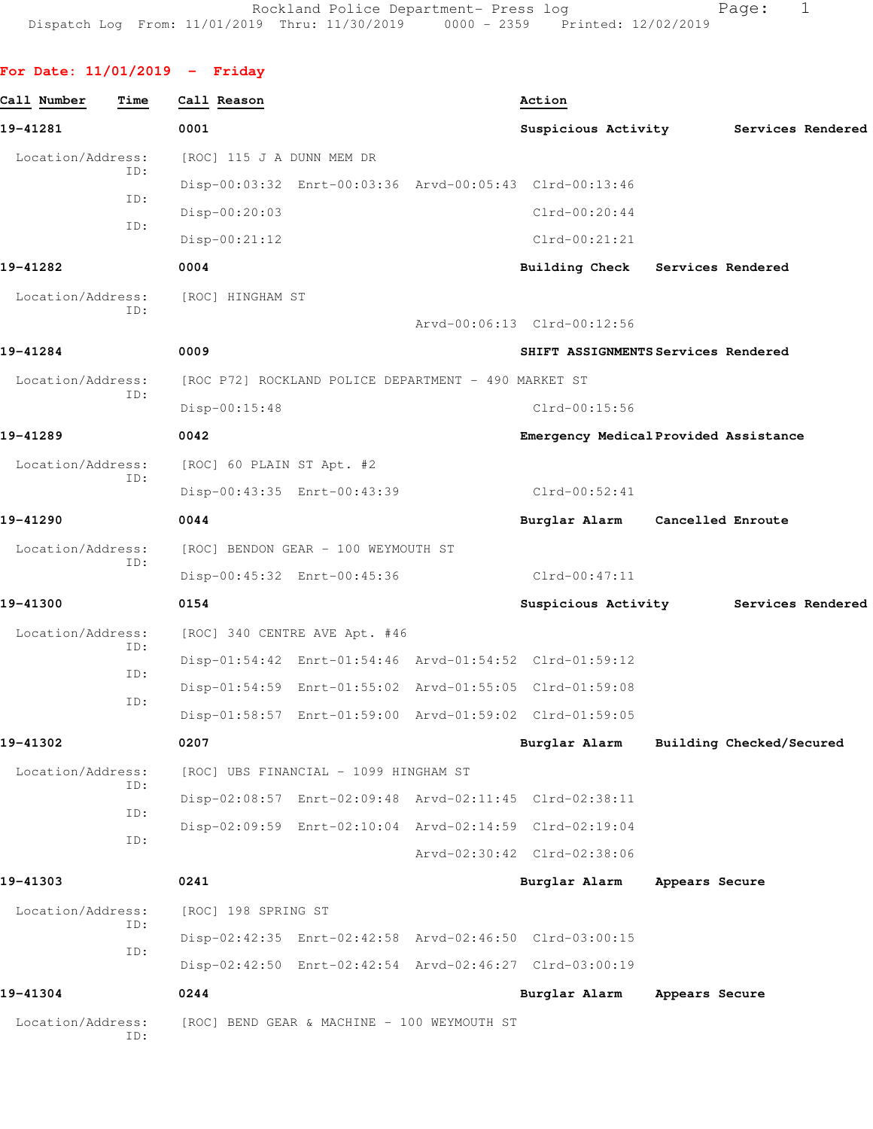## **For Date: 11/01/2019 - Friday**

| Call Number              | Time | Call Reason               |                                                         | Action                                |                   |                          |  |
|--------------------------|------|---------------------------|---------------------------------------------------------|---------------------------------------|-------------------|--------------------------|--|
| 19-41281                 |      | 0001                      |                                                         | Suspicious Activity                   |                   | Services Rendered        |  |
| Location/Address:        |      | [ROC] 115 J A DUNN MEM DR |                                                         |                                       |                   |                          |  |
|                          | ID:  |                           | Disp-00:03:32 Enrt-00:03:36 Arvd-00:05:43 Clrd-00:13:46 |                                       |                   |                          |  |
|                          | ID:  | Disp-00:20:03             |                                                         | $Clrd-00:20:44$                       |                   |                          |  |
|                          | ID:  | $Disp-00:21:12$           |                                                         | $Clrd-00:21:21$                       |                   |                          |  |
| 19-41282                 |      | 0004                      |                                                         | Building Check Services Rendered      |                   |                          |  |
| Location/Address:        |      | [ROC] HINGHAM ST          |                                                         |                                       |                   |                          |  |
|                          | ID:  |                           |                                                         | Arvd-00:06:13 Clrd-00:12:56           |                   |                          |  |
| 19-41284                 |      | 0009                      |                                                         | SHIFT ASSIGNMENTS Services Rendered   |                   |                          |  |
| Location/Address:        |      |                           | [ROC P72] ROCKLAND POLICE DEPARTMENT - 490 MARKET ST    |                                       |                   |                          |  |
| ID:                      |      | Disp-00:15:48             |                                                         | $Clrd-00:15:56$                       |                   |                          |  |
| 19-41289                 |      | 0042                      |                                                         | Emergency Medical Provided Assistance |                   |                          |  |
| Location/Address:        |      | [ROC] 60 PLAIN ST Apt. #2 |                                                         |                                       |                   |                          |  |
|                          | ID:  |                           | Disp-00:43:35 Enrt-00:43:39                             | $Clrd-00:52:41$                       |                   |                          |  |
| 19-41290                 |      | 0044                      |                                                         | Burglar Alarm                         | Cancelled Enroute |                          |  |
| Location/Address:<br>ID: |      |                           | [ROC] BENDON GEAR - 100 WEYMOUTH ST                     |                                       |                   |                          |  |
|                          |      |                           | Disp-00:45:32 Enrt-00:45:36                             | Clrd-00:47:11                         |                   |                          |  |
| 19-41300                 |      | 0154                      |                                                         | Suspicious Activity                   |                   | Services Rendered        |  |
| Location/Address:        |      |                           | [ROC] 340 CENTRE AVE Apt. #46                           |                                       |                   |                          |  |
|                          | ID:  |                           | Disp-01:54:42 Enrt-01:54:46 Arvd-01:54:52 Clrd-01:59:12 |                                       |                   |                          |  |
|                          | ID:  |                           | Disp-01:54:59 Enrt-01:55:02 Arvd-01:55:05 Clrd-01:59:08 |                                       |                   |                          |  |
|                          | ID:  |                           | Disp-01:58:57 Enrt-01:59:00 Arvd-01:59:02 Clrd-01:59:05 |                                       |                   |                          |  |
| 19-41302                 |      | 0207                      |                                                         | Burglar Alarm                         |                   | Building Checked/Secured |  |
| Location/Address:        |      |                           | [ROC] UBS FINANCIAL - 1099 HINGHAM ST                   |                                       |                   |                          |  |
|                          | ID:  |                           | Disp-02:08:57 Enrt-02:09:48 Arvd-02:11:45 Clrd-02:38:11 |                                       |                   |                          |  |
|                          | ID:  |                           | Disp-02:09:59 Enrt-02:10:04 Arvd-02:14:59 Clrd-02:19:04 |                                       |                   |                          |  |
|                          | ID:  |                           |                                                         | Arvd-02:30:42 Clrd-02:38:06           |                   |                          |  |
| 19-41303                 |      | 0241                      |                                                         | Burglar Alarm                         | Appears Secure    |                          |  |
| Location/Address:        |      | [ROC] 198 SPRING ST       |                                                         |                                       |                   |                          |  |
|                          | ID:  |                           | Disp-02:42:35 Enrt-02:42:58 Arvd-02:46:50 Clrd-03:00:15 |                                       |                   |                          |  |
|                          | ID:  |                           | Disp-02:42:50 Enrt-02:42:54 Arvd-02:46:27 Clrd-03:00:19 |                                       |                   |                          |  |
| 19-41304                 |      | 0244                      |                                                         | Burglar Alarm                         | Appears Secure    |                          |  |
| Location/Address:        | ID:  |                           | [ROC] BEND GEAR & MACHINE - 100 WEYMOUTH ST             |                                       |                   |                          |  |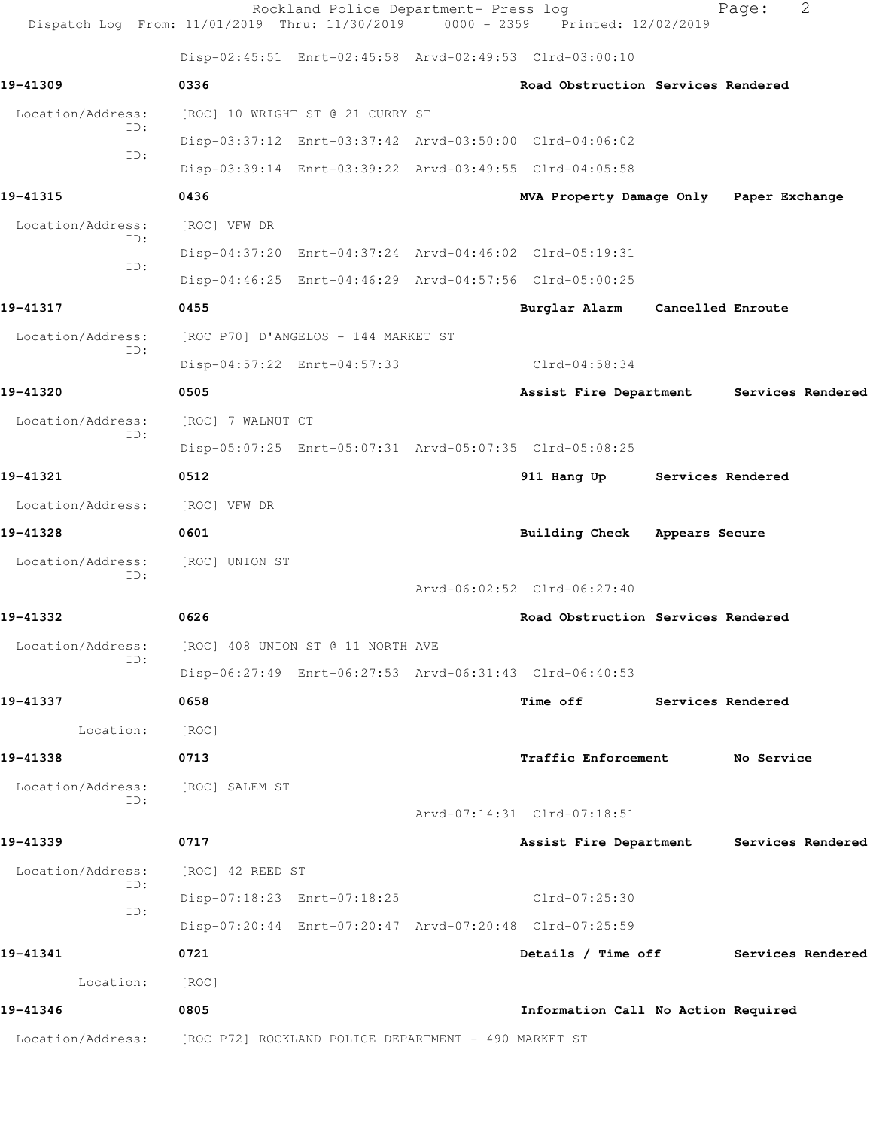| Dispatch Log From: 11/01/2019 Thru: 11/30/2019 0000 - 2359 Printed: 12/02/2019 |                   | Rockland Police Department- Press log |                                                         |                   | Page:      | 2                 |
|--------------------------------------------------------------------------------|-------------------|---------------------------------------|---------------------------------------------------------|-------------------|------------|-------------------|
|                                                                                |                   |                                       | Disp-02:45:51 Enrt-02:45:58 Arvd-02:49:53 Clrd-03:00:10 |                   |            |                   |
| 19-41309                                                                       | 0336              |                                       | Road Obstruction Services Rendered                      |                   |            |                   |
| Location/Address:                                                              |                   | [ROC] 10 WRIGHT ST @ 21 CURRY ST      |                                                         |                   |            |                   |
| ID:                                                                            |                   |                                       | Disp-03:37:12 Enrt-03:37:42 Arvd-03:50:00 Clrd-04:06:02 |                   |            |                   |
| TD:                                                                            |                   |                                       | Disp-03:39:14 Enrt-03:39:22 Arvd-03:49:55 Clrd-04:05:58 |                   |            |                   |
| 19-41315                                                                       | 0436              |                                       | MVA Property Damage Only Paper Exchange                 |                   |            |                   |
| Location/Address:                                                              | [ROC] VFW DR      |                                       |                                                         |                   |            |                   |
| ID:                                                                            |                   |                                       | Disp-04:37:20 Enrt-04:37:24 Arvd-04:46:02 Clrd-05:19:31 |                   |            |                   |
| ID:                                                                            |                   |                                       | Disp-04:46:25 Enrt-04:46:29 Arvd-04:57:56 Clrd-05:00:25 |                   |            |                   |
| 19-41317                                                                       | 0455              |                                       | Burglar Alarm                                           | Cancelled Enroute |            |                   |
| Location/Address:                                                              |                   | [ROC P70] D'ANGELOS - 144 MARKET ST   |                                                         |                   |            |                   |
| ID:                                                                            |                   | Disp-04:57:22 Enrt-04:57:33           | Clrd-04:58:34                                           |                   |            |                   |
| 19-41320                                                                       | 0505              |                                       | Assist Fire Department                                  |                   |            | Services Rendered |
| Location/Address:                                                              | [ROC] 7 WALNUT CT |                                       |                                                         |                   |            |                   |
| ID:                                                                            |                   |                                       | Disp-05:07:25 Enrt-05:07:31 Arvd-05:07:35 Clrd-05:08:25 |                   |            |                   |
| 19-41321                                                                       | 0512              |                                       | 911 Hang Up                                             | Services Rendered |            |                   |
| Location/Address:                                                              | [ROC] VFW DR      |                                       |                                                         |                   |            |                   |
| 19-41328                                                                       | 0601              |                                       | <b>Building Check</b>                                   | Appears Secure    |            |                   |
| Location/Address:                                                              | [ROC] UNION ST    |                                       |                                                         |                   |            |                   |
| ID:                                                                            |                   |                                       | Arvd-06:02:52 Clrd-06:27:40                             |                   |            |                   |
| 19-41332                                                                       | 0626              |                                       | Road Obstruction Services Rendered                      |                   |            |                   |
| Location/Address:                                                              |                   | [ROC] 408 UNION ST @ 11 NORTH AVE     |                                                         |                   |            |                   |
| ID:                                                                            |                   |                                       | Disp-06:27:49 Enrt-06:27:53 Arvd-06:31:43 Clrd-06:40:53 |                   |            |                   |
| 19-41337                                                                       | 0658              |                                       | Time off Services Rendered                              |                   |            |                   |
| Location:                                                                      | [ROC]             |                                       |                                                         |                   |            |                   |
| 19-41338                                                                       | 0713              |                                       | <b>Traffic Enforcement</b>                              |                   | No Service |                   |
| Location/Address:                                                              | [ROC] SALEM ST    |                                       |                                                         |                   |            |                   |
| ID:                                                                            |                   |                                       | Arvd-07:14:31 Clrd-07:18:51                             |                   |            |                   |
| 19-41339                                                                       | 0717              |                                       | Assist Fire Department                                  |                   |            | Services Rendered |
| Location/Address:                                                              | [ROC] 42 REED ST  |                                       |                                                         |                   |            |                   |
| ID:                                                                            |                   | Disp-07:18:23 Enrt-07:18:25           | $Clrd-07:25:30$                                         |                   |            |                   |
| ID:                                                                            |                   |                                       | Disp-07:20:44 Enrt-07:20:47 Arvd-07:20:48 Clrd-07:25:59 |                   |            |                   |
| 19-41341                                                                       | 0721              |                                       | Details / Time off                                      |                   |            | Services Rendered |
| Location:                                                                      | [ROC]             |                                       |                                                         |                   |            |                   |
| 19-41346                                                                       | 0805              |                                       | Information Call No Action Required                     |                   |            |                   |
| Location/Address: [ROC P72] ROCKLAND POLICE DEPARTMENT - 490 MARKET ST         |                   |                                       |                                                         |                   |            |                   |
|                                                                                |                   |                                       |                                                         |                   |            |                   |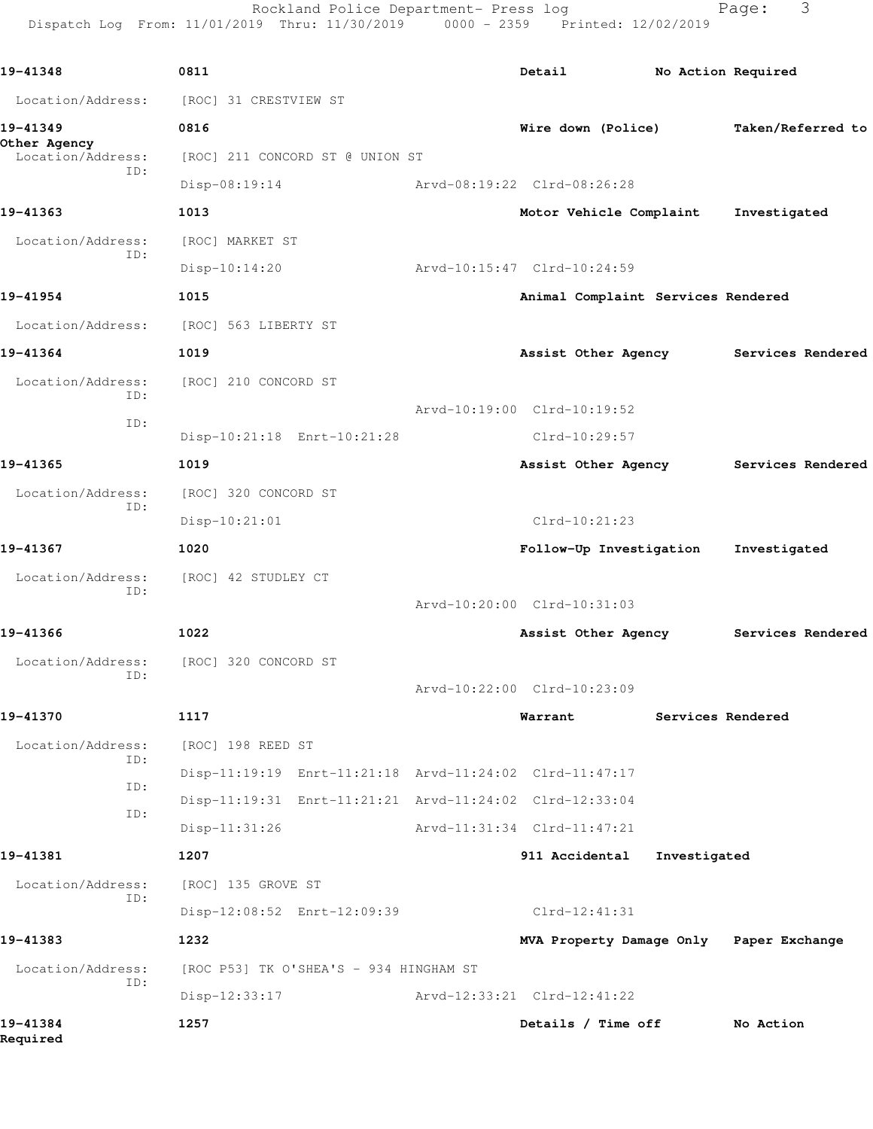Rockland Police Department- Press log extending Page: 3 Dispatch Log From: 11/01/2019 Thru: 11/30/2019 0000 - 2359 Printed: 12/02/2019

| 19-41348                          | 0811                                                    | Detail                                  | No Action Required |                   |
|-----------------------------------|---------------------------------------------------------|-----------------------------------------|--------------------|-------------------|
| Location/Address:                 | [ROC] 31 CRESTVIEW ST                                   |                                         |                    |                   |
| 19-41349                          | 0816                                                    | Wire down (Police)<br>Taken/Referred to |                    |                   |
| Other Agency<br>Location/Address: | [ROC] 211 CONCORD ST @ UNION ST                         |                                         |                    |                   |
| ID:                               | Disp-08:19:14                                           | Arvd-08:19:22 Clrd-08:26:28             |                    |                   |
| 19-41363                          | 1013                                                    | Motor Vehicle Complaint                 |                    | Investigated      |
| Location/Address:                 | [ROC] MARKET ST                                         |                                         |                    |                   |
| ID:                               | $Disp-10:14:20$                                         | Arvd-10:15:47 Clrd-10:24:59             |                    |                   |
| 19-41954                          | 1015                                                    | Animal Complaint Services Rendered      |                    |                   |
| Location/Address:                 | [ROC] 563 LIBERTY ST                                    |                                         |                    |                   |
| 19-41364                          | 1019                                                    | Assist Other Agency                     |                    | Services Rendered |
| Location/Address:                 | [ROC] 210 CONCORD ST                                    |                                         |                    |                   |
| ID:                               |                                                         | Arvd-10:19:00 Clrd-10:19:52             |                    |                   |
| ID:                               | Disp-10:21:18 Enrt-10:21:28                             | $Clrd-10:29:57$                         |                    |                   |
| 19-41365                          | 1019                                                    | Assist Other Agency                     |                    | Services Rendered |
| Location/Address:                 | [ROC] 320 CONCORD ST                                    |                                         |                    |                   |
| ID:                               | $Disp-10:21:01$                                         | $Clrd-10:21:23$                         |                    |                   |
| 19-41367                          | 1020                                                    | Follow-Up Investigation                 |                    | Investigated      |
| Location/Address:                 | [ROC] 42 STUDLEY CT                                     |                                         |                    |                   |
| ID:                               |                                                         | Arvd-10:20:00 Clrd-10:31:03             |                    |                   |
| 19-41366                          | 1022                                                    | Assist Other Agency                     |                    | Services Rendered |
| Location/Address:                 | [ROC] 320 CONCORD ST                                    |                                         |                    |                   |
| ID:                               |                                                         | Arvd-10:22:00 Clrd-10:23:09             |                    |                   |
| 19-41370                          | 1117                                                    | Warrant                                 | Services Rendered  |                   |
| Location/Address:                 | [ROC] 198 REED ST                                       |                                         |                    |                   |
| ID:                               | Disp-11:19:19 Enrt-11:21:18 Arvd-11:24:02 Clrd-11:47:17 |                                         |                    |                   |
| ID:                               | Disp-11:19:31 Enrt-11:21:21 Arvd-11:24:02 Clrd-12:33:04 |                                         |                    |                   |
| ID:                               | $Disp-11:31:26$                                         | Arvd-11:31:34 Clrd-11:47:21             |                    |                   |
| 19-41381                          | 1207                                                    | 911 Accidental                          | Investigated       |                   |
| Location/Address:                 | [ROC] 135 GROVE ST                                      |                                         |                    |                   |
| ID:                               | Disp-12:08:52 Enrt-12:09:39                             | $Clrd-12:41:31$                         |                    |                   |
| 19-41383                          | 1232                                                    | MVA Property Damage Only Paper Exchange |                    |                   |
| Location/Address:                 | [ROC P53] TK O'SHEA'S - 934 HINGHAM ST                  |                                         |                    |                   |
| ID:                               | $Disp-12:33:17$                                         | Arvd-12:33:21 Clrd-12:41:22             |                    |                   |
| 19-41384<br>Required              | 1257                                                    | Details / Time off                      |                    | No Action         |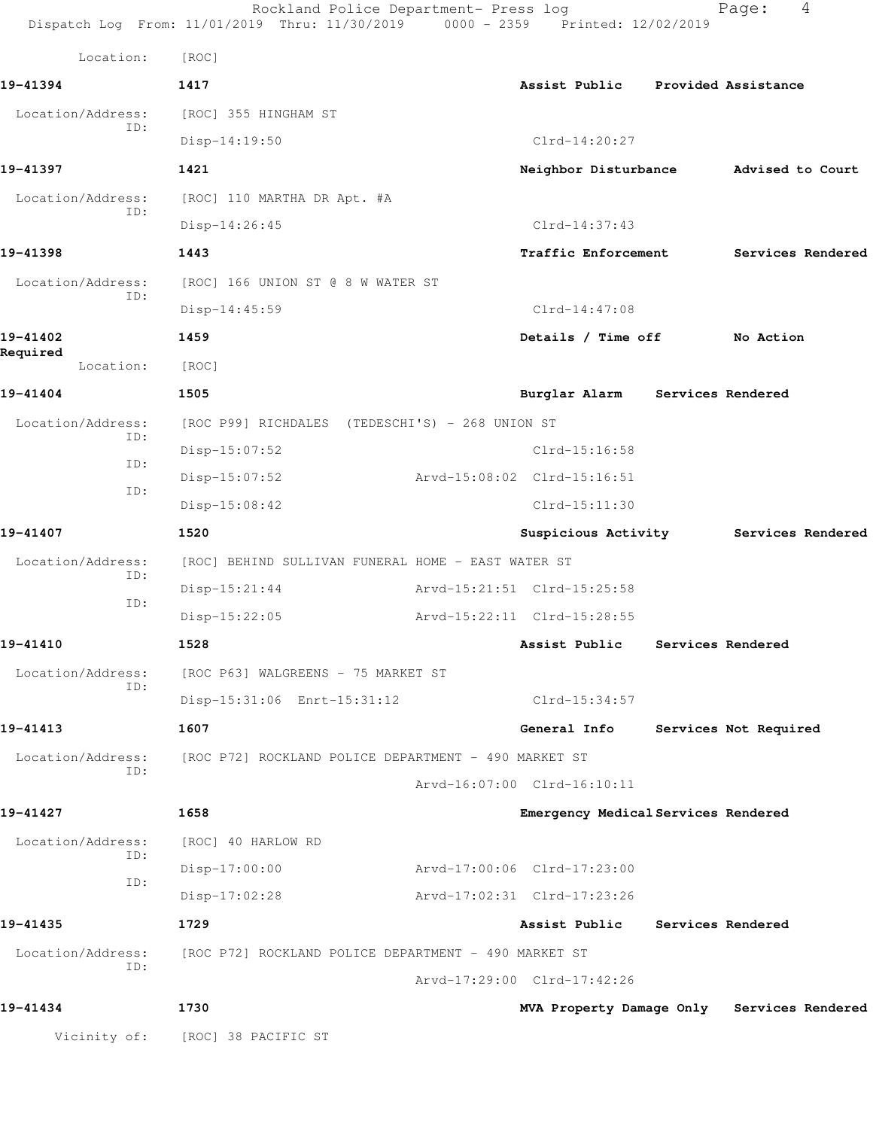|                          | Rockland Police Department- Press log<br>Dispatch Log From: 11/01/2019 Thru: 11/30/2019 0000 - 2359 Printed: 12/02/2019 |                                     | 4<br>Page:                                 |  |
|--------------------------|-------------------------------------------------------------------------------------------------------------------------|-------------------------------------|--------------------------------------------|--|
| Location:                | [ROC]                                                                                                                   |                                     |                                            |  |
| 19-41394                 | 1417                                                                                                                    | Assist Public Provided Assistance   |                                            |  |
| Location/Address:        | [ROC] 355 HINGHAM ST                                                                                                    |                                     |                                            |  |
| ID:                      | $Disp-14:19:50$                                                                                                         | $Clrd-14:20:27$                     |                                            |  |
| 19-41397                 | 1421                                                                                                                    |                                     | Neighbor Disturbance Advised to Court      |  |
| Location/Address:        | [ROC] 110 MARTHA DR Apt. #A                                                                                             |                                     |                                            |  |
| ID:                      | Disp-14:26:45                                                                                                           | $Clrd-14:37:43$                     |                                            |  |
| 19-41398                 | 1443                                                                                                                    | Traffic Enforcement                 | Services Rendered                          |  |
| Location/Address:<br>ID: | [ROC] 166 UNION ST @ 8 W WATER ST                                                                                       |                                     |                                            |  |
|                          | Disp-14:45:59                                                                                                           | $Clrd-14:47:08$                     |                                            |  |
| 19-41402                 | 1459                                                                                                                    | Details / Time off                  | No Action                                  |  |
| Required<br>Location:    | [ROC]                                                                                                                   |                                     |                                            |  |
| 19-41404                 | 1505                                                                                                                    | Burglar Alarm Services Rendered     |                                            |  |
| Location/Address:<br>ID: | [ROC P99] RICHDALES (TEDESCHI'S) - 268 UNION ST                                                                         |                                     |                                            |  |
| ID:                      | $Disp-15:07:52$                                                                                                         | $Clrd-15:16:58$                     |                                            |  |
| ID:                      | $Disp-15:07:52$                                                                                                         | Arvd-15:08:02 Clrd-15:16:51         |                                            |  |
|                          | $Disp-15:08:42$                                                                                                         | $Clrd-15:11:30$                     |                                            |  |
| 19-41407                 | 1520                                                                                                                    | Suspicious Activity                 | Services Rendered                          |  |
| Location/Address:<br>ID: | [ROC] BEHIND SULLIVAN FUNERAL HOME - EAST WATER ST                                                                      |                                     |                                            |  |
| ID:                      | $Disp-15:21:44$                                                                                                         | Arvd-15:21:51 Clrd-15:25:58         |                                            |  |
|                          | $Disp-15:22:05$                                                                                                         | Arvd-15:22:11 Clrd-15:28:55         |                                            |  |
| 19-41410                 | 1528                                                                                                                    | Assist Public                       | Services Rendered                          |  |
| Location/Address:<br>ID: | [ROC P63] WALGREENS - 75 MARKET ST                                                                                      |                                     |                                            |  |
|                          | Disp-15:31:06 Enrt-15:31:12                                                                                             | Clrd-15:34:57                       |                                            |  |
| 19-41413                 | 1607                                                                                                                    | General Info                        | Services Not Required                      |  |
| Location/Address:<br>ID: | [ROC P72] ROCKLAND POLICE DEPARTMENT - 490 MARKET ST                                                                    |                                     |                                            |  |
|                          |                                                                                                                         | Arvd-16:07:00 Clrd-16:10:11         |                                            |  |
| 19-41427                 | 1658                                                                                                                    | Emergency Medical Services Rendered |                                            |  |
| Location/Address:<br>ID: | [ROC] 40 HARLOW RD                                                                                                      |                                     |                                            |  |
| ID:                      | $Disp-17:00:00$                                                                                                         | Arvd-17:00:06 Clrd-17:23:00         |                                            |  |
|                          | $Disp-17:02:28$                                                                                                         | Arvd-17:02:31 Clrd-17:23:26         |                                            |  |
| 19-41435                 | 1729                                                                                                                    | Assist Public Services Rendered     |                                            |  |
| Location/Address:<br>ID: | [ROC P72] ROCKLAND POLICE DEPARTMENT - 490 MARKET ST                                                                    |                                     |                                            |  |
|                          |                                                                                                                         | Arvd-17:29:00 Clrd-17:42:26         |                                            |  |
| 19-41434                 | 1730                                                                                                                    |                                     | MVA Property Damage Only Services Rendered |  |
| Vicinity of:             | [ROC] 38 PACIFIC ST                                                                                                     |                                     |                                            |  |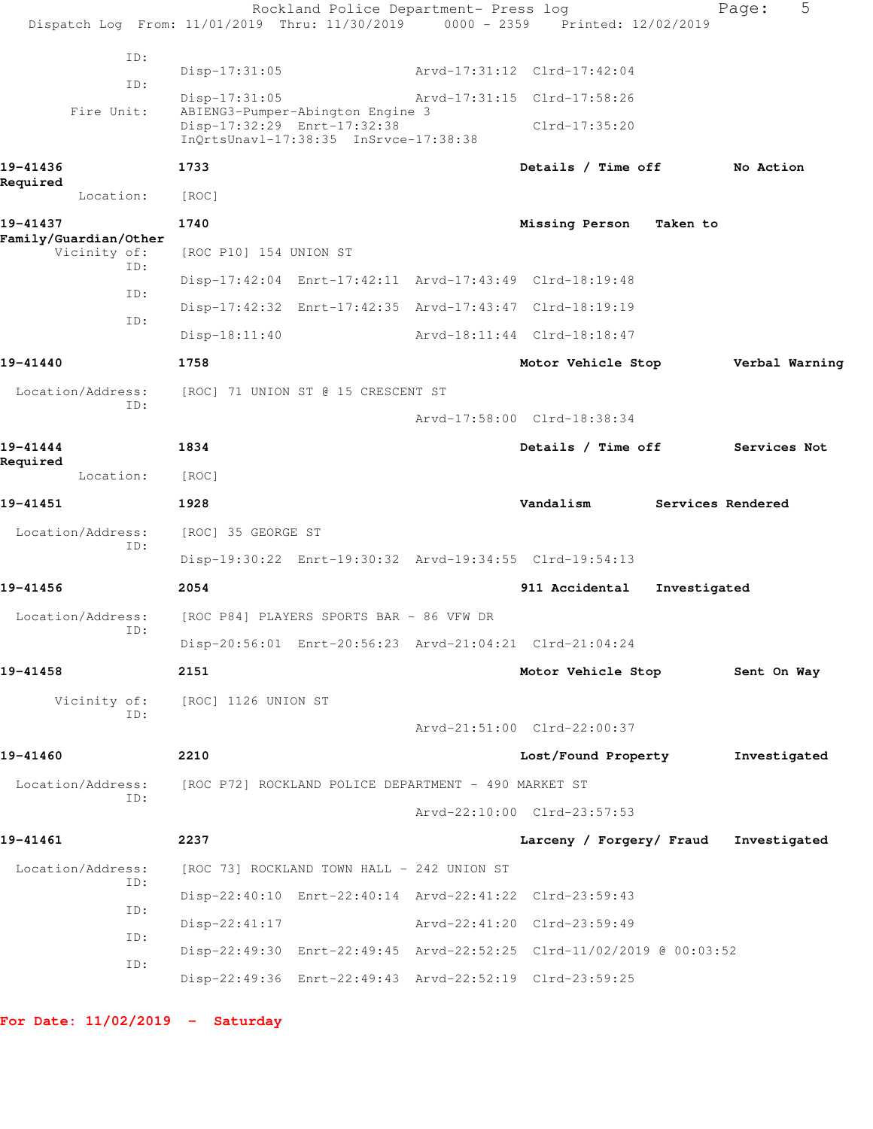|                                       | Rockland Police Department- Press log                                                                    |  |                             |              | 5<br>Page:        |  |
|---------------------------------------|----------------------------------------------------------------------------------------------------------|--|-----------------------------|--------------|-------------------|--|
|                                       | Dispatch Log From: 11/01/2019 Thru: 11/30/2019 0000 - 2359 Printed: 12/02/2019                           |  |                             |              |                   |  |
| ID:                                   | Disp-17:31:05                                                                                            |  | Arvd-17:31:12 Clrd-17:42:04 |              |                   |  |
| ID:                                   | $Disp-17:31:05$                                                                                          |  | Arvd-17:31:15 Clrd-17:58:26 |              |                   |  |
| Fire Unit:                            | ABIENG3-Pumper-Abington Engine 3<br>Disp-17:32:29 Enrt-17:32:38<br>InQrtsUnavl-17:38:35 InSrvce-17:38:38 |  | Clrd-17:35:20               |              |                   |  |
| 19-41436<br>Required                  | 1733                                                                                                     |  | Details / Time off          |              | No Action         |  |
| Location:                             | [ROC]                                                                                                    |  |                             |              |                   |  |
| 19-41437                              | 1740                                                                                                     |  | Missing Person              | Taken to     |                   |  |
| Family/Guardian/Other<br>Vicinity of: | [ROC P10] 154 UNION ST                                                                                   |  |                             |              |                   |  |
| ID:                                   | Disp-17:42:04 Enrt-17:42:11 Arvd-17:43:49 Clrd-18:19:48                                                  |  |                             |              |                   |  |
| ID:                                   | Disp-17:42:32 Enrt-17:42:35 Arvd-17:43:47 Clrd-18:19:19                                                  |  |                             |              |                   |  |
| ID:                                   | $Disp-18:11:40$                                                                                          |  | Arvd-18:11:44 Clrd-18:18:47 |              |                   |  |
| 19-41440                              | 1758                                                                                                     |  | Motor Vehicle Stop          |              | Verbal Warning    |  |
| Location/Address:                     | [ROC] 71 UNION ST @ 15 CRESCENT ST                                                                       |  |                             |              |                   |  |
| ID:                                   |                                                                                                          |  | Arvd-17:58:00 Clrd-18:38:34 |              |                   |  |
| 19-41444                              | 1834                                                                                                     |  | Details / Time off          |              | Services Not      |  |
| Required<br>Location:                 | [ROC]                                                                                                    |  |                             |              |                   |  |
| 19-41451                              | 1928                                                                                                     |  | Vandalism                   |              | Services Rendered |  |
| Location/Address:                     | [ROC] 35 GEORGE ST                                                                                       |  |                             |              |                   |  |
| ID:                                   | Disp-19:30:22 Enrt-19:30:32 Arvd-19:34:55 Clrd-19:54:13                                                  |  |                             |              |                   |  |
| 19-41456                              | 2054                                                                                                     |  | 911 Accidental              |              |                   |  |
|                                       |                                                                                                          |  |                             | Investigated |                   |  |
| Location/Address:<br>ID:              | [ROC P84] PLAYERS SPORTS BAR - 86 VFW DR                                                                 |  |                             |              |                   |  |
|                                       | Disp-20:56:01 Enrt-20:56:23 Arvd-21:04:21 Clrd-21:04:24                                                  |  |                             |              |                   |  |
| 19-41458                              | 2151                                                                                                     |  | Motor Vehicle Stop          |              | Sent On Way       |  |
| Vicinity of:<br>ID:                   | [ROC] 1126 UNION ST                                                                                      |  |                             |              |                   |  |
|                                       |                                                                                                          |  | Arvd-21:51:00 Clrd-22:00:37 |              |                   |  |
| 19-41460                              | 2210                                                                                                     |  | Lost/Found Property         |              | Investigated      |  |
| Location/Address:<br>ID:              | [ROC P72] ROCKLAND POLICE DEPARTMENT - 490 MARKET ST                                                     |  |                             |              |                   |  |
|                                       |                                                                                                          |  | Arvd-22:10:00 Clrd-23:57:53 |              |                   |  |
| 19-41461                              | 2237                                                                                                     |  | Larceny / Forgery/ Fraud    |              | Investigated      |  |
| Location/Address:<br>ID:              | [ROC 73] ROCKLAND TOWN HALL - 242 UNION ST                                                               |  |                             |              |                   |  |
|                                       | Disp-22:40:10 Enrt-22:40:14 Arvd-22:41:22 Clrd-23:59:43                                                  |  |                             |              |                   |  |
| ID:                                   | $Disp-22:41:17$                                                                                          |  | Arvd-22:41:20 Clrd-23:59:49 |              |                   |  |
| ID:                                   | Disp-22:49:30 Enrt-22:49:45 Arvd-22:52:25 Clrd-11/02/2019 @ 00:03:52                                     |  |                             |              |                   |  |
| ID:                                   | Disp-22:49:36 Enrt-22:49:43 Arvd-22:52:19 Clrd-23:59:25                                                  |  |                             |              |                   |  |
|                                       |                                                                                                          |  |                             |              |                   |  |

**For Date: 11/02/2019 - Saturday**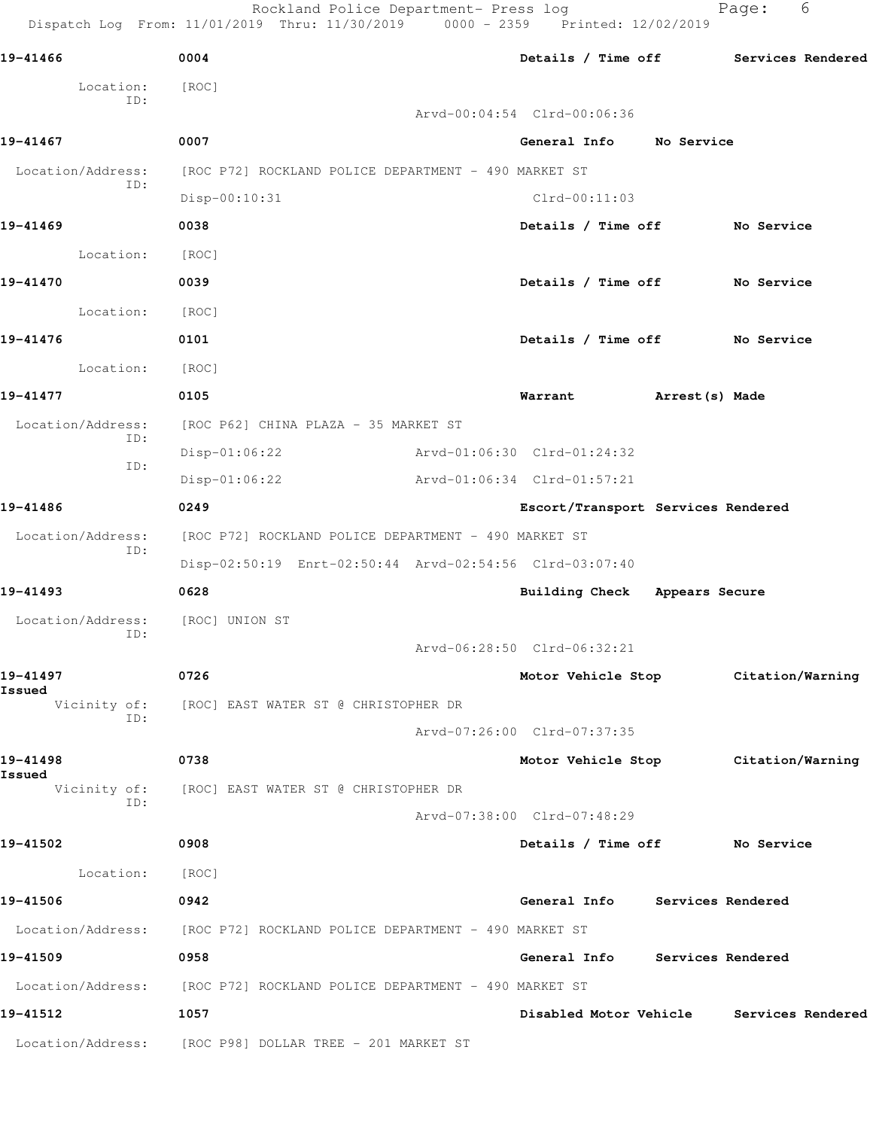Rockland Police Department- Press log Fage: 6 Dispatch Log From: 11/01/2019 Thru: 11/30/2019 0000 - 2359 Printed: 12/02/2019 **19-41466 0004 Details / Time off Services Rendered** Location: [ROC] ID: Arvd-00:04:54 Clrd-00:06:36 **19-41467 0007 General Info No Service** Location/Address: [ROC P72] ROCKLAND POLICE DEPARTMENT - 490 MARKET ST ID: Disp-00:10:31 Clrd-00:11:03 **19-41469 0038 Details / Time off No Service** Location: [ROC] **19-41470 0039 Details / Time off No Service** Location: [ROC] **19-41476 0101 Details / Time off No Service** Location: [ROC] **19-41477 0105 Warrant Arrest(s) Made** Location/Address: [ROC P62] CHINA PLAZA - 35 MARKET ST ID: Disp-01:06:22 Arvd-01:06:30 Clrd-01:24:32 ID: Disp-01:06:22 Arvd-01:06:34 Clrd-01:57:21 **19-41486 0249 Escort/Transport Services Rendered** Location/Address: [ROC P72] ROCKLAND POLICE DEPARTMENT - 490 MARKET ST ID: Disp-02:50:19 Enrt-02:50:44 Arvd-02:54:56 Clrd-03:07:40 **19-41493 0628 Building Check Appears Secure** Location/Address: [ROC] UNION ST ID: Arvd-06:28:50 Clrd-06:32:21 **19-41497 0726 Motor Vehicle Stop Citation/Warning Issued**  [ROC] EAST WATER ST @ CHRISTOPHER DR ID: Arvd-07:26:00 Clrd-07:37:35 **19-41498 0738 Motor Vehicle Stop Citation/Warning Issued**  Vicinity of: [ROC] EAST WATER ST @ CHRISTOPHER DR ID: Arvd-07:38:00 Clrd-07:48:29 **19-41502 0908 Details / Time off No Service** Location: [ROC] **19-41506 0942 General Info Services Rendered** Location/Address: [ROC P72] ROCKLAND POLICE DEPARTMENT - 490 MARKET ST **19-41509 0958 General Info Services Rendered** Location/Address: [ROC P72] ROCKLAND POLICE DEPARTMENT - 490 MARKET ST **19-41512 1057 Disabled Motor Vehicle Services Rendered** Location/Address: [ROC P98] DOLLAR TREE - 201 MARKET ST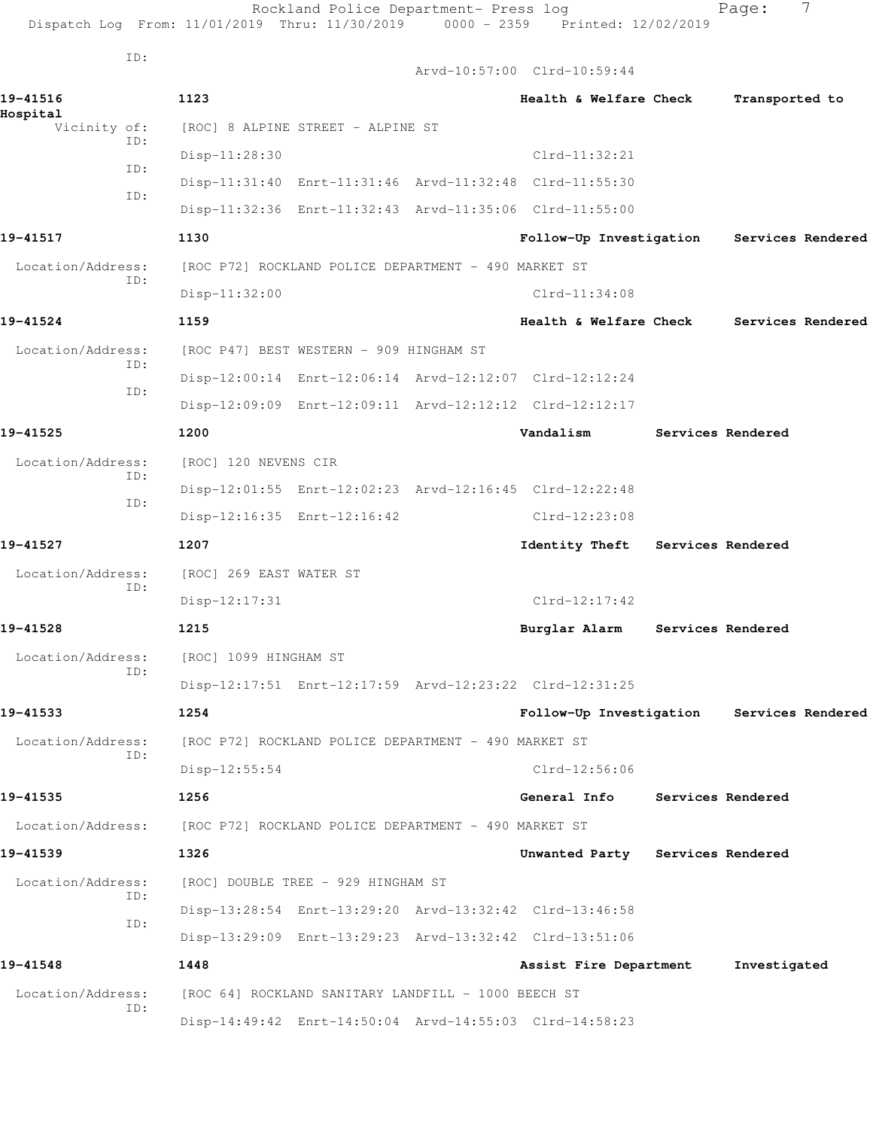|                      | Dispatch Log From: 11/01/2019 Thru: 11/30/2019                         | Rockland Police Department- Press log<br>$0000 - 2359$  | Printed: 12/02/2019                       | 7<br>Page:        |
|----------------------|------------------------------------------------------------------------|---------------------------------------------------------|-------------------------------------------|-------------------|
| ID:                  |                                                                        | Arvd-10:57:00 Clrd-10:59:44                             |                                           |                   |
| 19-41516<br>Hospital | 1123                                                                   |                                                         | Health & Welfare Check                    | Transported to    |
| Vicinity of:         | [ROC] 8 ALPINE STREET - ALPINE ST                                      |                                                         |                                           |                   |
| ID:                  | Disp-11:28:30                                                          |                                                         | $Clrd-11:32:21$                           |                   |
| ID:                  |                                                                        | Disp-11:31:40 Enrt-11:31:46 Arvd-11:32:48 Clrd-11:55:30 |                                           |                   |
| ID:                  |                                                                        | Disp-11:32:36 Enrt-11:32:43 Arvd-11:35:06 Clrd-11:55:00 |                                           |                   |
| 19-41517             | 1130                                                                   |                                                         | Follow-Up Investigation                   | Services Rendered |
| Location/Address:    |                                                                        | [ROC P72] ROCKLAND POLICE DEPARTMENT - 490 MARKET ST    |                                           |                   |
| ID:                  | $Disp-11:32:00$                                                        |                                                         | $Clrd-11:34:08$                           |                   |
| 19-41524             | 1159                                                                   |                                                         | Health & Welfare Check                    | Services Rendered |
| Location/Address:    | [ROC P47] BEST WESTERN - 909 HINGHAM ST                                |                                                         |                                           |                   |
| ID:                  |                                                                        | Disp-12:00:14 Enrt-12:06:14 Arvd-12:12:07 Clrd-12:12:24 |                                           |                   |
| ID:                  |                                                                        | Disp-12:09:09 Enrt-12:09:11 Arvd-12:12:12 Clrd-12:12:17 |                                           |                   |
| 19-41525             | 1200                                                                   | Vandalism                                               |                                           | Services Rendered |
| Location/Address:    | [ROC] 120 NEVENS CIR                                                   |                                                         |                                           |                   |
| ID:<br>ID:           |                                                                        | Disp-12:01:55 Enrt-12:02:23 Arvd-12:16:45 Clrd-12:22:48 |                                           |                   |
|                      | Disp-12:16:35 Enrt-12:16:42                                            |                                                         | $Clrd-12:23:08$                           |                   |
| 19-41527             | 1207                                                                   |                                                         | Identity Theft                            | Services Rendered |
| Location/Address:    | [ROC] 269 EAST WATER ST                                                |                                                         |                                           |                   |
| ID:                  | $Disp-12:17:31$                                                        |                                                         | $Clrd-12:17:42$                           |                   |
| 19-41528             | 1215                                                                   |                                                         | Burglar Alarm Services Rendered           |                   |
| Location/Address:    | [ROC] 1099 HINGHAM ST                                                  |                                                         |                                           |                   |
| ID:                  |                                                                        | Disp-12:17:51 Enrt-12:17:59 Arvd-12:23:22 Clrd-12:31:25 |                                           |                   |
| 19-41533             | 1254                                                                   |                                                         | Follow-Up Investigation Services Rendered |                   |
| Location/Address:    |                                                                        | [ROC P72] ROCKLAND POLICE DEPARTMENT - 490 MARKET ST    |                                           |                   |
| ID:                  | Disp-12:55:54                                                          |                                                         | $Clrd-12:56:06$                           |                   |
| 19-41535             | 1256                                                                   |                                                         | General Info Services Rendered            |                   |
|                      | Location/Address: [ROC P72] ROCKLAND POLICE DEPARTMENT - 490 MARKET ST |                                                         |                                           |                   |
| 19-41539             | 1326                                                                   |                                                         | Unwanted Party Services Rendered          |                   |
| Location/Address:    | [ROC] DOUBLE TREE - 929 HINGHAM ST                                     |                                                         |                                           |                   |
| ID:                  |                                                                        | Disp-13:28:54 Enrt-13:29:20 Arvd-13:32:42 Clrd-13:46:58 |                                           |                   |
| ID:                  |                                                                        | Disp-13:29:09 Enrt-13:29:23 Arvd-13:32:42 Clrd-13:51:06 |                                           |                   |
| 19-41548             | 1448                                                                   |                                                         | Assist Fire Department                    | Investigated      |
| Location/Address:    |                                                                        | [ROC 64] ROCKLAND SANITARY LANDFILL - 1000 BEECH ST     |                                           |                   |
| ID:                  |                                                                        | Disp-14:49:42 Enrt-14:50:04 Arvd-14:55:03 Clrd-14:58:23 |                                           |                   |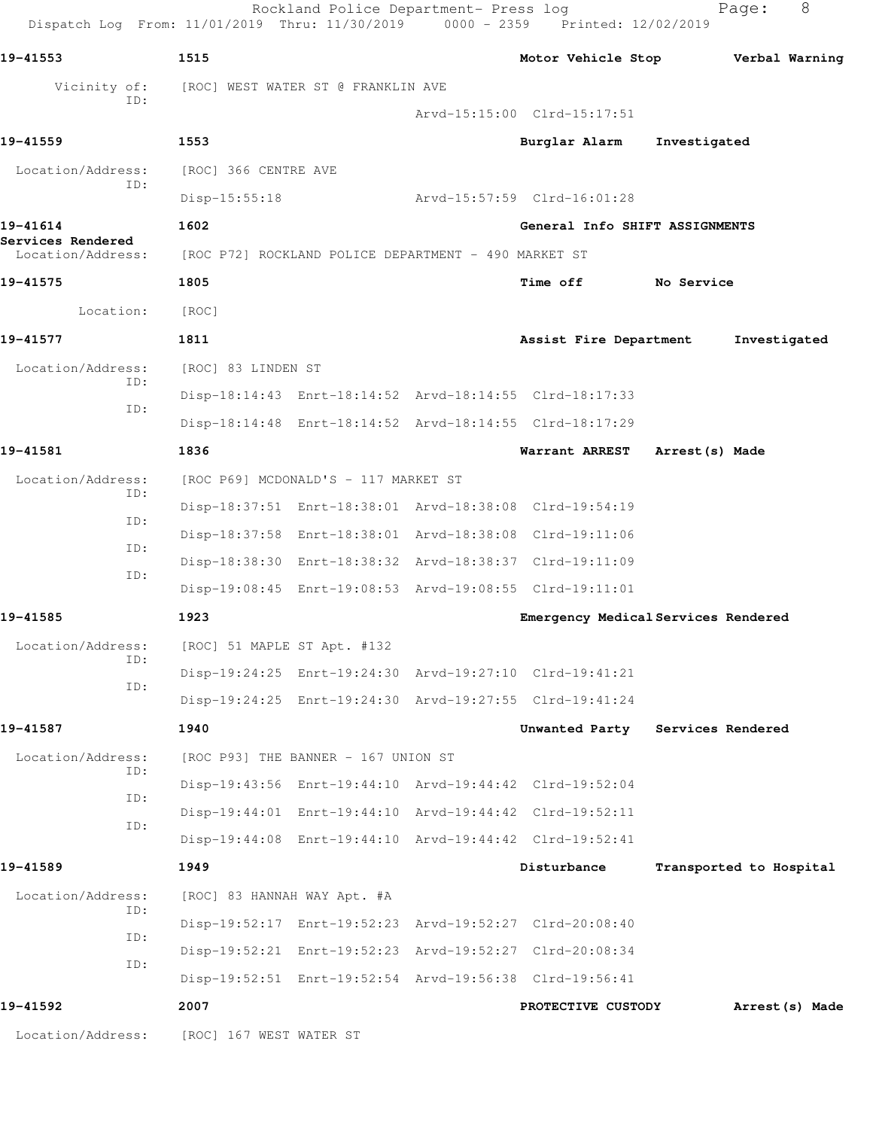| Dispatch Log From: 11/01/2019 Thru: 11/30/2019 0000 - 2359 Printed: 12/02/2019 |                         |                                                      |                                                         |                         |                 |
|--------------------------------------------------------------------------------|-------------------------|------------------------------------------------------|---------------------------------------------------------|-------------------------|-----------------|
| 19-41553                                                                       | 1515                    |                                                      | Motor Vehicle Stop                                      |                         | Verbal Warning  |
| Vicinity of:<br>ID:                                                            |                         | [ROC] WEST WATER ST @ FRANKLIN AVE                   |                                                         |                         |                 |
|                                                                                |                         |                                                      | Arvd-15:15:00 Clrd-15:17:51                             |                         |                 |
| 19-41559                                                                       | 1553                    |                                                      | Burglar Alarm                                           | Investigated            |                 |
| Location/Address:<br>ID:                                                       | [ROC] 366 CENTRE AVE    |                                                      |                                                         |                         |                 |
|                                                                                | $Disp-15:55:18$         |                                                      | Arvd-15:57:59 Clrd-16:01:28                             |                         |                 |
| 19-41614<br>Services Rendered                                                  | 1602                    |                                                      | General Info SHIFT ASSIGNMENTS                          |                         |                 |
| Location/Address:                                                              |                         | [ROC P72] ROCKLAND POLICE DEPARTMENT - 490 MARKET ST |                                                         |                         |                 |
| 19-41575                                                                       | 1805                    |                                                      | <b>Time off</b>                                         | No Service              |                 |
| Location:                                                                      | [ROC]                   |                                                      |                                                         |                         |                 |
| 19-41577                                                                       | 1811                    |                                                      | Assist Fire Department                                  |                         | Investigated    |
| Location/Address:<br>ID:                                                       | [ROC] 83 LINDEN ST      |                                                      |                                                         |                         |                 |
| ID:                                                                            |                         |                                                      | Disp-18:14:43 Enrt-18:14:52 Arvd-18:14:55 Clrd-18:17:33 |                         |                 |
|                                                                                |                         |                                                      | Disp-18:14:48 Enrt-18:14:52 Arvd-18:14:55 Clrd-18:17:29 |                         |                 |
| 19-41581                                                                       | 1836                    |                                                      | Warrant ARREST                                          | Arrest (s) Made         |                 |
| Location/Address:<br>ID:                                                       |                         | [ROC P69] MCDONALD'S - 117 MARKET ST                 |                                                         |                         |                 |
| ID:                                                                            |                         |                                                      | Disp-18:37:51 Enrt-18:38:01 Arvd-18:38:08 Clrd-19:54:19 |                         |                 |
|                                                                                |                         |                                                      | Disp-18:37:58 Enrt-18:38:01 Arvd-18:38:08 Clrd-19:11:06 |                         |                 |
| ID:<br>ID:                                                                     |                         |                                                      | Disp-18:38:30 Enrt-18:38:32 Arvd-18:38:37 Clrd-19:11:09 |                         |                 |
|                                                                                |                         |                                                      | Disp-19:08:45 Enrt-19:08:53 Arvd-19:08:55 Clrd-19:11:01 |                         |                 |
| 19-41585                                                                       | 1923                    |                                                      | Emergency Medical Services Rendered                     |                         |                 |
| Location/Address:<br>ID:                                                       |                         | [ROC] 51 MAPLE ST Apt. #132                          |                                                         |                         |                 |
| ID:                                                                            |                         |                                                      | Disp-19:24:25 Enrt-19:24:30 Arvd-19:27:10 Clrd-19:41:21 |                         |                 |
|                                                                                |                         |                                                      | Disp-19:24:25 Enrt-19:24:30 Arvd-19:27:55 Clrd-19:41:24 |                         |                 |
| 19-41587                                                                       | 1940                    |                                                      | Unwanted Party                                          | Services Rendered       |                 |
| Location/Address:<br>ID:                                                       |                         | [ROC P93] THE BANNER - 167 UNION ST                  |                                                         |                         |                 |
|                                                                                |                         |                                                      | Disp-19:43:56 Enrt-19:44:10 Arvd-19:44:42 Clrd-19:52:04 |                         |                 |
| ID:                                                                            |                         |                                                      | Disp-19:44:01 Enrt-19:44:10 Arvd-19:44:42 Clrd-19:52:11 |                         |                 |
| ID:                                                                            |                         |                                                      | Disp-19:44:08 Enrt-19:44:10 Arvd-19:44:42 Clrd-19:52:41 |                         |                 |
| 19-41589                                                                       | 1949                    |                                                      | Disturbance                                             | Transported to Hospital |                 |
| Location/Address:<br>ID:                                                       |                         | [ROC] 83 HANNAH WAY Apt. #A                          |                                                         |                         |                 |
|                                                                                |                         |                                                      | Disp-19:52:17 Enrt-19:52:23 Arvd-19:52:27 Clrd-20:08:40 |                         |                 |
| ID:                                                                            |                         |                                                      | Disp-19:52:21 Enrt-19:52:23 Arvd-19:52:27 Clrd-20:08:34 |                         |                 |
| ID:                                                                            |                         |                                                      | Disp-19:52:51 Enrt-19:52:54 Arvd-19:56:38 Clrd-19:56:41 |                         |                 |
| 19-41592                                                                       | 2007                    |                                                      | PROTECTIVE CUSTODY                                      |                         | Arrest (s) Made |
| Location/Address:                                                              | [ROC] 167 WEST WATER ST |                                                      |                                                         |                         |                 |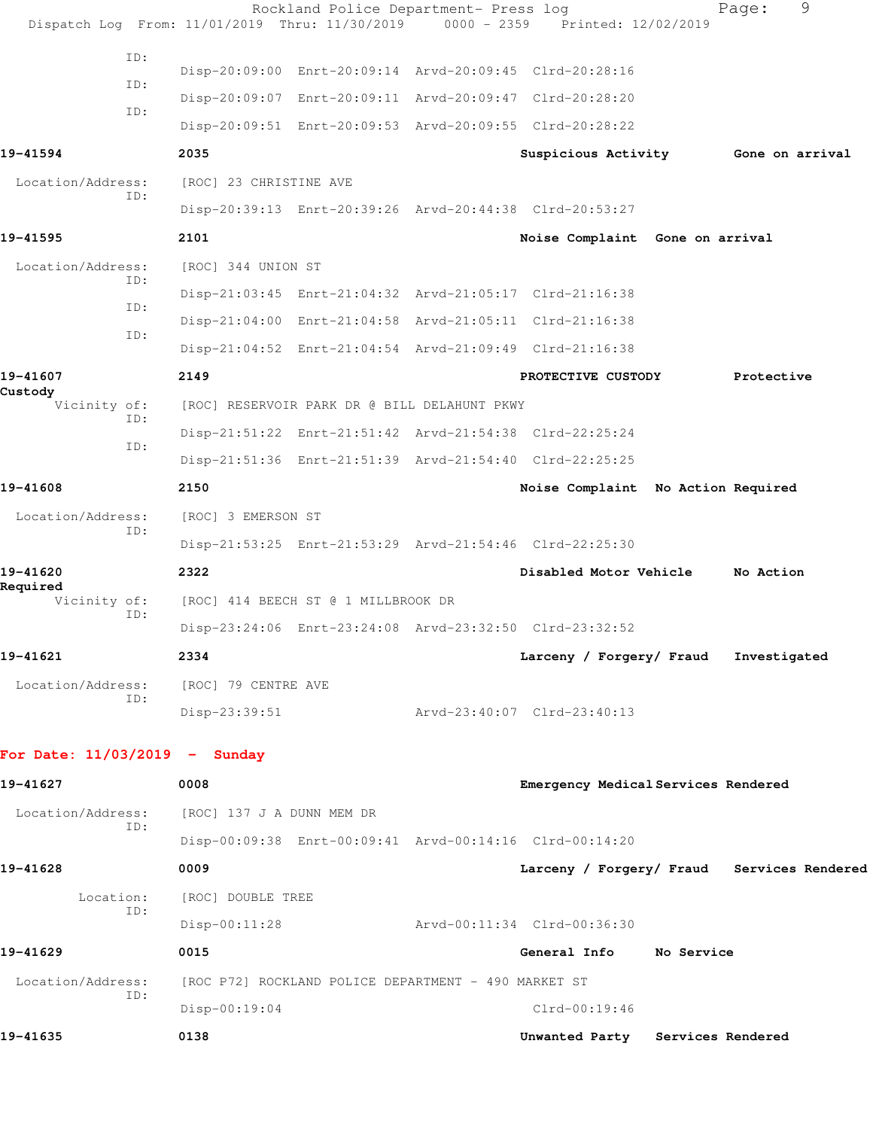|                                 | Dispatch Log From: 11/01/2019 Thru: 11/30/2019 | Rockland Police Department- Press log                | $0000 - 2359$ | Printed: 12/02/2019                                     | 9<br>Page:                                 |
|---------------------------------|------------------------------------------------|------------------------------------------------------|---------------|---------------------------------------------------------|--------------------------------------------|
| ID:                             |                                                |                                                      |               |                                                         |                                            |
| ID:                             |                                                |                                                      |               | Disp-20:09:00 Enrt-20:09:14 Arvd-20:09:45 Clrd-20:28:16 |                                            |
| ID:                             |                                                |                                                      |               | Disp-20:09:07 Enrt-20:09:11 Arvd-20:09:47 Clrd-20:28:20 |                                            |
|                                 |                                                |                                                      |               | Disp-20:09:51 Enrt-20:09:53 Arvd-20:09:55 Clrd-20:28:22 |                                            |
| 19-41594                        | 2035                                           |                                                      |               |                                                         | Suspicious Activity Gone on arrival        |
| Location/Address:<br>ID:        | [ROC] 23 CHRISTINE AVE                         |                                                      |               |                                                         |                                            |
|                                 |                                                |                                                      |               | Disp-20:39:13 Enrt-20:39:26 Arvd-20:44:38 Clrd-20:53:27 |                                            |
| 19-41595                        | 2101                                           |                                                      |               | Noise Complaint Gone on arrival                         |                                            |
| Location/Address:<br>TD:        | [ROC] 344 UNION ST                             |                                                      |               |                                                         |                                            |
| ID:                             |                                                |                                                      |               | Disp-21:03:45 Enrt-21:04:32 Arvd-21:05:17 Clrd-21:16:38 |                                            |
| ID:                             |                                                |                                                      |               | Disp-21:04:00 Enrt-21:04:58 Arvd-21:05:11 Clrd-21:16:38 |                                            |
|                                 |                                                |                                                      |               | Disp-21:04:52 Enrt-21:04:54 Arvd-21:09:49 Clrd-21:16:38 |                                            |
| 19-41607                        | 2149                                           |                                                      |               | PROTECTIVE CUSTODY                                      | Protective                                 |
| Custody<br>Vicinity of:         |                                                | [ROC] RESERVOIR PARK DR @ BILL DELAHUNT PKWY         |               |                                                         |                                            |
| ID:                             |                                                |                                                      |               | Disp-21:51:22 Enrt-21:51:42 Arvd-21:54:38 Clrd-22:25:24 |                                            |
| ID:                             |                                                |                                                      |               | Disp-21:51:36 Enrt-21:51:39 Arvd-21:54:40 Clrd-22:25:25 |                                            |
| 19-41608                        | 2150                                           |                                                      |               | Noise Complaint No Action Required                      |                                            |
| Location/Address:               | [ROC] 3 EMERSON ST                             |                                                      |               |                                                         |                                            |
| ID:                             |                                                |                                                      |               | Disp-21:53:25 Enrt-21:53:29 Arvd-21:54:46 Clrd-22:25:30 |                                            |
| 19-41620                        | 2322                                           |                                                      |               | Disabled Motor Vehicle                                  | No Action                                  |
| Required<br>Vicinity of:        |                                                | [ROC] 414 BEECH ST @ 1 MILLBROOK DR                  |               |                                                         |                                            |
| ID:                             |                                                |                                                      |               | Disp-23:24:06 Enrt-23:24:08 Arvd-23:32:50 Clrd-23:32:52 |                                            |
| 19-41621                        | 2334                                           |                                                      |               | Larceny / Forgery/ Fraud                                | Investigated                               |
| Location/Address:               | [ROC] 79 CENTRE AVE                            |                                                      |               |                                                         |                                            |
| ID:                             | Disp-23:39:51                                  |                                                      |               | Arvd-23:40:07 Clrd-23:40:13                             |                                            |
|                                 |                                                |                                                      |               |                                                         |                                            |
| For Date: $11/03/2019$ - Sunday |                                                |                                                      |               |                                                         |                                            |
| 19-41627                        | 0008                                           |                                                      |               | Emergency Medical Services Rendered                     |                                            |
| Location/Address:               | [ROC] 137 J A DUNN MEM DR                      |                                                      |               |                                                         |                                            |
| ID:                             |                                                |                                                      |               | Disp-00:09:38 Enrt-00:09:41 Arvd-00:14:16 Clrd-00:14:20 |                                            |
| 19-41628                        | 0009                                           |                                                      |               |                                                         | Larceny / Forgery/ Fraud Services Rendered |
| Location:                       | [ROC] DOUBLE TREE                              |                                                      |               |                                                         |                                            |
| ID:                             | $Disp-00:11:28$                                |                                                      |               | Arvd-00:11:34 Clrd-00:36:30                             |                                            |
| 19-41629                        | 0015                                           |                                                      |               | General Info No Service                                 |                                            |
| Location/Address:               |                                                | [ROC P72] ROCKLAND POLICE DEPARTMENT - 490 MARKET ST |               |                                                         |                                            |
| ID:                             | Disp-00:19:04                                  |                                                      |               | $Clrd-00:19:46$                                         |                                            |
| 19-41635                        | 0138                                           |                                                      |               | Unwanted Party Services Rendered                        |                                            |
|                                 |                                                |                                                      |               |                                                         |                                            |
|                                 |                                                |                                                      |               |                                                         |                                            |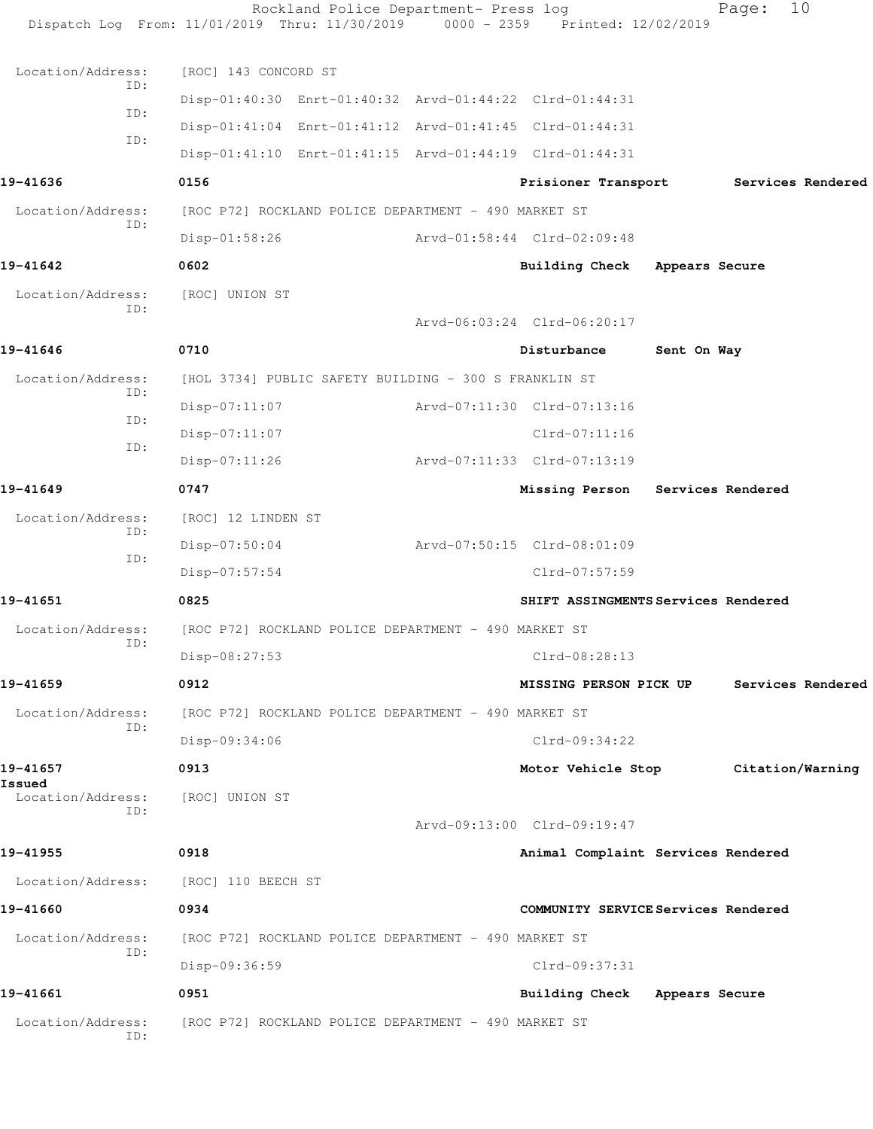|                                                                                            | Rockland Police Department- Press log<br>Dispatch Log From: 11/01/2019 Thru: 11/30/2019 0000 - 2359 Printed: 12/02/2019                                                                                                                                                                          |                                                                               |                | 10<br>Page:       |  |
|--------------------------------------------------------------------------------------------|--------------------------------------------------------------------------------------------------------------------------------------------------------------------------------------------------------------------------------------------------------------------------------------------------|-------------------------------------------------------------------------------|----------------|-------------------|--|
| Location/Address:<br>ID:<br>ID:<br>ID:<br>19-41636<br>Location/Address:<br>ID:<br>19-41642 | [ROC] 143 CONCORD ST<br>Disp-01:40:30 Enrt-01:40:32 Arvd-01:44:22 Clrd-01:44:31<br>Disp-01:41:04 Enrt-01:41:12 Arvd-01:41:45 Clrd-01:44:31<br>Disp-01:41:10 Enrt-01:41:15 Arvd-01:44:19 Clrd-01:44:31<br>0156<br>[ROC P72] ROCKLAND POLICE DEPARTMENT - 490 MARKET ST<br>$Disp-01:58:26$<br>0602 | Prisioner Transport<br>Arvd-01:58:44 Clrd-02:09:48<br>Building Check          | Appears Secure | Services Rendered |  |
| Location/Address:                                                                          | [ROC] UNION ST                                                                                                                                                                                                                                                                                   |                                                                               |                |                   |  |
| ID:<br>19-41646                                                                            | 0710                                                                                                                                                                                                                                                                                             | Arvd-06:03:24 Clrd-06:20:17<br>Disturbance                                    | Sent On Way    |                   |  |
| Location/Address:<br>ID:<br>ID:<br>ID:                                                     | [HOL 3734] PUBLIC SAFETY BUILDING - 300 S FRANKLIN ST<br>$Disp-07:11:07$<br>$Disp-07:11:07$<br>$Disp-07:11:26$                                                                                                                                                                                   | Arvd-07:11:30 Clrd-07:13:16<br>$Clrd-07:11:16$<br>Arvd-07:11:33 Clrd-07:13:19 |                |                   |  |
| 19-41649                                                                                   | 0747                                                                                                                                                                                                                                                                                             | Missing Person                                                                |                | Services Rendered |  |
| Location/Address:<br>ID:<br>ID:                                                            | [ROC] 12 LINDEN ST<br>$Disp-07:50:04$<br>Disp-07:57:54                                                                                                                                                                                                                                           | Arvd-07:50:15 Clrd-08:01:09<br>Clrd-07:57:59                                  |                |                   |  |
| 19-41651                                                                                   | 0825                                                                                                                                                                                                                                                                                             | SHIFT ASSINGMENTS Services Rendered                                           |                |                   |  |
| Location/Address:<br>ID:                                                                   | [ROC P72] ROCKLAND POLICE DEPARTMENT - 490 MARKET ST<br>Disp-08:27:53                                                                                                                                                                                                                            | Clrd-08:28:13                                                                 |                |                   |  |
| 19-41659                                                                                   | 0912                                                                                                                                                                                                                                                                                             | <b>MISSING PERSON PICK UP</b>                                                 |                | Services Rendered |  |
| Location/Address:<br>ID:<br>19-41657<br>Issued                                             | [ROC P72] ROCKLAND POLICE DEPARTMENT - 490 MARKET ST<br>Disp-09:34:06<br>0913                                                                                                                                                                                                                    | $Clrd-09:34:22$<br>Motor Vehicle Stop                                         |                | Citation/Warning  |  |
| Location/Address:<br>ID:                                                                   | [ROC] UNION ST                                                                                                                                                                                                                                                                                   | Arvd-09:13:00 Clrd-09:19:47                                                   |                |                   |  |
| 19-41955                                                                                   | 0918                                                                                                                                                                                                                                                                                             | Animal Complaint Services Rendered                                            |                |                   |  |
| Location/Address:                                                                          | [ROC] 110 BEECH ST                                                                                                                                                                                                                                                                               |                                                                               |                |                   |  |
| 19-41660                                                                                   | 0934                                                                                                                                                                                                                                                                                             | COMMUNITY SERVICE Services Rendered                                           |                |                   |  |
| Location/Address:<br>ID:                                                                   | [ROC P72] ROCKLAND POLICE DEPARTMENT - 490 MARKET ST<br>Disp-09:36:59                                                                                                                                                                                                                            | Clrd-09:37:31                                                                 |                |                   |  |
| 19-41661                                                                                   | 0951                                                                                                                                                                                                                                                                                             | <b>Building Check</b>                                                         | Appears Secure |                   |  |
| Location/Address:<br>ID:                                                                   | [ROC P72] ROCKLAND POLICE DEPARTMENT - 490 MARKET ST                                                                                                                                                                                                                                             |                                                                               |                |                   |  |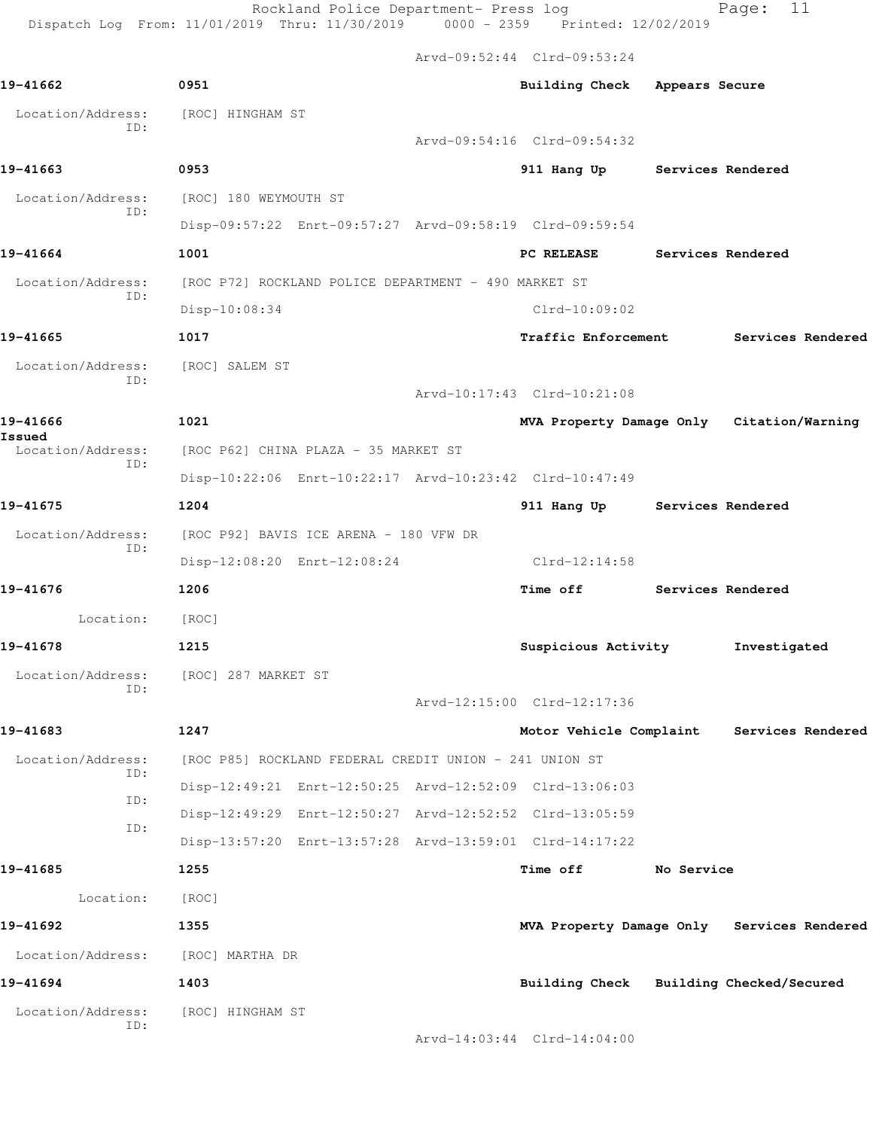Rockland Police Department- Press log Page: 11 Dispatch Log From: 11/01/2019 Thru: 11/30/2019 0000 - 2359 Printed: 12/02/2019

Arvd-09:52:44 Clrd-09:53:24

| 19-41662                          | 0951                                                   |  | Building Check Appears Secure                           |                   |                                            |
|-----------------------------------|--------------------------------------------------------|--|---------------------------------------------------------|-------------------|--------------------------------------------|
| Location/Address:                 | [ROC] HINGHAM ST                                       |  |                                                         |                   |                                            |
| ID:                               |                                                        |  | Arvd-09:54:16 Clrd-09:54:32                             |                   |                                            |
| 19-41663                          | 0953                                                   |  | 911 Hang Up Services Rendered                           |                   |                                            |
| Location/Address:                 | [ROC] 180 WEYMOUTH ST                                  |  |                                                         |                   |                                            |
| ID:                               |                                                        |  | Disp-09:57:22 Enrt-09:57:27 Arvd-09:58:19 Clrd-09:59:54 |                   |                                            |
| 19-41664                          | 1001                                                   |  | <b>PC RELEASE</b>                                       | Services Rendered |                                            |
| Location/Address:                 | [ROC P72] ROCKLAND POLICE DEPARTMENT - 490 MARKET ST   |  |                                                         |                   |                                            |
| ID:                               | Disp-10:08:34                                          |  | $Clrd-10:09:02$                                         |                   |                                            |
| 19-41665                          | 1017                                                   |  | <b>Traffic Enforcement</b>                              |                   | Services Rendered                          |
| Location/Address:                 | [ROC] SALEM ST                                         |  |                                                         |                   |                                            |
| ID:                               |                                                        |  | Arvd-10:17:43 Clrd-10:21:08                             |                   |                                            |
| 19-41666                          | 1021                                                   |  |                                                         |                   | MVA Property Damage Only Citation/Warning  |
| Issued<br>Location/Address:       | [ROC P62] CHINA PLAZA - 35 MARKET ST                   |  |                                                         |                   |                                            |
| ID:                               |                                                        |  | Disp-10:22:06 Enrt-10:22:17 Arvd-10:23:42 Clrd-10:47:49 |                   |                                            |
| 19-41675                          | 1204                                                   |  | 911 Hang Up                                             | Services Rendered |                                            |
| Location/Address:                 | [ROC P92] BAVIS ICE ARENA - 180 VFW DR                 |  |                                                         |                   |                                            |
| ID:                               | Disp-12:08:20 Enrt-12:08:24                            |  | Clrd-12:14:58                                           |                   |                                            |
| 19-41676                          | 1206                                                   |  | Time off                                                | Services Rendered |                                            |
| Location:                         | [ROC]                                                  |  |                                                         |                   |                                            |
| 19-41678                          | 1215                                                   |  | Suspicious Activity                                     |                   | Investigated                               |
| Location/Address:                 | [ROC] 287 MARKET ST                                    |  |                                                         |                   |                                            |
| ID:                               |                                                        |  | Arvd-12:15:00 Clrd-12:17:36                             |                   |                                            |
| 19-41683                          | 1247                                                   |  | Motor Vehicle Complaint                                 |                   | Services Rendered                          |
| Location/Address:                 | [ROC P85] ROCKLAND FEDERAL CREDIT UNION - 241 UNION ST |  |                                                         |                   |                                            |
| ID:                               |                                                        |  | Disp-12:49:21 Enrt-12:50:25 Arvd-12:52:09 Clrd-13:06:03 |                   |                                            |
| ID:                               |                                                        |  | Disp-12:49:29 Enrt-12:50:27 Arvd-12:52:52 Clrd-13:05:59 |                   |                                            |
| ID:                               |                                                        |  | Disp-13:57:20 Enrt-13:57:28 Arvd-13:59:01 Clrd-14:17:22 |                   |                                            |
| 19-41685                          | 1255                                                   |  | Time off                                                | No Service        |                                            |
| Location:                         | [ROC]                                                  |  |                                                         |                   |                                            |
| 19-41692                          | 1355                                                   |  |                                                         |                   | MVA Property Damage Only Services Rendered |
| Location/Address: [ROC] MARTHA DR |                                                        |  |                                                         |                   |                                            |
| 19-41694                          | 1403                                                   |  |                                                         |                   | Building Check Building Checked/Secured    |
| Location/Address:                 | [ROC] HINGHAM ST                                       |  |                                                         |                   |                                            |
| ID:                               |                                                        |  | Arvd-14:03:44 Clrd-14:04:00                             |                   |                                            |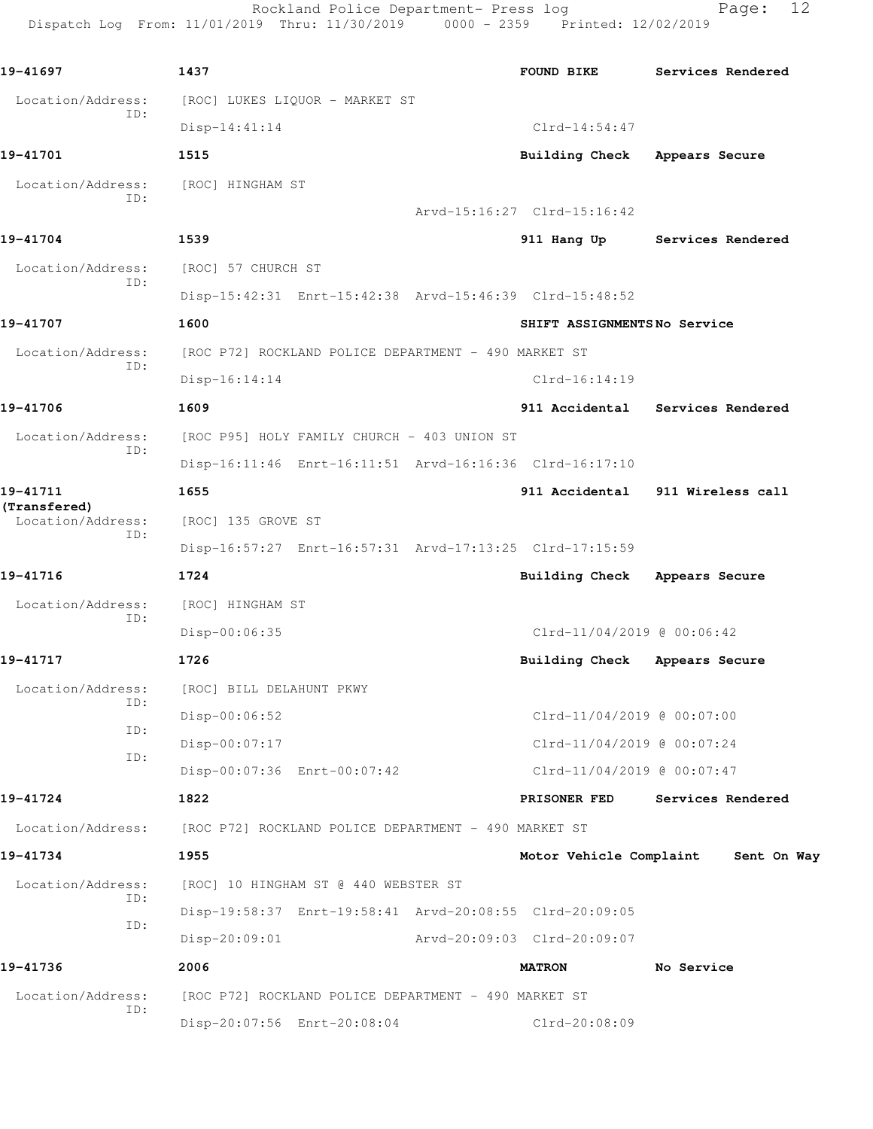Rockland Police Department- Press log Fage: 12 Dispatch Log From: 11/01/2019 Thru: 11/30/2019 0000 - 2359 Printed: 12/02/2019

**19-41697 1437 FOUND BIKE Services Rendered** Location/Address: [ROC] LUKES LIQUOR - MARKET ST ID: Disp-14:41:14 Clrd-14:54:47 **19-41701 1515 Building Check Appears Secure** Location/Address: [ROC] HINGHAM ST ID: Arvd-15:16:27 Clrd-15:16:42 **19-41704 1539 911 Hang Up Services Rendered** Location/Address: [ROC] 57 CHURCH ST ID: Disp-15:42:31 Enrt-15:42:38 Arvd-15:46:39 Clrd-15:48:52 **19-41707 1600 SHIFT ASSIGNMENTS No Service** Location/Address: [ROC P72] ROCKLAND POLICE DEPARTMENT - 490 MARKET ST ID: Disp-16:14:14 Clrd-16:14:19 **19-41706 1609 911 Accidental Services Rendered** Location/Address: [ROC P95] HOLY FAMILY CHURCH - 403 UNION ST ID: Disp-16:11:46 Enrt-16:11:51 Arvd-16:16:36 Clrd-16:17:10 **19-41711 1655 911 Accidental 911 Wireless call (Transfered)**  Location/Address: [ROC] 135 GROVE ST ID: Disp-16:57:27 Enrt-16:57:31 Arvd-17:13:25 Clrd-17:15:59 **19-41716 1724 Building Check Appears Secure** Location/Address: [ROC] HINGHAM ST ID: Disp-00:06:35 Clrd-11/04/2019 @ 00:06:42 **19-41717 1726 Building Check Appears Secure** Location/Address: [ROC] BILL DELAHUNT PKWY ID: Disp-00:06:52 Clrd-11/04/2019 @ 00:07:00 ID: Disp-00:07:17 Clrd-11/04/2019 @ 00:07:24 ID: Disp-00:07:36 Enrt-00:07:42 Clrd-11/04/2019 @ 00:07:47 **19-41724 1822 PRISONER FED Services Rendered** Location/Address: [ROC P72] ROCKLAND POLICE DEPARTMENT - 490 MARKET ST **19-41734 1955 Motor Vehicle Complaint Sent On Way** Location/Address: [ROC] 10 HINGHAM ST @ 440 WEBSTER ST ID: Disp-19:58:37 Enrt-19:58:41 Arvd-20:08:55 Clrd-20:09:05 ID: Disp-20:09:01 Arvd-20:09:03 Clrd-20:09:07 **19-41736 2006 MATRON No Service** Location/Address: [ROC P72] ROCKLAND POLICE DEPARTMENT - 490 MARKET ST ID: Disp-20:07:56 Enrt-20:08:04 Clrd-20:08:09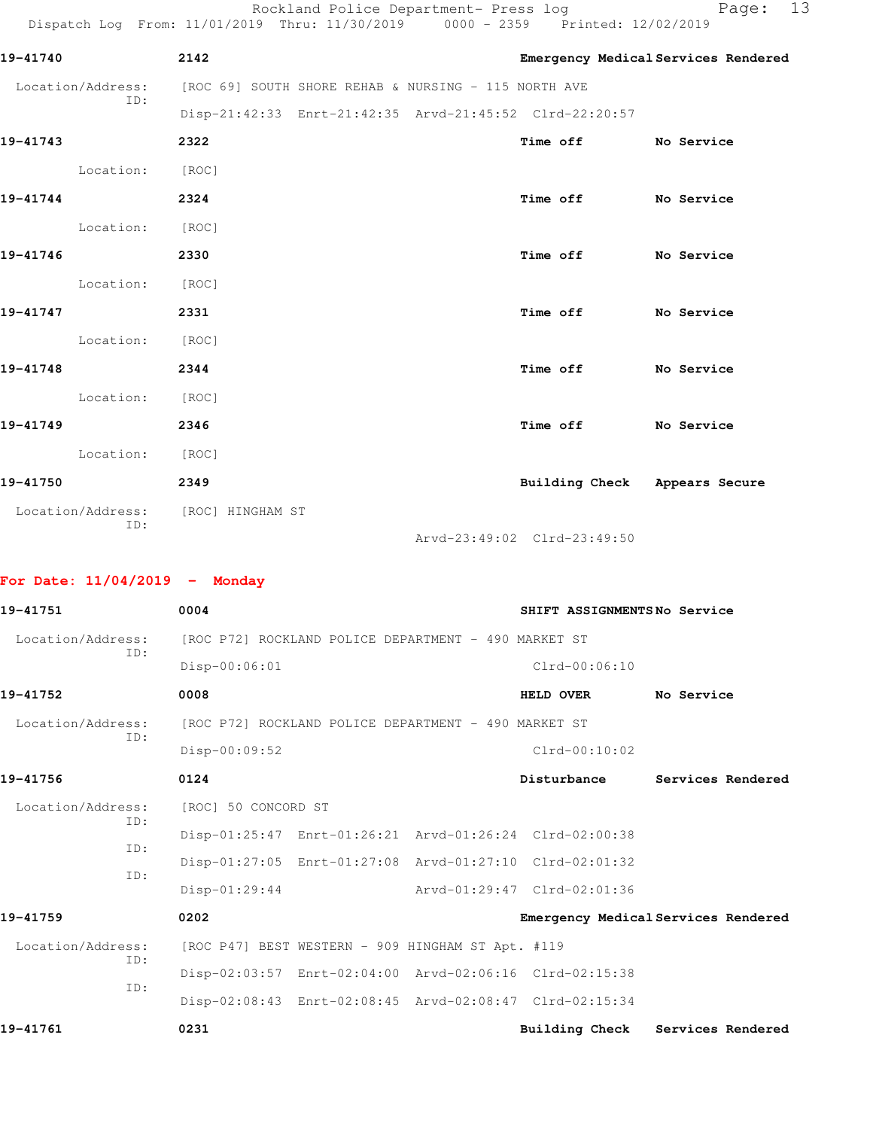Rockland Police Department- Press log entitled Page: 13 Dispatch Log From: 11/01/2019 Thru: 11/30/2019 0000 - 2359 Printed: 12/02/2019

| 19-41740          | 2142                                                 |                                                         |          | Emergency Medical Services Rendered |            |  |
|-------------------|------------------------------------------------------|---------------------------------------------------------|----------|-------------------------------------|------------|--|
| Location/Address: | [ROC 69] SOUTH SHORE REHAB & NURSING - 115 NORTH AVE |                                                         |          |                                     |            |  |
| ID:               |                                                      | Disp-21:42:33 Enrt-21:42:35 Arvd-21:45:52 Clrd-22:20:57 |          |                                     |            |  |
| 19-41743          | 2322                                                 |                                                         | Time off |                                     | No Service |  |
| Location:         | [ROC]                                                |                                                         |          |                                     |            |  |
| 19-41744          | 2324                                                 |                                                         | Time off |                                     | No Service |  |
| Location:         | [ROC]                                                |                                                         |          |                                     |            |  |
| 19-41746          | 2330                                                 |                                                         | Time off |                                     | No Service |  |
| Location:         | [ROC]                                                |                                                         |          |                                     |            |  |
| 19-41747          | 2331                                                 |                                                         | Time off |                                     | No Service |  |
| Location:         | [ROC]                                                |                                                         |          |                                     |            |  |
| 19-41748          | 2344                                                 |                                                         | Time off |                                     | No Service |  |
| Location:         | [ROC]                                                |                                                         |          |                                     |            |  |
| 19-41749          | 2346                                                 |                                                         | Time off |                                     | No Service |  |
| Location:         | [ROC]                                                |                                                         |          |                                     |            |  |
|                   |                                                      |                                                         |          |                                     |            |  |

| 19-41750                 | 2349             | Building Check | Appears Secure |
|--------------------------|------------------|----------------|----------------|
| Location/Address:<br>ID: | [ROC] HINGHAM ST |                |                |

Arvd-23:49:02 Clrd-23:49:50

## **For Date: 11/04/2019 - Monday**

| 19-41751          | 0004                |                                                      | SHIFT ASSIGNMENTSNo Service                             |                                     |
|-------------------|---------------------|------------------------------------------------------|---------------------------------------------------------|-------------------------------------|
| Location/Address: |                     | [ROC P72] ROCKLAND POLICE DEPARTMENT - 490 MARKET ST |                                                         |                                     |
| TD:               | Disp-00:06:01       |                                                      | $Clrd-00:06:10$                                         |                                     |
| 19-41752          | 0008                |                                                      | <b>HELD OVER</b>                                        | No Service                          |
| Location/Address: |                     | [ROC P72] ROCKLAND POLICE DEPARTMENT - 490 MARKET ST |                                                         |                                     |
| ID:               | Disp-00:09:52       |                                                      | $Clrd-00:10:02$                                         |                                     |
| 19-41756          | 0124                |                                                      | Disturbance                                             | Services Rendered                   |
| Location/Address: | [ROC] 50 CONCORD ST |                                                      |                                                         |                                     |
| TD:               |                     |                                                      | Disp-01:25:47 Enrt-01:26:21 Arvd-01:26:24 Clrd-02:00:38 |                                     |
| TD:               |                     |                                                      | Disp-01:27:05 Enrt-01:27:08 Arvd-01:27:10 Clrd-02:01:32 |                                     |
| ID:               | $Disp-01:29:44$     |                                                      | Arvd-01:29:47 Clrd-02:01:36                             |                                     |
| 19-41759          | 0202                |                                                      |                                                         | Emergency Medical Services Rendered |
| Location/Address: |                     | [ROC P47] BEST WESTERN - 909 HINGHAM ST Apt. #119    |                                                         |                                     |
| ID:               |                     |                                                      | Disp-02:03:57 Enrt-02:04:00 Arvd-02:06:16 Clrd-02:15:38 |                                     |
| TD:               |                     |                                                      | Disp-02:08:43 Enrt-02:08:45 Arvd-02:08:47 Clrd-02:15:34 |                                     |
| 19-41761          | 0231                |                                                      | <b>Building Check</b>                                   | Services Rendered                   |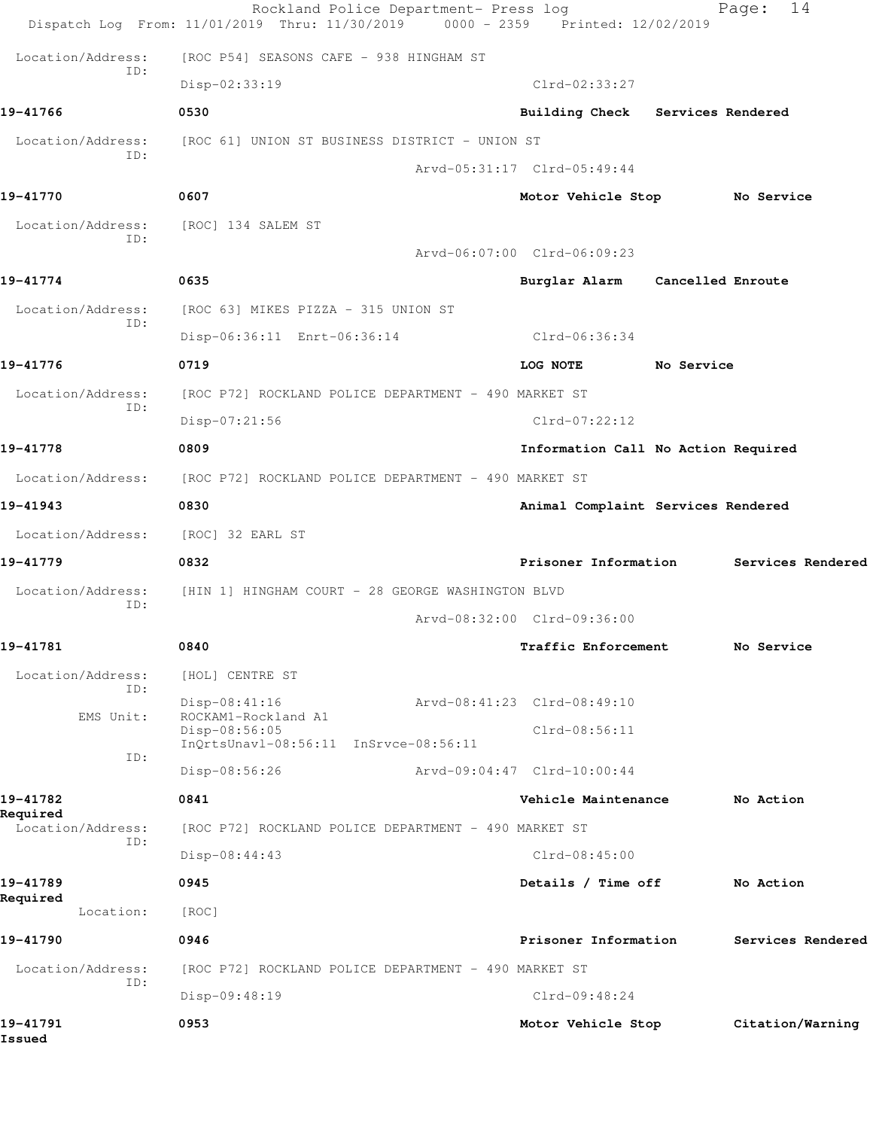|                               | Rockland Police Department- Press log<br>Dispatch Log From: 11/01/2019 Thru: 11/30/2019<br>$0000 - 2359$ | Printed: 12/02/2019         | 14<br>Page:                         |
|-------------------------------|----------------------------------------------------------------------------------------------------------|-----------------------------|-------------------------------------|
| Location/Address:             | [ROC P54] SEASONS CAFE - 938 HINGHAM ST                                                                  |                             |                                     |
| ID:                           | Disp-02:33:19                                                                                            | $Clrd-02:33:27$             |                                     |
| 19-41766                      | 0530                                                                                                     |                             | Building Check Services Rendered    |
| Location/Address:             | [ROC 61] UNION ST BUSINESS DISTRICT - UNION ST                                                           |                             |                                     |
| TD:                           |                                                                                                          | Arvd-05:31:17 Clrd-05:49:44 |                                     |
| 19-41770                      | 0607                                                                                                     | Motor Vehicle Stop          | No Service                          |
| Location/Address:             | [ROC] 134 SALEM ST                                                                                       |                             |                                     |
| ID:                           |                                                                                                          | Arvd-06:07:00 Clrd-06:09:23 |                                     |
| 19-41774                      | 0635                                                                                                     |                             | Burglar Alarm Cancelled Enroute     |
| Location/Address:             | [ROC 63] MIKES PIZZA - 315 UNION ST                                                                      |                             |                                     |
| ID:                           | Disp-06:36:11 Enrt-06:36:14                                                                              | Clrd-06:36:34               |                                     |
| 19-41776                      | 0719                                                                                                     | LOG NOTE                    | No Service                          |
| Location/Address:             | [ROC P72] ROCKLAND POLICE DEPARTMENT - 490 MARKET ST                                                     |                             |                                     |
| ID:                           | Disp-07:21:56                                                                                            | $Clrd-07:22:12$             |                                     |
| 19-41778                      | 0809                                                                                                     |                             | Information Call No Action Required |
| Location/Address:             | [ROC P72] ROCKLAND POLICE DEPARTMENT - 490 MARKET ST                                                     |                             |                                     |
| 19-41943                      | 0830                                                                                                     |                             | Animal Complaint Services Rendered  |
| Location/Address:             | [ROC] 32 EARL ST                                                                                         |                             |                                     |
| 19-41779                      | 0832                                                                                                     | Prisoner Information        | Services Rendered                   |
| Location/Address:<br>ID:      | [HIN 1] HINGHAM COURT - 28 GEORGE WASHINGTON BLVD                                                        |                             |                                     |
|                               |                                                                                                          | Arvd-08:32:00 Clrd-09:36:00 |                                     |
| 19-41781                      | 0840                                                                                                     | Traffic Enforcement         | No Service                          |
| Location/Address:<br>ID:      | [HOL] CENTRE ST                                                                                          |                             |                                     |
| EMS Unit:                     | Disp-08:41:16<br>ROCKAM1-Rockland A1                                                                     | Arvd-08:41:23 Clrd-08:49:10 |                                     |
|                               | Disp-08:56:05<br>InQrtsUnavl-08:56:11 InSrvce-08:56:11                                                   | Clrd-08:56:11               |                                     |
| ID:                           | Disp-08:56:26                                                                                            | Arvd-09:04:47 Clrd-10:00:44 |                                     |
| 19-41782                      | 0841                                                                                                     | Vehicle Maintenance         | No Action                           |
| Required<br>Location/Address: | [ROC P72] ROCKLAND POLICE DEPARTMENT - 490 MARKET ST                                                     |                             |                                     |
| ID:                           | Disp-08:44:43                                                                                            | $Clrd-08:45:00$             |                                     |
| 19-41789                      | 0945                                                                                                     | Details / Time off          | No Action                           |
| Required<br>Location:         | [ROC]                                                                                                    |                             |                                     |
| 19-41790                      | 0946                                                                                                     | Prisoner Information        | Services Rendered                   |
| Location/Address:             | [ROC P72] ROCKLAND POLICE DEPARTMENT - 490 MARKET ST                                                     |                             |                                     |
| ID:                           | Disp-09:48:19                                                                                            | $Clrd-09:48:24$             |                                     |
| 19-41791<br>Issued            | 0953                                                                                                     | Motor Vehicle Stop          | Citation/Warning                    |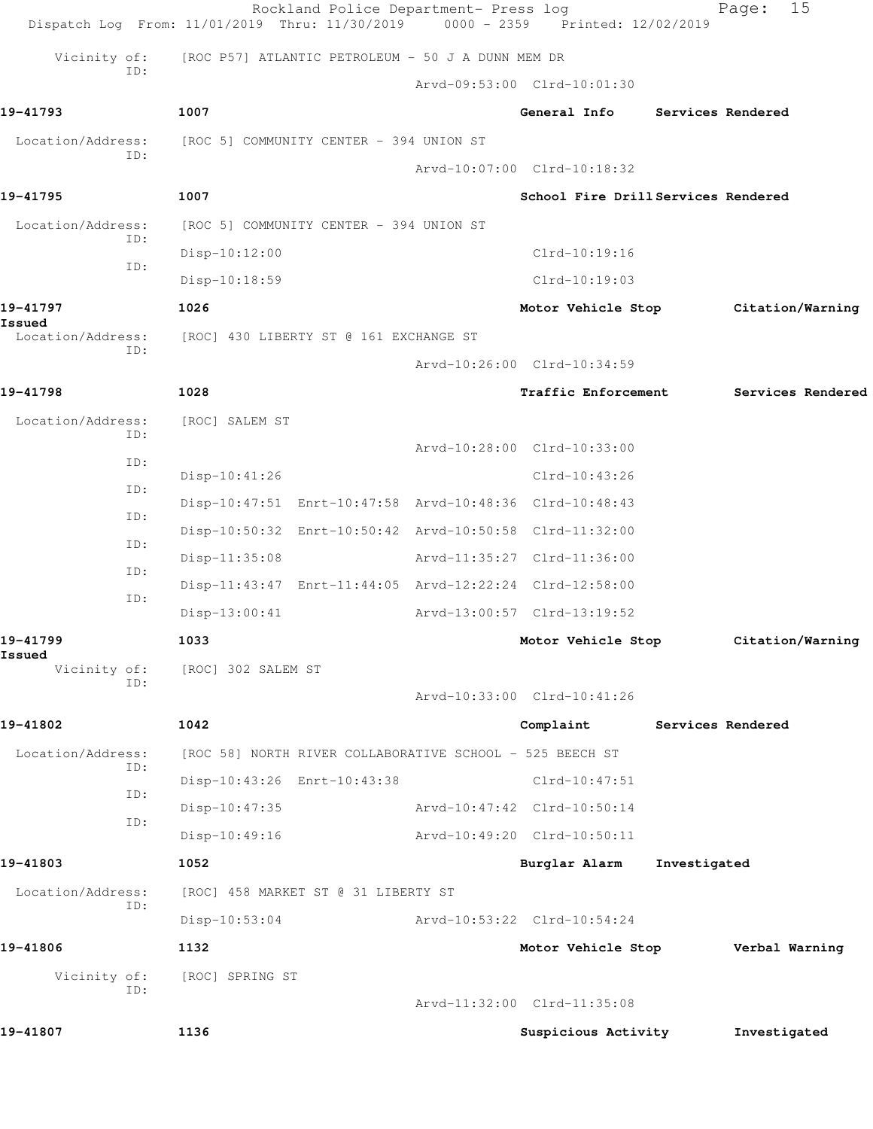|                               | Rockland Police Department- Press log<br>Dispatch Log From: 11/01/2019 Thru: 11/30/2019 | $0000 - 2359$ | Printed: 12/02/2019                 |              | 15<br>Page:       |
|-------------------------------|-----------------------------------------------------------------------------------------|---------------|-------------------------------------|--------------|-------------------|
| Vicinity of:                  | [ROC P57] ATLANTIC PETROLEUM - 50 J A DUNN MEM DR                                       |               |                                     |              |                   |
| ID:                           |                                                                                         |               | Arvd-09:53:00 Clrd-10:01:30         |              |                   |
| 19-41793                      | 1007                                                                                    |               | General Info                        |              | Services Rendered |
| Location/Address:             | [ROC 5] COMMUNITY CENTER - 394 UNION ST                                                 |               |                                     |              |                   |
| TD:                           |                                                                                         |               | Arvd-10:07:00 Clrd-10:18:32         |              |                   |
| 19-41795                      | 1007                                                                                    |               | School Fire Drill Services Rendered |              |                   |
| Location/Address:             | [ROC 5] COMMUNITY CENTER - 394 UNION ST                                                 |               |                                     |              |                   |
| ID:                           | $Disp-10:12:00$                                                                         |               | Clrd-10:19:16                       |              |                   |
| ID:                           | $Disp-10:18:59$                                                                         |               | $Clrd-10:19:03$                     |              |                   |
| 19-41797                      | 1026                                                                                    |               | Motor Vehicle Stop                  |              | Citation/Warning  |
| Issued<br>Location/Address:   | [ROC] 430 LIBERTY ST @ 161 EXCHANGE ST                                                  |               |                                     |              |                   |
| ID:                           |                                                                                         |               | Arvd-10:26:00 Clrd-10:34:59         |              |                   |
| 19-41798                      | 1028                                                                                    |               | Traffic Enforcement                 |              | Services Rendered |
| Location/Address:             | [ROC] SALEM ST                                                                          |               |                                     |              |                   |
| ID:                           |                                                                                         |               | Arvd-10:28:00 Clrd-10:33:00         |              |                   |
| ID:                           | Disp-10:41:26                                                                           |               | $Clrd-10:43:26$                     |              |                   |
| ID:                           | Disp-10:47:51 Enrt-10:47:58 Arvd-10:48:36 Clrd-10:48:43                                 |               |                                     |              |                   |
| ID:                           | Disp-10:50:32 Enrt-10:50:42 Arvd-10:50:58 Clrd-11:32:00                                 |               |                                     |              |                   |
| ID:                           | Disp-11:35:08                                                                           |               | Arvd-11:35:27 Clrd-11:36:00         |              |                   |
| ID:                           | Disp-11:43:47 Enrt-11:44:05 Arvd-12:22:24 Clrd-12:58:00                                 |               |                                     |              |                   |
| ID:                           | Disp-13:00:41                                                                           |               | Arvd-13:00:57 Clrd-13:19:52         |              |                   |
| 19-41799                      | 1033                                                                                    |               | Motor Vehicle Stop                  |              | Citation/Warning  |
| Issued<br>Vicinity of:<br>ID: | [ROC] 302 SALEM ST                                                                      |               |                                     |              |                   |
|                               |                                                                                         |               | Arvd-10:33:00 Clrd-10:41:26         |              |                   |
| 19-41802                      | 1042                                                                                    |               | Complaint                           |              | Services Rendered |
| Location/Address:<br>ID:      | [ROC 58] NORTH RIVER COLLABORATIVE SCHOOL - 525 BEECH ST                                |               |                                     |              |                   |
| ID:                           | Disp-10:43:26 Enrt-10:43:38                                                             |               | Clrd-10:47:51                       |              |                   |
| ID:                           | $Disp-10:47:35$                                                                         |               | Arvd-10:47:42 Clrd-10:50:14         |              |                   |
|                               | $Disp-10:49:16$                                                                         |               | Arvd-10:49:20 Clrd-10:50:11         |              |                   |
| 19-41803                      | 1052                                                                                    |               | Burglar Alarm                       | Investigated |                   |
| Location/Address:<br>ID:      | [ROC] 458 MARKET ST @ 31 LIBERTY ST                                                     |               |                                     |              |                   |
|                               | $Disp-10:53:04$                                                                         |               | Arvd-10:53:22 Clrd-10:54:24         |              |                   |
| 19-41806                      | 1132                                                                                    |               | Motor Vehicle Stop                  |              | Verbal Warning    |
| Vicinity of:<br>ID:           | [ROC] SPRING ST                                                                         |               |                                     |              |                   |
|                               |                                                                                         |               | Arvd-11:32:00 Clrd-11:35:08         |              |                   |
| 19-41807                      | 1136                                                                                    |               | Suspicious Activity                 |              | Investigated      |
|                               |                                                                                         |               |                                     |              |                   |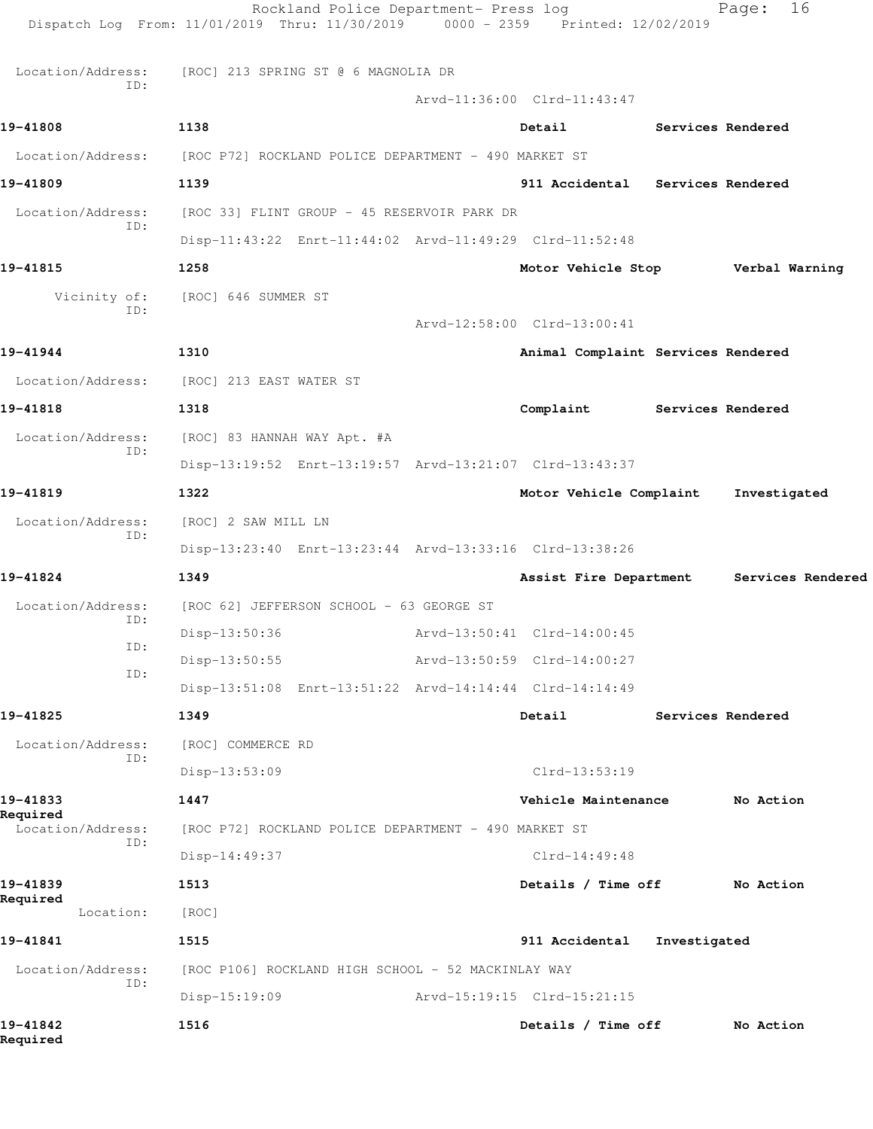| Location/Address:<br>ID:      | [ROC] 213 SPRING ST @ 6 MAGNOLIA DR                     |                             |                                    |              |                                   |
|-------------------------------|---------------------------------------------------------|-----------------------------|------------------------------------|--------------|-----------------------------------|
|                               |                                                         |                             | Arvd-11:36:00 Clrd-11:43:47        |              |                                   |
| 19-41808                      | 1138                                                    |                             | Detail                             |              | Services Rendered                 |
| Location/Address:             | [ROC P72] ROCKLAND POLICE DEPARTMENT - 490 MARKET ST    |                             |                                    |              |                                   |
| 19-41809                      | 1139                                                    |                             | 911 Accidental Services Rendered   |              |                                   |
| Location/Address:<br>ID:      | [ROC 33] FLINT GROUP - 45 RESERVOIR PARK DR             |                             |                                    |              |                                   |
|                               | Disp-11:43:22 Enrt-11:44:02 Arvd-11:49:29 Clrd-11:52:48 |                             |                                    |              |                                   |
| 19-41815                      | 1258                                                    |                             |                                    |              | Motor Vehicle Stop Verbal Warning |
| Vicinity of:<br>ID:           | [ROC] 646 SUMMER ST                                     |                             |                                    |              |                                   |
|                               |                                                         |                             | Arvd-12:58:00 Clrd-13:00:41        |              |                                   |
| 19-41944                      | 1310                                                    |                             | Animal Complaint Services Rendered |              |                                   |
| Location/Address:             | [ROC] 213 EAST WATER ST                                 |                             |                                    |              |                                   |
| 19-41818                      | 1318                                                    |                             | Complaint Services Rendered        |              |                                   |
| Location/Address:<br>ID:      | [ROC] 83 HANNAH WAY Apt. #A                             |                             |                                    |              |                                   |
|                               | Disp-13:19:52 Enrt-13:19:57 Arvd-13:21:07 Clrd-13:43:37 |                             |                                    |              |                                   |
| 19-41819                      | 1322                                                    |                             | Motor Vehicle Complaint            |              | Investigated                      |
| Location/Address:             | [ROC] 2 SAW MILL LN                                     |                             |                                    |              |                                   |
| ID:                           | Disp-13:23:40 Enrt-13:23:44 Arvd-13:33:16 Clrd-13:38:26 |                             |                                    |              |                                   |
| 19-41824                      | 1349                                                    |                             | Assist Fire Department             |              | Services Rendered                 |
| Location/Address:             | [ROC 62] JEFFERSON SCHOOL - 63 GEORGE ST                |                             |                                    |              |                                   |
| ID:                           | Disp-13:50:36                                           | Arvd-13:50:41 Clrd-14:00:45 |                                    |              |                                   |
| ID:                           | $Disp-13:50:55$                                         |                             | Arvd-13:50:59 Clrd-14:00:27        |              |                                   |
| ID:                           | Disp-13:51:08 Enrt-13:51:22 Arvd-14:14:44 Clrd-14:14:49 |                             |                                    |              |                                   |
| 19-41825                      | 1349                                                    |                             | Detail                             |              | Services Rendered                 |
| Location/Address:             | [ROC] COMMERCE RD                                       |                             |                                    |              |                                   |
| ID:                           | Disp-13:53:09                                           |                             | Clrd-13:53:19                      |              |                                   |
| 19-41833                      | 1447                                                    |                             | Vehicle Maintenance                |              | No Action                         |
| Required<br>Location/Address: | [ROC P72] ROCKLAND POLICE DEPARTMENT - 490 MARKET ST    |                             |                                    |              |                                   |
| ID:                           | Disp-14:49:37                                           |                             | $Clrd-14:49:48$                    |              |                                   |
| 19-41839                      | 1513                                                    |                             | Details / Time off                 |              | No Action                         |
| Required<br>Location:         | [ROC]                                                   |                             |                                    |              |                                   |
| 19-41841                      | 1515                                                    |                             | 911 Accidental                     | Investigated |                                   |
| Location/Address:             |                                                         |                             |                                    |              |                                   |
| ID:                           | [ROC P106] ROCKLAND HIGH SCHOOL - 52 MACKINLAY WAY      |                             | Arvd-15:19:15 Clrd-15:21:15        |              |                                   |
| 19-41842                      | $Disp-15:19:09$<br>1516                                 |                             | Details / Time off                 |              | No Action                         |
| Required                      |                                                         |                             |                                    |              |                                   |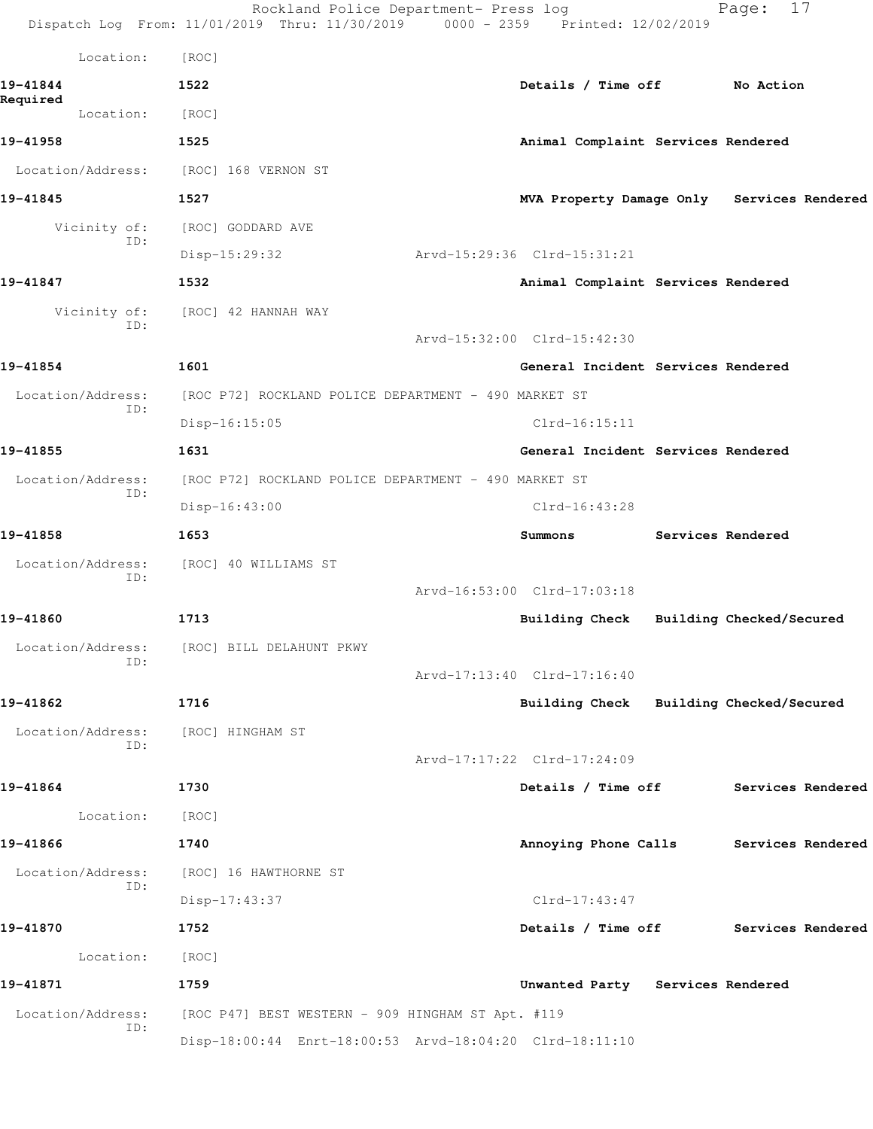|                      | Location:                |                                                         |                                    |                                            |
|----------------------|--------------------------|---------------------------------------------------------|------------------------------------|--------------------------------------------|
|                      |                          | [ROC]                                                   |                                    |                                            |
| 19-41844<br>Required |                          | 1522                                                    | Details / Time off No Action       |                                            |
|                      | Location:                | [ROC]                                                   |                                    |                                            |
| 19-41958             |                          | 1525                                                    | Animal Complaint Services Rendered |                                            |
|                      | Location/Address:        | [ROC] 168 VERNON ST                                     |                                    |                                            |
| 19-41845             |                          | 1527                                                    |                                    | MVA Property Damage Only Services Rendered |
|                      | Vicinity of:<br>ID:      | [ROC] GODDARD AVE                                       |                                    |                                            |
|                      |                          | $Disp-15:29:32$                                         | Arvd-15:29:36 Clrd-15:31:21        |                                            |
| 19-41847             |                          | 1532                                                    | Animal Complaint Services Rendered |                                            |
|                      | Vicinity of:<br>ID:      | [ROC] 42 HANNAH WAY                                     |                                    |                                            |
|                      |                          |                                                         | Arvd-15:32:00 Clrd-15:42:30        |                                            |
| 19-41854             |                          | 1601                                                    | General Incident Services Rendered |                                            |
|                      | Location/Address:<br>ID: | [ROC P72] ROCKLAND POLICE DEPARTMENT - 490 MARKET ST    |                                    |                                            |
|                      |                          | Disp-16:15:05                                           | $Clrd-16:15:11$                    |                                            |
| 19-41855             |                          | 1631                                                    | General Incident Services Rendered |                                            |
|                      | Location/Address:        | [ROC P72] ROCKLAND POLICE DEPARTMENT - 490 MARKET ST    |                                    |                                            |
|                      | ID:                      | $Disp-16:43:00$                                         | Clrd-16:43:28                      |                                            |
| 19-41858             |                          | 1653                                                    | Summons                            | Services Rendered                          |
|                      | Location/Address:        | [ROC] 40 WILLIAMS ST                                    |                                    |                                            |
|                      | ID:                      |                                                         | Arvd-16:53:00 Clrd-17:03:18        |                                            |
| 19-41860             |                          | 1713                                                    | Building Check                     | Building Checked/Secured                   |
|                      | Location/Address:        | [ROC] BILL DELAHUNT PKWY                                |                                    |                                            |
|                      | ID:                      |                                                         | Arvd-17:13:40 Clrd-17:16:40        |                                            |
| 19-41862             |                          | 1716                                                    |                                    | Building Check Building Checked/Secured    |
|                      | Location/Address:        | [ROC] HINGHAM ST                                        |                                    |                                            |
|                      | ID:                      |                                                         | Arvd-17:17:22 Clrd-17:24:09        |                                            |
| 19-41864             |                          | 1730                                                    | Details / Time off                 | Services Rendered                          |
|                      | Location:                | [ROC]                                                   |                                    |                                            |
| 19-41866             |                          | 1740                                                    | Annoying Phone Calls               | Services Rendered                          |
|                      | Location/Address:        | [ROC] 16 HAWTHORNE ST                                   |                                    |                                            |
|                      | ID:                      | Disp-17:43:37                                           | $Clrd-17:43:47$                    |                                            |
| 19-41870             |                          | 1752                                                    | Details / Time off                 | Services Rendered                          |
|                      | Location:                | [ROC]                                                   |                                    |                                            |
| 19-41871             |                          | 1759                                                    | Unwanted Party Services Rendered   |                                            |
|                      | Location/Address:        | [ROC P47] BEST WESTERN - 909 HINGHAM ST Apt. #119       |                                    |                                            |
|                      | ID:                      | Disp-18:00:44 Enrt-18:00:53 Arvd-18:04:20 Clrd-18:11:10 |                                    |                                            |
|                      |                          |                                                         |                                    |                                            |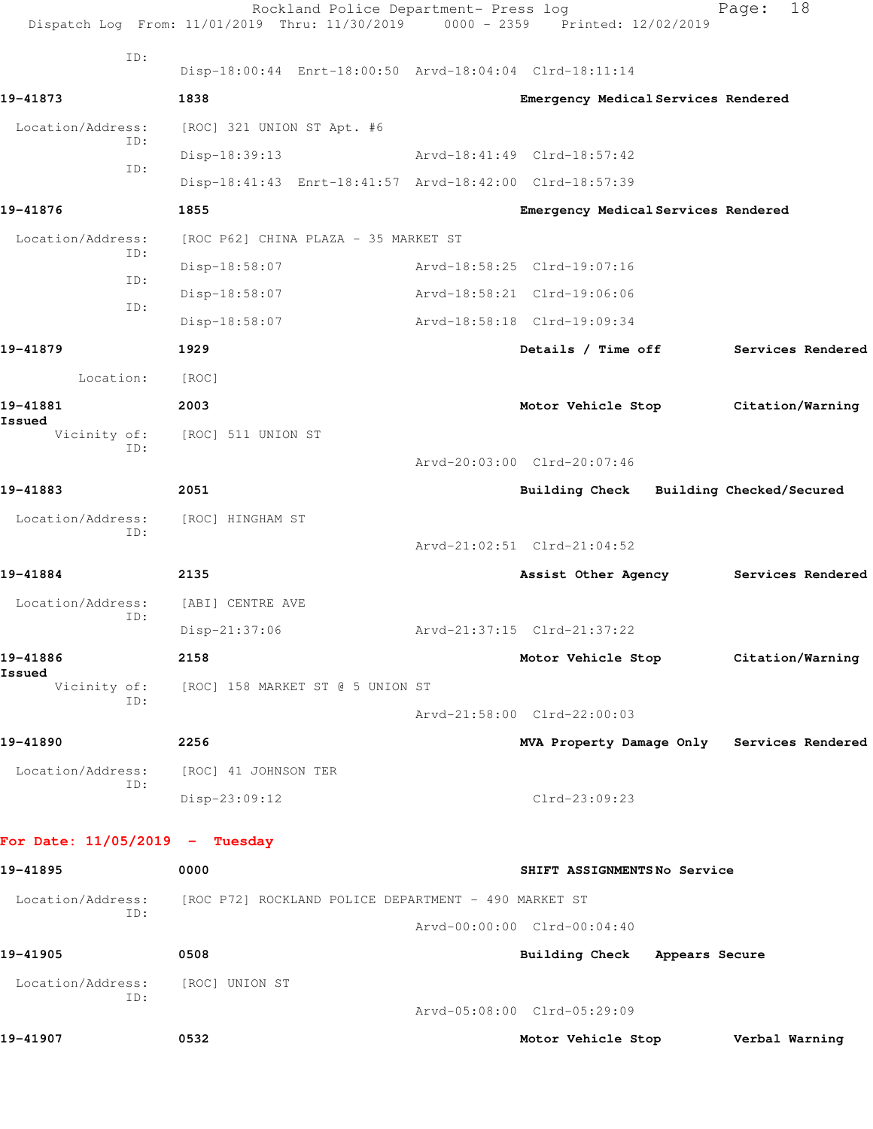| ID:<br>Disp-18:00:44 Enrt-18:00:50 Arvd-18:04:04 Clrd-18:11:14<br>1838<br>Emergency Medical Services Rendered<br>Location/Address:<br>[ROC] 321 UNION ST Apt. #6<br>ID:<br>Disp-18:39:13<br>Arvd-18:41:49 Clrd-18:57:42<br>ID:<br>Disp-18:41:43 Enrt-18:41:57 Arvd-18:42:00 Clrd-18:57:39<br>1855<br>Emergency Medical Services Rendered<br>Location/Address:<br>[ROC P62] CHINA PLAZA - 35 MARKET ST<br>ID:<br>Disp-18:58:07<br>Arvd-18:58:25 Clrd-19:07:16<br>ID:<br>Arvd-18:58:21 Clrd-19:06:06<br>Disp-18:58:07<br>ID:<br>Disp-18:58:07<br>Arvd-18:58:18 Clrd-19:09:34<br>1929<br>Details / Time off<br>Location:<br>[ ROC ]<br>2003<br>Motor Vehicle Stop Citation/Warning<br>Vicinity of:<br>[ROC] 511 UNION ST<br>TD:<br>Arvd-20:03:00 Clrd-20:07:46<br>2051<br>Building Check Building Checked/Secured<br>Location/Address:<br>[ROC] HINGHAM ST<br>ID:<br>Arvd-21:02:51 Clrd-21:04:52<br>2135<br>Assist Other Agency<br>Location/Address:<br>[ABI] CENTRE AVE<br>ID:<br>Disp-21:37:06<br>Arvd-21:37:15 Clrd-21:37:22<br>2158<br>Motor Vehicle Stop Citation/Warning<br>Vicinity of:<br>[ROC] 158 MARKET ST @ 5 UNION ST<br>ID:<br>Arvd-21:58:00 Clrd-22:00:03<br>2256<br>MVA Property Damage Only Services Rendered<br>Location/Address:<br>[ROC] 41 JOHNSON TER<br>ID:<br>Disp-23:09:12<br>$Clrd-23:09:23$<br>0000<br>SHIFT ASSIGNMENTSNo Service<br>Location/Address:<br>[ROC P72] ROCKLAND POLICE DEPARTMENT - 490 MARKET ST<br>ID:<br>Arvd-00:00:00 Clrd-00:04:40<br>0508<br>Building Check Appears Secure<br>Location/Address:<br>[ROC] UNION ST<br>ID:<br>Arvd-05:08:00 Clrd-05:29:09<br>0532<br>Motor Vehicle Stop | Rockland Police Department- Press log<br>Dispatch Log From: 11/01/2019 Thru: 11/30/2019 0000 - 2359 Printed: 12/02/2019 |  | 18<br>Page:       |
|-----------------------------------------------------------------------------------------------------------------------------------------------------------------------------------------------------------------------------------------------------------------------------------------------------------------------------------------------------------------------------------------------------------------------------------------------------------------------------------------------------------------------------------------------------------------------------------------------------------------------------------------------------------------------------------------------------------------------------------------------------------------------------------------------------------------------------------------------------------------------------------------------------------------------------------------------------------------------------------------------------------------------------------------------------------------------------------------------------------------------------------------------------------------------------------------------------------------------------------------------------------------------------------------------------------------------------------------------------------------------------------------------------------------------------------------------------------------------------------------------------------------------------------------------------------------------------------------------------------------------------------|-------------------------------------------------------------------------------------------------------------------------|--|-------------------|
| 19-41873<br>19-41876<br>19-41879<br>19-41881<br>Issued<br>19-41883<br>19-41884<br>19-41886<br>Issued<br>19-41890<br>For Date: $11/05/2019$ - Tuesday<br>19-41895<br>19-41905<br>19-41907                                                                                                                                                                                                                                                                                                                                                                                                                                                                                                                                                                                                                                                                                                                                                                                                                                                                                                                                                                                                                                                                                                                                                                                                                                                                                                                                                                                                                                          |                                                                                                                         |  |                   |
|                                                                                                                                                                                                                                                                                                                                                                                                                                                                                                                                                                                                                                                                                                                                                                                                                                                                                                                                                                                                                                                                                                                                                                                                                                                                                                                                                                                                                                                                                                                                                                                                                                   |                                                                                                                         |  |                   |
|                                                                                                                                                                                                                                                                                                                                                                                                                                                                                                                                                                                                                                                                                                                                                                                                                                                                                                                                                                                                                                                                                                                                                                                                                                                                                                                                                                                                                                                                                                                                                                                                                                   |                                                                                                                         |  |                   |
|                                                                                                                                                                                                                                                                                                                                                                                                                                                                                                                                                                                                                                                                                                                                                                                                                                                                                                                                                                                                                                                                                                                                                                                                                                                                                                                                                                                                                                                                                                                                                                                                                                   |                                                                                                                         |  |                   |
|                                                                                                                                                                                                                                                                                                                                                                                                                                                                                                                                                                                                                                                                                                                                                                                                                                                                                                                                                                                                                                                                                                                                                                                                                                                                                                                                                                                                                                                                                                                                                                                                                                   |                                                                                                                         |  |                   |
|                                                                                                                                                                                                                                                                                                                                                                                                                                                                                                                                                                                                                                                                                                                                                                                                                                                                                                                                                                                                                                                                                                                                                                                                                                                                                                                                                                                                                                                                                                                                                                                                                                   |                                                                                                                         |  |                   |
|                                                                                                                                                                                                                                                                                                                                                                                                                                                                                                                                                                                                                                                                                                                                                                                                                                                                                                                                                                                                                                                                                                                                                                                                                                                                                                                                                                                                                                                                                                                                                                                                                                   |                                                                                                                         |  |                   |
|                                                                                                                                                                                                                                                                                                                                                                                                                                                                                                                                                                                                                                                                                                                                                                                                                                                                                                                                                                                                                                                                                                                                                                                                                                                                                                                                                                                                                                                                                                                                                                                                                                   |                                                                                                                         |  |                   |
|                                                                                                                                                                                                                                                                                                                                                                                                                                                                                                                                                                                                                                                                                                                                                                                                                                                                                                                                                                                                                                                                                                                                                                                                                                                                                                                                                                                                                                                                                                                                                                                                                                   |                                                                                                                         |  |                   |
|                                                                                                                                                                                                                                                                                                                                                                                                                                                                                                                                                                                                                                                                                                                                                                                                                                                                                                                                                                                                                                                                                                                                                                                                                                                                                                                                                                                                                                                                                                                                                                                                                                   |                                                                                                                         |  |                   |
|                                                                                                                                                                                                                                                                                                                                                                                                                                                                                                                                                                                                                                                                                                                                                                                                                                                                                                                                                                                                                                                                                                                                                                                                                                                                                                                                                                                                                                                                                                                                                                                                                                   |                                                                                                                         |  | Services Rendered |
|                                                                                                                                                                                                                                                                                                                                                                                                                                                                                                                                                                                                                                                                                                                                                                                                                                                                                                                                                                                                                                                                                                                                                                                                                                                                                                                                                                                                                                                                                                                                                                                                                                   |                                                                                                                         |  |                   |
|                                                                                                                                                                                                                                                                                                                                                                                                                                                                                                                                                                                                                                                                                                                                                                                                                                                                                                                                                                                                                                                                                                                                                                                                                                                                                                                                                                                                                                                                                                                                                                                                                                   |                                                                                                                         |  |                   |
|                                                                                                                                                                                                                                                                                                                                                                                                                                                                                                                                                                                                                                                                                                                                                                                                                                                                                                                                                                                                                                                                                                                                                                                                                                                                                                                                                                                                                                                                                                                                                                                                                                   |                                                                                                                         |  |                   |
|                                                                                                                                                                                                                                                                                                                                                                                                                                                                                                                                                                                                                                                                                                                                                                                                                                                                                                                                                                                                                                                                                                                                                                                                                                                                                                                                                                                                                                                                                                                                                                                                                                   |                                                                                                                         |  |                   |
|                                                                                                                                                                                                                                                                                                                                                                                                                                                                                                                                                                                                                                                                                                                                                                                                                                                                                                                                                                                                                                                                                                                                                                                                                                                                                                                                                                                                                                                                                                                                                                                                                                   |                                                                                                                         |  |                   |
|                                                                                                                                                                                                                                                                                                                                                                                                                                                                                                                                                                                                                                                                                                                                                                                                                                                                                                                                                                                                                                                                                                                                                                                                                                                                                                                                                                                                                                                                                                                                                                                                                                   |                                                                                                                         |  |                   |
|                                                                                                                                                                                                                                                                                                                                                                                                                                                                                                                                                                                                                                                                                                                                                                                                                                                                                                                                                                                                                                                                                                                                                                                                                                                                                                                                                                                                                                                                                                                                                                                                                                   |                                                                                                                         |  |                   |
|                                                                                                                                                                                                                                                                                                                                                                                                                                                                                                                                                                                                                                                                                                                                                                                                                                                                                                                                                                                                                                                                                                                                                                                                                                                                                                                                                                                                                                                                                                                                                                                                                                   |                                                                                                                         |  | Services Rendered |
|                                                                                                                                                                                                                                                                                                                                                                                                                                                                                                                                                                                                                                                                                                                                                                                                                                                                                                                                                                                                                                                                                                                                                                                                                                                                                                                                                                                                                                                                                                                                                                                                                                   |                                                                                                                         |  |                   |
|                                                                                                                                                                                                                                                                                                                                                                                                                                                                                                                                                                                                                                                                                                                                                                                                                                                                                                                                                                                                                                                                                                                                                                                                                                                                                                                                                                                                                                                                                                                                                                                                                                   |                                                                                                                         |  |                   |
|                                                                                                                                                                                                                                                                                                                                                                                                                                                                                                                                                                                                                                                                                                                                                                                                                                                                                                                                                                                                                                                                                                                                                                                                                                                                                                                                                                                                                                                                                                                                                                                                                                   |                                                                                                                         |  |                   |
|                                                                                                                                                                                                                                                                                                                                                                                                                                                                                                                                                                                                                                                                                                                                                                                                                                                                                                                                                                                                                                                                                                                                                                                                                                                                                                                                                                                                                                                                                                                                                                                                                                   |                                                                                                                         |  |                   |
|                                                                                                                                                                                                                                                                                                                                                                                                                                                                                                                                                                                                                                                                                                                                                                                                                                                                                                                                                                                                                                                                                                                                                                                                                                                                                                                                                                                                                                                                                                                                                                                                                                   |                                                                                                                         |  |                   |
|                                                                                                                                                                                                                                                                                                                                                                                                                                                                                                                                                                                                                                                                                                                                                                                                                                                                                                                                                                                                                                                                                                                                                                                                                                                                                                                                                                                                                                                                                                                                                                                                                                   |                                                                                                                         |  |                   |
|                                                                                                                                                                                                                                                                                                                                                                                                                                                                                                                                                                                                                                                                                                                                                                                                                                                                                                                                                                                                                                                                                                                                                                                                                                                                                                                                                                                                                                                                                                                                                                                                                                   |                                                                                                                         |  |                   |
|                                                                                                                                                                                                                                                                                                                                                                                                                                                                                                                                                                                                                                                                                                                                                                                                                                                                                                                                                                                                                                                                                                                                                                                                                                                                                                                                                                                                                                                                                                                                                                                                                                   |                                                                                                                         |  |                   |
|                                                                                                                                                                                                                                                                                                                                                                                                                                                                                                                                                                                                                                                                                                                                                                                                                                                                                                                                                                                                                                                                                                                                                                                                                                                                                                                                                                                                                                                                                                                                                                                                                                   |                                                                                                                         |  |                   |
|                                                                                                                                                                                                                                                                                                                                                                                                                                                                                                                                                                                                                                                                                                                                                                                                                                                                                                                                                                                                                                                                                                                                                                                                                                                                                                                                                                                                                                                                                                                                                                                                                                   |                                                                                                                         |  |                   |
|                                                                                                                                                                                                                                                                                                                                                                                                                                                                                                                                                                                                                                                                                                                                                                                                                                                                                                                                                                                                                                                                                                                                                                                                                                                                                                                                                                                                                                                                                                                                                                                                                                   |                                                                                                                         |  |                   |
|                                                                                                                                                                                                                                                                                                                                                                                                                                                                                                                                                                                                                                                                                                                                                                                                                                                                                                                                                                                                                                                                                                                                                                                                                                                                                                                                                                                                                                                                                                                                                                                                                                   |                                                                                                                         |  |                   |
|                                                                                                                                                                                                                                                                                                                                                                                                                                                                                                                                                                                                                                                                                                                                                                                                                                                                                                                                                                                                                                                                                                                                                                                                                                                                                                                                                                                                                                                                                                                                                                                                                                   |                                                                                                                         |  |                   |
|                                                                                                                                                                                                                                                                                                                                                                                                                                                                                                                                                                                                                                                                                                                                                                                                                                                                                                                                                                                                                                                                                                                                                                                                                                                                                                                                                                                                                                                                                                                                                                                                                                   |                                                                                                                         |  |                   |
|                                                                                                                                                                                                                                                                                                                                                                                                                                                                                                                                                                                                                                                                                                                                                                                                                                                                                                                                                                                                                                                                                                                                                                                                                                                                                                                                                                                                                                                                                                                                                                                                                                   |                                                                                                                         |  |                   |
|                                                                                                                                                                                                                                                                                                                                                                                                                                                                                                                                                                                                                                                                                                                                                                                                                                                                                                                                                                                                                                                                                                                                                                                                                                                                                                                                                                                                                                                                                                                                                                                                                                   |                                                                                                                         |  | Verbal Warning    |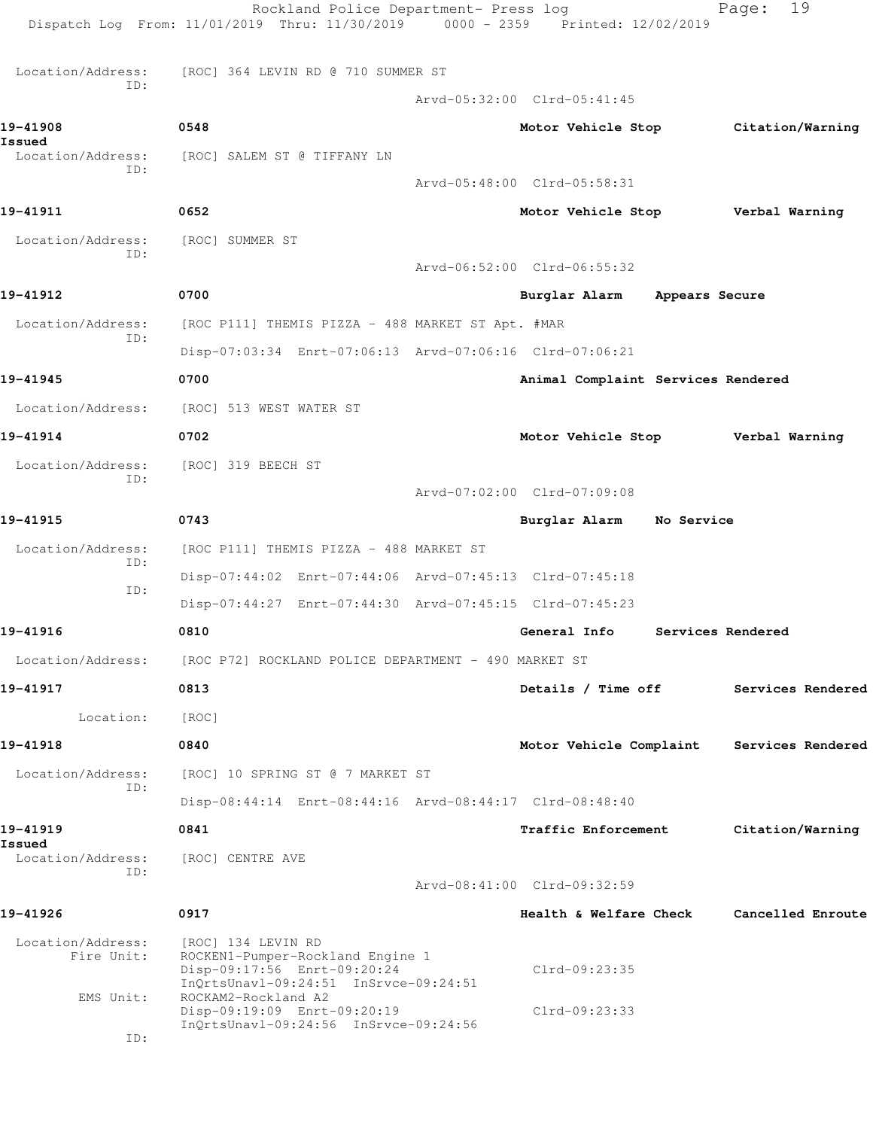|                                 | Rockland Police Department- Press log<br>Dispatch Log From: 11/01/2019 Thru: 11/30/2019 0000 - 2359 Printed: 12/02/2019        |                                    |                | 19<br>Page:                         |  |
|---------------------------------|--------------------------------------------------------------------------------------------------------------------------------|------------------------------------|----------------|-------------------------------------|--|
| Location/Address:               | [ROC] 364 LEVIN RD @ 710 SUMMER ST                                                                                             |                                    |                |                                     |  |
| ID:                             |                                                                                                                                | Arvd-05:32:00 Clrd-05:41:45        |                |                                     |  |
| 19-41908<br>Issued              | 0548                                                                                                                           |                                    |                | Motor Vehicle Stop Citation/Warning |  |
| Location/Address:<br>ID:        | [ROC] SALEM ST @ TIFFANY LN                                                                                                    |                                    |                |                                     |  |
|                                 |                                                                                                                                | Arvd-05:48:00 Clrd-05:58:31        |                |                                     |  |
| 19-41911                        | 0652                                                                                                                           | Motor Vehicle Stop                 |                | Verbal Warning                      |  |
| Location/Address:<br>ID:        | [ROC] SUMMER ST                                                                                                                | Arvd-06:52:00 Clrd-06:55:32        |                |                                     |  |
| 19-41912                        | 0700                                                                                                                           | Burglar Alarm                      | Appears Secure |                                     |  |
|                                 |                                                                                                                                |                                    |                |                                     |  |
| Location/Address:<br>ID:        | [ROC P111] THEMIS PIZZA - 488 MARKET ST Apt. #MAR<br>Disp-07:03:34 Enrt-07:06:13 Arvd-07:06:16 Clrd-07:06:21                   |                                    |                |                                     |  |
| 19-41945                        |                                                                                                                                |                                    |                |                                     |  |
|                                 | 0700                                                                                                                           | Animal Complaint Services Rendered |                |                                     |  |
| Location/Address:               | [ROC] 513 WEST WATER ST                                                                                                        |                                    |                |                                     |  |
| 19-41914                        | 0702                                                                                                                           | Motor Vehicle Stop                 |                | Verbal Warning                      |  |
| Location/Address:<br>ID:        | [ROC] 319 BEECH ST                                                                                                             |                                    |                |                                     |  |
|                                 |                                                                                                                                | Arvd-07:02:00 Clrd-07:09:08        |                |                                     |  |
| 19-41915                        | 0743                                                                                                                           | Burglar Alarm No Service           |                |                                     |  |
| Location/Address:<br>ID:        | [ROC P111] THEMIS PIZZA - 488 MARKET ST                                                                                        |                                    |                |                                     |  |
| ID:                             | Disp-07:44:02 Enrt-07:44:06 Arvd-07:45:13 Clrd-07:45:18                                                                        |                                    |                |                                     |  |
|                                 | Disp-07:44:27 Enrt-07:44:30 Arvd-07:45:15 Clrd-07:45:23                                                                        |                                    |                |                                     |  |
| 19-41916                        | 0810                                                                                                                           | General Info                       |                | Services Rendered                   |  |
| Location/Address:               | [ROC P72] ROCKLAND POLICE DEPARTMENT - 490 MARKET ST                                                                           |                                    |                |                                     |  |
| 19-41917                        | 0813                                                                                                                           | Details / Time off                 |                | Services Rendered                   |  |
| Location:                       | [ROC]                                                                                                                          |                                    |                |                                     |  |
| 19-41918                        | 0840                                                                                                                           | Motor Vehicle Complaint            |                | Services Rendered                   |  |
| Location/Address:<br>ID:        | [ROC] 10 SPRING ST @ 7 MARKET ST                                                                                               |                                    |                |                                     |  |
|                                 | Disp-08:44:14 Enrt-08:44:16 Arvd-08:44:17 Clrd-08:48:40                                                                        |                                    |                |                                     |  |
| 19-41919<br>Issued              | 0841                                                                                                                           | <b>Traffic Enforcement</b>         |                | Citation/Warning                    |  |
| Location/Address:<br>ID:        | [ROC] CENTRE AVE                                                                                                               |                                    |                |                                     |  |
|                                 |                                                                                                                                | Arvd-08:41:00 Clrd-09:32:59        |                |                                     |  |
| 19-41926                        | 0917                                                                                                                           | Health & Welfare Check             |                | Cancelled Enroute                   |  |
| Location/Address:<br>Fire Unit: | [ROC] 134 LEVIN RD<br>ROCKEN1-Pumper-Rockland Engine 1<br>Disp-09:17:56 Enrt-09:20:24<br>InQrtsUnavl-09:24:51 InSrvce-09:24:51 | Clrd-09:23:35                      |                |                                     |  |
| EMS Unit:<br>ID:                | ROCKAM2-Rockland A2<br>Disp-09:19:09 Enrt-09:20:19<br>InQrtsUnavl-09:24:56 InSrvce-09:24:56                                    | $Clrd-09:23:33$                    |                |                                     |  |
|                                 |                                                                                                                                |                                    |                |                                     |  |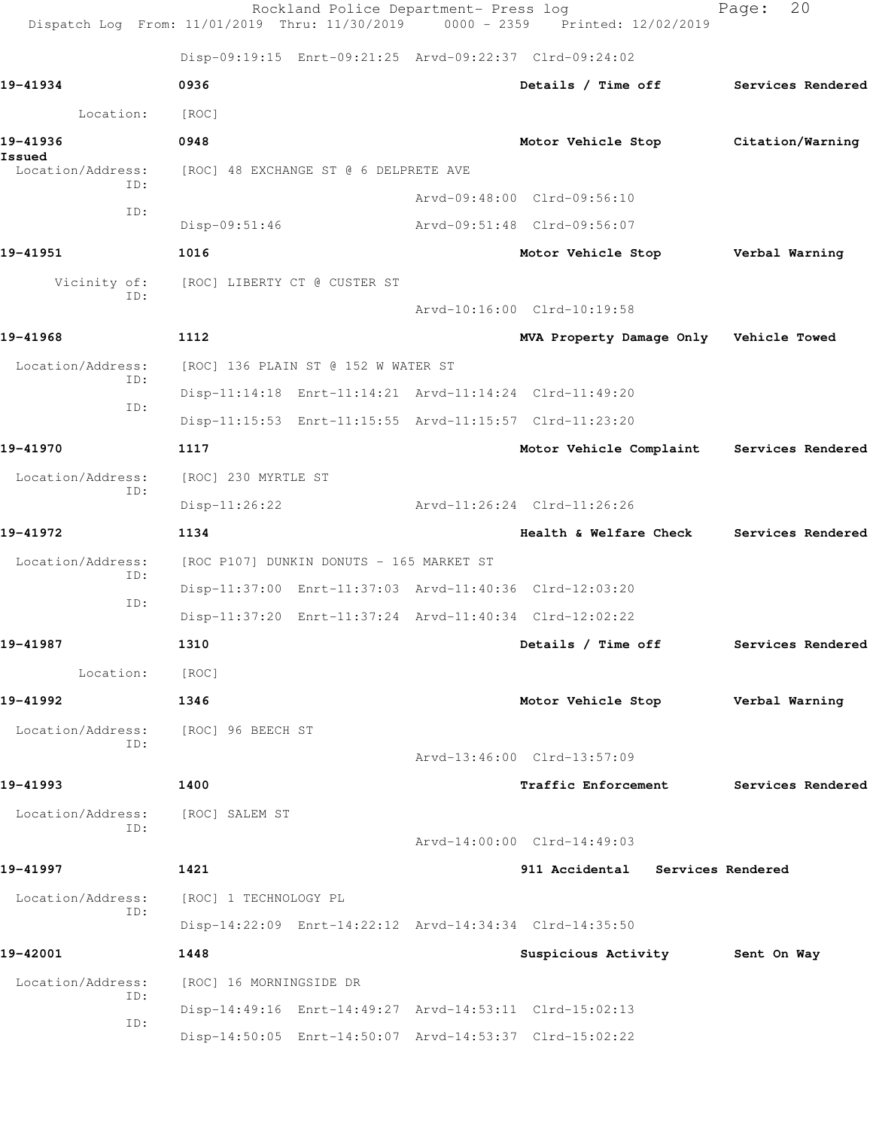|                             |                                          | Rockland Police Department- Press log<br>Dispatch Log From: 11/01/2019 Thru: 11/30/2019 0000 - 2359 Printed: 12/02/2019 | 20<br>Page:                               |
|-----------------------------|------------------------------------------|-------------------------------------------------------------------------------------------------------------------------|-------------------------------------------|
|                             |                                          | Disp-09:19:15 Enrt-09:21:25 Arvd-09:22:37 Clrd-09:24:02                                                                 |                                           |
| 19-41934                    | 0936                                     | Details / Time off                                                                                                      | Services Rendered                         |
| Location:                   | [ROC]                                    |                                                                                                                         |                                           |
| 19-41936                    | 0948                                     | Motor Vehicle Stop                                                                                                      | Citation/Warning                          |
| Issued<br>Location/Address: | [ROC] 48 EXCHANGE ST @ 6 DELPRETE AVE    |                                                                                                                         |                                           |
| ID:<br>ID:                  |                                          | Arvd-09:48:00 Clrd-09:56:10                                                                                             |                                           |
|                             | $Disp-09:51:46$                          | Arvd-09:51:48 Clrd-09:56:07                                                                                             |                                           |
| 19-41951                    | 1016                                     | Motor Vehicle Stop                                                                                                      | Verbal Warning                            |
| Vicinity of:                | [ROC] LIBERTY CT @ CUSTER ST             |                                                                                                                         |                                           |
| ID:                         |                                          | Arvd-10:16:00 Clrd-10:19:58                                                                                             |                                           |
| 19-41968                    | 1112                                     | MVA Property Damage Only Vehicle Towed                                                                                  |                                           |
| Location/Address:           | [ROC] 136 PLAIN ST @ 152 W WATER ST      |                                                                                                                         |                                           |
| ID:                         |                                          | Disp-11:14:18 Enrt-11:14:21 Arvd-11:14:24 Clrd-11:49:20                                                                 |                                           |
| ID:                         |                                          | Disp-11:15:53 Enrt-11:15:55 Arvd-11:15:57 Clrd-11:23:20                                                                 |                                           |
| 19-41970                    | 1117                                     |                                                                                                                         | Motor Vehicle Complaint Services Rendered |
| Location/Address:           | [ROC] 230 MYRTLE ST                      |                                                                                                                         |                                           |
| ID:                         | $Disp-11:26:22$                          | Arvd-11:26:24 Clrd-11:26:26                                                                                             |                                           |
| 19-41972                    | 1134                                     |                                                                                                                         | Health & Welfare Check Services Rendered  |
| Location/Address:           | [ROC P107] DUNKIN DONUTS - 165 MARKET ST |                                                                                                                         |                                           |
| ID:                         |                                          | Disp-11:37:00 Enrt-11:37:03 Arvd-11:40:36 Clrd-12:03:20                                                                 |                                           |
| ID:                         |                                          | Disp-11:37:20 Enrt-11:37:24 Arvd-11:40:34 Clrd-12:02:22                                                                 |                                           |
| 19-41987                    | 1310                                     | Details / Time off                                                                                                      | Services Rendered                         |
| Location:                   | [ROC]                                    |                                                                                                                         |                                           |
| 19-41992                    | 1346                                     | Motor Vehicle Stop                                                                                                      | Verbal Warning                            |
| Location/Address:           | [ROC] 96 BEECH ST                        |                                                                                                                         |                                           |
| ID:                         |                                          | Arvd-13:46:00 Clrd-13:57:09                                                                                             |                                           |
| 19-41993                    | 1400                                     | <b>Traffic Enforcement</b>                                                                                              | Services Rendered                         |
| Location/Address:           | [ROC] SALEM ST                           |                                                                                                                         |                                           |
| ID:                         |                                          | Arvd-14:00:00 Clrd-14:49:03                                                                                             |                                           |
| 19-41997                    | 1421                                     | 911 Accidental Services Rendered                                                                                        |                                           |
| Location/Address:           | [ROC] 1 TECHNOLOGY PL                    |                                                                                                                         |                                           |
| ID:                         |                                          | Disp-14:22:09 Enrt-14:22:12 Arvd-14:34:34 Clrd-14:35:50                                                                 |                                           |
| 19-42001                    | 1448                                     | Suspicious Activity 5ent On Way                                                                                         |                                           |
| Location/Address:           | [ROC] 16 MORNINGSIDE DR                  |                                                                                                                         |                                           |
| ID:                         |                                          | Disp-14:49:16 Enrt-14:49:27 Arvd-14:53:11 Clrd-15:02:13                                                                 |                                           |
| ID:                         |                                          | Disp-14:50:05 Enrt-14:50:07 Arvd-14:53:37 Clrd-15:02:22                                                                 |                                           |
|                             |                                          |                                                                                                                         |                                           |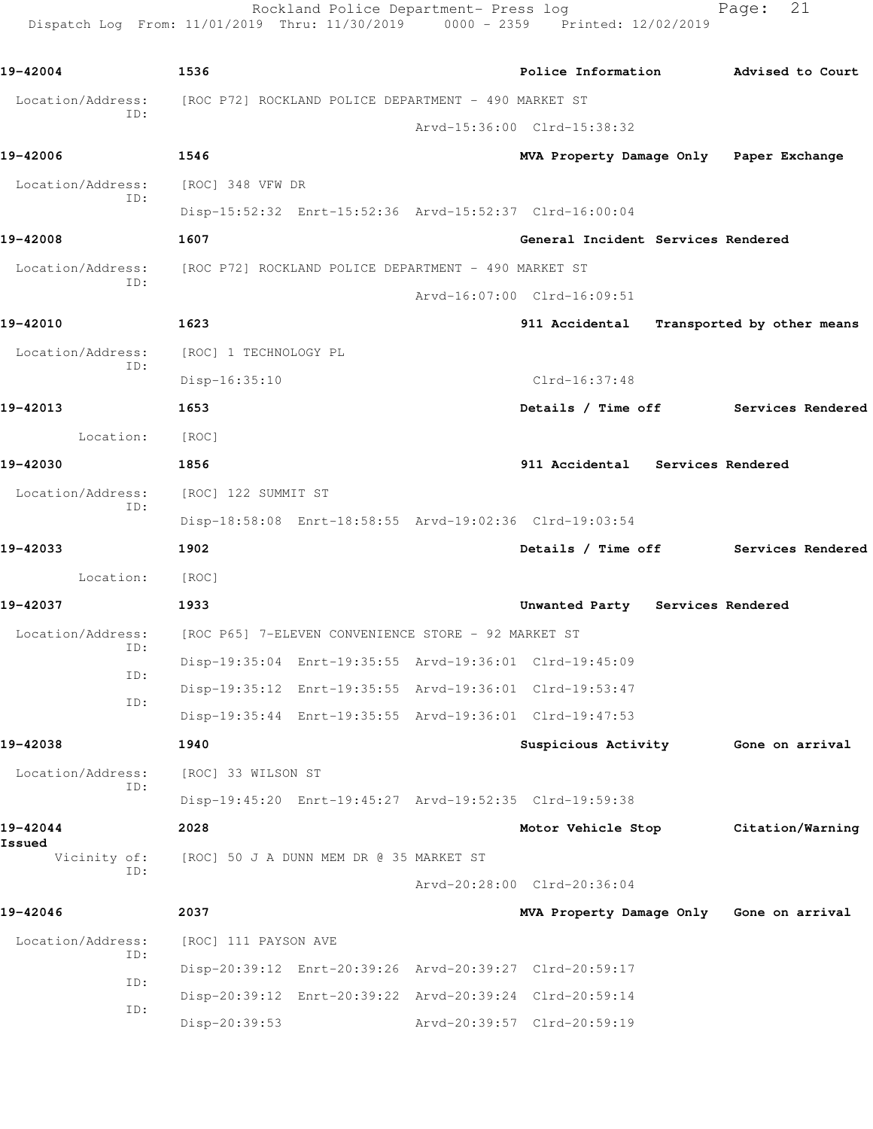Dispatch Log From: 11/01/2019 Thru: 11/30/2019 0000 - 2359 Printed: 12/02/2019 **19-42004 1536 Police Information Advised to Court** Location/Address: [ROC P72] ROCKLAND POLICE DEPARTMENT - 490 MARKET ST ID: Arvd-15:36:00 Clrd-15:38:32 **19-42006 1546 MVA Property Damage Only Paper Exchange** Location/Address: [ROC] 348 VFW DR ID: Disp-15:52:32 Enrt-15:52:36 Arvd-15:52:37 Clrd-16:00:04 **19-42008 1607 General Incident Services Rendered** Location/Address: [ROC P72] ROCKLAND POLICE DEPARTMENT - 490 MARKET ST ID: Arvd-16:07:00 Clrd-16:09:51 **19-42010 1623 911 Accidental Transported by other means** Location/Address: [ROC] 1 TECHNOLOGY PL ID: Disp-16:35:10 Clrd-16:37:48 **19-42013 1653 Details / Time off Services Rendered** Location: [ROC] **19-42030 1856 911 Accidental Services Rendered** Location/Address: [ROC] 122 SUMMIT ST ID: Disp-18:58:08 Enrt-18:58:55 Arvd-19:02:36 Clrd-19:03:54 **19-42033 1902 Details / Time off Services Rendered** Location: [ROC] **19-42037 1933 Unwanted Party Services Rendered** Location/Address: [ROC P65] 7-ELEVEN CONVENIENCE STORE - 92 MARKET ST ID: Disp-19:35:04 Enrt-19:35:55 Arvd-19:36:01 Clrd-19:45:09 ID: Disp-19:35:12 Enrt-19:35:55 Arvd-19:36:01 Clrd-19:53:47 ID: Disp-19:35:44 Enrt-19:35:55 Arvd-19:36:01 Clrd-19:47:53 **19-42038 1940 Suspicious Activity Gone on arrival** Location/Address: [ROC] 33 WILSON ST ID: Disp-19:45:20 Enrt-19:45:27 Arvd-19:52:35 Clrd-19:59:38 **19-42044 2028 Motor Vehicle Stop Citation/Warning Issued**  [ROC] 50 J A DUNN MEM DR @ 35 MARKET ST ID: Arvd-20:28:00 Clrd-20:36:04 **19-42046 2037 MVA Property Damage Only Gone on arrival** Location/Address: [ROC] 111 PAYSON AVE ID: Disp-20:39:12 Enrt-20:39:26 Arvd-20:39:27 Clrd-20:59:17 ID: Disp-20:39:12 Enrt-20:39:22 Arvd-20:39:24 Clrd-20:59:14 ID:

Disp-20:39:53 Arvd-20:39:57 Clrd-20:59:19

Rockland Police Department- Press log Fage: 21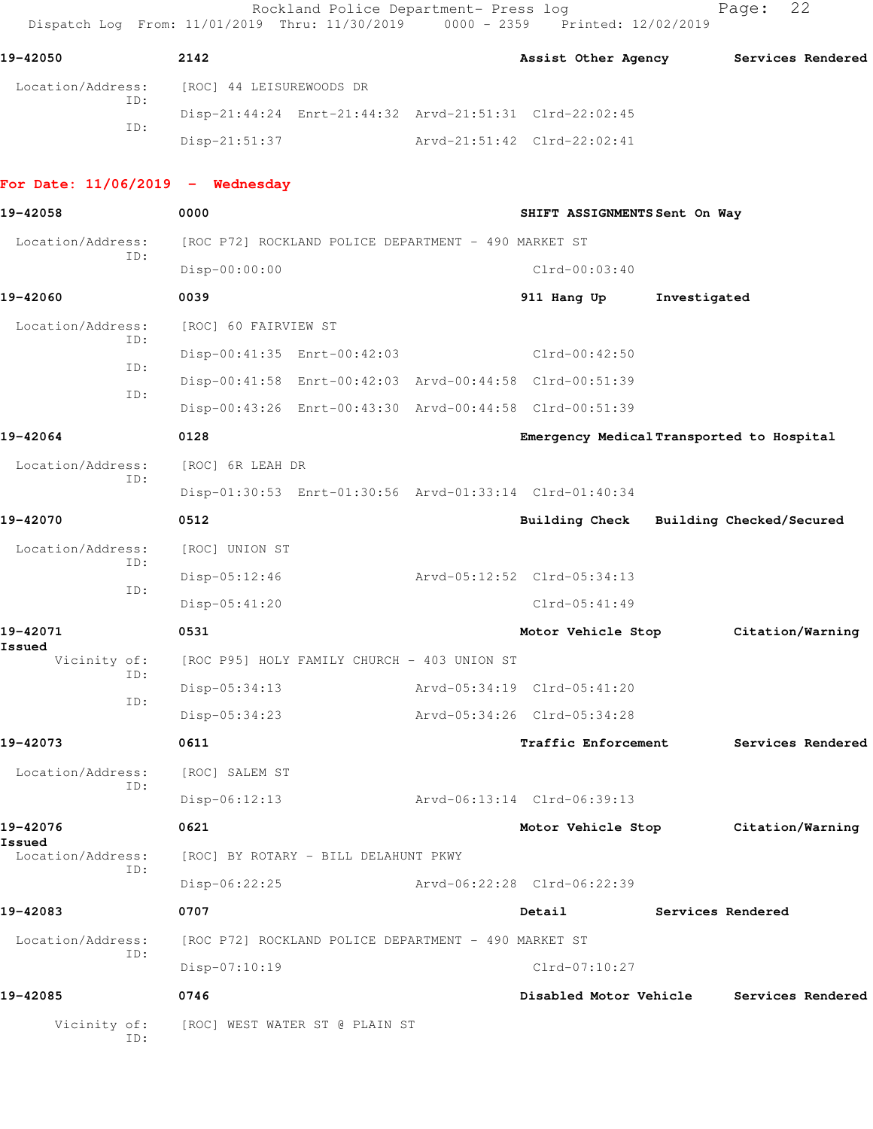Rockland Police Department- Press log entitled Page: 22 Dispatch Log From: 11/01/2019 Thru: 11/30/2019 0000 - 2359 Printed: 12/02/2019

| 19-42050          | 2142                     | Assist Other Agency                                     | Services Rendered |
|-------------------|--------------------------|---------------------------------------------------------|-------------------|
| Location/Address: | [ROC] 44 LEISUREWOODS DR |                                                         |                   |
| ID:               |                          | Disp-21:44:24 Enrt-21:44:32 Arvd-21:51:31 Clrd-22:02:45 |                   |
| ID:               | Disp-21:51:37            | Arvd-21:51:42 Clrd-22:02:41                             |                   |
|                   |                          |                                                         |                   |

## **For Date: 11/06/2019 - Wednesday**

| 19-42058                    | 0000                           |                                                      | SHIFT ASSIGNMENTS Sent On Way                           |                   |                          |
|-----------------------------|--------------------------------|------------------------------------------------------|---------------------------------------------------------|-------------------|--------------------------|
| Location/Address:           |                                | [ROC P72] ROCKLAND POLICE DEPARTMENT - 490 MARKET ST |                                                         |                   |                          |
| ID:                         | Disp-00:00:00                  |                                                      | $Clrd-00:03:40$                                         |                   |                          |
| 19-42060                    | 0039                           |                                                      | 911 Hang Up                                             | Investigated      |                          |
| Location/Address:           | [ROC] 60 FAIRVIEW ST           |                                                      |                                                         |                   |                          |
| ID:                         |                                | Disp-00:41:35 Enrt-00:42:03                          | $Clrd-00:42:50$                                         |                   |                          |
| ID:                         |                                |                                                      | Disp-00:41:58 Enrt-00:42:03 Arvd-00:44:58 Clrd-00:51:39 |                   |                          |
| ID:                         |                                |                                                      | Disp-00:43:26 Enrt-00:43:30 Arvd-00:44:58 Clrd-00:51:39 |                   |                          |
| 19-42064                    | 0128                           |                                                      | Emergency Medical Transported to Hospital               |                   |                          |
| Location/Address:<br>ID:    | [ROC] 6R LEAH DR               |                                                      |                                                         |                   |                          |
|                             |                                |                                                      | Disp-01:30:53 Enrt-01:30:56 Arvd-01:33:14 Clrd-01:40:34 |                   |                          |
| 19-42070                    | 0512                           |                                                      | Building Check                                          |                   | Building Checked/Secured |
| Location/Address:           | [ROC] UNION ST                 |                                                      |                                                         |                   |                          |
| ID:                         | $Disp-05:12:46$                |                                                      | Arvd-05:12:52 Clrd-05:34:13                             |                   |                          |
| ID:                         | Disp-05:41:20                  |                                                      | $Clrd-05:41:49$                                         |                   |                          |
| 19-42071                    | 0531                           |                                                      | Motor Vehicle Stop                                      |                   | Citation/Warning         |
| Issued<br>Vicinity of:      |                                | [ROC P95] HOLY FAMILY CHURCH - 403 UNION ST          |                                                         |                   |                          |
| ID:                         | Disp-05:34:13                  |                                                      | Arvd-05:34:19 Clrd-05:41:20                             |                   |                          |
| ID:                         | Disp-05:34:23                  |                                                      | Arvd-05:34:26 Clrd-05:34:28                             |                   |                          |
| 19-42073                    | 0611                           |                                                      | <b>Traffic Enforcement</b>                              |                   | Services Rendered        |
| Location/Address:           | [ROC] SALEM ST                 |                                                      |                                                         |                   |                          |
| ID:                         | $Disp-06:12:13$                |                                                      | Arvd-06:13:14 Clrd-06:39:13                             |                   |                          |
| 19-42076                    | 0621                           |                                                      | Motor Vehicle Stop                                      |                   | Citation/Warning         |
| Issued<br>Location/Address: |                                | [ROC] BY ROTARY - BILL DELAHUNT PKWY                 |                                                         |                   |                          |
| ID:                         | Disp-06:22:25                  |                                                      | Arvd-06:22:28 Clrd-06:22:39                             |                   |                          |
| 19-42083                    | 0707                           |                                                      | Detail                                                  | Services Rendered |                          |
| Location/Address:           |                                | [ROC P72] ROCKLAND POLICE DEPARTMENT - 490 MARKET ST |                                                         |                   |                          |
| ID:                         | Disp-07:10:19                  |                                                      | Clrd-07:10:27                                           |                   |                          |
| 19-42085                    | 0746                           |                                                      | Disabled Motor Vehicle                                  |                   | Services Rendered        |
| Vicinity of:<br>ID:         | [ROC] WEST WATER ST @ PLAIN ST |                                                      |                                                         |                   |                          |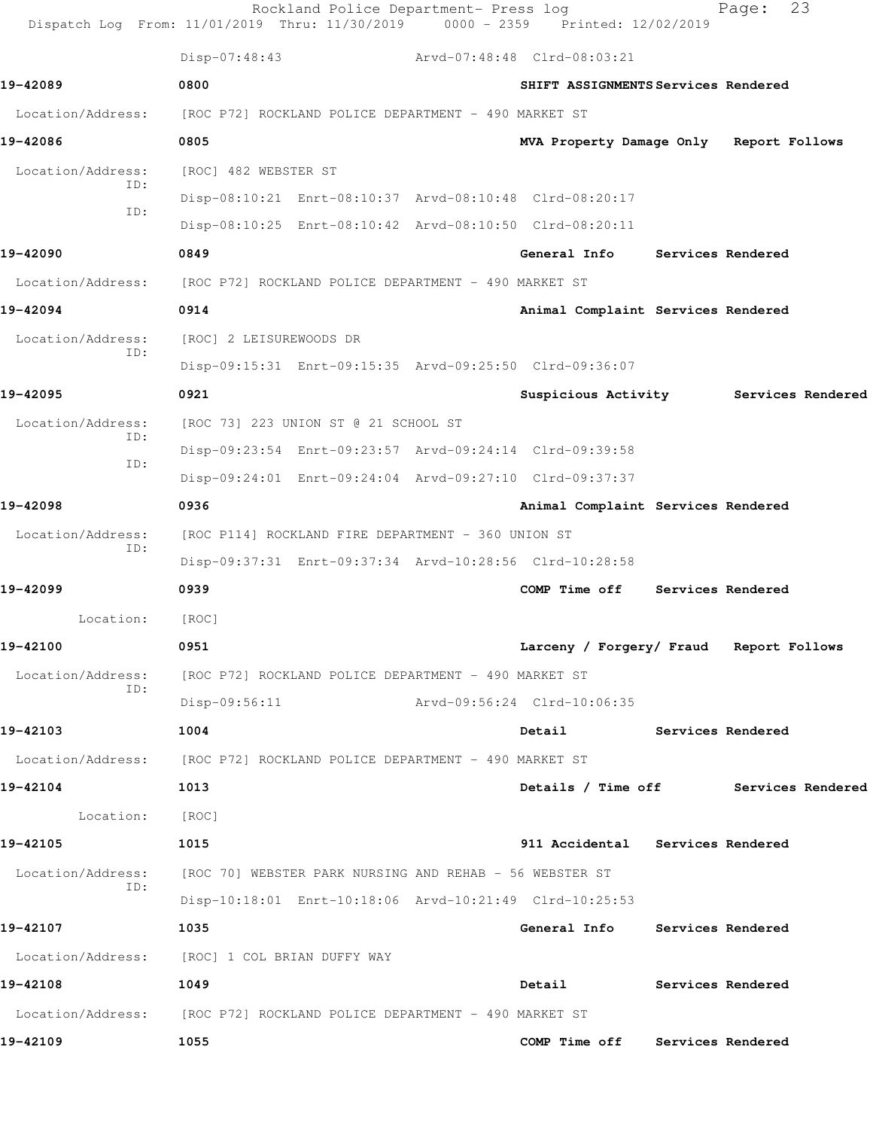|                          | Rockland Police Department- Press log<br>Dispatch Log From: 11/01/2019 Thru: 11/30/2019 0000 - 2359 Printed: 12/02/2019 |  |                                         |                          | 23<br>Page:       |  |  |
|--------------------------|-------------------------------------------------------------------------------------------------------------------------|--|-----------------------------------------|--------------------------|-------------------|--|--|
|                          | $Disp-07:48:43$                                                                                                         |  | Arvd-07:48:48 Clrd-08:03:21             |                          |                   |  |  |
| 19-42089                 | 0800                                                                                                                    |  | SHIFT ASSIGNMENTS Services Rendered     |                          |                   |  |  |
| Location/Address:        | [ROC P72] ROCKLAND POLICE DEPARTMENT - 490 MARKET ST                                                                    |  |                                         |                          |                   |  |  |
| 19-42086                 | 0805                                                                                                                    |  | MVA Property Damage Only Report Follows |                          |                   |  |  |
| Location/Address:        | [ROC] 482 WEBSTER ST                                                                                                    |  |                                         |                          |                   |  |  |
| ID:<br>ID:               | Disp-08:10:21 Enrt-08:10:37 Arvd-08:10:48 Clrd-08:20:17                                                                 |  |                                         |                          |                   |  |  |
|                          | Disp-08:10:25 Enrt-08:10:42 Arvd-08:10:50 Clrd-08:20:11                                                                 |  |                                         |                          |                   |  |  |
| 19-42090                 | 0849                                                                                                                    |  | General Info                            | <b>Services Rendered</b> |                   |  |  |
| Location/Address:        | [ROC P72] ROCKLAND POLICE DEPARTMENT - 490 MARKET ST                                                                    |  |                                         |                          |                   |  |  |
| 19-42094                 | 0914                                                                                                                    |  | Animal Complaint Services Rendered      |                          |                   |  |  |
| Location/Address:<br>ID: | [ROC] 2 LEISUREWOODS DR                                                                                                 |  |                                         |                          |                   |  |  |
|                          | Disp-09:15:31 Enrt-09:15:35 Arvd-09:25:50 Clrd-09:36:07                                                                 |  |                                         |                          |                   |  |  |
| 19-42095                 | 0921                                                                                                                    |  | Suspicious Activity Services Rendered   |                          |                   |  |  |
| Location/Address:<br>ID: | [ROC 73] 223 UNION ST @ 21 SCHOOL ST                                                                                    |  |                                         |                          |                   |  |  |
| ID:                      | Disp-09:23:54 Enrt-09:23:57 Arvd-09:24:14 Clrd-09:39:58                                                                 |  |                                         |                          |                   |  |  |
|                          | Disp-09:24:01 Enrt-09:24:04 Arvd-09:27:10 Clrd-09:37:37                                                                 |  |                                         |                          |                   |  |  |
| 19-42098                 | 0936                                                                                                                    |  | Animal Complaint Services Rendered      |                          |                   |  |  |
| Location/Address:<br>ID: | [ROC P114] ROCKLAND FIRE DEPARTMENT - 360 UNION ST                                                                      |  |                                         |                          |                   |  |  |
|                          | Disp-09:37:31 Enrt-09:37:34 Arvd-10:28:56 Clrd-10:28:58                                                                 |  |                                         |                          |                   |  |  |
| 19-42099                 | 0939                                                                                                                    |  | COMP Time off                           |                          | Services Rendered |  |  |
| Location:                | [ROC]                                                                                                                   |  |                                         |                          |                   |  |  |
| 19-42100                 | 0951                                                                                                                    |  | Larceny / Forgery/ Fraud Report Follows |                          |                   |  |  |
| Location/Address:<br>ID: | [ROC P72] ROCKLAND POLICE DEPARTMENT - 490 MARKET ST                                                                    |  |                                         |                          |                   |  |  |
|                          | Disp-09:56:11                                                                                                           |  | Arvd-09:56:24 Clrd-10:06:35             |                          |                   |  |  |
| 19-42103                 | 1004                                                                                                                    |  | <b>Detail</b>                           | <b>Services Rendered</b> |                   |  |  |
|                          | Location/Address: [ROC P72] ROCKLAND POLICE DEPARTMENT - 490 MARKET ST                                                  |  |                                         |                          |                   |  |  |
| 19-42104                 | 1013                                                                                                                    |  | Details / Time off Services Rendered    |                          |                   |  |  |
| Location:                | [ROC]                                                                                                                   |  |                                         |                          |                   |  |  |
| 19-42105                 | 1015                                                                                                                    |  | 911 Accidental Services Rendered        |                          |                   |  |  |
| Location/Address:<br>ID: | [ROC 70] WEBSTER PARK NURSING AND REHAB - 56 WEBSTER ST                                                                 |  |                                         |                          |                   |  |  |
|                          | Disp-10:18:01 Enrt-10:18:06 Arvd-10:21:49 Clrd-10:25:53                                                                 |  |                                         |                          |                   |  |  |
| 19-42107                 | 1035                                                                                                                    |  | General Info Services Rendered          |                          |                   |  |  |
|                          | Location/Address: [ROC] 1 COL BRIAN DUFFY WAY                                                                           |  |                                         |                          |                   |  |  |
| 19-42108                 | 1049                                                                                                                    |  | Detail                                  |                          | Services Rendered |  |  |
|                          | Location/Address: [ROC P72] ROCKLAND POLICE DEPARTMENT - 490 MARKET ST                                                  |  |                                         |                          |                   |  |  |
| 19-42109                 | 1055                                                                                                                    |  | COMP Time off Services Rendered         |                          |                   |  |  |
|                          |                                                                                                                         |  |                                         |                          |                   |  |  |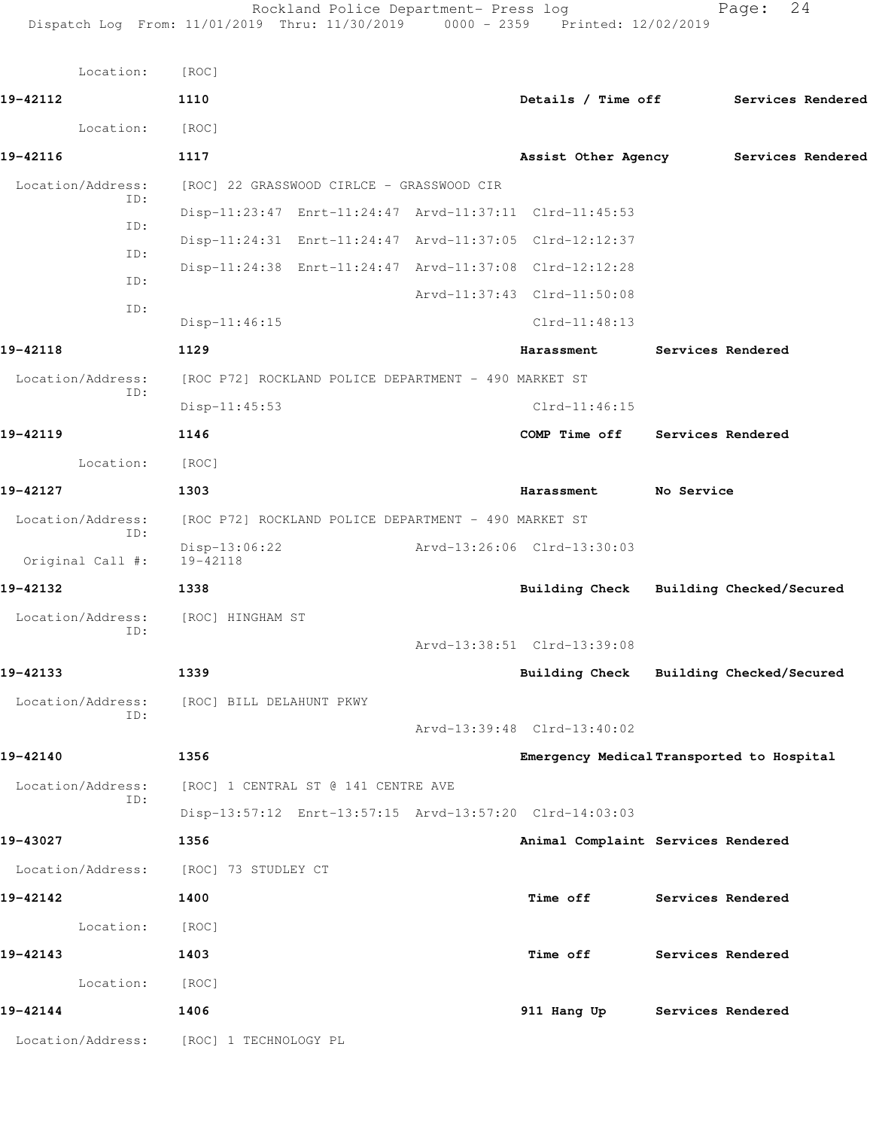| Location:                | [ROC]                                                   |                                           |                   |                   |  |
|--------------------------|---------------------------------------------------------|-------------------------------------------|-------------------|-------------------|--|
| 19-42112                 | 1110                                                    | Details / Time off Services Rendered      |                   |                   |  |
| Location:                | [ROC]                                                   |                                           |                   |                   |  |
| 19-42116                 | 1117                                                    | Assist Other Agency                       |                   | Services Rendered |  |
| Location/Address:        | [ROC] 22 GRASSWOOD CIRLCE - GRASSWOOD CIR               |                                           |                   |                   |  |
| ID:<br>ID:               | Disp-11:23:47 Enrt-11:24:47 Arvd-11:37:11 Clrd-11:45:53 |                                           |                   |                   |  |
| ID:                      | Disp-11:24:31 Enrt-11:24:47 Arvd-11:37:05 Clrd-12:12:37 |                                           |                   |                   |  |
| ID:                      | Disp-11:24:38 Enrt-11:24:47 Arvd-11:37:08 Clrd-12:12:28 |                                           |                   |                   |  |
| ID:                      |                                                         | Arvd-11:37:43 Clrd-11:50:08               |                   |                   |  |
|                          | Disp-11:46:15                                           | Clrd-11:48:13                             |                   |                   |  |
| 19-42118                 | 1129                                                    | Harassment                                | Services Rendered |                   |  |
| Location/Address:<br>ID: | [ROC P72] ROCKLAND POLICE DEPARTMENT - 490 MARKET ST    |                                           |                   |                   |  |
|                          | $Disp-11:45:53$                                         | $Clrd-11:46:15$                           |                   |                   |  |
| 19-42119                 | 1146                                                    | COMP Time off                             | Services Rendered |                   |  |
| Location:                | [ROC]                                                   |                                           |                   |                   |  |
| 19-42127                 | 1303                                                    | Harassment                                | No Service        |                   |  |
| Location/Address:<br>ID: | [ROC P72] ROCKLAND POLICE DEPARTMENT - 490 MARKET ST    |                                           |                   |                   |  |
| Original Call #:         | Disp-13:06:22<br>19-42118                               | Arvd-13:26:06 Clrd-13:30:03               |                   |                   |  |
| 19-42132                 | 1338                                                    | Building Check Building Checked/Secured   |                   |                   |  |
| Location/Address:<br>ID: | [ROC] HINGHAM ST                                        |                                           |                   |                   |  |
|                          |                                                         | Arvd-13:38:51 Clrd-13:39:08               |                   |                   |  |
| 19-42133                 | 1339                                                    | Building Check Building Checked/Secured   |                   |                   |  |
| Location/Address:<br>ID: | [ROC] BILL DELAHUNT PKWY                                |                                           |                   |                   |  |
|                          |                                                         | Arvd-13:39:48 Clrd-13:40:02               |                   |                   |  |
| 19-42140                 | 1356                                                    | Emergency Medical Transported to Hospital |                   |                   |  |
| Location/Address:<br>ID: | [ROC] 1 CENTRAL ST @ 141 CENTRE AVE                     |                                           |                   |                   |  |
|                          | Disp-13:57:12 Enrt-13:57:15 Arvd-13:57:20 Clrd-14:03:03 |                                           |                   |                   |  |
| 19-43027                 | 1356                                                    | Animal Complaint Services Rendered        |                   |                   |  |
| Location/Address:        | [ROC] 73 STUDLEY CT                                     |                                           |                   |                   |  |
| 19-42142                 | 1400                                                    | Time off                                  | Services Rendered |                   |  |
| Location:                | [ROC]                                                   |                                           |                   |                   |  |
| 19-42143                 | 1403                                                    | <b>Time off</b>                           | Services Rendered |                   |  |
| Location:                | [ROC]                                                   |                                           |                   |                   |  |
| 19-42144                 | 1406                                                    | 911 Hang Up                               | Services Rendered |                   |  |
| Location/Address:        | [ROC] 1 TECHNOLOGY PL                                   |                                           |                   |                   |  |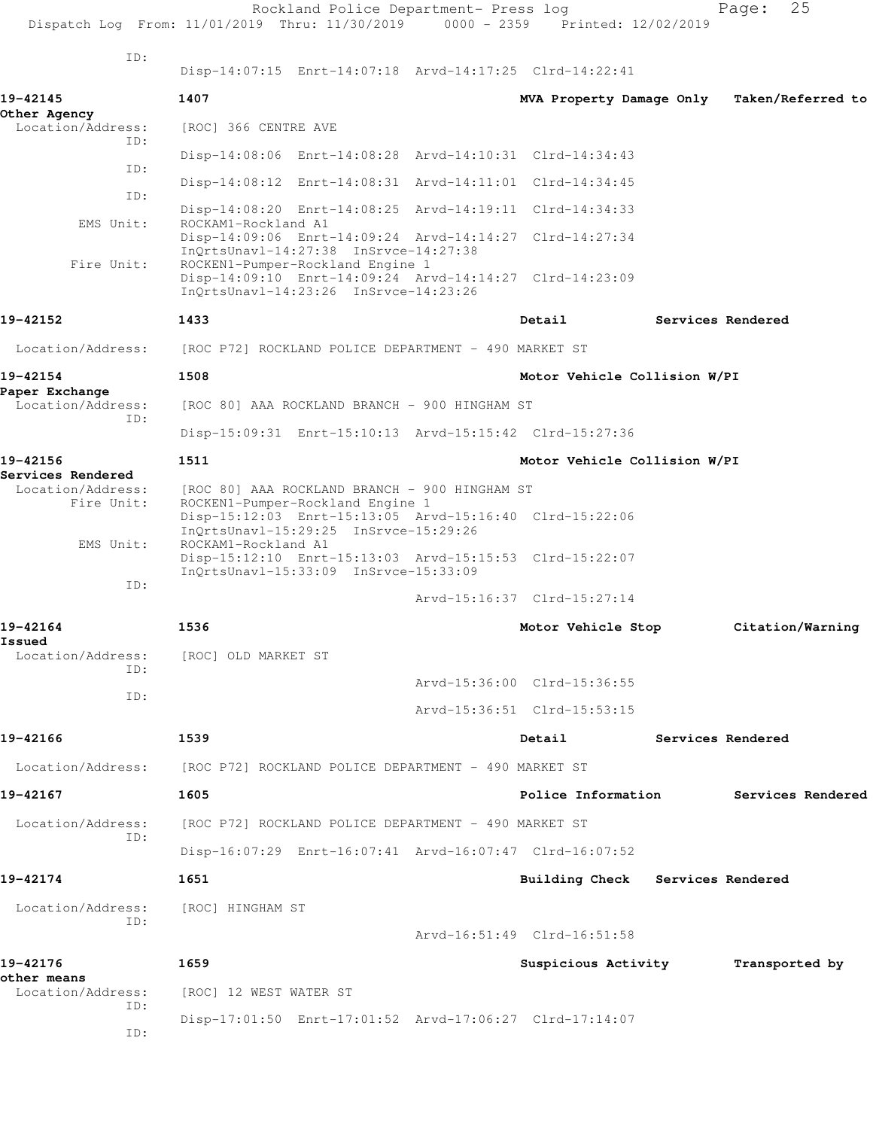|                                        | Dispatch Log From: 11/01/2019 Thru: 11/30/2019                                                                                           | Rockland Police Department- Press log | 0000 - 2359 Printed: 12/02/2019  | 25<br>Page:       |  |
|----------------------------------------|------------------------------------------------------------------------------------------------------------------------------------------|---------------------------------------|----------------------------------|-------------------|--|
| ID:                                    |                                                                                                                                          |                                       |                                  |                   |  |
|                                        | Disp-14:07:15 Enrt-14:07:18 Arvd-14:17:25 Clrd-14:22:41                                                                                  |                                       |                                  |                   |  |
| 19-42145                               | 1407                                                                                                                                     |                                       | MVA Property Damage Only         | Taken/Referred to |  |
| Other Agency<br>Location/Address:      | [ROC] 366 CENTRE AVE                                                                                                                     |                                       |                                  |                   |  |
| ID:                                    | Disp-14:08:06 Enrt-14:08:28 Arvd-14:10:31 Clrd-14:34:43                                                                                  |                                       |                                  |                   |  |
| TD:                                    | Disp-14:08:12 Enrt-14:08:31 Arvd-14:11:01 Clrd-14:34:45                                                                                  |                                       |                                  |                   |  |
| ID:                                    | Disp-14:08:20 Enrt-14:08:25 Arvd-14:19:11 Clrd-14:34:33                                                                                  |                                       |                                  |                   |  |
| EMS Unit:                              | ROCKAM1-Rockland A1<br>Disp-14:09:06 Enrt-14:09:24 Arvd-14:14:27 Clrd-14:27:34<br>$InQrtsUnav1-14:27:38$ $InSrvce-14:27:38$              |                                       |                                  |                   |  |
| Fire Unit:                             | ROCKEN1-Pumper-Rockland Engine 1<br>Disp-14:09:10 Enrt-14:09:24 Arvd-14:14:27 Clrd-14:23:09<br>InOrtsUnav1-14:23:26 InSrvce-14:23:26     |                                       |                                  |                   |  |
| 19-42152                               | 1433                                                                                                                                     |                                       | Detail                           | Services Rendered |  |
| Location/Address:                      | [ROC P72] ROCKLAND POLICE DEPARTMENT - 490 MARKET ST                                                                                     |                                       |                                  |                   |  |
| 19-42154                               | 1508                                                                                                                                     |                                       | Motor Vehicle Collision W/PI     |                   |  |
| Paper Exchange<br>Location/Address:    | [ROC 80] AAA ROCKLAND BRANCH - 900 HINGHAM ST                                                                                            |                                       |                                  |                   |  |
| ID:                                    | Disp-15:09:31 Enrt-15:10:13 Arvd-15:15:42 Clrd-15:27:36                                                                                  |                                       |                                  |                   |  |
| 19-42156                               | 1511                                                                                                                                     |                                       | Motor Vehicle Collision W/PI     |                   |  |
| Services Rendered<br>Location/Address: | [ROC 80] AAA ROCKLAND BRANCH - 900 HINGHAM ST                                                                                            |                                       |                                  |                   |  |
| Fire Unit:                             | ROCKEN1-Pumper-Rockland Engine 1<br>Disp-15:12:03 Enrt-15:13:05 Arvd-15:16:40 Clrd-15:22:06<br>$InQrtsUnav1-15:29:25$ $InSrvce-15:29:26$ |                                       |                                  |                   |  |
| EMS Unit:                              | ROCKAM1-Rockland A1<br>Disp-15:12:10 Enrt-15:13:03 Arvd-15:15:53 Clrd-15:22:07                                                           |                                       |                                  |                   |  |
| ID:                                    | InQrtsUnav1-15:33:09 InSrvce-15:33:09                                                                                                    |                                       | Arvd-15:16:37 Clrd-15:27:14      |                   |  |
| 19-42164                               | 1536                                                                                                                                     |                                       | Motor Vehicle Stop               | Citation/Warning  |  |
| Issued                                 |                                                                                                                                          |                                       |                                  |                   |  |
| Location/Address:<br>ID:               | [ROC] OLD MARKET ST                                                                                                                      |                                       |                                  |                   |  |
| ID:                                    |                                                                                                                                          |                                       | Arvd-15:36:00 Clrd-15:36:55      |                   |  |
|                                        |                                                                                                                                          |                                       | Arvd-15:36:51 Clrd-15:53:15      |                   |  |
| 19-42166                               | 1539                                                                                                                                     |                                       | Detail                           | Services Rendered |  |
| Location/Address:                      | [ROC P72] ROCKLAND POLICE DEPARTMENT - 490 MARKET ST                                                                                     |                                       |                                  |                   |  |
| 19-42167                               | 1605                                                                                                                                     |                                       | Police Information               | Services Rendered |  |
| Location/Address:<br>ID:               | [ROC P72] ROCKLAND POLICE DEPARTMENT - 490 MARKET ST                                                                                     |                                       |                                  |                   |  |
|                                        | Disp-16:07:29 Enrt-16:07:41 Arvd-16:07:47 Clrd-16:07:52                                                                                  |                                       |                                  |                   |  |
| 19-42174                               | 1651                                                                                                                                     |                                       | Building Check Services Rendered |                   |  |
| Location/Address:                      | [ROC] HINGHAM ST                                                                                                                         |                                       |                                  |                   |  |
| ID:                                    |                                                                                                                                          |                                       | Arvd-16:51:49 Clrd-16:51:58      |                   |  |
| 19-42176                               | 1659                                                                                                                                     |                                       | Suspicious Activity              | Transported by    |  |
| other means<br>Location/Address:       | [ROC] 12 WEST WATER ST                                                                                                                   |                                       |                                  |                   |  |
| ID:<br>ID:                             | Disp-17:01:50 Enrt-17:01:52 Arvd-17:06:27 Clrd-17:14:07                                                                                  |                                       |                                  |                   |  |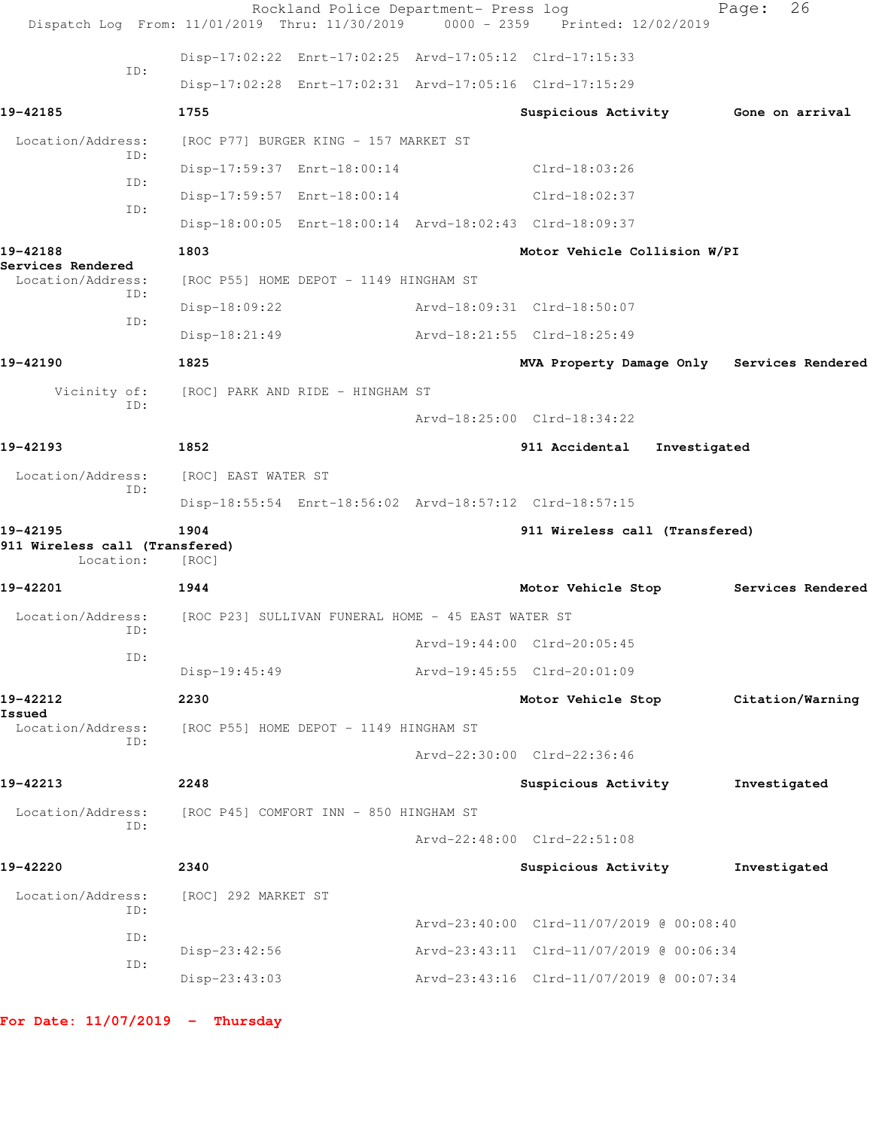|                                                         | Dispatch Log From: 11/01/2019 Thru: 11/30/2019 0000 - 2359 Printed: 12/02/2019 | Rockland Police Department- Press log |                                                         | 26<br>Page:                                |
|---------------------------------------------------------|--------------------------------------------------------------------------------|---------------------------------------|---------------------------------------------------------|--------------------------------------------|
|                                                         |                                                                                |                                       | Disp-17:02:22 Enrt-17:02:25 Arvd-17:05:12 Clrd-17:15:33 |                                            |
| ID:                                                     |                                                                                |                                       | Disp-17:02:28 Enrt-17:02:31 Arvd-17:05:16 Clrd-17:15:29 |                                            |
| 19-42185                                                | 1755                                                                           |                                       | Suspicious Activity Gone on arrival                     |                                            |
| Location/Address:                                       | [ROC P77] BURGER KING - 157 MARKET ST                                          |                                       |                                                         |                                            |
| ID:                                                     |                                                                                | Disp-17:59:37 Enrt-18:00:14           | Clrd-18:03:26                                           |                                            |
| ID:                                                     |                                                                                | Disp-17:59:57 Enrt-18:00:14           | $Clrd-18:02:37$                                         |                                            |
| ID:                                                     |                                                                                |                                       | Disp-18:00:05 Enrt-18:00:14 Arvd-18:02:43 Clrd-18:09:37 |                                            |
| 19-42188                                                | 1803                                                                           |                                       | Motor Vehicle Collision W/PI                            |                                            |
| Services Rendered<br>Location/Address:                  | [ROC P55] HOME DEPOT - 1149 HINGHAM ST                                         |                                       |                                                         |                                            |
| ID:                                                     | $Disp-18:09:22$                                                                |                                       | Arvd-18:09:31 Clrd-18:50:07                             |                                            |
| ID:                                                     | Disp-18:21:49                                                                  |                                       | Arvd-18:21:55 Clrd-18:25:49                             |                                            |
| 19-42190                                                | 1825                                                                           |                                       |                                                         | MVA Property Damage Only Services Rendered |
| Vicinity of:                                            | [ROC] PARK AND RIDE - HINGHAM ST                                               |                                       |                                                         |                                            |
| ID:                                                     |                                                                                |                                       | Arvd-18:25:00 Clrd-18:34:22                             |                                            |
| 19-42193                                                | 1852                                                                           |                                       | 911 Accidental Investigated                             |                                            |
| Location/Address:                                       | [ROC] EAST WATER ST                                                            |                                       |                                                         |                                            |
| ID:                                                     |                                                                                |                                       | Disp-18:55:54 Enrt-18:56:02 Arvd-18:57:12 Clrd-18:57:15 |                                            |
| 19-42195<br>911 Wireless call (Transfered)<br>Location: | 1904<br>[ROC]                                                                  |                                       | 911 Wireless call (Transfered)                          |                                            |
| 19-42201                                                | 1944                                                                           |                                       | Motor Vehicle Stop                                      | Services Rendered                          |
| Location/Address:                                       | [ROC P23] SULLIVAN FUNERAL HOME - 45 EAST WATER ST                             |                                       |                                                         |                                            |
| ID:                                                     |                                                                                |                                       | Arvd-19:44:00 Clrd-20:05:45                             |                                            |
| ID:                                                     | Disp-19:45:49                                                                  |                                       | Arvd-19:45:55 Clrd-20:01:09                             |                                            |
| 19-42212                                                | 2230                                                                           |                                       | Motor Vehicle Stop                                      | Citation/Warning                           |
| Issued<br>Location/Address:                             | [ROC P55] HOME DEPOT - 1149 HINGHAM ST                                         |                                       |                                                         |                                            |
| ID:                                                     |                                                                                |                                       | Arvd-22:30:00 Clrd-22:36:46                             |                                            |
| 19-42213                                                | 2248                                                                           |                                       | Suspicious Activity                                     | Investigated                               |
| Location/Address:                                       | [ROC P45] COMFORT INN - 850 HINGHAM ST                                         |                                       |                                                         |                                            |
| ID:                                                     |                                                                                |                                       | Arvd-22:48:00 Clrd-22:51:08                             |                                            |
| 19-42220                                                | 2340                                                                           |                                       | Suspicious Activity                                     | Investigated                               |
| Location/Address:<br>ID:                                | [ROC] 292 MARKET ST                                                            |                                       |                                                         |                                            |
| ID:                                                     |                                                                                |                                       | Arvd-23:40:00 Clrd-11/07/2019 @ 00:08:40                |                                            |
| ID:                                                     | Disp-23:42:56                                                                  |                                       | Arvd-23:43:11 Clrd-11/07/2019 @ 00:06:34                |                                            |
|                                                         | Disp-23:43:03                                                                  |                                       | Arvd-23:43:16 Clrd-11/07/2019 @ 00:07:34                |                                            |
|                                                         |                                                                                |                                       |                                                         |                                            |

**For Date: 11/07/2019 - Thursday**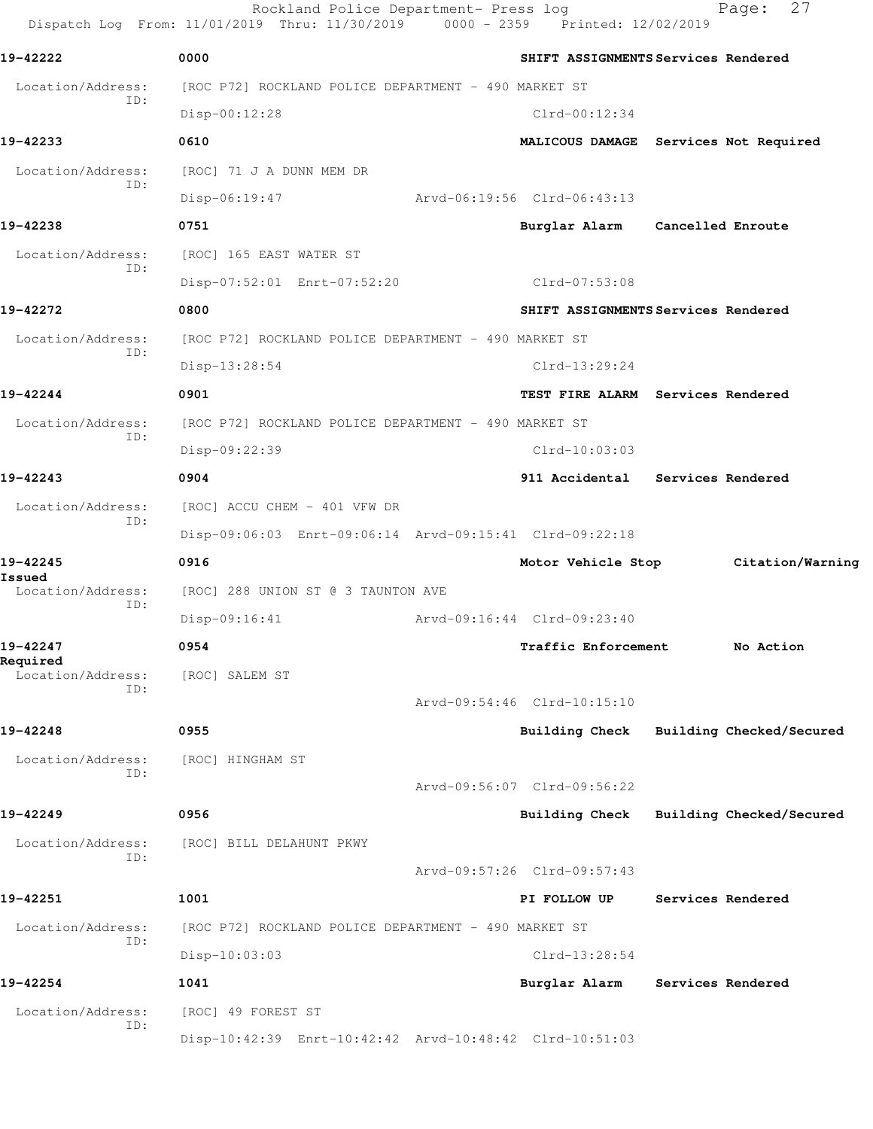Rockland Police Department- Press log Fage: 27 Dispatch Log From: 11/01/2019 Thru: 11/30/2019 0000 - 2359 Printed: 12/02/2019 **19-42222 0000 SHIFT ASSIGNMENTS Services Rendered** Location/Address: [ROC P72] ROCKLAND POLICE DEPARTMENT - 490 MARKET ST ID: Disp-00:12:28 Clrd-00:12:34 **19-42233 0610 MALICOUS DAMAGE Services Not Required** Location/Address: [ROC] 71 J A DUNN MEM DR ID: Disp-06:19:47 Arvd-06:19:56 Clrd-06:43:13 **19-42238 0751 Burglar Alarm Cancelled Enroute** Location/Address: [ROC] 165 EAST WATER ST ID: Disp-07:52:01 Enrt-07:52:20 Clrd-07:53:08 **19-42272 0800 SHIFT ASSIGNMENTS Services Rendered** Location/Address: [ROC P72] ROCKLAND POLICE DEPARTMENT - 490 MARKET ST ID: Disp-13:28:54 Clrd-13:29:24 **19-42244 0901 TEST FIRE ALARM Services Rendered** Location/Address: [ROC P72] ROCKLAND POLICE DEPARTMENT - 490 MARKET ST ID: Disp-09:22:39 Clrd-10:03:03 **19-42243 0904 911 Accidental Services Rendered** Location/Address: [ROC] ACCU CHEM - 401 VFW DR ID: Disp-09:06:03 Enrt-09:06:14 Arvd-09:15:41 Clrd-09:22:18 **19-42245 0916 Motor Vehicle Stop Citation/Warning Issued**  Location/Address: [ROC] 288 UNION ST @ 3 TAUNTON AVE ID: Disp-09:16:41 Arvd-09:16:44 Clrd-09:23:40 **19-42247 0954 Traffic Enforcement No Action Required**  Location/Address: [ROC] SALEM ST ID: Arvd-09:54:46 Clrd-10:15:10 **19-42248 0955 Building Check Building Checked/Secured** Location/Address: [ROC] HINGHAM ST ID: Arvd-09:56:07 Clrd-09:56:22 **19-42249 0956 Building Check Building Checked/Secured** Location/Address: [ROC] BILL DELAHUNT PKWY ID: Arvd-09:57:26 Clrd-09:57:43 **19-42251 1001 PI FOLLOW UP Services Rendered** Location/Address: [ROC P72] ROCKLAND POLICE DEPARTMENT - 490 MARKET ST ID: Disp-10:03:03 Clrd-13:28:54 **19-42254 1041 Burglar Alarm Services Rendered** Location/Address: [ROC] 49 FOREST ST ID: Disp-10:42:39 Enrt-10:42:42 Arvd-10:48:42 Clrd-10:51:03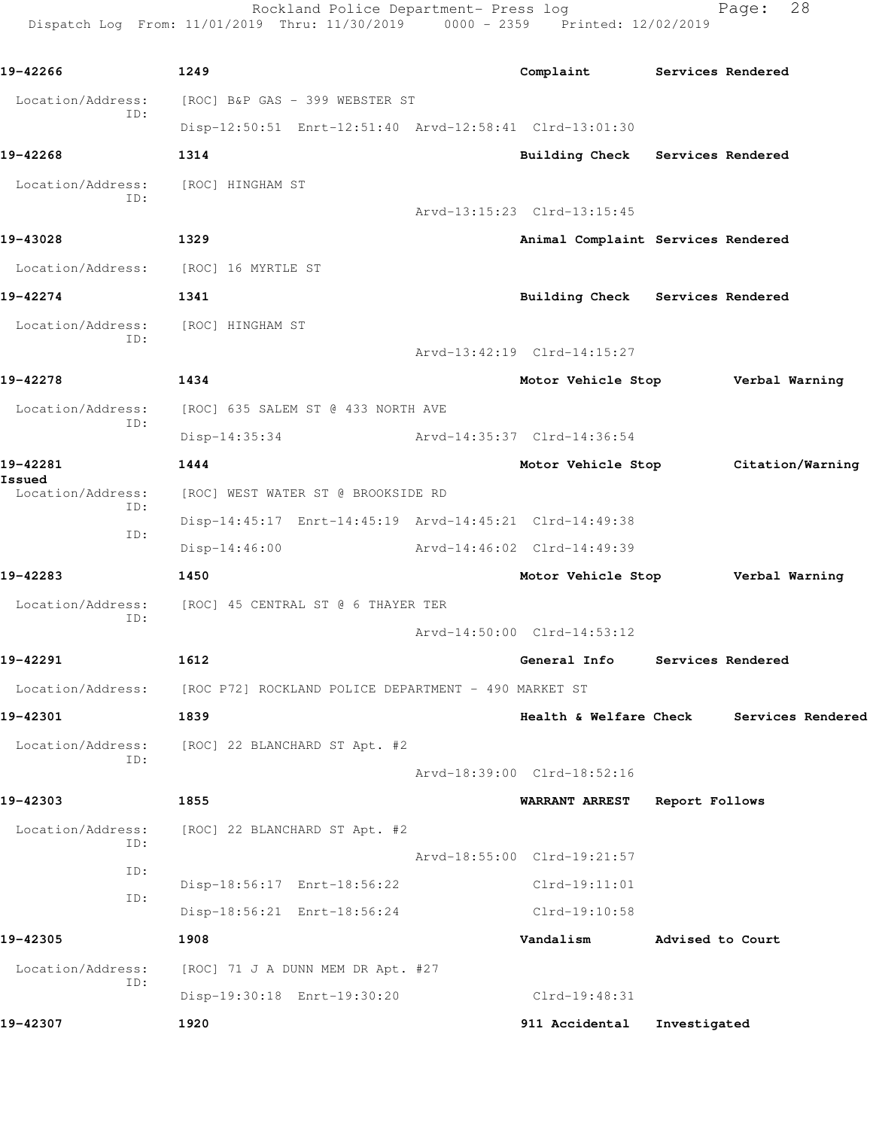Rockland Police Department- Press log Fage: 28 Dispatch Log From: 11/01/2019 Thru: 11/30/2019 0000 - 2359 Printed: 12/02/2019

**19-42266 1249 Complaint Services Rendered** Location/Address: [ROC] B&P GAS - 399 WEBSTER ST ID: Disp-12:50:51 Enrt-12:51:40 Arvd-12:58:41 Clrd-13:01:30 **19-42268 1314 Building Check Services Rendered** Location/Address: [ROC] HINGHAM ST ID: Arvd-13:15:23 Clrd-13:15:45 **19-43028 1329 Animal Complaint Services Rendered** Location/Address: [ROC] 16 MYRTLE ST **19-42274 1341 Building Check Services Rendered** Location/Address: [ROC] HINGHAM ST ID: Arvd-13:42:19 Clrd-14:15:27 **19-42278 1434 Motor Vehicle Stop Verbal Warning** Location/Address: [ROC] 635 SALEM ST @ 433 NORTH AVE ID: Disp-14:35:34 Arvd-14:35:37 Clrd-14:36:54 **19-42281 1444 Motor Vehicle Stop Citation/Warning Issued**  Location/Address: [ROC] WEST WATER ST @ BROOKSIDE RD ID: Disp-14:45:17 Enrt-14:45:19 Arvd-14:45:21 Clrd-14:49:38 ID: Disp-14:46:00 Arvd-14:46:02 Clrd-14:49:39 **19-42283 1450 Motor Vehicle Stop Verbal Warning** Location/Address: [ROC] 45 CENTRAL ST @ 6 THAYER TER ID: Arvd-14:50:00 Clrd-14:53:12 **19-42291 1612 General Info Services Rendered** Location/Address: [ROC P72] ROCKLAND POLICE DEPARTMENT - 490 MARKET ST **19-42301 1839 Health & Welfare Check Services Rendered** Location/Address: [ROC] 22 BLANCHARD ST Apt. #2 ID: Arvd-18:39:00 Clrd-18:52:16 **19-42303 1855 WARRANT ARREST Report Follows** Location/Address: [ROC] 22 BLANCHARD ST Apt. #2 ID: Arvd-18:55:00 Clrd-19:21:57 ID: Disp-18:56:17 Enrt-18:56:22 Clrd-19:11:01 ID: Disp-18:56:21 Enrt-18:56:24 Clrd-19:10:58 **19-42305 1908 Vandalism Advised to Court** Location/Address: [ROC] 71 J A DUNN MEM DR Apt. #27 ID: Disp-19:30:18 Enrt-19:30:20 Clrd-19:48:31 **19-42307 1920 911 Accidental Investigated**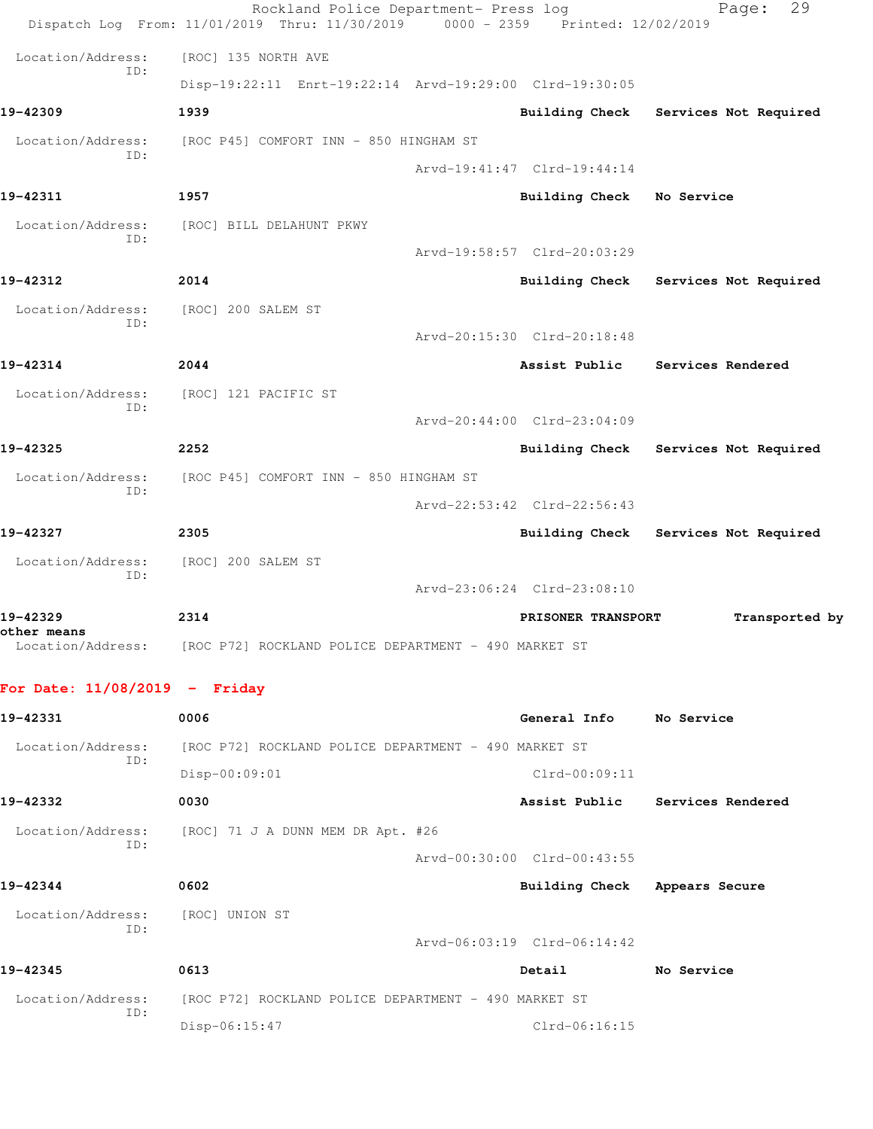| For Date: $11/08/2019$ - Friday  |                                                                                |                             |                                      |
|----------------------------------|--------------------------------------------------------------------------------|-----------------------------|--------------------------------------|
| other means<br>Location/Address: | [ROC P72] ROCKLAND POLICE DEPARTMENT - 490 MARKET ST                           |                             |                                      |
| 19-42329                         | 2314                                                                           | PRISONER TRANSPORT          | Transported by                       |
| ID:                              |                                                                                | Arvd-23:06:24 Clrd-23:08:10 |                                      |
| Location/Address:                | [ROC] 200 SALEM ST                                                             |                             |                                      |
| 19-42327                         | 2305                                                                           |                             | Building Check Services Not Required |
| ID:                              |                                                                                | Arvd-22:53:42 Clrd-22:56:43 |                                      |
| Location/Address:                | [ROC P45] COMFORT INN - 850 HINGHAM ST                                         |                             |                                      |
| 19-42325                         | 2252                                                                           | Building Check              | Services Not Required                |
| TD:                              |                                                                                | Arvd-20:44:00 Clrd-23:04:09 |                                      |
| Location/Address:                | [ROC] 121 PACIFIC ST                                                           |                             |                                      |
| 19-42314                         | 2044                                                                           | Assist Public               | Services Rendered                    |
| ID:                              |                                                                                | Arvd-20:15:30 Clrd-20:18:48 |                                      |
| Location/Address:                | [ROC] 200 SALEM ST                                                             |                             |                                      |
| 19-42312                         | 2014                                                                           | <b>Building Check</b>       | Services Not Required                |
| TD:                              |                                                                                | Arvd-19:58:57 Clrd-20:03:29 |                                      |
| Location/Address:                | [ROC] BILL DELAHUNT PKWY                                                       |                             |                                      |
| 19-42311                         | 1957                                                                           | Building Check              | No Service                           |
| TD:                              |                                                                                | Arvd-19:41:47 Clrd-19:44:14 |                                      |
| Location/Address:                | [ROC P45] COMFORT INN - 850 HINGHAM ST                                         |                             |                                      |
| 19-42309                         | 1939                                                                           | <b>Building Check</b>       | Services Not Required                |
| ID:                              | Disp-19:22:11 Enrt-19:22:14 Arvd-19:29:00 Clrd-19:30:05                        |                             |                                      |
| Location/Address:                | [ROC] 135 NORTH AVE                                                            |                             |                                      |
|                                  | Dispatch Log From: 11/01/2019 Thru: 11/30/2019 0000 - 2359 Printed: 12/02/2019 |                             |                                      |

| 19-42331                 | 0006                                                 | General Info                | No Service        |
|--------------------------|------------------------------------------------------|-----------------------------|-------------------|
| Location/Address:        | [ROC P72] ROCKLAND POLICE DEPARTMENT - 490 MARKET ST |                             |                   |
| ID:                      | $Disp-00:09:01$                                      | $Clrd-00:09:11$             |                   |
| 19-42332                 | 0030                                                 | Assist Public               | Services Rendered |
| Location/Address:        | [ROC] 71 J A DUNN MEM DR Apt. #26                    |                             |                   |
| ID:                      |                                                      | Arvd-00:30:00 Clrd-00:43:55 |                   |
| 19-42344                 | 0602                                                 | <b>Building Check</b>       | Appears Secure    |
| Location/Address:<br>ID: | [ROC] UNION ST                                       |                             |                   |
|                          |                                                      | Arvd-06:03:19 Clrd-06:14:42 |                   |
| 19-42345                 | 0613                                                 | Detail                      | No Service        |
| Location/Address:<br>ID: | [ROC P72] ROCKLAND POLICE DEPARTMENT - 490 MARKET ST |                             |                   |
|                          | $Disp-06:15:47$                                      | Clrd-06:16:15               |                   |
|                          |                                                      |                             |                   |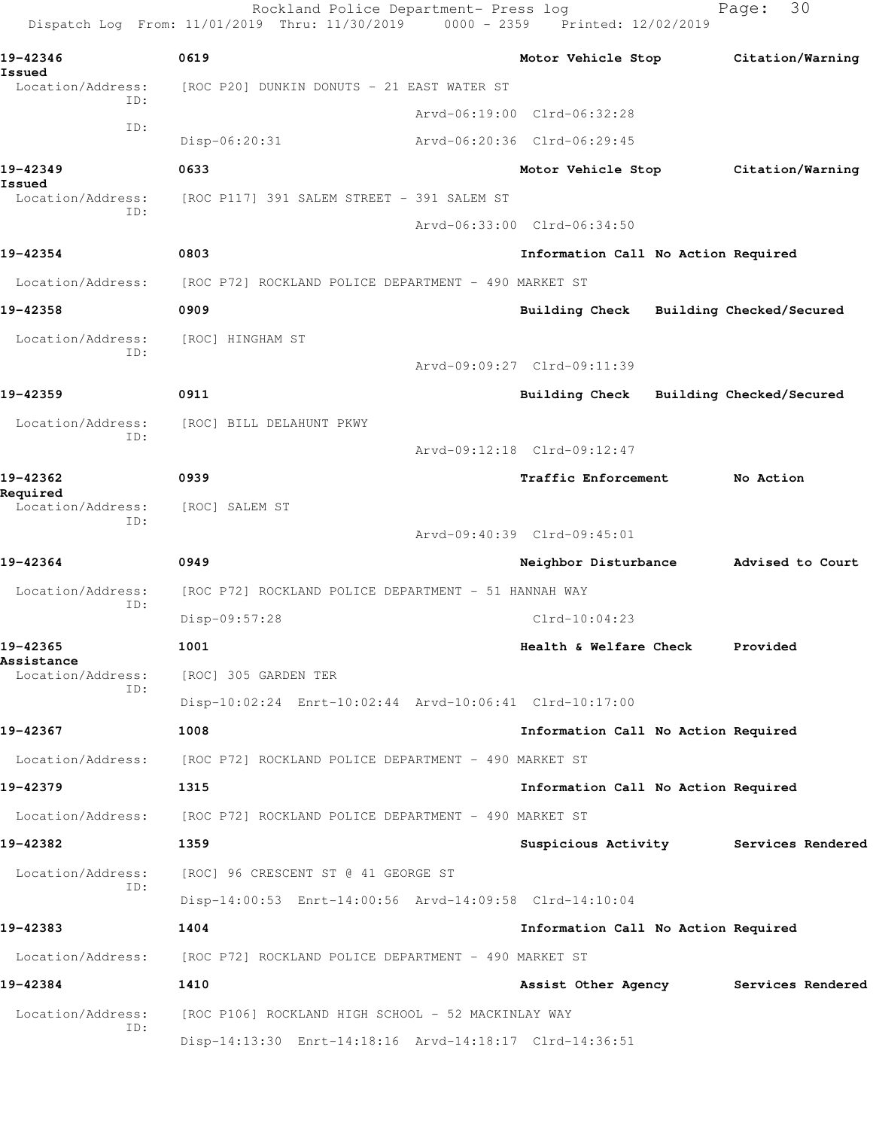Rockland Police Department- Press log Fage: 30 Dispatch Log From: 11/01/2019 Thru: 11/30/2019 0000 - 2359 Printed: 12/02/2019 **19-42346 0619 Motor Vehicle Stop Citation/Warning Issued**  Location/Address: [ROC P20] DUNKIN DONUTS - 21 EAST WATER ST ID: Arvd-06:19:00 Clrd-06:32:28 ID: Disp-06:20:31 Arvd-06:20:36 Clrd-06:29:45 **19-42349 0633 Motor Vehicle Stop Citation/Warning Issued**  Location/Address: [ROC P117] 391 SALEM STREET - 391 SALEM ST ID: Arvd-06:33:00 Clrd-06:34:50 **19-42354 0803 Information Call No Action Required** Location/Address: [ROC P72] ROCKLAND POLICE DEPARTMENT - 490 MARKET ST **19-42358 0909 Building Check Building Checked/Secured** Location/Address: [ROC] HINGHAM ST ID: Arvd-09:09:27 Clrd-09:11:39 **19-42359 0911 Building Check Building Checked/Secured** Location/Address: [ROC] BILL DELAHUNT PKWY ID: Arvd-09:12:18 Clrd-09:12:47 **19-42362 0939 Traffic Enforcement No Action Required**  Location/Address: [ROC] SALEM ST ID: Arvd-09:40:39 Clrd-09:45:01 **19-42364 0949 Neighbor Disturbance Advised to Court** Location/Address: [ROC P72] ROCKLAND POLICE DEPARTMENT - 51 HANNAH WAY ID: Disp-09:57:28 Clrd-10:04:23 **19-42365 1001 Health & Welfare Check Provided Assistance**  Location/Address: [ROC] 305 GARDEN TER ID: Disp-10:02:24 Enrt-10:02:44 Arvd-10:06:41 Clrd-10:17:00 **19-42367 1008 Information Call No Action Required** Location/Address: [ROC P72] ROCKLAND POLICE DEPARTMENT - 490 MARKET ST **19-42379 1315 Information Call No Action Required** Location/Address: [ROC P72] ROCKLAND POLICE DEPARTMENT - 490 MARKET ST **19-42382 1359 Suspicious Activity Services Rendered** Location/Address: [ROC] 96 CRESCENT ST @ 41 GEORGE ST ID: Disp-14:00:53 Enrt-14:00:56 Arvd-14:09:58 Clrd-14:10:04 **19-42383 1404 Information Call No Action Required** Location/Address: [ROC P72] ROCKLAND POLICE DEPARTMENT - 490 MARKET ST **19-42384 1410 Assist Other Agency Services Rendered** Location/Address: [ROC P106] ROCKLAND HIGH SCHOOL - 52 MACKINLAY WAY ID: Disp-14:13:30 Enrt-14:18:16 Arvd-14:18:17 Clrd-14:36:51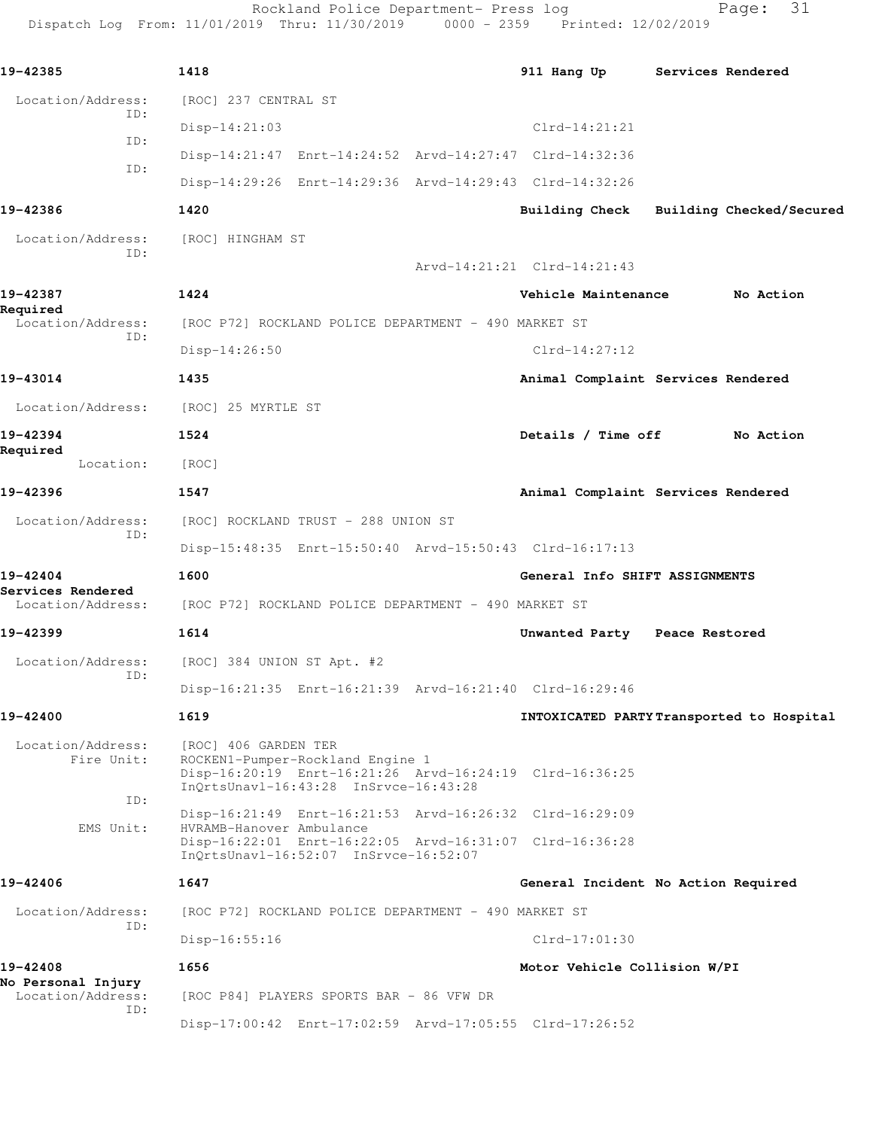Rockland Police Department- Press log entitled and Page: 31 Dispatch Log From: 11/01/2019 Thru: 11/30/2019 0000 - 2359 Printed: 12/02/2019

| 19-42385                               | 1418                                |                                                                           |  | 911 Hang Up                                             |                | Services Rendered        |
|----------------------------------------|-------------------------------------|---------------------------------------------------------------------------|--|---------------------------------------------------------|----------------|--------------------------|
| Location/Address:                      | [ROC] 237 CENTRAL ST                |                                                                           |  |                                                         |                |                          |
| ID:                                    | $Disp-14:21:03$                     |                                                                           |  | $Clrd-14:21:21$                                         |                |                          |
| ID:                                    |                                     |                                                                           |  | Disp-14:21:47 Enrt-14:24:52 Arvd-14:27:47 Clrd-14:32:36 |                |                          |
| ID:                                    |                                     |                                                                           |  | Disp-14:29:26 Enrt-14:29:36 Arvd-14:29:43 Clrd-14:32:26 |                |                          |
| 19-42386                               | 1420                                |                                                                           |  | <b>Building Check</b>                                   |                | Building Checked/Secured |
| Location/Address:                      | [ROC] HINGHAM ST                    |                                                                           |  |                                                         |                |                          |
| ID:                                    |                                     |                                                                           |  | Arvd-14:21:21 Clrd-14:21:43                             |                |                          |
| 19-42387                               | 1424                                |                                                                           |  | Vehicle Maintenance                                     |                | No Action                |
| Required<br>Location/Address:          |                                     | [ROC P72] ROCKLAND POLICE DEPARTMENT - 490 MARKET ST                      |  |                                                         |                |                          |
| ID:                                    | $Disp-14:26:50$                     |                                                                           |  | $Clrd-14:27:12$                                         |                |                          |
| 19-43014                               | 1435                                |                                                                           |  | Animal Complaint Services Rendered                      |                |                          |
| Location/Address:                      | [ROC] 25 MYRTLE ST                  |                                                                           |  |                                                         |                |                          |
| 19-42394                               | 1524                                |                                                                           |  | Details / Time off                                      |                | No Action                |
| Required<br>Location:                  | [ROC]                               |                                                                           |  |                                                         |                |                          |
| 19-42396                               | 1547                                |                                                                           |  | Animal Complaint Services Rendered                      |                |                          |
| Location/Address:                      | [ROC] ROCKLAND TRUST - 288 UNION ST |                                                                           |  |                                                         |                |                          |
| ID:                                    |                                     |                                                                           |  | Disp-15:48:35 Enrt-15:50:40 Arvd-15:50:43 Clrd-16:17:13 |                |                          |
| 19-42404                               | 1600                                |                                                                           |  | General Info SHIFT ASSIGNMENTS                          |                |                          |
| Services Rendered<br>Location/Address: |                                     | [ROC P72] ROCKLAND POLICE DEPARTMENT - 490 MARKET ST                      |  |                                                         |                |                          |
| 19-42399                               | 1614                                |                                                                           |  | Unwanted Party                                          | Peace Restored |                          |
| Location/Address:                      | [ROC] 384 UNION ST Apt. #2          |                                                                           |  |                                                         |                |                          |
| ID:                                    |                                     |                                                                           |  | Disp-16:21:35 Enrt-16:21:39 Arvd-16:21:40 Clrd-16:29:46 |                |                          |
| 19-42400                               | 1619                                |                                                                           |  | INTOXICATED PARTYTransported to Hospital                |                |                          |
| Location/Address:<br>Fire Unit:        | [ROC] 406 GARDEN TER                | ROCKEN1-Pumper-Rockland Engine 1<br>InOrtsUnavl-16:43:28 InSrvce-16:43:28 |  | Disp-16:20:19 Enrt-16:21:26 Arvd-16:24:19 Clrd-16:36:25 |                |                          |
| ID:                                    |                                     |                                                                           |  | Disp-16:21:49 Enrt-16:21:53 Arvd-16:26:32 Clrd-16:29:09 |                |                          |
| EMS Unit:                              | HVRAMB-Hanover Ambulance            | InOrtsUnavl-16:52:07 InSrvce-16:52:07                                     |  | Disp-16:22:01 Enrt-16:22:05 Arvd-16:31:07 Clrd-16:36:28 |                |                          |
| 19-42406                               | 1647                                |                                                                           |  | General Incident No Action Required                     |                |                          |
| Location/Address:<br>ID:               |                                     | [ROC P72] ROCKLAND POLICE DEPARTMENT - 490 MARKET ST                      |  |                                                         |                |                          |
|                                        | $Disp-16:55:16$                     |                                                                           |  | $Clrd-17:01:30$                                         |                |                          |
| 19-42408<br>No Personal Injury         | 1656                                |                                                                           |  | Motor Vehicle Collision W/PI                            |                |                          |
| Location/Address:<br>ID:               |                                     | [ROC P84] PLAYERS SPORTS BAR - 86 VFW DR                                  |  |                                                         |                |                          |
|                                        |                                     |                                                                           |  | Disp-17:00:42 Enrt-17:02:59 Arvd-17:05:55 Clrd-17:26:52 |                |                          |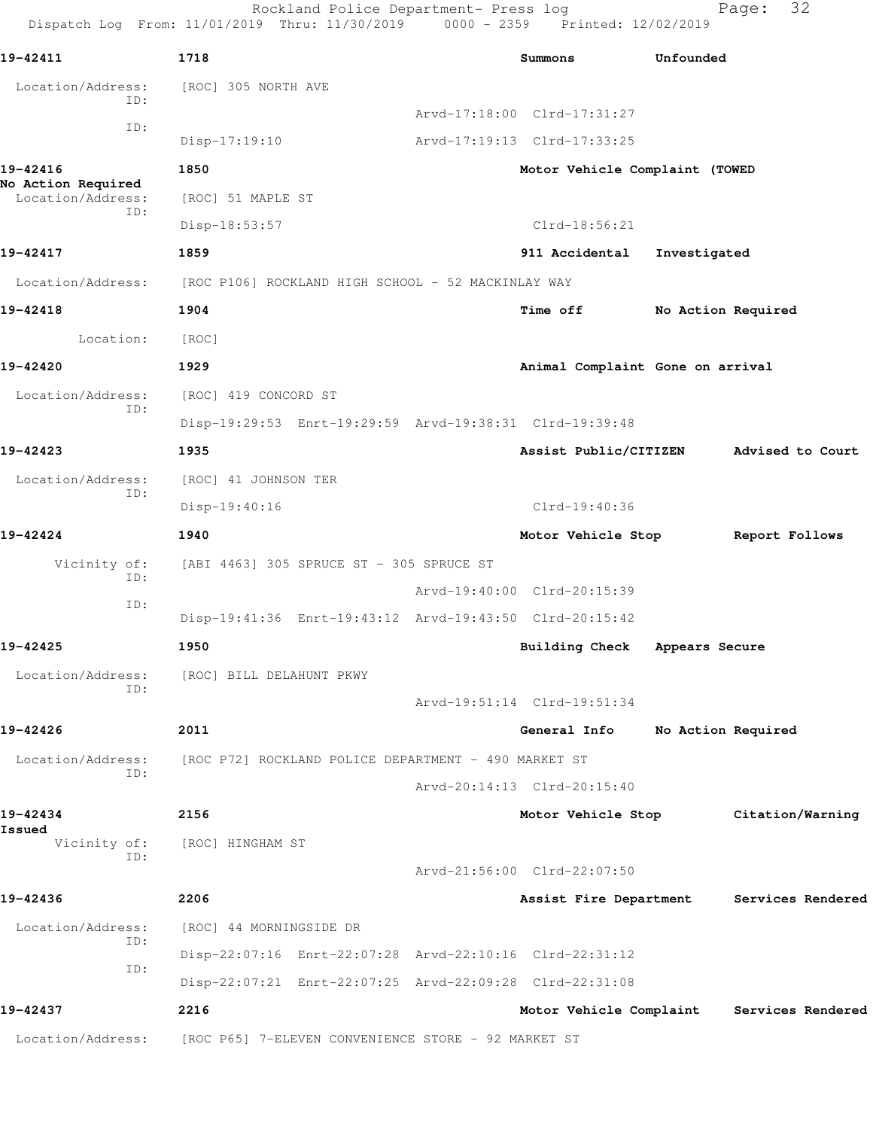Rockland Police Department- Press log Fage: 32 Dispatch Log From: 11/01/2019 Thru: 11/30/2019 0000 - 2359 Printed: 12/02/2019 **19-42411 1718 Summons Unfounded**  Location/Address: [ROC] 305 NORTH AVE ID: Arvd-17:18:00 Clrd-17:31:27 ID: Disp-17:19:10 Arvd-17:19:13 Clrd-17:33:25 **19-42416 1850 Motor Vehicle Complaint (TOWED No Action Required**  Location/Address: [ROC] 51 MAPLE ST ID: Disp-18:53:57 Clrd-18:56:21 **19-42417 1859 911 Accidental Investigated** Location/Address: [ROC P106] ROCKLAND HIGH SCHOOL - 52 MACKINLAY WAY **19-42418 1904 Time off No Action Required** Location: [ROC] **19-42420 1929 Animal Complaint Gone on arrival** Location/Address: [ROC] 419 CONCORD ST ID: Disp-19:29:53 Enrt-19:29:59 Arvd-19:38:31 Clrd-19:39:48 **19-42423 1935 Assist Public/CITIZEN Advised to Court** Location/Address: [ROC] 41 JOHNSON TER ID: Disp-19:40:16 Clrd-19:40:36 **19-42424 1940 Motor Vehicle Stop Report Follows** Vicinity of: [ABI 4463] 305 SPRUCE ST - 305 SPRUCE ST ID: Arvd-19:40:00 Clrd-20:15:39 ID: Disp-19:41:36 Enrt-19:43:12 Arvd-19:43:50 Clrd-20:15:42 **19-42425 1950 Building Check Appears Secure** Location/Address: [ROC] BILL DELAHUNT PKWY ID: Arvd-19:51:14 Clrd-19:51:34 **19-42426 2011 General Info No Action Required** Location/Address: [ROC P72] ROCKLAND POLICE DEPARTMENT - 490 MARKET ST ID: Arvd-20:14:13 Clrd-20:15:40 **19-42434 2156 Motor Vehicle Stop Citation/Warning Issued**  [ROC] HINGHAM ST ID: Arvd-21:56:00 Clrd-22:07:50 **19-42436 2206 Assist Fire Department Services Rendered** Location/Address: [ROC] 44 MORNINGSIDE DR ID: Disp-22:07:16 Enrt-22:07:28 Arvd-22:10:16 Clrd-22:31:12 ID: Disp-22:07:21 Enrt-22:07:25 Arvd-22:09:28 Clrd-22:31:08 **19-42437 2216 Motor Vehicle Complaint Services Rendered** Location/Address: [ROC P65] 7-ELEVEN CONVENIENCE STORE - 92 MARKET ST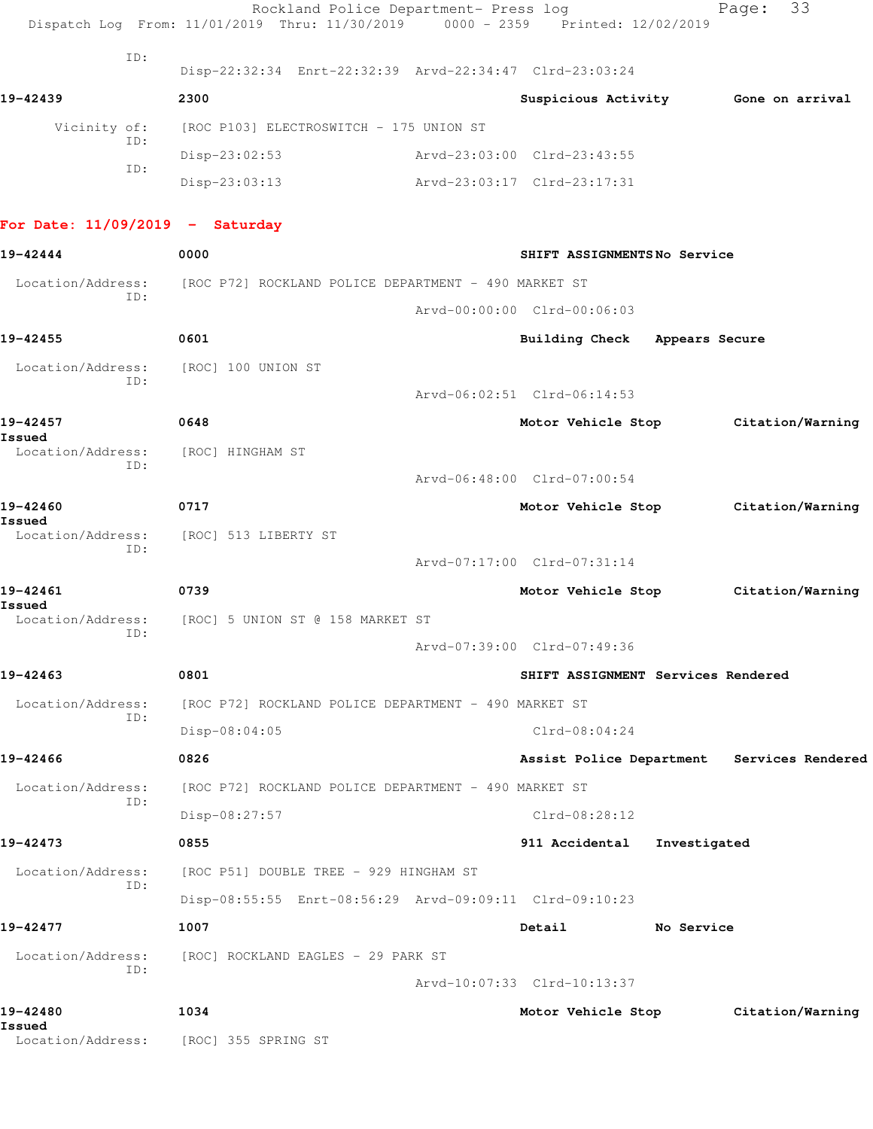|                                   | Rockland Police Department- Press log<br>Dispatch Log From: 11/01/2019 Thru: 11/30/2019 0000 - 2359 Printed: 12/02/2019 |                                    |              | Page: 33                                   |  |
|-----------------------------------|-------------------------------------------------------------------------------------------------------------------------|------------------------------------|--------------|--------------------------------------------|--|
| ID:                               | Disp-22:32:34 Enrt-22:32:39 Arvd-22:34:47 Clrd-23:03:24                                                                 |                                    |              |                                            |  |
| 19-42439                          | 2300                                                                                                                    |                                    |              | Suspicious Activity 6one on arrival        |  |
| Vicinity of:                      | [ROC P103] ELECTROSWITCH - 175 UNION ST                                                                                 |                                    |              |                                            |  |
| ID:                               | $Disp-23:02:53$                                                                                                         | Arvd-23:03:00 Clrd-23:43:55        |              |                                            |  |
| ID:                               | $Disp-23:03:13$                                                                                                         | Arvd-23:03:17 Clrd-23:17:31        |              |                                            |  |
| For Date: $11/09/2019$ - Saturday |                                                                                                                         |                                    |              |                                            |  |
| 19-42444                          | 0000                                                                                                                    | SHIFT ASSIGNMENTSNo Service        |              |                                            |  |
| Location/Address:                 | [ROC P72] ROCKLAND POLICE DEPARTMENT - 490 MARKET ST                                                                    |                                    |              |                                            |  |
| ID:                               |                                                                                                                         | Arvd-00:00:00 Clrd-00:06:03        |              |                                            |  |
| 19-42455                          | 0601                                                                                                                    | Building Check Appears Secure      |              |                                            |  |
| Location/Address:                 | [ROC] 100 UNION ST                                                                                                      |                                    |              |                                            |  |
| ID:                               |                                                                                                                         | Arvd-06:02:51 Clrd-06:14:53        |              |                                            |  |
| 19-42457                          | 0648                                                                                                                    |                                    |              | Motor Vehicle Stop Citation/Warning        |  |
| Issued<br>Location/Address:       | [ROC] HINGHAM ST                                                                                                        |                                    |              |                                            |  |
| ID:                               |                                                                                                                         | Arvd-06:48:00 Clrd-07:00:54        |              |                                            |  |
| 19-42460                          | 0717                                                                                                                    |                                    |              | Motor Vehicle Stop Citation/Warning        |  |
| Issued<br>Location/Address:       | [ROC] 513 LIBERTY ST                                                                                                    |                                    |              |                                            |  |
| ID:                               |                                                                                                                         | Arvd-07:17:00 Clrd-07:31:14        |              |                                            |  |
| 19-42461                          | 0739                                                                                                                    |                                    |              | Motor Vehicle Stop Citation/Warning        |  |
| Issued                            | Location/Address: [ROC] 5 UNION ST @ 158 MARKET ST                                                                      |                                    |              |                                            |  |
| ID:                               |                                                                                                                         | Arvd-07:39:00 Clrd-07:49:36        |              |                                            |  |
| 19-42463                          | 0801                                                                                                                    | SHIFT ASSIGNMENT Services Rendered |              |                                            |  |
| Location/Address:                 | [ROC P72] ROCKLAND POLICE DEPARTMENT - 490 MARKET ST                                                                    |                                    |              |                                            |  |
| ID:                               | Disp-08:04:05                                                                                                           | $Clrd-08:04:24$                    |              |                                            |  |
| 19-42466                          | 0826                                                                                                                    |                                    |              | Assist Police Department Services Rendered |  |
| Location/Address:                 | [ROC P72] ROCKLAND POLICE DEPARTMENT - 490 MARKET ST                                                                    |                                    |              |                                            |  |
| ID:                               | Disp-08:27:57                                                                                                           | $Clrd-08:28:12$                    |              |                                            |  |
| 19-42473                          | 0855                                                                                                                    | 911 Accidental                     | Investigated |                                            |  |
| Location/Address:                 | [ROC P51] DOUBLE TREE - 929 HINGHAM ST                                                                                  |                                    |              |                                            |  |
| ID:                               | Disp-08:55:55 Enrt-08:56:29 Arvd-09:09:11 Clrd-09:10:23                                                                 |                                    |              |                                            |  |
| 19-42477                          | 1007                                                                                                                    | Detail                             | No Service   |                                            |  |
| Location/Address:                 | [ROC] ROCKLAND EAGLES - 29 PARK ST                                                                                      |                                    |              |                                            |  |
| ID:                               |                                                                                                                         | Arvd-10:07:33 Clrd-10:13:37        |              |                                            |  |
| 19-42480<br>Issued                | 1034                                                                                                                    | Motor Vehicle Stop                 |              | Citation/Warning                           |  |
|                                   | Location/Address: [ROC] 355 SPRING ST                                                                                   |                                    |              |                                            |  |
|                                   |                                                                                                                         |                                    |              |                                            |  |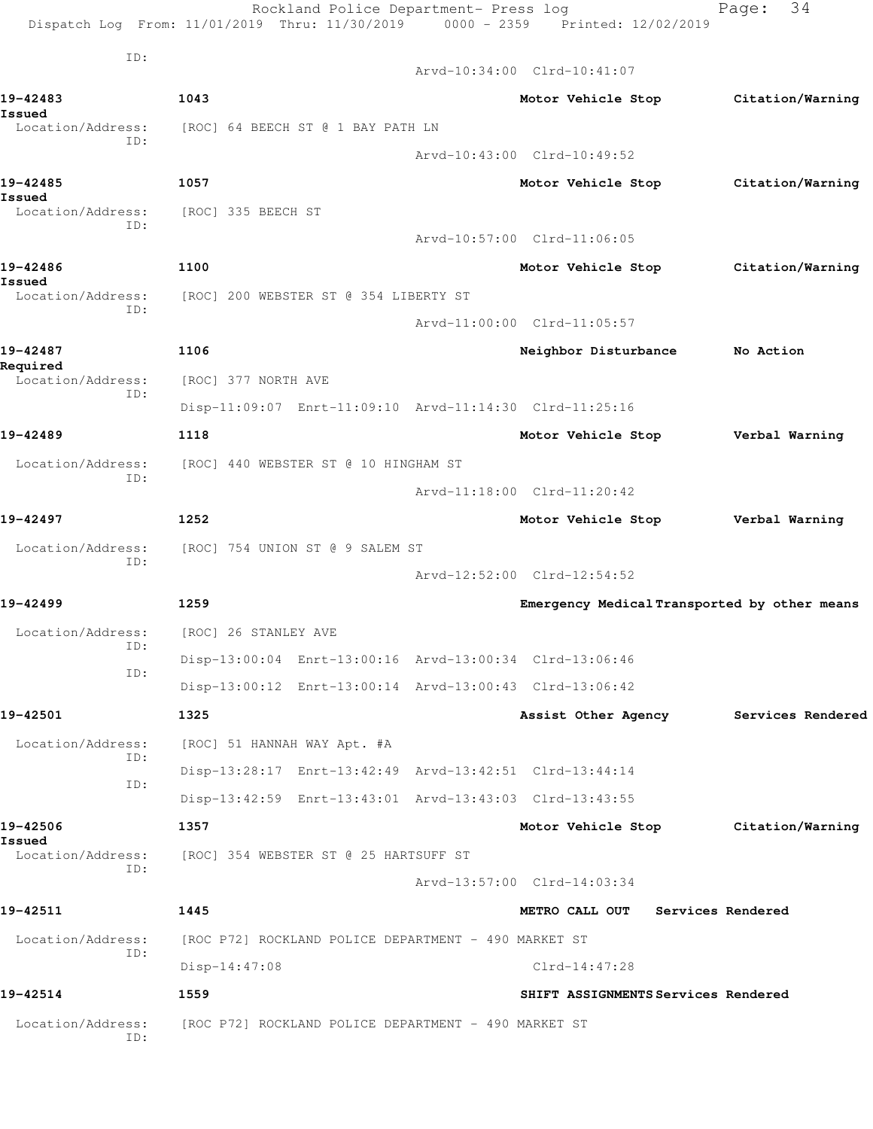|                               | Rockland Police Department- Press log<br>Dispatch Log From: 11/01/2019 Thru: 11/30/2019 0000 - 2359 Printed: 12/02/2019 |                                              | 34<br>Page:       |
|-------------------------------|-------------------------------------------------------------------------------------------------------------------------|----------------------------------------------|-------------------|
| ID:                           |                                                                                                                         | Arvd-10:34:00 Clrd-10:41:07                  |                   |
| 19-42483                      | 1043                                                                                                                    | Motor Vehicle Stop                           | Citation/Warning  |
| Issued<br>Location/Address:   | [ROC] 64 BEECH ST @ 1 BAY PATH LN                                                                                       |                                              |                   |
| ID:                           |                                                                                                                         | Arvd-10:43:00 Clrd-10:49:52                  |                   |
| 19-42485                      | 1057                                                                                                                    | Motor Vehicle Stop                           | Citation/Warning  |
| Issued<br>Location/Address:   | [ROC] 335 BEECH ST                                                                                                      |                                              |                   |
| TD:                           |                                                                                                                         | Arvd-10:57:00 Clrd-11:06:05                  |                   |
| 19-42486                      | 1100                                                                                                                    | Motor Vehicle Stop                           | Citation/Warning  |
| Issued<br>Location/Address:   | [ROC] 200 WEBSTER ST @ 354 LIBERTY ST                                                                                   |                                              |                   |
| ID:                           |                                                                                                                         | Arvd-11:00:00 Clrd-11:05:57                  |                   |
| 19-42487                      | 1106                                                                                                                    | Neighbor Disturbance                         | No Action         |
| Required<br>Location/Address: | [ROC] 377 NORTH AVE                                                                                                     |                                              |                   |
| ID:                           | Disp-11:09:07 Enrt-11:09:10 Arvd-11:14:30 Clrd-11:25:16                                                                 |                                              |                   |
| 19-42489                      | 1118                                                                                                                    | Motor Vehicle Stop                           | Verbal Warning    |
| Location/Address:<br>ID:      | [ROC] 440 WEBSTER ST @ 10 HINGHAM ST                                                                                    |                                              |                   |
|                               |                                                                                                                         | Arvd-11:18:00 Clrd-11:20:42                  |                   |
| 19-42497                      | 1252                                                                                                                    | Motor Vehicle Stop                           | Verbal Warning    |
| Location/Address:             | [ROC] 754 UNION ST @ 9 SALEM ST                                                                                         |                                              |                   |
| ID:                           |                                                                                                                         | Arvd-12:52:00 Clrd-12:54:52                  |                   |
| 19-42499                      | 1259                                                                                                                    | Emergency Medical Transported by other means |                   |
| Location/Address:             | [ROC] 26 STANLEY AVE                                                                                                    |                                              |                   |
| ID:                           | Disp-13:00:04 Enrt-13:00:16 Arvd-13:00:34 Clrd-13:06:46                                                                 |                                              |                   |
| ID:                           | Disp-13:00:12 Enrt-13:00:14 Arvd-13:00:43 Clrd-13:06:42                                                                 |                                              |                   |
| 19-42501                      | 1325                                                                                                                    | Assist Other Agency                          | Services Rendered |
| Location/Address:             | [ROC] 51 HANNAH WAY Apt. #A                                                                                             |                                              |                   |
| ID:                           | Disp-13:28:17 Enrt-13:42:49 Arvd-13:42:51 Clrd-13:44:14                                                                 |                                              |                   |
| ID:                           | Disp-13:42:59 Enrt-13:43:01 Arvd-13:43:03 Clrd-13:43:55                                                                 |                                              |                   |
| 19-42506                      | 1357                                                                                                                    | Motor Vehicle Stop Citation/Warning          |                   |
| Issued<br>Location/Address:   | [ROC] 354 WEBSTER ST @ 25 HARTSUFF ST                                                                                   |                                              |                   |
| ID:                           |                                                                                                                         | Arvd-13:57:00 Clrd-14:03:34                  |                   |
| 19-42511                      | 1445                                                                                                                    | METRO CALL OUT                               | Services Rendered |
| Location/Address:             | [ROC P72] ROCKLAND POLICE DEPARTMENT - 490 MARKET ST                                                                    |                                              |                   |
| ID:                           | Disp-14:47:08                                                                                                           | $Clrd-14:47:28$                              |                   |
| 19-42514                      | 1559                                                                                                                    | SHIFT ASSIGNMENTS Services Rendered          |                   |
| Location/Address:<br>ID:      | [ROC P72] ROCKLAND POLICE DEPARTMENT - 490 MARKET ST                                                                    |                                              |                   |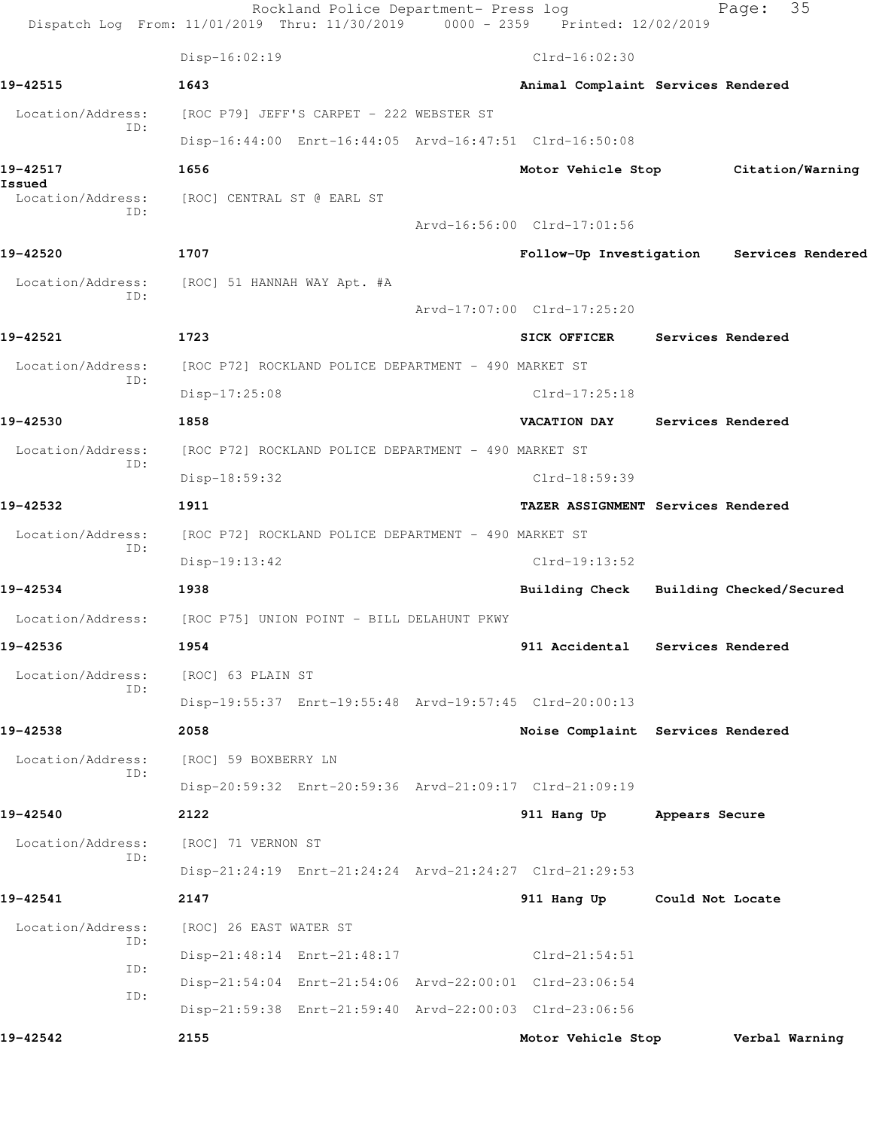|                             | Dispatch Log From: 11/01/2019 Thru: 11/30/2019 | Rockland Police Department- Press log                   | 0000 - 2359 Printed: 12/02/2019 | 35<br>Page:                               |
|-----------------------------|------------------------------------------------|---------------------------------------------------------|---------------------------------|-------------------------------------------|
|                             | Disp-16:02:19                                  |                                                         | $Clrd-16:02:30$                 |                                           |
| 19-42515                    | 1643                                           |                                                         |                                 | Animal Complaint Services Rendered        |
| Location/Address:           | [ROC P79] JEFF'S CARPET - 222 WEBSTER ST       |                                                         |                                 |                                           |
| ID:                         |                                                | Disp-16:44:00 Enrt-16:44:05 Arvd-16:47:51 Clrd-16:50:08 |                                 |                                           |
| 19-42517                    | 1656                                           |                                                         |                                 | Motor Vehicle Stop Citation/Warning       |
| Issued<br>Location/Address: | [ROC] CENTRAL ST @ EARL ST                     |                                                         |                                 |                                           |
| ID:                         |                                                |                                                         | Arvd-16:56:00 Clrd-17:01:56     |                                           |
| 19-42520                    | 1707                                           |                                                         |                                 | Follow-Up Investigation Services Rendered |
| Location/Address:<br>TD:    | [ROC] 51 HANNAH WAY Apt. #A                    |                                                         |                                 |                                           |
|                             |                                                |                                                         | Arvd-17:07:00 Clrd-17:25:20     |                                           |
| 19-42521                    | 1723                                           |                                                         | <b>SICK OFFICER</b>             | Services Rendered                         |
| Location/Address:<br>ID:    |                                                | [ROC P72] ROCKLAND POLICE DEPARTMENT - 490 MARKET ST    |                                 |                                           |
|                             | Disp-17:25:08                                  |                                                         | $Clrd-17:25:18$                 |                                           |
| 19-42530                    | 1858                                           |                                                         | <b>VACATION DAY</b>             | Services Rendered                         |
| Location/Address:<br>ID:    |                                                | [ROC P72] ROCKLAND POLICE DEPARTMENT - 490 MARKET ST    |                                 |                                           |
|                             | Disp-18:59:32                                  |                                                         | Clrd-18:59:39                   |                                           |
| 19-42532                    | 1911                                           |                                                         |                                 | TAZER ASSIGNMENT Services Rendered        |
| Location/Address:<br>ID:    |                                                | [ROC P72] ROCKLAND POLICE DEPARTMENT - 490 MARKET ST    |                                 |                                           |
|                             | $Disp-19:13:42$                                |                                                         | Clrd-19:13:52                   |                                           |
| 19-42534                    | 1938                                           |                                                         |                                 | Building Check Building Checked/Secured   |
| Location/Address:           | [ROC P75] UNION POINT - BILL DELAHUNT PKWY     |                                                         |                                 |                                           |
| 19-42536                    | 1954                                           |                                                         |                                 | 911 Accidental Services Rendered          |
| Location/Address:<br>ID:    | [ROC] 63 PLAIN ST                              |                                                         |                                 |                                           |
|                             |                                                | Disp-19:55:37 Enrt-19:55:48 Arvd-19:57:45 Clrd-20:00:13 |                                 |                                           |
| 19-42538                    | 2058                                           |                                                         |                                 | Noise Complaint Services Rendered         |
| Location/Address:<br>ID:    | [ROC] 59 BOXBERRY LN                           |                                                         |                                 |                                           |
|                             |                                                | Disp-20:59:32 Enrt-20:59:36 Arvd-21:09:17 Clrd-21:09:19 |                                 |                                           |
| 19-42540                    | 2122                                           |                                                         | 911 Hang Up                     | Appears Secure                            |
| Location/Address:<br>ID:    | [ROC] 71 VERNON ST                             |                                                         |                                 |                                           |
|                             |                                                | Disp-21:24:19 Enrt-21:24:24 Arvd-21:24:27 Clrd-21:29:53 |                                 |                                           |
| 19-42541                    | 2147                                           |                                                         | 911 Hang Up                     | Could Not Locate                          |
| Location/Address:<br>ID:    | [ROC] 26 EAST WATER ST                         |                                                         |                                 |                                           |
| ID:                         | Disp-21:48:14 Enrt-21:48:17                    |                                                         | $Clrd-21:54:51$                 |                                           |
| ID:                         |                                                | Disp-21:54:04 Enrt-21:54:06 Arvd-22:00:01 Clrd-23:06:54 |                                 |                                           |
|                             |                                                | Disp-21:59:38 Enrt-21:59:40 Arvd-22:00:03 Clrd-23:06:56 |                                 |                                           |
| 19-42542                    | 2155                                           |                                                         | Motor Vehicle Stop              | Verbal Warning                            |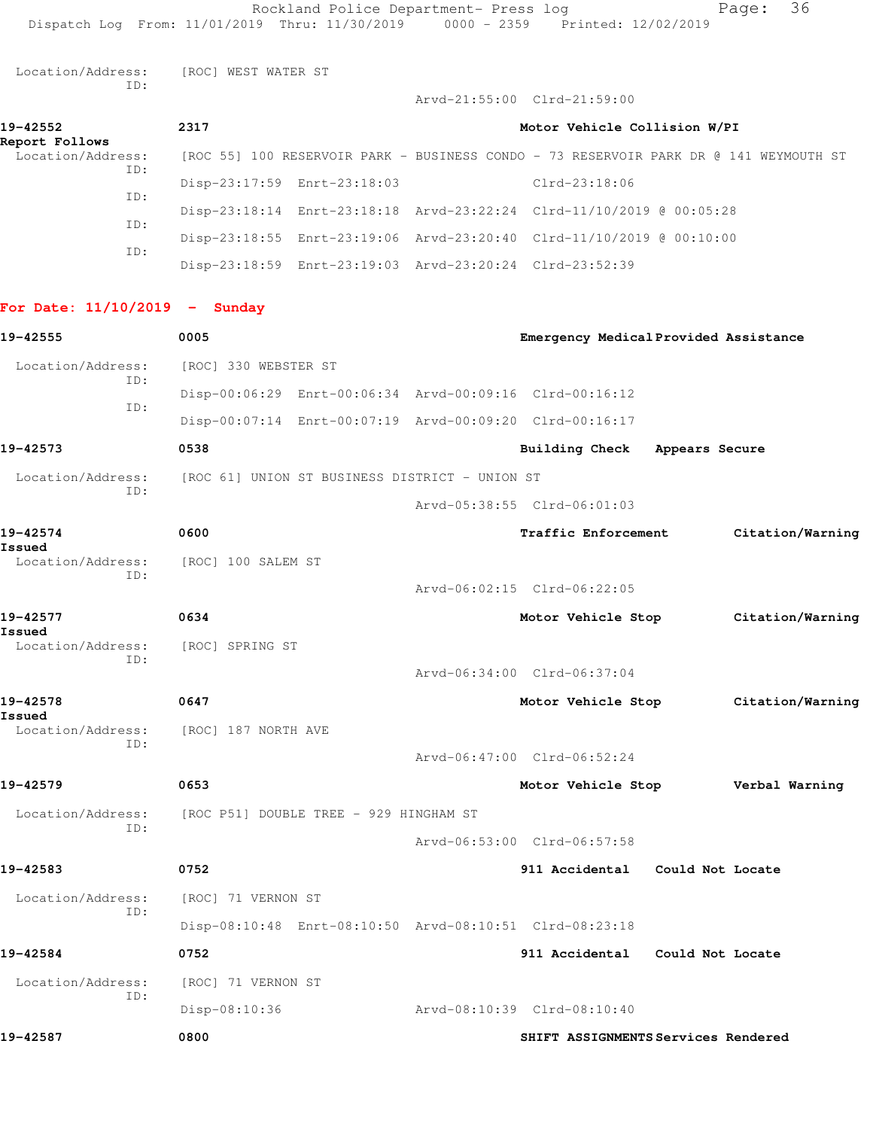Location/Address: [ROC] WEST WATER ST ID:

**19-42552 2317 Motor Vehicle Collision W/PI Report Follows**  -<br>Location/Address: [ROC 55] 100 RESERVOIR PARK - BUSINESS CONDO - 73 RESERVOIR PARK DR @ 141 WEYMOUTH ST ID: Disp-23:17:59 Enrt-23:18:03 Clrd-23:18:06 ID: Disp-23:18:14 Enrt-23:18:18 Arvd-23:22:24 Clrd-11/10/2019 @ 00:05:28 ID: Disp-23:18:55 Enrt-23:19:06 Arvd-23:20:40 Clrd-11/10/2019 @ 00:10:00 ID: Disp-23:18:59 Enrt-23:19:03 Arvd-23:20:24 Clrd-23:52:39

Arvd-21:55:00 Clrd-21:59:00

## **For Date: 11/10/2019 - Sunday**

| 19-42555                 | 0005                                                    | Emergency Medical Provided Assistance |                  |
|--------------------------|---------------------------------------------------------|---------------------------------------|------------------|
| Location/Address:        | [ROC] 330 WEBSTER ST                                    |                                       |                  |
| ID:                      | Disp-00:06:29 Enrt-00:06:34 Arvd-00:09:16 Clrd-00:16:12 |                                       |                  |
| ID:                      | Disp-00:07:14 Enrt-00:07:19 Arvd-00:09:20 Clrd-00:16:17 |                                       |                  |
| 19-42573                 | 0538                                                    | Building Check Appears Secure         |                  |
| Location/Address:<br>TD: | [ROC 61] UNION ST BUSINESS DISTRICT - UNION ST          |                                       |                  |
|                          |                                                         | Arvd-05:38:55 Clrd-06:01:03           |                  |
| 19-42574<br>Issued       | 0600                                                    | Traffic Enforcement                   | Citation/Warning |
| Location/Address:<br>TD: | [ROC] 100 SALEM ST                                      |                                       |                  |
|                          |                                                         | Arvd-06:02:15 Clrd-06:22:05           |                  |
| 19-42577<br>Issued       | 0634                                                    | Motor Vehicle Stop                    | Citation/Warning |
| Location/Address:<br>ID: | [ROC] SPRING ST                                         |                                       |                  |
|                          |                                                         | Arvd-06:34:00 Clrd-06:37:04           |                  |
| 19-42578<br>Issued       | 0647                                                    | Motor Vehicle Stop                    | Citation/Warning |
| Location/Address:<br>TD: | [ROC] 187 NORTH AVE                                     |                                       |                  |
|                          |                                                         | Arvd-06:47:00 Clrd-06:52:24           |                  |
| 19-42579                 | 0653                                                    | Motor Vehicle Stop                    | Verbal Warning   |
| Location/Address:<br>TD: | [ROC P51] DOUBLE TREE - 929 HINGHAM ST                  |                                       |                  |
|                          |                                                         | Arvd-06:53:00 Clrd-06:57:58           |                  |
| 19-42583                 | 0752                                                    | 911 Accidental Could Not Locate       |                  |
| Location/Address:<br>ID: | [ROC] 71 VERNON ST                                      |                                       |                  |
|                          | Disp-08:10:48 Enrt-08:10:50 Arvd-08:10:51 Clrd-08:23:18 |                                       |                  |
| 19-42584                 | 0752                                                    | 911 Accidental Could Not Locate       |                  |
| Location/Address:        | [ROC] 71 VERNON ST                                      |                                       |                  |
| ID:                      | $Disp-08:10:36$                                         | Arvd-08:10:39 Clrd-08:10:40           |                  |
| 19-42587                 | 0800                                                    | SHIFT ASSIGNMENTS Services Rendered   |                  |
|                          |                                                         |                                       |                  |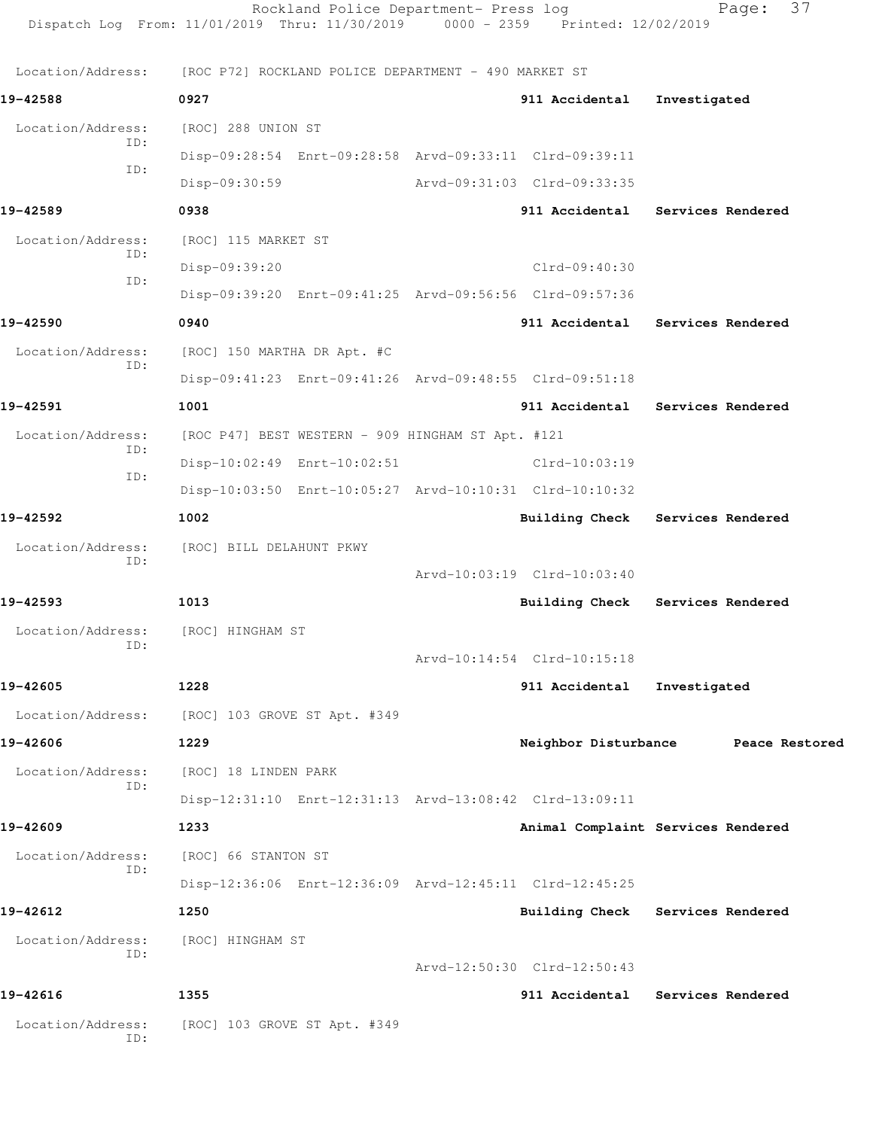|                                    | Rockland Police Department- Press log<br>Dispatch Log From: 11/01/2019 Thru: 11/30/2019 0000 - 2359 Printed: 12/02/2019 |                                     |                   | 37<br>Page:       |
|------------------------------------|-------------------------------------------------------------------------------------------------------------------------|-------------------------------------|-------------------|-------------------|
| Location/Address:                  | [ROC P72] ROCKLAND POLICE DEPARTMENT - 490 MARKET ST                                                                    |                                     |                   |                   |
| 19-42588                           | 0927                                                                                                                    | 911 Accidental                      | Investigated      |                   |
| Location/Address:                  | [ROC] 288 UNION ST                                                                                                      |                                     |                   |                   |
| ID:                                | Disp-09:28:54 Enrt-09:28:58 Arvd-09:33:11 Clrd-09:39:11                                                                 |                                     |                   |                   |
| ID:                                | Disp-09:30:59                                                                                                           | Arvd-09:31:03 Clrd-09:33:35         |                   |                   |
| 19-42589                           | 0938                                                                                                                    | 911 Accidental Services Rendered    |                   |                   |
| Location/Address:                  | [ROC] 115 MARKET ST                                                                                                     |                                     |                   |                   |
| ID:                                | Disp-09:39:20                                                                                                           | Clrd-09:40:30                       |                   |                   |
| ID:                                | Disp-09:39:20 Enrt-09:41:25 Arvd-09:56:56 Clrd-09:57:36                                                                 |                                     |                   |                   |
| 19-42590                           | 0940                                                                                                                    | 911 Accidental                      |                   | Services Rendered |
| Location/Address:                  | [ROC] 150 MARTHA DR Apt. #C                                                                                             |                                     |                   |                   |
| ID:                                | Disp-09:41:23 Enrt-09:41:26 Arvd-09:48:55 Clrd-09:51:18                                                                 |                                     |                   |                   |
| 19-42591                           | 1001                                                                                                                    | 911 Accidental Services Rendered    |                   |                   |
| Location/Address:                  | [ROC P47] BEST WESTERN - 909 HINGHAM ST Apt. #121                                                                       |                                     |                   |                   |
| ID:                                | Disp-10:02:49 Enrt-10:02:51                                                                                             | Clrd-10:03:19                       |                   |                   |
| ID:                                | Disp-10:03:50 Enrt-10:05:27 Arvd-10:10:31 Clrd-10:10:32                                                                 |                                     |                   |                   |
| 19-42592                           | 1002                                                                                                                    | <b>Building Check</b>               | Services Rendered |                   |
| Location/Address:                  | [ROC] BILL DELAHUNT PKWY                                                                                                |                                     |                   |                   |
| ID:                                |                                                                                                                         | Arvd-10:03:19 Clrd-10:03:40         |                   |                   |
| 19-42593                           | 1013                                                                                                                    | <b>Building Check</b>               | Services Rendered |                   |
| Location/Address: [ROC] HINGHAM ST |                                                                                                                         |                                     |                   |                   |
| ID:                                |                                                                                                                         | Arvd-10:14:54 Clrd-10:15:18         |                   |                   |
| 19-42605                           | 1228                                                                                                                    | 911 Accidental                      | Investigated      |                   |
| Location/Address:                  | [ROC] 103 GROVE ST Apt. #349                                                                                            |                                     |                   |                   |
| 19-42606                           | 1229                                                                                                                    | Neighbor Disturbance Peace Restored |                   |                   |
| Location/Address:                  | [ROC] 18 LINDEN PARK                                                                                                    |                                     |                   |                   |
| ID:                                | Disp-12:31:10 Enrt-12:31:13 Arvd-13:08:42 Clrd-13:09:11                                                                 |                                     |                   |                   |
| 19-42609                           | 1233                                                                                                                    | Animal Complaint Services Rendered  |                   |                   |
| Location/Address:                  | [ROC] 66 STANTON ST                                                                                                     |                                     |                   |                   |
| ID:                                | Disp-12:36:06 Enrt-12:36:09 Arvd-12:45:11 Clrd-12:45:25                                                                 |                                     |                   |                   |
| 19-42612                           | 1250                                                                                                                    | Building Check Services Rendered    |                   |                   |
| Location/Address:                  | [ROC] HINGHAM ST                                                                                                        |                                     |                   |                   |
| ID:                                |                                                                                                                         | Arvd-12:50:30 Clrd-12:50:43         |                   |                   |
| 19-42616                           | 1355                                                                                                                    | 911 Accidental                      |                   | Services Rendered |
| Location/Address:<br>ID:           | [ROC] 103 GROVE ST Apt. #349                                                                                            |                                     |                   |                   |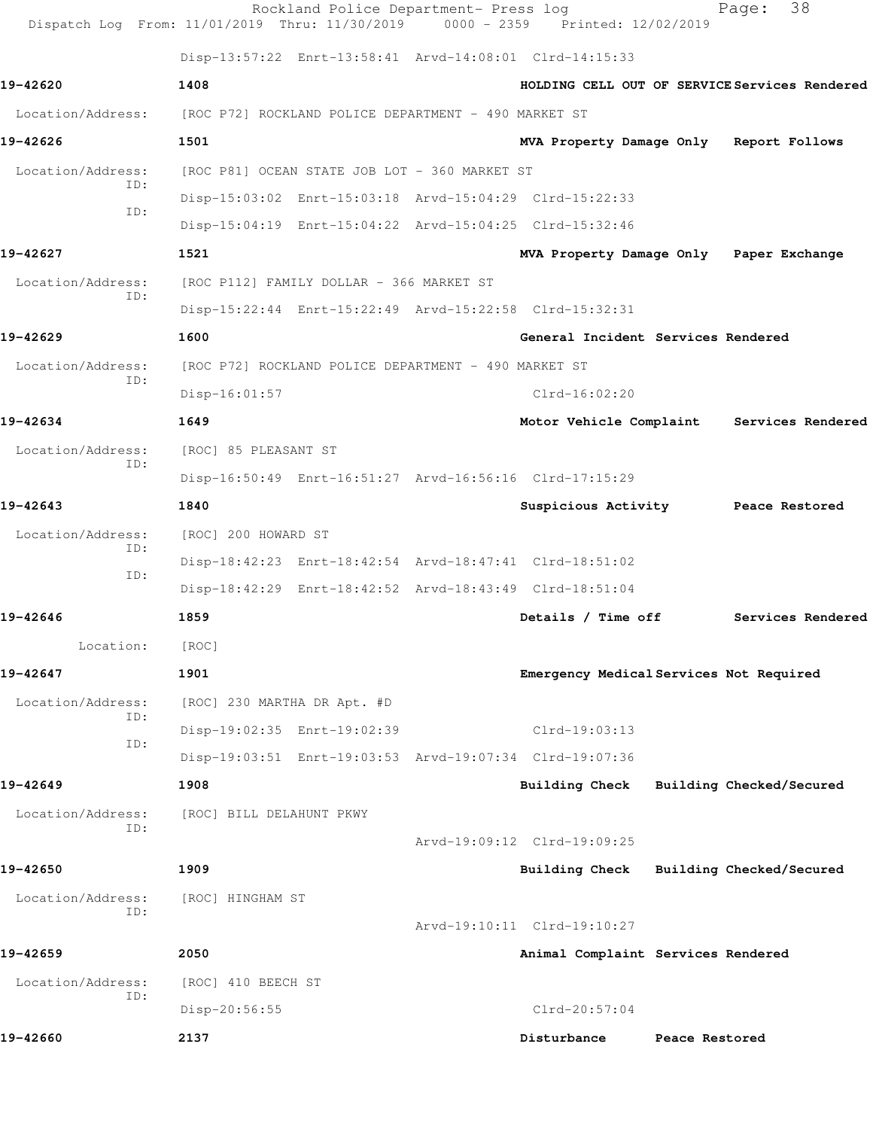|                          | Rockland Police Department- Press log<br>Dispatch Log From: 11/01/2019 Thru: 11/30/2019 0000 - 2359 Printed: 12/02/2019 |                                    | 38<br>Page:                                   |  |
|--------------------------|-------------------------------------------------------------------------------------------------------------------------|------------------------------------|-----------------------------------------------|--|
|                          | Disp-13:57:22 Enrt-13:58:41 Arvd-14:08:01 Clrd-14:15:33                                                                 |                                    |                                               |  |
| 19-42620                 | 1408                                                                                                                    |                                    | HOLDING CELL OUT OF SERVICE Services Rendered |  |
| Location/Address:        | [ROC P72] ROCKLAND POLICE DEPARTMENT - 490 MARKET ST                                                                    |                                    |                                               |  |
| 19-42626                 | 1501                                                                                                                    |                                    | MVA Property Damage Only Report Follows       |  |
| Location/Address:        | [ROC P81] OCEAN STATE JOB LOT - 360 MARKET ST                                                                           |                                    |                                               |  |
| ID:                      | Disp-15:03:02 Enrt-15:03:18 Arvd-15:04:29 Clrd-15:22:33                                                                 |                                    |                                               |  |
| ID:                      | Disp-15:04:19 Enrt-15:04:22 Arvd-15:04:25 Clrd-15:32:46                                                                 |                                    |                                               |  |
| 19-42627                 | 1521                                                                                                                    |                                    | MVA Property Damage Only Paper Exchange       |  |
| Location/Address:<br>ID: | [ROC P112] FAMILY DOLLAR - 366 MARKET ST                                                                                |                                    |                                               |  |
|                          | Disp-15:22:44 Enrt-15:22:49 Arvd-15:22:58 Clrd-15:32:31                                                                 |                                    |                                               |  |
| 19-42629                 | 1600                                                                                                                    | General Incident Services Rendered |                                               |  |
| Location/Address:        | [ROC P72] ROCKLAND POLICE DEPARTMENT - 490 MARKET ST                                                                    |                                    |                                               |  |
| ID:                      | Disp-16:01:57                                                                                                           | $Clrd-16:02:20$                    |                                               |  |
| 19-42634                 | 1649                                                                                                                    | Motor Vehicle Complaint            | Services Rendered                             |  |
| Location/Address:        | [ROC] 85 PLEASANT ST                                                                                                    |                                    |                                               |  |
| ID:                      | Disp-16:50:49 Enrt-16:51:27 Arvd-16:56:16 Clrd-17:15:29                                                                 |                                    |                                               |  |
| 19-42643                 | 1840                                                                                                                    |                                    | Suspicious Activity Peace Restored            |  |
| Location/Address:<br>ID: | [ROC] 200 HOWARD ST                                                                                                     |                                    |                                               |  |
| ID:                      | Disp-18:42:23 Enrt-18:42:54 Arvd-18:47:41 Clrd-18:51:02                                                                 |                                    |                                               |  |
|                          | Disp-18:42:29 Enrt-18:42:52 Arvd-18:43:49 Clrd-18:51:04                                                                 |                                    |                                               |  |
| 19-42646                 | 1859                                                                                                                    | Details / Time off                 | Services Rendered                             |  |
| Location:                | [ROC]                                                                                                                   |                                    |                                               |  |
| 19-42647                 | 1901                                                                                                                    |                                    | Emergency Medical Services Not Required       |  |
| Location/Address:        | [ROC] 230 MARTHA DR Apt. #D                                                                                             |                                    |                                               |  |
| ID:<br>ID:               | Disp-19:02:35 Enrt-19:02:39                                                                                             | $Clrd-19:03:13$                    |                                               |  |
|                          | Disp-19:03:51 Enrt-19:03:53 Arvd-19:07:34 Clrd-19:07:36                                                                 |                                    |                                               |  |
| 19-42649                 | 1908                                                                                                                    | <b>Building Check</b>              | Building Checked/Secured                      |  |
| Location/Address:<br>ID: | [ROC] BILL DELAHUNT PKWY                                                                                                |                                    |                                               |  |
|                          |                                                                                                                         | Arvd-19:09:12 Clrd-19:09:25        |                                               |  |
| 19-42650                 | 1909                                                                                                                    | Building Check                     | Building Checked/Secured                      |  |
| Location/Address:<br>ID: | [ROC] HINGHAM ST                                                                                                        |                                    |                                               |  |
|                          |                                                                                                                         | Arvd-19:10:11 Clrd-19:10:27        |                                               |  |
| 19-42659                 | 2050                                                                                                                    | Animal Complaint Services Rendered |                                               |  |
| Location/Address:<br>ID: | [ROC] 410 BEECH ST                                                                                                      |                                    |                                               |  |
|                          | Disp-20:56:55                                                                                                           | $Clrd-20:57:04$                    |                                               |  |
| 19-42660                 | 2137                                                                                                                    | Disturbance                        | Peace Restored                                |  |
|                          |                                                                                                                         |                                    |                                               |  |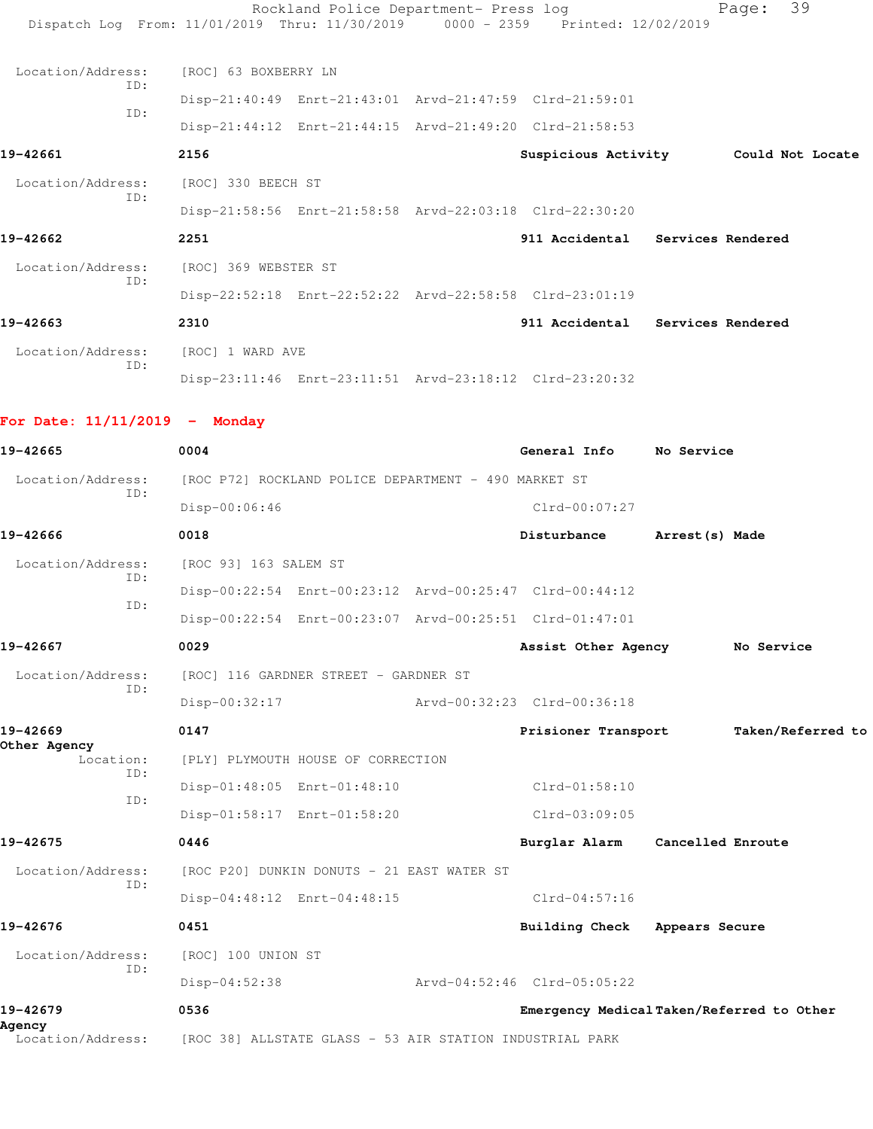|                                                                                |                                                         | Rockland Police Department- Press log |                                  |                   | 39<br>Page:                          |
|--------------------------------------------------------------------------------|---------------------------------------------------------|---------------------------------------|----------------------------------|-------------------|--------------------------------------|
| Dispatch Log From: 11/01/2019 Thru: 11/30/2019 0000 - 2359 Printed: 12/02/2019 |                                                         |                                       |                                  |                   |                                      |
| Location/Address:                                                              | [ROC] 63 BOXBERRY LN                                    |                                       |                                  |                   |                                      |
| ID:                                                                            | Disp-21:40:49 Enrt-21:43:01 Arvd-21:47:59 Clrd-21:59:01 |                                       |                                  |                   |                                      |
| ID:                                                                            | Disp-21:44:12 Enrt-21:44:15 Arvd-21:49:20 Clrd-21:58:53 |                                       |                                  |                   |                                      |
| 19-42661                                                                       | 2156                                                    |                                       |                                  |                   | Suspicious Activity Could Not Locate |
| Location/Address:                                                              | [ROC] 330 BEECH ST                                      |                                       |                                  |                   |                                      |
| ID:                                                                            | Disp-21:58:56 Enrt-21:58:58 Arvd-22:03:18 Clrd-22:30:20 |                                       |                                  |                   |                                      |
| 19-42662                                                                       | 2251                                                    |                                       | 911 Accidental Services Rendered |                   |                                      |
| Location/Address:                                                              | [ROC] 369 WEBSTER ST                                    |                                       |                                  |                   |                                      |
| ID:                                                                            | Disp-22:52:18 Enrt-22:52:22 Arvd-22:58:58 Clrd-23:01:19 |                                       |                                  |                   |                                      |
| 19-42663                                                                       | 2310                                                    |                                       | 911 Accidental Services Rendered |                   |                                      |
| Location/Address:                                                              | [ROC] 1 WARD AVE                                        |                                       |                                  |                   |                                      |
| ID:                                                                            | Disp-23:11:46 Enrt-23:11:51 Arvd-23:18:12 Clrd-23:20:32 |                                       |                                  |                   |                                      |
| For Date: $11/11/2019$ - Monday                                                |                                                         |                                       |                                  |                   |                                      |
| 19-42665                                                                       | 0004                                                    |                                       | General Info No Service          |                   |                                      |
| Location/Address:<br>ID:                                                       | [ROC P72] ROCKLAND POLICE DEPARTMENT - 490 MARKET ST    |                                       |                                  |                   |                                      |
|                                                                                | Disp-00:06:46                                           |                                       | $Clrd-00:07:27$                  |                   |                                      |
| 19-42666                                                                       | 0018                                                    |                                       | Disturbance                      | Arrest(s) Made    |                                      |
| Location/Address: [ROC 93] 163 SALEM ST                                        |                                                         |                                       |                                  |                   |                                      |
| ID:                                                                            | Disp-00:22:54 Enrt-00:23:12 Arvd-00:25:47 Clrd-00:44:12 |                                       |                                  |                   |                                      |
| ID:                                                                            | Disp-00:22:54 Enrt-00:23:07 Arvd-00:25:51 Clrd-01:47:01 |                                       |                                  |                   |                                      |
| 19-42667                                                                       | 0029                                                    |                                       | Assist Other Agency              |                   | No Service                           |
| Location/Address:                                                              | [ROC] 116 GARDNER STREET - GARDNER ST                   |                                       |                                  |                   |                                      |
| ID:                                                                            | Disp-00:32:17                                           |                                       | Arvd-00:32:23 Clrd-00:36:18      |                   |                                      |
| 19-42669                                                                       | 0147                                                    |                                       | Prisioner Transport              |                   | Taken/Referred to                    |
| Other Agency<br>Location:                                                      | [PLY] PLYMOUTH HOUSE OF CORRECTION                      |                                       |                                  |                   |                                      |
| ID:                                                                            | Disp-01:48:05 Enrt-01:48:10                             |                                       | $Clrd-01:58:10$                  |                   |                                      |
| ID:                                                                            | Disp-01:58:17 Enrt-01:58:20                             |                                       | $Clrd-03:09:05$                  |                   |                                      |
| 19-42675                                                                       | 0446                                                    |                                       | Burglar Alarm                    | Cancelled Enroute |                                      |
| Location/Address:<br>ID:                                                       | [ROC P20] DUNKIN DONUTS - 21 EAST WATER ST              |                                       |                                  |                   |                                      |
|                                                                                | Disp-04:48:12 Enrt-04:48:15                             |                                       | $Clrd-04:57:16$                  |                   |                                      |
| 19-42676                                                                       | 0451                                                    |                                       | <b>Building Check</b>            | Appears Secure    |                                      |
| Location/Address:<br>ID:                                                       | [ROC] 100 UNION ST                                      |                                       |                                  |                   |                                      |
|                                                                                | $Disp-04:52:38$                                         |                                       | Arvd-04:52:46 Clrd-05:05:22      |                   |                                      |

**19-42679 0536 Emergency Medical Taken/Referred to Other**

Location/Address: [ROC 38] ALLSTATE GLASS - 53 AIR STATION INDUSTRIAL PARK

**Agency**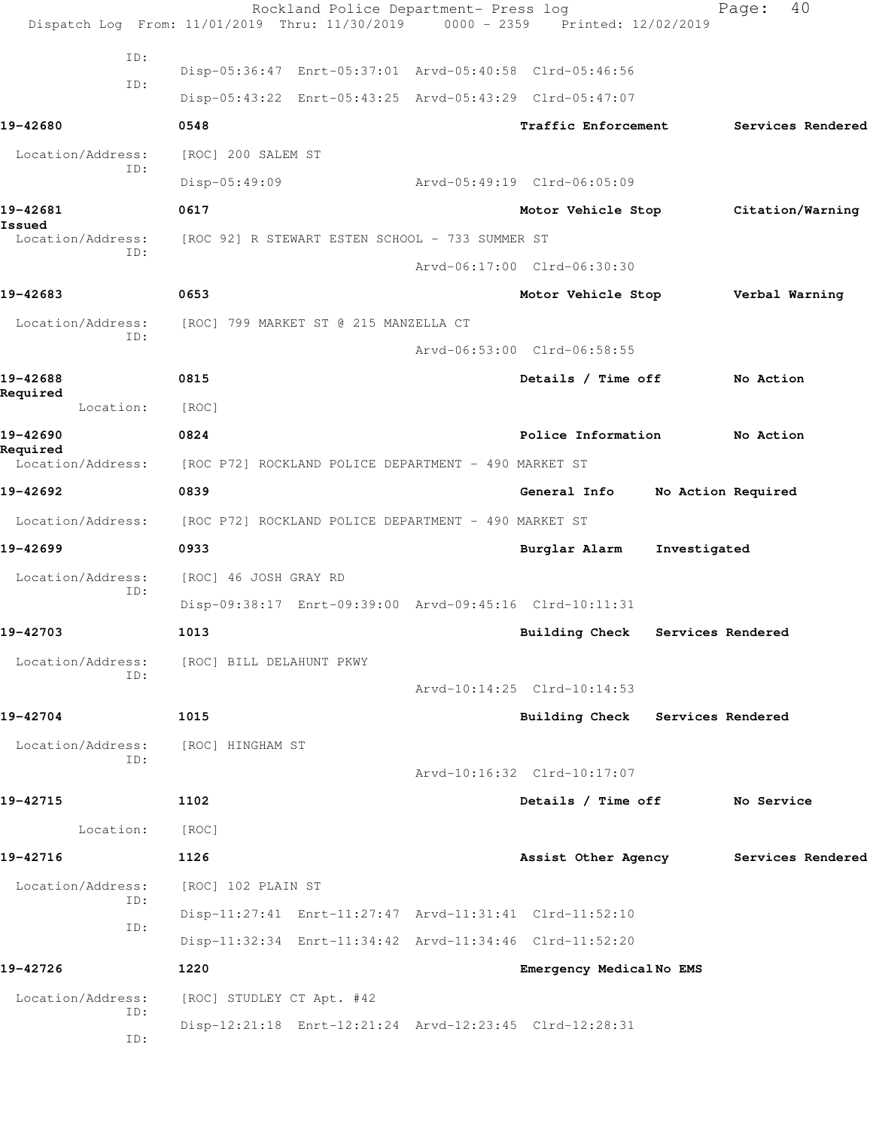|                               | Rockland Police Department- Press log<br>Dispatch Log From: 11/01/2019 Thru: 11/30/2019 0000 - 2359 Printed: 12/02/2019 |                                  |                   | 40<br>Page:        |  |
|-------------------------------|-------------------------------------------------------------------------------------------------------------------------|----------------------------------|-------------------|--------------------|--|
| ID:                           |                                                                                                                         |                                  |                   |                    |  |
| ID:                           | Disp-05:36:47 Enrt-05:37:01 Arvd-05:40:58 Clrd-05:46:56                                                                 |                                  |                   |                    |  |
|                               | Disp-05:43:22 Enrt-05:43:25 Arvd-05:43:29 Clrd-05:47:07                                                                 |                                  |                   |                    |  |
| 19-42680                      | 0548                                                                                                                    | Traffic Enforcement              |                   | Services Rendered  |  |
| Location/Address:<br>ID:      | [ROC] 200 SALEM ST                                                                                                      |                                  |                   |                    |  |
|                               | Disp-05:49:09                                                                                                           | Arvd-05:49:19 Clrd-06:05:09      |                   |                    |  |
| 19-42681<br>Issued            | 0617                                                                                                                    | Motor Vehicle Stop               |                   | Citation/Warning   |  |
| Location/Address:<br>ID:      | [ROC 92] R STEWART ESTEN SCHOOL - 733 SUMMER ST                                                                         |                                  |                   |                    |  |
|                               |                                                                                                                         | Arvd-06:17:00 Clrd-06:30:30      |                   |                    |  |
| 19-42683                      | 0653                                                                                                                    | Motor Vehicle Stop               |                   | Verbal Warning     |  |
| Location/Address:             | [ROC] 799 MARKET ST @ 215 MANZELLA CT                                                                                   |                                  |                   |                    |  |
| ID:                           |                                                                                                                         | Arvd-06:53:00 Clrd-06:58:55      |                   |                    |  |
| 19-42688                      | 0815                                                                                                                    | Details / Time off               |                   | No Action          |  |
| Required<br>Location:         | [ROC]                                                                                                                   |                                  |                   |                    |  |
| 19-42690                      | 0824                                                                                                                    | Police Information               |                   | No Action          |  |
| Required<br>Location/Address: | [ROC P72] ROCKLAND POLICE DEPARTMENT - 490 MARKET ST                                                                    |                                  |                   |                    |  |
| 19-42692                      | 0839                                                                                                                    | General Info                     |                   | No Action Required |  |
| Location/Address:             | [ROC P72] ROCKLAND POLICE DEPARTMENT - 490 MARKET ST                                                                    |                                  |                   |                    |  |
| 19-42699                      | 0933                                                                                                                    | Burglar Alarm                    | Investigated      |                    |  |
| Location/Address:             | [ROC] 46 JOSH GRAY RD                                                                                                   |                                  |                   |                    |  |
| ID:                           | Disp-09:38:17 Enrt-09:39:00 Arvd-09:45:16 Clrd-10:11:31                                                                 |                                  |                   |                    |  |
| 19-42703                      | 1013                                                                                                                    | <b>Building Check</b>            | Services Rendered |                    |  |
| Location/Address:             | [ROC] BILL DELAHUNT PKWY                                                                                                |                                  |                   |                    |  |
| ID:                           |                                                                                                                         | Arvd-10:14:25 Clrd-10:14:53      |                   |                    |  |
| 19-42704                      | 1015                                                                                                                    | Building Check Services Rendered |                   |                    |  |
| Location/Address:             | [ROC] HINGHAM ST                                                                                                        |                                  |                   |                    |  |
| ID:                           |                                                                                                                         | Arvd-10:16:32 Clrd-10:17:07      |                   |                    |  |
| 19-42715                      | 1102                                                                                                                    | Details / Time off               |                   | No Service         |  |
| Location:                     | [ROC]                                                                                                                   |                                  |                   |                    |  |
| 19-42716                      | 1126                                                                                                                    | Assist Other Agency              |                   | Services Rendered  |  |
| Location/Address:             | [ROC] 102 PLAIN ST                                                                                                      |                                  |                   |                    |  |
| ID:                           | Disp-11:27:41 Enrt-11:27:47 Arvd-11:31:41 Clrd-11:52:10                                                                 |                                  |                   |                    |  |
| ID:                           | Disp-11:32:34 Enrt-11:34:42 Arvd-11:34:46 Clrd-11:52:20                                                                 |                                  |                   |                    |  |
| 19-42726                      | 1220                                                                                                                    | Emergency Medical No EMS         |                   |                    |  |
| Location/Address:             | [ROC] STUDLEY CT Apt. #42                                                                                               |                                  |                   |                    |  |
| ID:<br>ID:                    | Disp-12:21:18 Enrt-12:21:24 Arvd-12:23:45 Clrd-12:28:31                                                                 |                                  |                   |                    |  |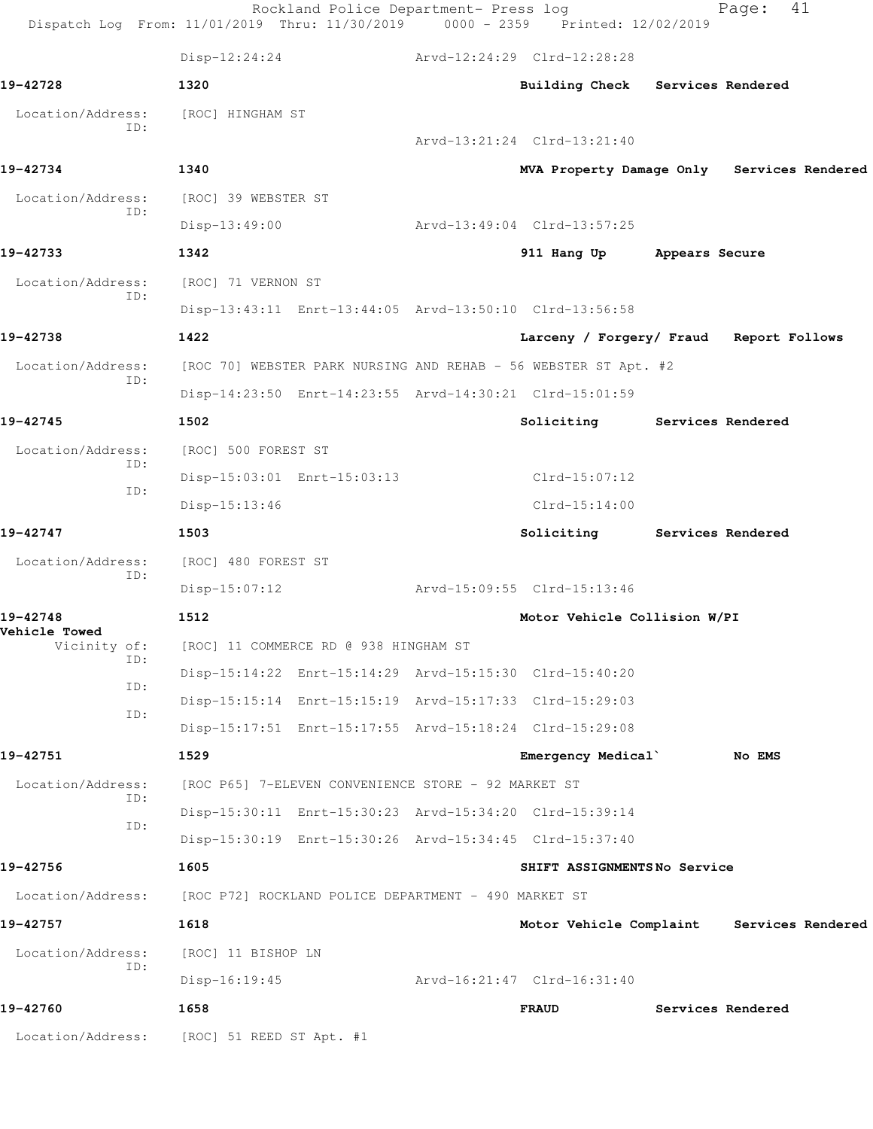| Dispatch Log From: 11/01/2019 Thru: 11/30/2019 0000 - 2359 Printed: 12/02/2019 |                                                      | Rockland Police Department- Press log               |  |                                                                 |  | 41<br>Page:       |  |
|--------------------------------------------------------------------------------|------------------------------------------------------|-----------------------------------------------------|--|-----------------------------------------------------------------|--|-------------------|--|
|                                                                                | $Disp-12:24:24$                                      |                                                     |  | Arvd-12:24:29 Clrd-12:28:28                                     |  |                   |  |
| 19-42728                                                                       | 1320                                                 |                                                     |  | Building Check Services Rendered                                |  |                   |  |
| Location/Address:                                                              | [ROC] HINGHAM ST                                     |                                                     |  |                                                                 |  |                   |  |
| TD:                                                                            |                                                      |                                                     |  | Arvd-13:21:24 Clrd-13:21:40                                     |  |                   |  |
| 19-42734                                                                       | 1340                                                 |                                                     |  | MVA Property Damage Only Services Rendered                      |  |                   |  |
| Location/Address:<br>ID:                                                       | [ROC] 39 WEBSTER ST                                  |                                                     |  |                                                                 |  |                   |  |
|                                                                                | $Disp-13:49:00$                                      |                                                     |  | Arvd-13:49:04 Clrd-13:57:25                                     |  |                   |  |
| 19-42733                                                                       | 1342                                                 |                                                     |  | 911 Hang Up Appears Secure                                      |  |                   |  |
| Location/Address:<br>ID:                                                       | [ROC] 71 VERNON ST                                   |                                                     |  |                                                                 |  |                   |  |
|                                                                                |                                                      |                                                     |  | Disp-13:43:11 Enrt-13:44:05 Arvd-13:50:10 Clrd-13:56:58         |  |                   |  |
| 19-42738                                                                       | 1422                                                 |                                                     |  | Larceny / Forgery/ Fraud Report Follows                         |  |                   |  |
| Location/Address:                                                              |                                                      |                                                     |  | [ROC 70] WEBSTER PARK NURSING AND REHAB - 56 WEBSTER ST Apt. #2 |  |                   |  |
| ID:                                                                            |                                                      |                                                     |  | Disp-14:23:50 Enrt-14:23:55 Arvd-14:30:21 Clrd-15:01:59         |  |                   |  |
| 19-42745                                                                       | 1502                                                 |                                                     |  | Soliciting Services Rendered                                    |  |                   |  |
| Location/Address:                                                              | [ROC] 500 FOREST ST                                  |                                                     |  |                                                                 |  |                   |  |
| ID:<br>ID:                                                                     |                                                      | Disp-15:03:01 Enrt-15:03:13                         |  | Clrd-15:07:12                                                   |  |                   |  |
|                                                                                | Disp-15:13:46                                        |                                                     |  | $Clrd-15:14:00$                                                 |  |                   |  |
| 19-42747                                                                       | 1503                                                 |                                                     |  | Soliciting Services Rendered                                    |  |                   |  |
| Location/Address:                                                              | [ROC] 480 FOREST ST                                  |                                                     |  |                                                                 |  |                   |  |
| ID:                                                                            | $Disp-15:07:12$                                      |                                                     |  | Arvd-15:09:55 Clrd-15:13:46                                     |  |                   |  |
| 19-42748                                                                       | 1512                                                 |                                                     |  | Motor Vehicle Collision W/PI                                    |  |                   |  |
| <b>Vehicle Towed</b><br>Vicinity of:                                           |                                                      | [ROC] 11 COMMERCE RD @ 938 HINGHAM ST               |  |                                                                 |  |                   |  |
| ID:                                                                            |                                                      |                                                     |  | Disp-15:14:22 Enrt-15:14:29 Arvd-15:15:30 Clrd-15:40:20         |  |                   |  |
| ID:<br>ID:                                                                     |                                                      |                                                     |  | Disp-15:15:14 Enrt-15:15:19 Arvd-15:17:33 Clrd-15:29:03         |  |                   |  |
|                                                                                |                                                      |                                                     |  | Disp-15:17:51 Enrt-15:17:55 Arvd-15:18:24 Clrd-15:29:08         |  |                   |  |
| 19-42751                                                                       | 1529                                                 |                                                     |  | Emergency Medical                                               |  | No EMS            |  |
| Location/Address:<br>ID:                                                       |                                                      | [ROC P65] 7-ELEVEN CONVENIENCE STORE - 92 MARKET ST |  |                                                                 |  |                   |  |
| ID:                                                                            |                                                      |                                                     |  | Disp-15:30:11 Enrt-15:30:23 Arvd-15:34:20 Clrd-15:39:14         |  |                   |  |
|                                                                                |                                                      |                                                     |  | Disp-15:30:19 Enrt-15:30:26 Arvd-15:34:45 Clrd-15:37:40         |  |                   |  |
| 19-42756                                                                       | 1605                                                 |                                                     |  | SHIFT ASSIGNMENTSNo Service                                     |  |                   |  |
| Location/Address:                                                              | [ROC P72] ROCKLAND POLICE DEPARTMENT - 490 MARKET ST |                                                     |  |                                                                 |  |                   |  |
| 19-42757                                                                       | 1618                                                 |                                                     |  | Motor Vehicle Complaint Services Rendered                       |  |                   |  |
| Location/Address:                                                              | [ROC] 11 BISHOP LN                                   |                                                     |  |                                                                 |  |                   |  |
| ID:                                                                            | $Disp-16:19:45$                                      |                                                     |  | Arvd-16:21:47 Clrd-16:31:40                                     |  |                   |  |
| 19-42760                                                                       | 1658                                                 |                                                     |  | <b>FRAUD</b>                                                    |  | Services Rendered |  |
| Location/Address:                                                              | [ROC] 51 REED ST Apt. #1                             |                                                     |  |                                                                 |  |                   |  |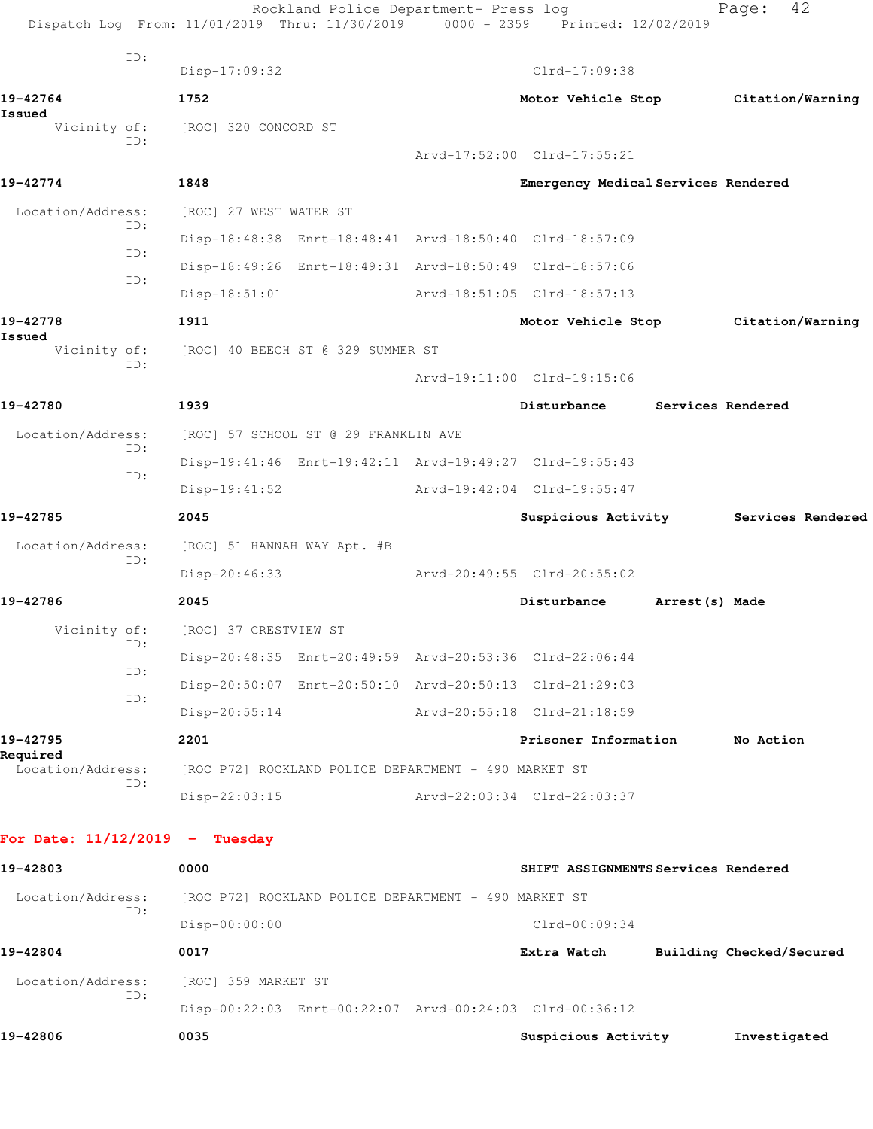|                                  |                             | Dispatch Log From: 11/01/2019 Thru: 11/30/2019          | Rockland Police Department- Press log | 0000 - 2359 Printed: 12/02/2019                         |                          | Page:        | 42                |
|----------------------------------|-----------------------------|---------------------------------------------------------|---------------------------------------|---------------------------------------------------------|--------------------------|--------------|-------------------|
|                                  | ID:                         | $Disp-17:09:32$                                         |                                       | Clrd-17:09:38                                           |                          |              |                   |
| 19-42764                         |                             | 1752                                                    |                                       | Motor Vehicle Stop Citation/Warning                     |                          |              |                   |
| Issued<br>Vicinity of:           |                             | [ROC] 320 CONCORD ST                                    |                                       |                                                         |                          |              |                   |
|                                  | ID:                         |                                                         |                                       | Arvd-17:52:00 Clrd-17:55:21                             |                          |              |                   |
| 19-42774                         |                             | 1848                                                    |                                       | Emergency Medical Services Rendered                     |                          |              |                   |
| Location/Address:                |                             | [ROC] 27 WEST WATER ST                                  |                                       |                                                         |                          |              |                   |
|                                  | ID:                         |                                                         |                                       | Disp-18:48:38 Enrt-18:48:41 Arvd-18:50:40 Clrd-18:57:09 |                          |              |                   |
|                                  | ID:                         | Disp-18:49:26 Enrt-18:49:31 Arvd-18:50:49 Clrd-18:57:06 |                                       |                                                         |                          |              |                   |
|                                  | ID:                         | $Disp-18:51:01$                                         |                                       | Arvd-18:51:05 Clrd-18:57:13                             |                          |              |                   |
| 19-42778                         |                             | 1911                                                    |                                       | Motor Vehicle Stop Citation/Warning                     |                          |              |                   |
| Issued<br>Vicinity of:           |                             | [ROC] 40 BEECH ST @ 329 SUMMER ST                       |                                       |                                                         |                          |              |                   |
|                                  | ID:                         |                                                         |                                       | Arvd-19:11:00 Clrd-19:15:06                             |                          |              |                   |
| 19-42780                         |                             | 1939                                                    |                                       | Disturbance                                             | Services Rendered        |              |                   |
| Location/Address:                |                             | [ROC] 57 SCHOOL ST @ 29 FRANKLIN AVE                    |                                       |                                                         |                          |              |                   |
|                                  | ID:                         | Disp-19:41:46 Enrt-19:42:11 Arvd-19:49:27 Clrd-19:55:43 |                                       |                                                         |                          |              |                   |
|                                  | ID:                         | $Disp-19:41:52$                                         |                                       | Arvd-19:42:04 Clrd-19:55:47                             |                          |              |                   |
| 19-42785                         |                             | 2045                                                    |                                       | Suspicious Activity                                     |                          |              | Services Rendered |
| Location/Address:                | [ROC] 51 HANNAH WAY Apt. #B |                                                         |                                       |                                                         |                          |              |                   |
|                                  | ID:                         | Disp-20:46:33                                           |                                       | Arvd-20:49:55 Clrd-20:55:02                             |                          |              |                   |
| 19-42786                         |                             | 2045                                                    |                                       | Disturbance                                             | Arrest (s) Made          |              |                   |
| Vicinity of:                     |                             | [ROC] 37 CRESTVIEW ST                                   |                                       |                                                         |                          |              |                   |
|                                  | ID:                         | Disp-20:48:35 Enrt-20:49:59 Arvd-20:53:36 Clrd-22:06:44 |                                       |                                                         |                          |              |                   |
|                                  | ID:                         | Disp-20:50:07 Enrt-20:50:10 Arvd-20:50:13 Clrd-21:29:03 |                                       |                                                         |                          |              |                   |
|                                  | ID:                         | $Disp-20:55:14$                                         |                                       | Arvd-20:55:18 Clrd-21:18:59                             |                          |              |                   |
| 19-42795                         |                             | 2201                                                    |                                       | Prisoner Information                                    |                          | No Action    |                   |
| Required<br>Location/Address:    |                             | [ROC P72] ROCKLAND POLICE DEPARTMENT - 490 MARKET ST    |                                       |                                                         |                          |              |                   |
|                                  | ID:                         | $Disp-22:03:15$                                         |                                       | Arvd-22:03:34 Clrd-22:03:37                             |                          |              |                   |
| For Date: $11/12/2019$ - Tuesday |                             |                                                         |                                       |                                                         |                          |              |                   |
| 19-42803                         |                             | 0000                                                    |                                       | SHIFT ASSIGNMENTS Services Rendered                     |                          |              |                   |
| Location/Address:                | ID:                         | [ROC P72] ROCKLAND POLICE DEPARTMENT - 490 MARKET ST    |                                       |                                                         |                          |              |                   |
|                                  |                             | Disp-00:00:00                                           |                                       | $Clrd-00:09:34$                                         |                          |              |                   |
| 19-42804                         |                             | 0017                                                    |                                       | Extra Watch                                             | Building Checked/Secured |              |                   |
| Location/Address:                |                             | [ROC] 359 MARKET ST                                     |                                       |                                                         |                          |              |                   |
|                                  | ID:                         | Disp-00:22:03 Enrt-00:22:07 Arvd-00:24:03 Clrd-00:36:12 |                                       |                                                         |                          |              |                   |
| 19-42806                         |                             | 0035                                                    |                                       | Suspicious Activity                                     |                          | Investigated |                   |
|                                  |                             |                                                         |                                       |                                                         |                          |              |                   |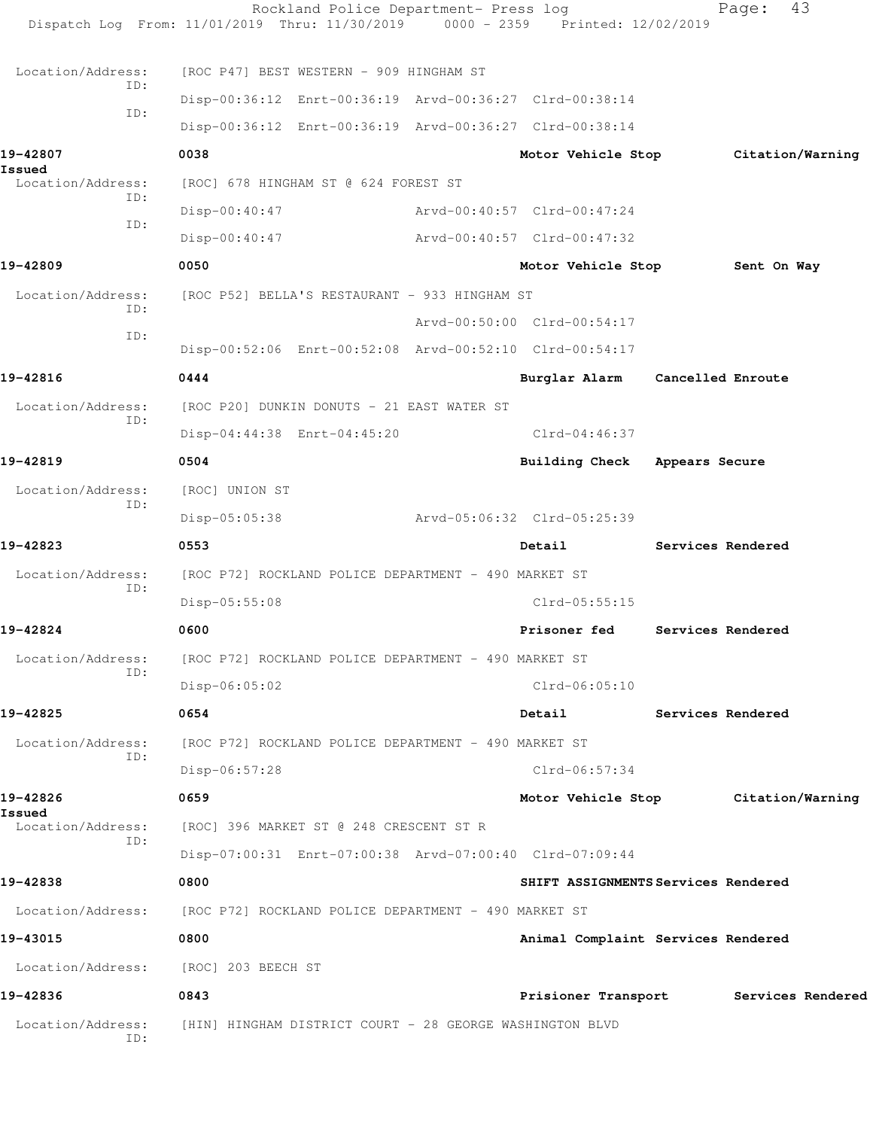|                                      | Rockland Police Department- Press log<br>Dispatch Log From: 11/01/2019 Thru: 11/30/2019 | $0000 - 2359$ | Printed: 12/02/2019                 |                   | Page:             | 43                |
|--------------------------------------|-----------------------------------------------------------------------------------------|---------------|-------------------------------------|-------------------|-------------------|-------------------|
| Location/Address:                    | [ROC P47] BEST WESTERN - 909 HINGHAM ST                                                 |               |                                     |                   |                   |                   |
| ID:                                  | Disp-00:36:12 Enrt-00:36:19 Arvd-00:36:27 Clrd-00:38:14                                 |               |                                     |                   |                   |                   |
| ID:                                  | Disp-00:36:12 Enrt-00:36:19 Arvd-00:36:27 Clrd-00:38:14                                 |               |                                     |                   |                   |                   |
| 19-42807                             | 0038                                                                                    |               | Motor Vehicle Stop                  |                   | Citation/Warning  |                   |
| Issued<br>Location/Address:          | [ROC] 678 HINGHAM ST @ 624 FOREST ST                                                    |               |                                     |                   |                   |                   |
| ID:                                  | Disp-00:40:47                                                                           |               | Arvd-00:40:57 Clrd-00:47:24         |                   |                   |                   |
| ID:                                  | $Disp-00:40:47$                                                                         |               | Arvd-00:40:57 Clrd-00:47:32         |                   |                   |                   |
| 19-42809                             | 0050                                                                                    |               | Motor Vehicle Stop                  |                   | Sent On Way       |                   |
| Location/Address:                    | [ROC P52] BELLA'S RESTAURANT - 933 HINGHAM ST                                           |               |                                     |                   |                   |                   |
| ID:                                  |                                                                                         |               | Arvd-00:50:00 Clrd-00:54:17         |                   |                   |                   |
| ID:                                  | Disp-00:52:06 Enrt-00:52:08 Arvd-00:52:10 Clrd-00:54:17                                 |               |                                     |                   |                   |                   |
| 19-42816                             | 0444                                                                                    |               | Burglar Alarm                       | Cancelled Enroute |                   |                   |
| Location/Address:                    | [ROC P20] DUNKIN DONUTS - 21 EAST WATER ST                                              |               |                                     |                   |                   |                   |
| ID:                                  | Disp-04:44:38 Enrt-04:45:20                                                             |               | Clrd-04:46:37                       |                   |                   |                   |
| 19-42819                             | 0504                                                                                    |               | <b>Building Check</b>               | Appears Secure    |                   |                   |
| Location/Address:                    | [ROC] UNION ST                                                                          |               |                                     |                   |                   |                   |
| ID:                                  | $Disp-05:05:38$                                                                         |               | Arvd-05:06:32 Clrd-05:25:39         |                   |                   |                   |
| 19-42823                             | 0553                                                                                    |               | Detail                              |                   | Services Rendered |                   |
| Location/Address:                    | [ROC P72] ROCKLAND POLICE DEPARTMENT - 490 MARKET ST                                    |               |                                     |                   |                   |                   |
| ID:                                  | Disp-05:55:08                                                                           |               | $Clrd-05:55:15$                     |                   |                   |                   |
| 19-42824                             | 0600                                                                                    |               | Prisoner fed                        |                   | Services Rendered |                   |
| Location/Address:                    | [ROC P72] ROCKLAND POLICE DEPARTMENT - 490 MARKET ST                                    |               |                                     |                   |                   |                   |
| ID:                                  | $Disp-06:05:02$                                                                         |               | $Clrd-06:05:10$                     |                   |                   |                   |
| 19-42825                             | 0654                                                                                    |               | Detail                              | Services Rendered |                   |                   |
| Location/Address:                    | [ROC P72] ROCKLAND POLICE DEPARTMENT - 490 MARKET ST                                    |               |                                     |                   |                   |                   |
| ID:                                  | $Disp-06:57:28$                                                                         |               | $Clrd-06:57:34$                     |                   |                   |                   |
| 19-42826                             | 0659                                                                                    |               | Motor Vehicle Stop Citation/Warning |                   |                   |                   |
| Issued<br>Location/Address:          | [ROC] 396 MARKET ST @ 248 CRESCENT ST R                                                 |               |                                     |                   |                   |                   |
| ID:                                  | Disp-07:00:31 Enrt-07:00:38 Arvd-07:00:40 Clrd-07:09:44                                 |               |                                     |                   |                   |                   |
| 19-42838                             | 0800                                                                                    |               | SHIFT ASSIGNMENTS Services Rendered |                   |                   |                   |
| Location/Address:                    | [ROC P72] ROCKLAND POLICE DEPARTMENT - 490 MARKET ST                                    |               |                                     |                   |                   |                   |
| 19-43015                             | 0800                                                                                    |               | Animal Complaint Services Rendered  |                   |                   |                   |
| Location/Address: [ROC] 203 BEECH ST |                                                                                         |               |                                     |                   |                   |                   |
| 19-42836                             | 0843                                                                                    |               | Prisioner Transport                 |                   |                   | Services Rendered |
| Location/Address:<br>ID:             | [HIN] HINGHAM DISTRICT COURT - 28 GEORGE WASHINGTON BLVD                                |               |                                     |                   |                   |                   |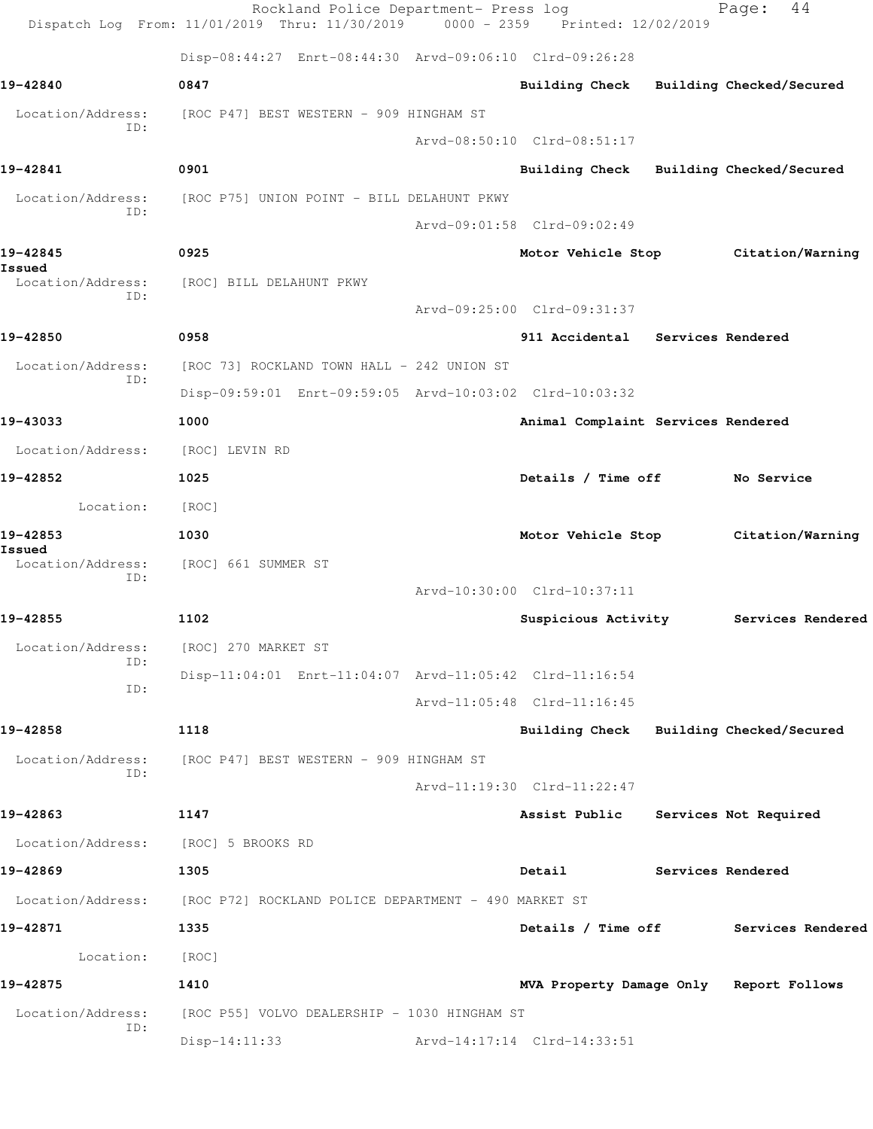|                             | Rockland Police Department- Press log<br>Dispatch Log From: 11/01/2019 Thru: 11/30/2019 0000 - 2359 Printed: 12/02/2019 |                                         |                   | 44<br>Page:                         |
|-----------------------------|-------------------------------------------------------------------------------------------------------------------------|-----------------------------------------|-------------------|-------------------------------------|
|                             | Disp-08:44:27 Enrt-08:44:30 Arvd-09:06:10 Clrd-09:26:28                                                                 |                                         |                   |                                     |
| 19-42840                    | 0847                                                                                                                    | Building Check Building Checked/Secured |                   |                                     |
| Location/Address:           | [ROC P47] BEST WESTERN - 909 HINGHAM ST                                                                                 |                                         |                   |                                     |
| ID:                         |                                                                                                                         | Arvd-08:50:10 Clrd-08:51:17             |                   |                                     |
| 19-42841                    | 0901                                                                                                                    | Building Check Building Checked/Secured |                   |                                     |
| Location/Address:           | [ROC P75] UNION POINT - BILL DELAHUNT PKWY                                                                              |                                         |                   |                                     |
| ID:                         |                                                                                                                         | Arvd-09:01:58 Clrd-09:02:49             |                   |                                     |
| 19-42845                    | 0925                                                                                                                    |                                         |                   | Motor Vehicle Stop Citation/Warning |
| Issued<br>Location/Address: | [ROC] BILL DELAHUNT PKWY                                                                                                |                                         |                   |                                     |
| TD:                         |                                                                                                                         | Arvd-09:25:00 Clrd-09:31:37             |                   |                                     |
| 19-42850                    | 0958                                                                                                                    | 911 Accidental Services Rendered        |                   |                                     |
| Location/Address:<br>ID:    | [ROC 73] ROCKLAND TOWN HALL - 242 UNION ST                                                                              |                                         |                   |                                     |
|                             | Disp-09:59:01 Enrt-09:59:05 Arvd-10:03:02 Clrd-10:03:32                                                                 |                                         |                   |                                     |
| 19-43033                    | 1000                                                                                                                    | Animal Complaint Services Rendered      |                   |                                     |
| Location/Address:           | [ROC] LEVIN RD                                                                                                          |                                         |                   |                                     |
| 19-42852                    | 1025                                                                                                                    | Details / Time off                      |                   | No Service                          |
| Location:                   | [ROC]                                                                                                                   |                                         |                   |                                     |
| 19-42853<br>Issued          | 1030                                                                                                                    | Motor Vehicle Stop                      |                   | Citation/Warning                    |
| Location/Address:<br>ID:    | [ROC] 661 SUMMER ST                                                                                                     |                                         |                   |                                     |
|                             |                                                                                                                         | Arvd-10:30:00 Clrd-10:37:11             |                   |                                     |
| 19-42855                    | 1102                                                                                                                    | Suspicious Activity                     |                   | Services Rendered                   |
| Location/Address:<br>ID:    | [ROC] 270 MARKET ST                                                                                                     |                                         |                   |                                     |
| ID:                         | Disp-11:04:01 Enrt-11:04:07 Arvd-11:05:42 Clrd-11:16:54                                                                 |                                         |                   |                                     |
|                             |                                                                                                                         | Arvd-11:05:48 Clrd-11:16:45             |                   |                                     |
| 19-42858                    | 1118                                                                                                                    | Building Check Building Checked/Secured |                   |                                     |
| Location/Address:<br>ID:    | [ROC P47] BEST WESTERN - 909 HINGHAM ST                                                                                 |                                         |                   |                                     |
|                             |                                                                                                                         | Arvd-11:19:30 Clrd-11:22:47             |                   |                                     |
| 19-42863                    | 1147                                                                                                                    | Assist Public                           |                   | Services Not Required               |
| Location/Address:           | [ROC] 5 BROOKS RD                                                                                                       |                                         |                   |                                     |
| 19-42869                    | 1305                                                                                                                    | Detail                                  | Services Rendered |                                     |
| Location/Address:           | [ROC P72] ROCKLAND POLICE DEPARTMENT - 490 MARKET ST                                                                    |                                         |                   |                                     |
| 19-42871                    | 1335                                                                                                                    | Details / Time off                      |                   | Services Rendered                   |
| Location:                   | [ROC]                                                                                                                   |                                         |                   |                                     |
| 19-42875                    | 1410                                                                                                                    | MVA Property Damage Only Report Follows |                   |                                     |
| Location/Address:<br>ID:    | [ROC P55] VOLVO DEALERSHIP - 1030 HINGHAM ST                                                                            |                                         |                   |                                     |
|                             | $Disp-14:11:33$                                                                                                         | Arvd-14:17:14 Clrd-14:33:51             |                   |                                     |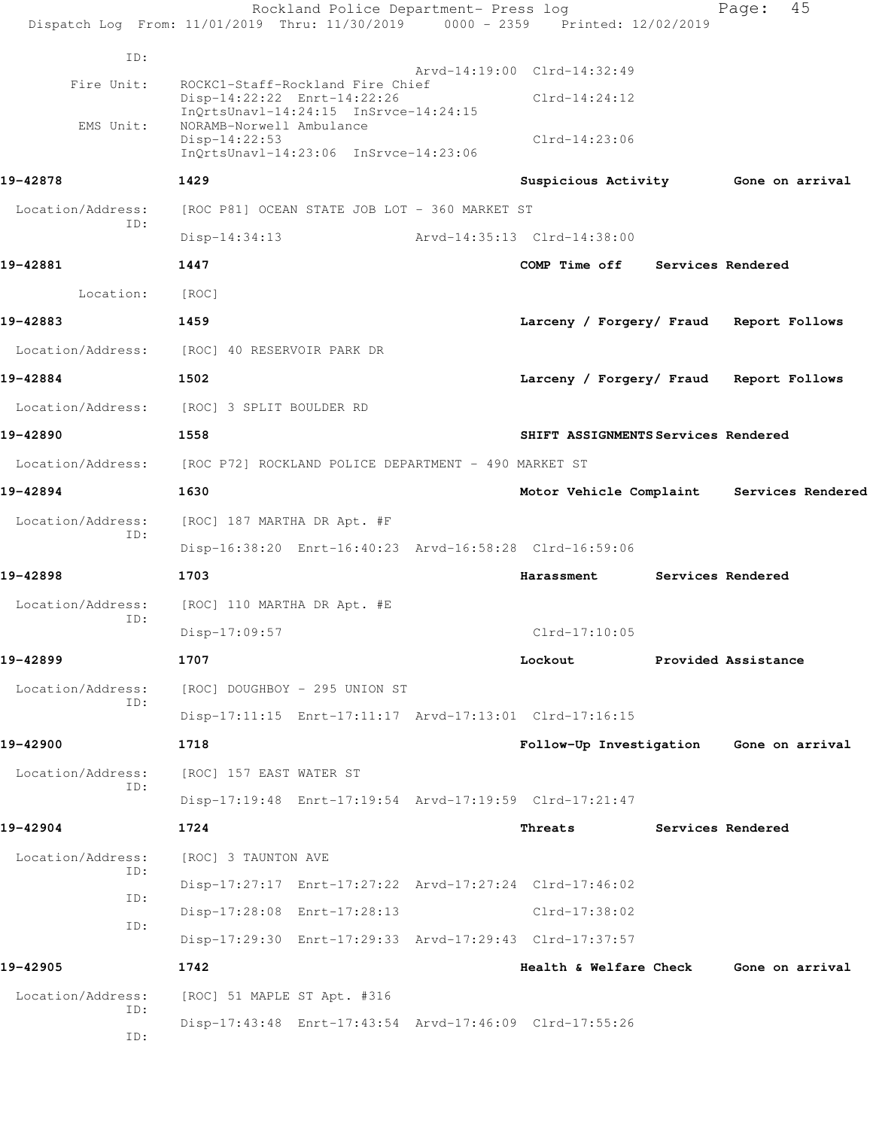|                          | Rockland Police Department- Press log<br>Dispatch Log From: 11/01/2019 Thru: 11/30/2019 0000 - 2359 Printed: 12/02/2019 |                                           | Page:               | 45 |
|--------------------------|-------------------------------------------------------------------------------------------------------------------------|-------------------------------------------|---------------------|----|
| ID:                      |                                                                                                                         |                                           |                     |    |
| Fire Unit:               | ROCKC1-Staff-Rockland Fire Chief                                                                                        | Arvd-14:19:00 Clrd-14:32:49               |                     |    |
|                          | Disp-14:22:22 Enrt-14:22:26<br>InQrtsUnavl-14:24:15 InSrvce-14:24:15                                                    | $Clrd-14:24:12$                           |                     |    |
| EMS Unit:                | NORAMB-Norwell Ambulance<br>$Disp-14:22:53$<br>InOrtsUnavl-14:23:06 InSrvce-14:23:06                                    | $Clrd-14:23:06$                           |                     |    |
| 19-42878                 | 1429                                                                                                                    | Suspicious Activity Gone on arrival       |                     |    |
| Location/Address:        | [ROC P81] OCEAN STATE JOB LOT - 360 MARKET ST                                                                           |                                           |                     |    |
| ID:                      | $Disp-14:34:13$                                                                                                         | Arvd-14:35:13 Clrd-14:38:00               |                     |    |
| 19-42881                 | 1447                                                                                                                    | COMP Time off Services Rendered           |                     |    |
| Location:                | [ROC]                                                                                                                   |                                           |                     |    |
| 19-42883                 | 1459                                                                                                                    | Larceny / Forgery/ Fraud Report Follows   |                     |    |
| Location/Address:        | [ROC] 40 RESERVOIR PARK DR                                                                                              |                                           |                     |    |
| 19-42884                 | 1502                                                                                                                    | Larceny / Forgery/ Fraud                  | Report Follows      |    |
|                          | Location/Address: [ROC] 3 SPLIT BOULDER RD                                                                              |                                           |                     |    |
| 19-42890                 | 1558                                                                                                                    | SHIFT ASSIGNMENTS Services Rendered       |                     |    |
| Location/Address:        | [ROC P72] ROCKLAND POLICE DEPARTMENT - 490 MARKET ST                                                                    |                                           |                     |    |
| 19-42894                 | 1630                                                                                                                    | Motor Vehicle Complaint Services Rendered |                     |    |
| Location/Address:        | [ROC] 187 MARTHA DR Apt. #F                                                                                             |                                           |                     |    |
| ID:                      | Disp-16:38:20 Enrt-16:40:23 Arvd-16:58:28 Clrd-16:59:06                                                                 |                                           |                     |    |
| 19-42898                 | 1703                                                                                                                    | Harassment                                | Services Rendered   |    |
| Location/Address:        | [ROC] 110 MARTHA DR Apt. #E                                                                                             |                                           |                     |    |
| ID:                      | $Disp-17:09:57$                                                                                                         | $Clrd-17:10:05$                           |                     |    |
| 19-42899                 | 1707                                                                                                                    | Lockout                                   | Provided Assistance |    |
| Location/Address:        | [ROC] DOUGHBOY - 295 UNION ST                                                                                           |                                           |                     |    |
| ID:                      | Disp-17:11:15 Enrt-17:11:17 Arvd-17:13:01 Clrd-17:16:15                                                                 |                                           |                     |    |
| 19-42900                 | 1718                                                                                                                    | Follow-Up Investigation Gone on arrival   |                     |    |
| Location/Address:<br>ID: | [ROC] 157 EAST WATER ST                                                                                                 |                                           |                     |    |
|                          | Disp-17:19:48 Enrt-17:19:54 Arvd-17:19:59 Clrd-17:21:47                                                                 |                                           |                     |    |
| 19-42904                 | 1724                                                                                                                    | Threats                                   | Services Rendered   |    |
| Location/Address:<br>ID: | [ROC] 3 TAUNTON AVE                                                                                                     |                                           |                     |    |
| ID:                      | Disp-17:27:17 Enrt-17:27:22 Arvd-17:27:24 Clrd-17:46:02                                                                 |                                           |                     |    |
| ID:                      | Disp-17:28:08 Enrt-17:28:13                                                                                             | Clrd-17:38:02                             |                     |    |
|                          | Disp-17:29:30 Enrt-17:29:33 Arvd-17:29:43 Clrd-17:37:57                                                                 |                                           |                     |    |
| 19-42905                 | 1742                                                                                                                    | Health & Welfare Check Gone on arrival    |                     |    |
| Location/Address:<br>ID: | [ROC] 51 MAPLE ST Apt. #316                                                                                             |                                           |                     |    |
| ID:                      | Disp-17:43:48 Enrt-17:43:54 Arvd-17:46:09 Clrd-17:55:26                                                                 |                                           |                     |    |
|                          |                                                                                                                         |                                           |                     |    |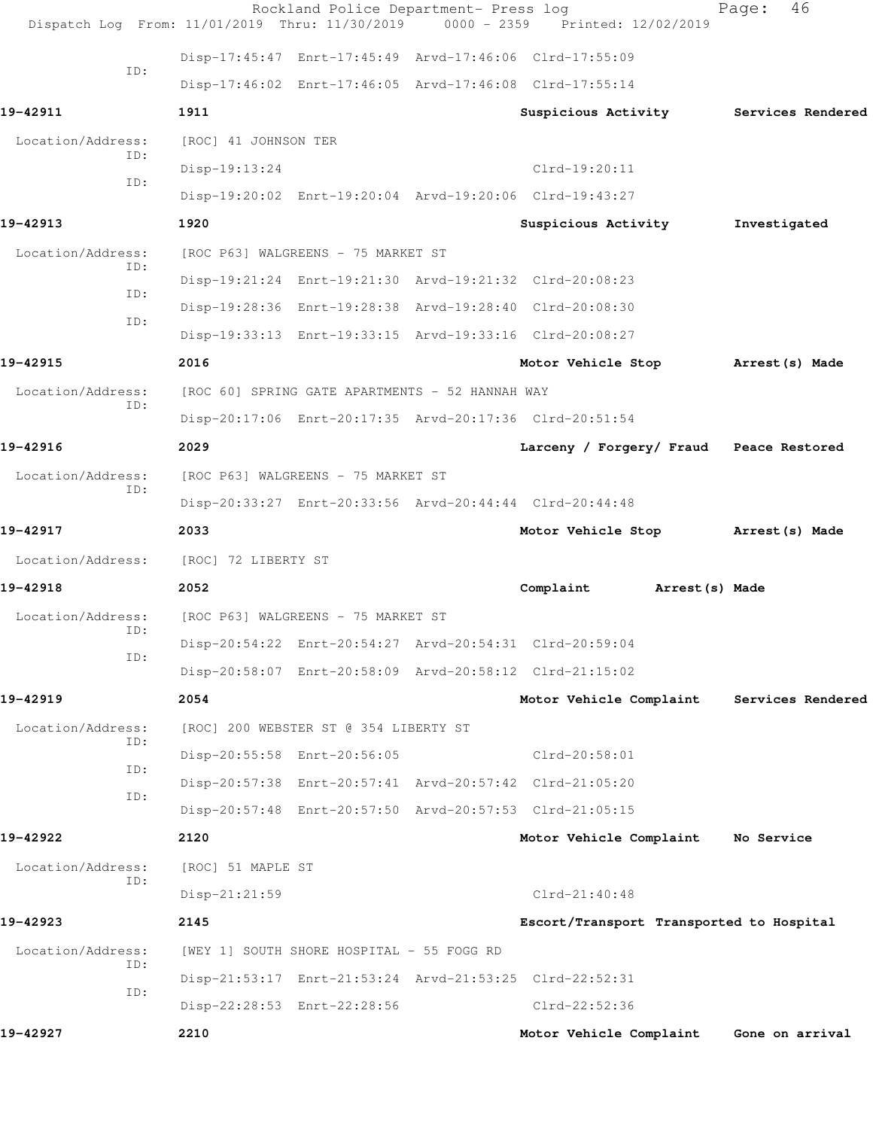| Dispatch Log From: 11/01/2019 Thru: 11/30/2019 |                                    | Rockland Police Department- Press log           | $0000 - 2359$ | Printed: 12/02/2019                                     | 46<br>Page:                              |
|------------------------------------------------|------------------------------------|-------------------------------------------------|---------------|---------------------------------------------------------|------------------------------------------|
|                                                |                                    |                                                 |               | Disp-17:45:47 Enrt-17:45:49 Arvd-17:46:06 Clrd-17:55:09 |                                          |
| TD:                                            |                                    |                                                 |               | Disp-17:46:02 Enrt-17:46:05 Arvd-17:46:08 Clrd-17:55:14 |                                          |
| 19-42911                                       | 1911                               |                                                 |               | Suspicious Activity                                     | Services Rendered                        |
| Location/Address:                              | [ROC] 41 JOHNSON TER               |                                                 |               |                                                         |                                          |
| ID:                                            | Disp-19:13:24                      |                                                 |               | $Clrd-19:20:11$                                         |                                          |
| ID:                                            |                                    |                                                 |               | Disp-19:20:02 Enrt-19:20:04 Arvd-19:20:06 Clrd-19:43:27 |                                          |
| 19-42913                                       | 1920                               |                                                 |               | Suspicious Activity                                     | Investigated                             |
| Location/Address:                              |                                    | [ROC P63] WALGREENS - 75 MARKET ST              |               |                                                         |                                          |
| ID:                                            |                                    |                                                 |               | Disp-19:21:24 Enrt-19:21:30 Arvd-19:21:32 Clrd-20:08:23 |                                          |
| ID:                                            |                                    |                                                 |               | Disp-19:28:36 Enrt-19:28:38 Arvd-19:28:40 Clrd-20:08:30 |                                          |
| ID:                                            |                                    |                                                 |               | Disp-19:33:13 Enrt-19:33:15 Arvd-19:33:16 Clrd-20:08:27 |                                          |
| 19-42915                                       | 2016                               |                                                 |               | Motor Vehicle Stop                                      | Arrest(s) Made                           |
| Location/Address:                              |                                    | [ROC 60] SPRING GATE APARTMENTS - 52 HANNAH WAY |               |                                                         |                                          |
| ID:                                            |                                    |                                                 |               | Disp-20:17:06 Enrt-20:17:35 Arvd-20:17:36 Clrd-20:51:54 |                                          |
| 19-42916                                       | 2029                               |                                                 |               |                                                         | Larceny / Forgery/ Fraud Peace Restored  |
| Location/Address:                              |                                    | [ROC P63] WALGREENS - 75 MARKET ST              |               |                                                         |                                          |
| ID:                                            |                                    |                                                 |               | Disp-20:33:27 Enrt-20:33:56 Arvd-20:44:44 Clrd-20:44:48 |                                          |
| 19-42917                                       | 2033                               |                                                 |               | Motor Vehicle Stop                                      | Arrest (s) Made                          |
| Location/Address: [ROC] 72 LIBERTY ST          |                                    |                                                 |               |                                                         |                                          |
| 19-42918                                       | 2052                               |                                                 |               | Complaint                                               | Arrest (s) Made                          |
| Location/Address:                              | [ROC P63] WALGREENS - 75 MARKET ST |                                                 |               |                                                         |                                          |
| ID:<br>ID:                                     |                                    |                                                 |               | Disp-20:54:22 Enrt-20:54:27 Arvd-20:54:31 Clrd-20:59:04 |                                          |
|                                                |                                    |                                                 |               | Disp-20:58:07 Enrt-20:58:09 Arvd-20:58:12 Clrd-21:15:02 |                                          |
| 19-42919                                       | 2054                               |                                                 |               | Motor Vehicle Complaint                                 | Services Rendered                        |
| Location/Address:<br>ID:                       |                                    | [ROC] 200 WEBSTER ST @ 354 LIBERTY ST           |               |                                                         |                                          |
| ID:                                            |                                    | Disp-20:55:58 Enrt-20:56:05                     |               | $Clrd-20:58:01$                                         |                                          |
| ID:                                            |                                    |                                                 |               | Disp-20:57:38 Enrt-20:57:41 Arvd-20:57:42 Clrd-21:05:20 |                                          |
|                                                |                                    |                                                 |               | Disp-20:57:48 Enrt-20:57:50 Arvd-20:57:53 Clrd-21:05:15 |                                          |
| 19-42922                                       | 2120                               |                                                 |               | Motor Vehicle Complaint                                 | No Service                               |
| Location/Address:<br>ID:                       | [ROC] 51 MAPLE ST                  |                                                 |               |                                                         |                                          |
|                                                | Disp-21:21:59                      |                                                 |               | $Clrd-21:40:48$                                         |                                          |
| 19-42923                                       | 2145                               |                                                 |               |                                                         | Escort/Transport Transported to Hospital |
| Location/Address:<br>ID:                       |                                    | [WEY 1] SOUTH SHORE HOSPITAL - 55 FOGG RD       |               |                                                         |                                          |
| ID:                                            |                                    |                                                 |               | Disp-21:53:17 Enrt-21:53:24 Arvd-21:53:25 Clrd-22:52:31 |                                          |
|                                                |                                    | Disp-22:28:53 Enrt-22:28:56                     |               | Clrd-22:52:36                                           |                                          |
| 19-42927                                       | 2210                               |                                                 |               | Motor Vehicle Complaint                                 | Gone on arrival                          |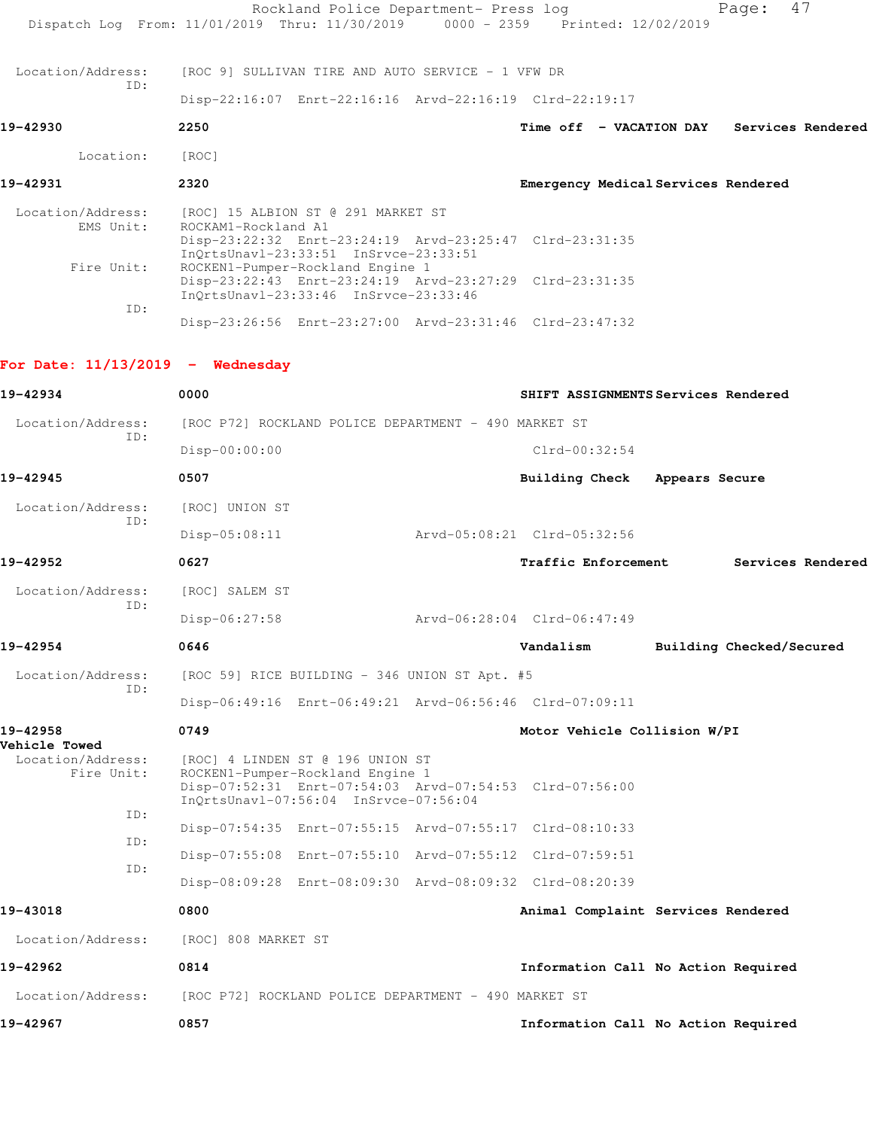|                                                         | Dispatch Log From: 11/01/2019 Thru: 11/30/2019 0000 - 2359 Printed: 12/02/2019                                                                                                                    | Rockland Police Department- Press log |                                           | Page: | 47                       |
|---------------------------------------------------------|---------------------------------------------------------------------------------------------------------------------------------------------------------------------------------------------------|---------------------------------------|-------------------------------------------|-------|--------------------------|
| Location/Address:                                       | [ROC 9] SULLIVAN TIRE AND AUTO SERVICE - 1 VFW DR                                                                                                                                                 |                                       |                                           |       |                          |
| TD:                                                     |                                                                                                                                                                                                   |                                       |                                           |       |                          |
|                                                         | Disp-22:16:07 Enrt-22:16:16 Arvd-22:16:19 Clrd-22:19:17                                                                                                                                           |                                       |                                           |       |                          |
| 19-42930                                                | 2250                                                                                                                                                                                              |                                       | Time off - VACATION DAY Services Rendered |       |                          |
| Location:                                               | [ROC]                                                                                                                                                                                             |                                       |                                           |       |                          |
| 19-42931                                                | 2320                                                                                                                                                                                              |                                       | Emergency Medical Services Rendered       |       |                          |
| Location/Address:<br>EMS Unit:<br>Fire Unit:            | [ROC] 15 ALBION ST @ 291 MARKET ST<br>ROCKAM1-Rockland A1<br>Disp-23:22:32 Enrt-23:24:19 Arvd-23:25:47 Clrd-23:31:35<br>InQrtsUnavl-23:33:51 InSrvce-23:33:51<br>ROCKEN1-Pumper-Rockland Engine 1 |                                       |                                           |       |                          |
| ID:                                                     | Disp-23:22:43 Enrt-23:24:19 Arvd-23:27:29 Clrd-23:31:35<br>InOrtsUnav1-23:33:46 InSrvce-23:33:46                                                                                                  |                                       |                                           |       |                          |
|                                                         | Disp-23:26:56 Enrt-23:27:00 Arvd-23:31:46 Clrd-23:47:32                                                                                                                                           |                                       |                                           |       |                          |
| For Date: $11/13/2019$ - Wednesday                      |                                                                                                                                                                                                   |                                       |                                           |       |                          |
| 19-42934                                                | 0000                                                                                                                                                                                              |                                       | SHIFT ASSIGNMENTS Services Rendered       |       |                          |
| Location/Address:                                       | [ROC P72] ROCKLAND POLICE DEPARTMENT - 490 MARKET ST                                                                                                                                              |                                       |                                           |       |                          |
| ID:                                                     | Disp-00:00:00                                                                                                                                                                                     |                                       | $Clrd-00:32:54$                           |       |                          |
| 19-42945                                                | 0507                                                                                                                                                                                              |                                       | Building Check Appears Secure             |       |                          |
| Location/Address:                                       | [ROC] UNION ST                                                                                                                                                                                    |                                       |                                           |       |                          |
| ID:                                                     | $Disp-05:08:11$                                                                                                                                                                                   |                                       | Arvd-05:08:21 Clrd-05:32:56               |       |                          |
| 19-42952                                                | 0627                                                                                                                                                                                              |                                       | <b>Traffic Enforcement</b>                |       | Services Rendered        |
| Location/Address:                                       | [ROC] SALEM ST                                                                                                                                                                                    |                                       |                                           |       |                          |
| ID:                                                     | $Disp-06:27:58$                                                                                                                                                                                   |                                       | Arvd-06:28:04 Clrd-06:47:49               |       |                          |
| 19-42954                                                | 0646                                                                                                                                                                                              |                                       | Vandalism                                 |       | Building Checked/Secured |
| Location/Address:                                       | [ROC 59] RICE BUILDING - 346 UNION ST Apt. #5                                                                                                                                                     |                                       |                                           |       |                          |
| ID:                                                     | Disp-06:49:16 Enrt-06:49:21 Arvd-06:56:46 Clrd-07:09:11                                                                                                                                           |                                       |                                           |       |                          |
| 19-42958                                                | 0749                                                                                                                                                                                              |                                       | Motor Vehicle Collision W/PI              |       |                          |
| <b>Vehicle Towed</b><br>Location/Address:<br>Fire Unit: | [ROC] 4 LINDEN ST @ 196 UNION ST<br>ROCKEN1-Pumper-Rockland Engine 1<br>Disp-07:52:31 Enrt-07:54:03 Arvd-07:54:53 Clrd-07:56:00<br>InQrtsUnavl-07:56:04 InSrvce-07:56:04                          |                                       |                                           |       |                          |
| ID:                                                     | Disp-07:54:35 Enrt-07:55:15 Arvd-07:55:17 Clrd-08:10:33                                                                                                                                           |                                       |                                           |       |                          |
| ID:                                                     | Disp-07:55:08 Enrt-07:55:10 Arvd-07:55:12 Clrd-07:59:51                                                                                                                                           |                                       |                                           |       |                          |
| ID:                                                     | Disp-08:09:28 Enrt-08:09:30 Arvd-08:09:32 Clrd-08:20:39                                                                                                                                           |                                       |                                           |       |                          |
| 19-43018                                                | 0800                                                                                                                                                                                              |                                       | Animal Complaint Services Rendered        |       |                          |
| Location/Address:                                       | [ROC] 808 MARKET ST                                                                                                                                                                               |                                       |                                           |       |                          |
| 19-42962                                                | 0814                                                                                                                                                                                              |                                       | Information Call No Action Required       |       |                          |
| Location/Address:                                       | [ROC P72] ROCKLAND POLICE DEPARTMENT - 490 MARKET ST                                                                                                                                              |                                       |                                           |       |                          |
| 19-42967                                                | 0857                                                                                                                                                                                              |                                       | Information Call No Action Required       |       |                          |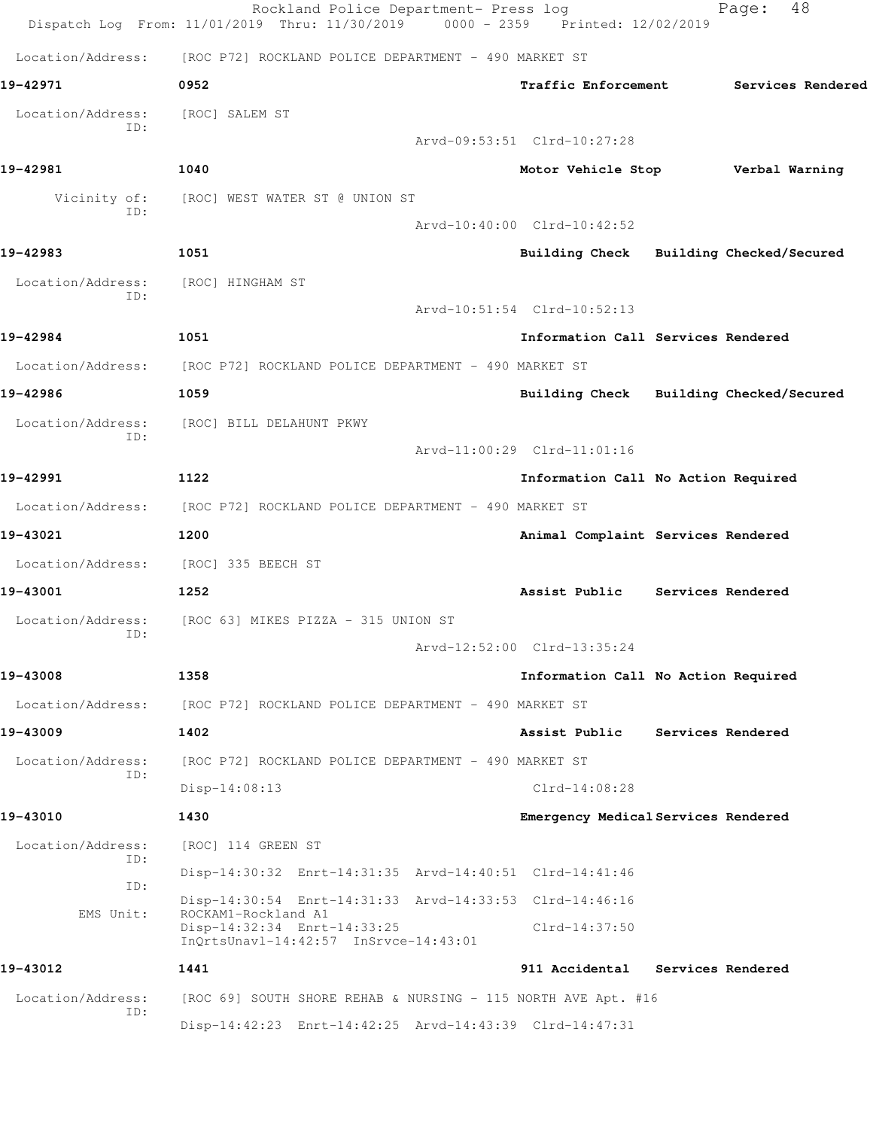|                          | Rockland Police Department- Press log<br>Dispatch Log From: 11/01/2019 Thru: 11/30/2019 0000 - 2359 Printed: 12/02/2019 |                             | 48<br>Page:                             |
|--------------------------|-------------------------------------------------------------------------------------------------------------------------|-----------------------------|-----------------------------------------|
| Location/Address:        | [ROC P72] ROCKLAND POLICE DEPARTMENT - 490 MARKET ST                                                                    |                             |                                         |
| 19-42971                 | 0952                                                                                                                    | Traffic Enforcement         | Services Rendered                       |
| Location/Address:        | [ROC] SALEM ST                                                                                                          |                             |                                         |
| TD:                      |                                                                                                                         | Arvd-09:53:51 Clrd-10:27:28 |                                         |
| 19-42981                 | 1040                                                                                                                    | Motor Vehicle Stop          | Verbal Warning                          |
| Vicinity of:             | [ROC] WEST WATER ST @ UNION ST                                                                                          |                             |                                         |
| ID:                      |                                                                                                                         | Arvd-10:40:00 Clrd-10:42:52 |                                         |
| 19-42983                 | 1051                                                                                                                    |                             | Building Check Building Checked/Secured |
| Location/Address:        | [ROC] HINGHAM ST                                                                                                        |                             |                                         |
| ID:                      |                                                                                                                         | Arvd-10:51:54 Clrd-10:52:13 |                                         |
| 19-42984                 | 1051                                                                                                                    |                             | Information Call Services Rendered      |
|                          | Location/Address: [ROC P72] ROCKLAND POLICE DEPARTMENT - 490 MARKET ST                                                  |                             |                                         |
| 19-42986                 | 1059                                                                                                                    |                             | Building Check Building Checked/Secured |
| Location/Address:        | [ROC] BILL DELAHUNT PKWY                                                                                                |                             |                                         |
| ID:                      |                                                                                                                         | Arvd-11:00:29 Clrd-11:01:16 |                                         |
| 19-42991                 | 1122                                                                                                                    |                             | Information Call No Action Required     |
| Location/Address:        | [ROC P72] ROCKLAND POLICE DEPARTMENT - 490 MARKET ST                                                                    |                             |                                         |
| 19-43021                 | 1200                                                                                                                    |                             | Animal Complaint Services Rendered      |
|                          | Location/Address: [ROC] 335 BEECH ST                                                                                    |                             |                                         |
| 19-43001                 | 1252                                                                                                                    |                             | Assist Public Services Rendered         |
| Location/Address:        | [ROC 63] MIKES PIZZA - 315 UNION ST                                                                                     |                             |                                         |
| ID:                      |                                                                                                                         | Arvd-12:52:00 Clrd-13:35:24 |                                         |
| 19-43008                 | 1358                                                                                                                    |                             | Information Call No Action Required     |
| Location/Address:        | [ROC P72] ROCKLAND POLICE DEPARTMENT - 490 MARKET ST                                                                    |                             |                                         |
| 19-43009                 | 1402                                                                                                                    | Assist Public               | Services Rendered                       |
| Location/Address:        | [ROC P72] ROCKLAND POLICE DEPARTMENT - 490 MARKET ST                                                                    |                             |                                         |
| ID:                      | $Disp-14:08:13$                                                                                                         | $Clrd-14:08:28$             |                                         |
| 19-43010                 | 1430                                                                                                                    |                             | Emergency Medical Services Rendered     |
| Location/Address:<br>ID: | [ROC] 114 GREEN ST                                                                                                      |                             |                                         |
| ID:                      | Disp-14:30:32 Enrt-14:31:35 Arvd-14:40:51 Clrd-14:41:46                                                                 |                             |                                         |
| EMS Unit:                | Disp-14:30:54 Enrt-14:31:33 Arvd-14:33:53 Clrd-14:46:16<br>ROCKAM1-Rockland A1                                          |                             |                                         |
|                          | Disp-14:32:34 Enrt-14:33:25<br>InQrtsUnavl-14:42:57 InSrvce-14:43:01                                                    | Clrd-14:37:50               |                                         |
| 19-43012                 | 1441                                                                                                                    |                             | 911 Accidental Services Rendered        |
| Location/Address:        | [ROC 69] SOUTH SHORE REHAB & NURSING - 115 NORTH AVE Apt. #16                                                           |                             |                                         |
| ID:                      | Disp-14:42:23 Enrt-14:42:25 Arvd-14:43:39 Clrd-14:47:31                                                                 |                             |                                         |
|                          |                                                                                                                         |                             |                                         |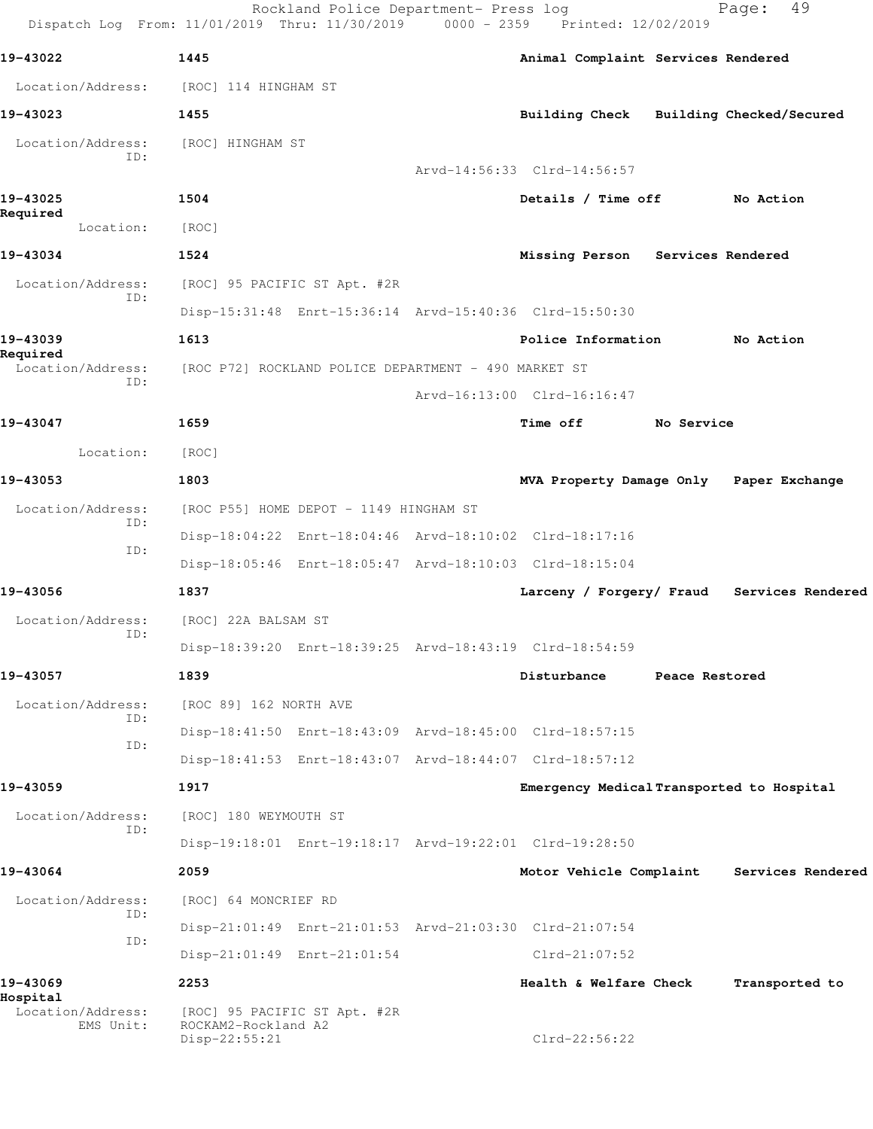| Dispatch Log From: 11/01/2019 Thru: 11/30/2019 0000 - 2359 Printed: 12/02/2019 |                                                                      | Rockland Police Department- Press log |                                                         |                   | 49<br>Page:                                |
|--------------------------------------------------------------------------------|----------------------------------------------------------------------|---------------------------------------|---------------------------------------------------------|-------------------|--------------------------------------------|
| 19-43022                                                                       | 1445                                                                 |                                       | Animal Complaint Services Rendered                      |                   |                                            |
| Location/Address: [ROC] 114 HINGHAM ST                                         |                                                                      |                                       |                                                         |                   |                                            |
| 19-43023                                                                       | 1455                                                                 |                                       |                                                         |                   | Building Check Building Checked/Secured    |
| Location/Address:<br>ID:                                                       | [ROC] HINGHAM ST                                                     |                                       | Arvd-14:56:33 Clrd-14:56:57                             |                   |                                            |
|                                                                                |                                                                      |                                       |                                                         |                   |                                            |
| 19-43025<br>Required                                                           | 1504                                                                 |                                       | Details / Time off No Action                            |                   |                                            |
| Location:                                                                      | [ROC]                                                                |                                       |                                                         |                   |                                            |
| 19-43034                                                                       | 1524                                                                 |                                       | Missing Person Services Rendered                        |                   |                                            |
| Location/Address:<br>ID:                                                       | [ROC] 95 PACIFIC ST Apt. #2R                                         |                                       |                                                         |                   |                                            |
|                                                                                |                                                                      |                                       | Disp-15:31:48 Enrt-15:36:14 Arvd-15:40:36 Clrd-15:50:30 |                   |                                            |
| 19-43039<br>Required                                                           | 1613                                                                 |                                       | Police Information                                      |                   | No Action                                  |
| Location/Address:<br>ID:                                                       | [ROC P72] ROCKLAND POLICE DEPARTMENT - 490 MARKET ST                 |                                       |                                                         |                   |                                            |
|                                                                                |                                                                      |                                       | Arvd-16:13:00 Clrd-16:16:47                             |                   |                                            |
| 19-43047                                                                       | 1659                                                                 |                                       | <b>Time off</b>                                         | <b>No Service</b> |                                            |
| Location:                                                                      | [ROC]                                                                |                                       |                                                         |                   |                                            |
| 19-43053                                                                       | 1803                                                                 |                                       |                                                         |                   | MVA Property Damage Only Paper Exchange    |
| Location/Address:                                                              | [ROC P55] HOME DEPOT - 1149 HINGHAM ST                               |                                       |                                                         |                   |                                            |
| ID:                                                                            |                                                                      |                                       | Disp-18:04:22 Enrt-18:04:46 Arvd-18:10:02 Clrd-18:17:16 |                   |                                            |
| ID:                                                                            |                                                                      |                                       | Disp-18:05:46 Enrt-18:05:47 Arvd-18:10:03 Clrd-18:15:04 |                   |                                            |
| 19-43056                                                                       | 1837                                                                 |                                       |                                                         |                   | Larceny / Forgery/ Fraud Services Rendered |
| Location/Address:                                                              | [ROC] 22A BALSAM ST                                                  |                                       |                                                         |                   |                                            |
| ID:                                                                            |                                                                      |                                       | Disp-18:39:20 Enrt-18:39:25 Arvd-18:43:19 Clrd-18:54:59 |                   |                                            |
| 19-43057                                                                       | 1839                                                                 |                                       | Disturbance                                             | Peace Restored    |                                            |
| Location/Address:                                                              | [ROC 89] 162 NORTH AVE                                               |                                       |                                                         |                   |                                            |
| ID:                                                                            |                                                                      |                                       | Disp-18:41:50 Enrt-18:43:09 Arvd-18:45:00 Clrd-18:57:15 |                   |                                            |
| ID:                                                                            |                                                                      |                                       | Disp-18:41:53 Enrt-18:43:07 Arvd-18:44:07 Clrd-18:57:12 |                   |                                            |
| 19-43059                                                                       | 1917                                                                 |                                       | Emergency Medical Transported to Hospital               |                   |                                            |
| Location/Address:                                                              | [ROC] 180 WEYMOUTH ST                                                |                                       |                                                         |                   |                                            |
| ID:                                                                            |                                                                      |                                       | Disp-19:18:01 Enrt-19:18:17 Arvd-19:22:01 Clrd-19:28:50 |                   |                                            |
| 19-43064                                                                       | 2059                                                                 |                                       | Motor Vehicle Complaint                                 |                   | Services Rendered                          |
| Location/Address:                                                              |                                                                      |                                       |                                                         |                   |                                            |
| ID:                                                                            | [ROC] 64 MONCRIEF RD                                                 |                                       |                                                         |                   |                                            |
| ID:                                                                            |                                                                      |                                       | Disp-21:01:49 Enrt-21:01:53 Arvd-21:03:30 Clrd-21:07:54 |                   |                                            |
|                                                                                | Disp-21:01:49 Enrt-21:01:54                                          |                                       | $Clrd-21:07:52$                                         |                   |                                            |
| 19-43069<br>Hospital                                                           | 2253                                                                 |                                       | Health & Welfare Check                                  |                   | Transported to                             |
| Location/Address:<br>EMS Unit:                                                 | [ROC] 95 PACIFIC ST Apt. #2R<br>ROCKAM2-Rockland A2<br>Disp-22:55:21 |                                       | $C1rd-22:56:22$                                         |                   |                                            |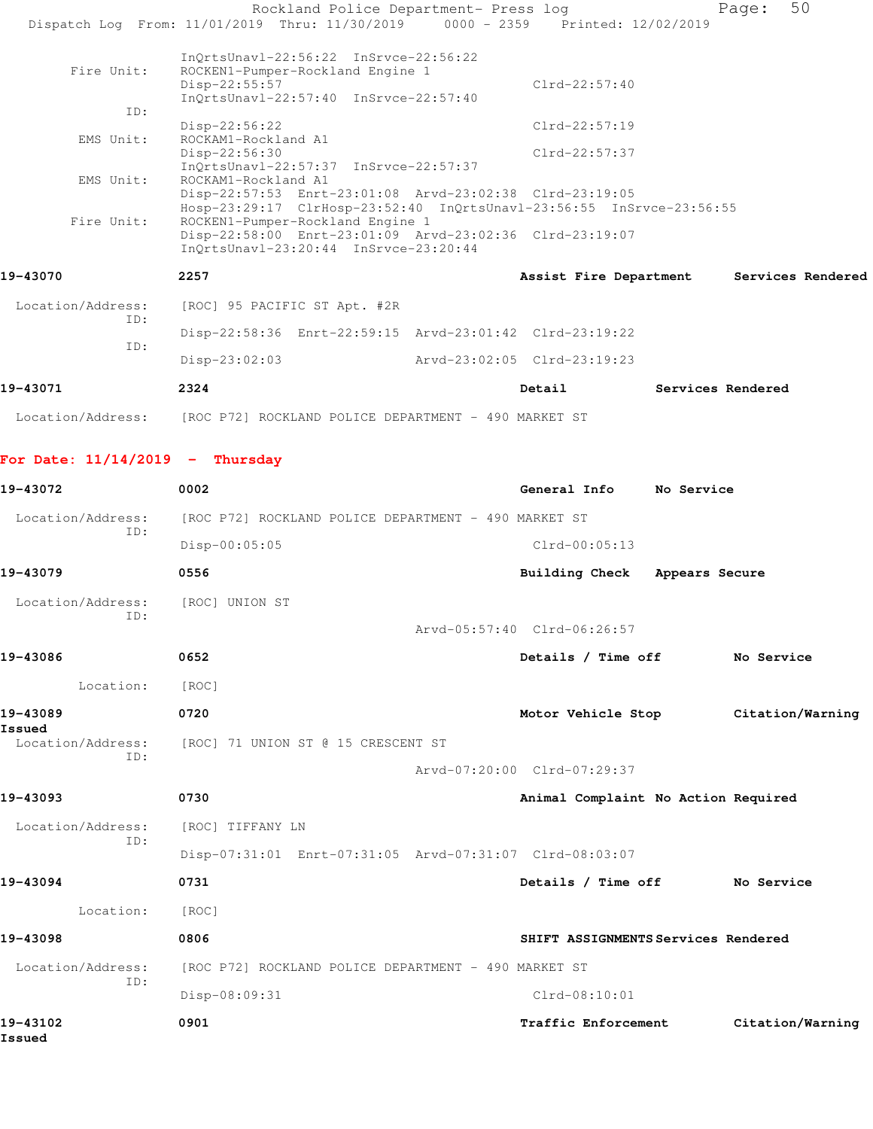|                                   | Rockland Police Department- Press log<br>Dispatch Log From: 11/01/2019 Thru: 11/30/2019 0000 - 2359 Printed: 12/02/2019         |                                     |                   | 50<br>Page:       |  |
|-----------------------------------|---------------------------------------------------------------------------------------------------------------------------------|-------------------------------------|-------------------|-------------------|--|
|                                   |                                                                                                                                 |                                     |                   |                   |  |
| Fire Unit:                        | $InQrtsUnav1-22:56:22$ $InSrvce-22:56:22$<br>ROCKEN1-Pumper-Rockland Engine 1                                                   |                                     |                   |                   |  |
|                                   | Disp-22:55:57<br>InOrtsUnavl-22:57:40 InSrvce-22:57:40                                                                          | $Clrd-22:57:40$                     |                   |                   |  |
| ID:                               | $Disp-22:56:22$                                                                                                                 | $Clrd-22:57:19$                     |                   |                   |  |
| EMS Unit:                         | ROCKAM1-Rockland A1<br>$Disp-22:56:30$                                                                                          | $Clrd-22:57:37$                     |                   |                   |  |
| EMS Unit:                         | InQrtsUnavl-22:57:37 InSrvce-22:57:37<br>ROCKAM1-Rockland A1                                                                    |                                     |                   |                   |  |
|                                   | Disp-22:57:53 Enrt-23:01:08 Arvd-23:02:38 Clrd-23:19:05<br>Hosp-23:29:17 ClrHosp-23:52:40 InQrtsUnavl-23:56:55 InSrvce-23:56:55 |                                     |                   |                   |  |
| Fire Unit:                        | ROCKEN1-Pumper-Rockland Engine 1<br>Disp-22:58:00 Enrt-23:01:09 Arvd-23:02:36 Clrd-23:19:07                                     |                                     |                   |                   |  |
|                                   | InQrtsUnavl-23:20:44 InSrvce-23:20:44                                                                                           |                                     |                   |                   |  |
| 19-43070                          | 2257                                                                                                                            | Assist Fire Department              |                   | Services Rendered |  |
| Location/Address:                 | [ROC] 95 PACIFIC ST Apt. #2R                                                                                                    |                                     |                   |                   |  |
| ID:                               | Disp-22:58:36 Enrt-22:59:15 Arvd-23:01:42 Clrd-23:19:22                                                                         |                                     |                   |                   |  |
| ID:                               | $Disp-23:02:03$                                                                                                                 | Arvd-23:02:05 Clrd-23:19:23         |                   |                   |  |
| 19-43071                          | 2324                                                                                                                            | Detail                              | Services Rendered |                   |  |
|                                   | Location/Address: [ROC P72] ROCKLAND POLICE DEPARTMENT - 490 MARKET ST                                                          |                                     |                   |                   |  |
| For Date: $11/14/2019$ - Thursday |                                                                                                                                 |                                     |                   |                   |  |
| 19-43072                          | 0002                                                                                                                            | General Info                        | No Service        |                   |  |
| Location/Address:                 | [ROC P72] ROCKLAND POLICE DEPARTMENT - 490 MARKET ST                                                                            |                                     |                   |                   |  |
| ID:                               | $Disp-00:05:05$                                                                                                                 | $Clrd-00:05:13$                     |                   |                   |  |
| 19-43079                          | 0556                                                                                                                            | <b>Building Check</b>               | Appears Secure    |                   |  |
| Location/Address:                 | [ROC] UNION ST                                                                                                                  |                                     |                   |                   |  |
| ID:                               |                                                                                                                                 | Arvd-05:57:40 Clrd-06:26:57         |                   |                   |  |
| 19-43086                          | 0652                                                                                                                            | Details / Time off                  |                   | No Service        |  |
| Location:                         | [ROC]                                                                                                                           |                                     |                   |                   |  |
| 19-43089                          | 0720                                                                                                                            | Motor Vehicle Stop                  |                   | Citation/Warning  |  |
| Issued<br>Location/Address:       | [ROC] 71 UNION ST @ 15 CRESCENT ST                                                                                              |                                     |                   |                   |  |
| ID:                               |                                                                                                                                 | Arvd-07:20:00 Clrd-07:29:37         |                   |                   |  |
| 19-43093                          | 0730                                                                                                                            | Animal Complaint No Action Required |                   |                   |  |
| Location/Address:                 | [ROC] TIFFANY LN                                                                                                                |                                     |                   |                   |  |
| ID:                               | Disp-07:31:01 Enrt-07:31:05 Arvd-07:31:07 Clrd-08:03:07                                                                         |                                     |                   |                   |  |
| 19-43094                          | 0731                                                                                                                            | Details / Time off                  |                   | No Service        |  |
| Location:                         | [ROC]                                                                                                                           |                                     |                   |                   |  |
| 19-43098                          | 0806                                                                                                                            | SHIFT ASSIGNMENTS Services Rendered |                   |                   |  |
| Location/Address:                 | [ROC P72] ROCKLAND POLICE DEPARTMENT - 490 MARKET ST                                                                            |                                     |                   |                   |  |
| ID:                               | Disp-08:09:31                                                                                                                   | $Clrd-08:10:01$                     |                   |                   |  |
| 19-43102<br>Issued                | 0901                                                                                                                            | Traffic Enforcement                 |                   | Citation/Warning  |  |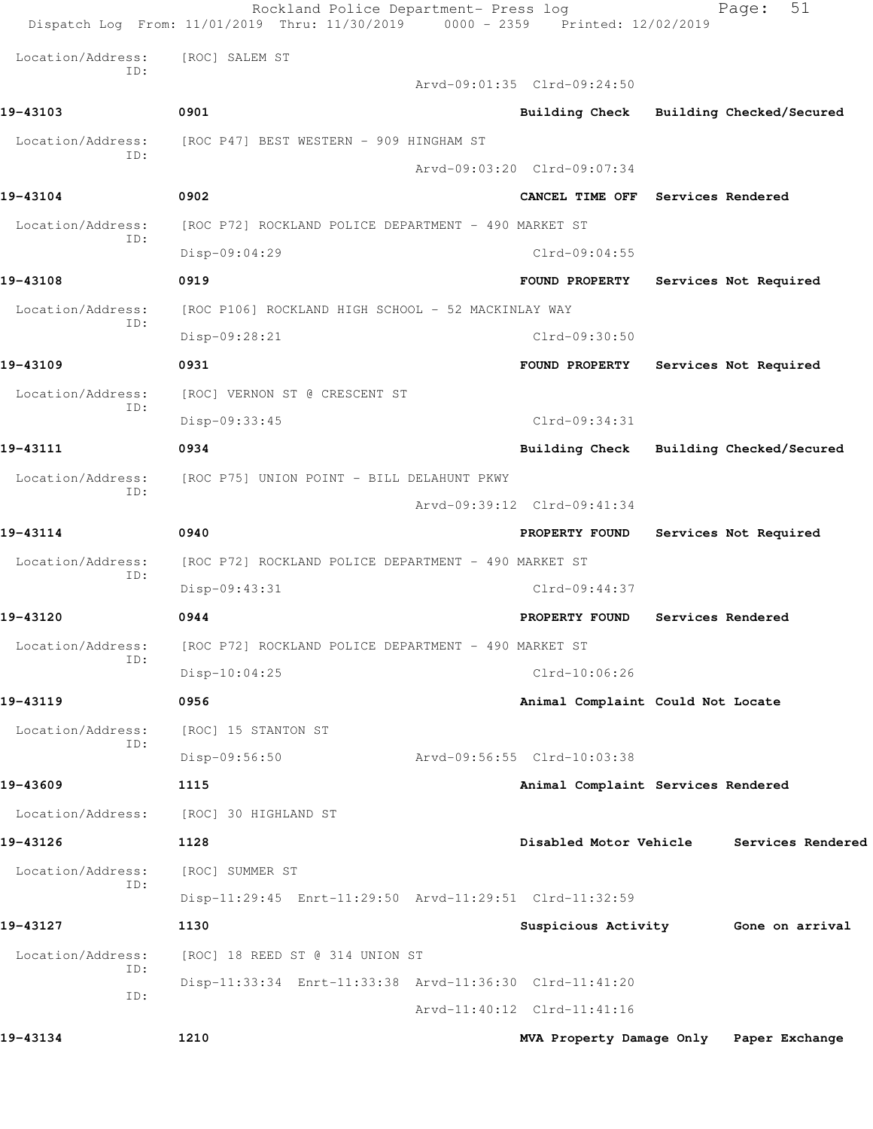|                   | Rockland Police Department- Press log<br>Dispatch Log From: 11/01/2019 Thru: 11/30/2019 0000 - 2359 Printed: 12/02/2019 |                                         |                   | 51<br>Page:              |
|-------------------|-------------------------------------------------------------------------------------------------------------------------|-----------------------------------------|-------------------|--------------------------|
| Location/Address: | [ROC] SALEM ST                                                                                                          |                                         |                   |                          |
| ID:               |                                                                                                                         | Arvd-09:01:35 Clrd-09:24:50             |                   |                          |
| 19-43103          | 0901                                                                                                                    | Building Check Building Checked/Secured |                   |                          |
| Location/Address: | [ROC P47] BEST WESTERN - 909 HINGHAM ST                                                                                 |                                         |                   |                          |
| ID:               |                                                                                                                         | Arvd-09:03:20 Clrd-09:07:34             |                   |                          |
| 19-43104          | 0902                                                                                                                    | CANCEL TIME OFF Services Rendered       |                   |                          |
| Location/Address: | [ROC P72] ROCKLAND POLICE DEPARTMENT - 490 MARKET ST                                                                    |                                         |                   |                          |
| ID:               | Disp-09:04:29                                                                                                           | $Clrd-09:04:55$                         |                   |                          |
| 19-43108          | 0919                                                                                                                    | <b>FOUND PROPERTY</b>                   |                   | Services Not Required    |
| Location/Address: | [ROC P106] ROCKLAND HIGH SCHOOL - 52 MACKINLAY WAY                                                                      |                                         |                   |                          |
| ID:               | Disp-09:28:21                                                                                                           | Clrd-09:30:50                           |                   |                          |
| 19-43109          | 0931                                                                                                                    | <b>FOUND PROPERTY</b>                   |                   | Services Not Required    |
| Location/Address: | [ROC] VERNON ST @ CRESCENT ST                                                                                           |                                         |                   |                          |
| ID:               | Disp-09:33:45                                                                                                           | Clrd-09:34:31                           |                   |                          |
| 19-43111          | 0934                                                                                                                    | <b>Building Check</b>                   |                   | Building Checked/Secured |
| Location/Address: | [ROC P75] UNION POINT - BILL DELAHUNT PKWY                                                                              |                                         |                   |                          |
| ID:               |                                                                                                                         | Arvd-09:39:12 Clrd-09:41:34             |                   |                          |
| 19-43114          | 0940                                                                                                                    | PROPERTY FOUND                          |                   | Services Not Required    |
| Location/Address: | [ROC P72] ROCKLAND POLICE DEPARTMENT - 490 MARKET ST                                                                    |                                         |                   |                          |
| ID:               | Disp-09:43:31                                                                                                           | $Clrd-09:44:37$                         |                   |                          |
| 19-43120          | 0944                                                                                                                    | PROPERTY FOUND                          | Services Rendered |                          |
| Location/Address: | [ROC P72] ROCKLAND POLICE DEPARTMENT - 490 MARKET ST                                                                    |                                         |                   |                          |
| ID:               | Disp-10:04:25                                                                                                           | $Clrd-10:06:26$                         |                   |                          |
| 19-43119          | 0956                                                                                                                    | Animal Complaint Could Not Locate       |                   |                          |
| Location/Address: | [ROC] 15 STANTON ST                                                                                                     |                                         |                   |                          |
| ID:               | Disp-09:56:50                                                                                                           | Arvd-09:56:55 Clrd-10:03:38             |                   |                          |
| 19-43609          | 1115                                                                                                                    | Animal Complaint Services Rendered      |                   |                          |
| Location/Address: | [ROC] 30 HIGHLAND ST                                                                                                    |                                         |                   |                          |
| 19-43126          | 1128                                                                                                                    | Disabled Motor Vehicle                  |                   | Services Rendered        |
| Location/Address: | [ROC] SUMMER ST                                                                                                         |                                         |                   |                          |
| ID:               | Disp-11:29:45 Enrt-11:29:50 Arvd-11:29:51 Clrd-11:32:59                                                                 |                                         |                   |                          |
| 19-43127          | 1130                                                                                                                    | Suspicious Activity                     |                   | Gone on arrival          |
| Location/Address: | [ROC] 18 REED ST @ 314 UNION ST                                                                                         |                                         |                   |                          |
| ID:               | Disp-11:33:34 Enrt-11:33:38 Arvd-11:36:30 Clrd-11:41:20                                                                 |                                         |                   |                          |
| ID:               |                                                                                                                         | Arvd-11:40:12 Clrd-11:41:16             |                   |                          |
| 19-43134          | 1210                                                                                                                    | MVA Property Damage Only Paper Exchange |                   |                          |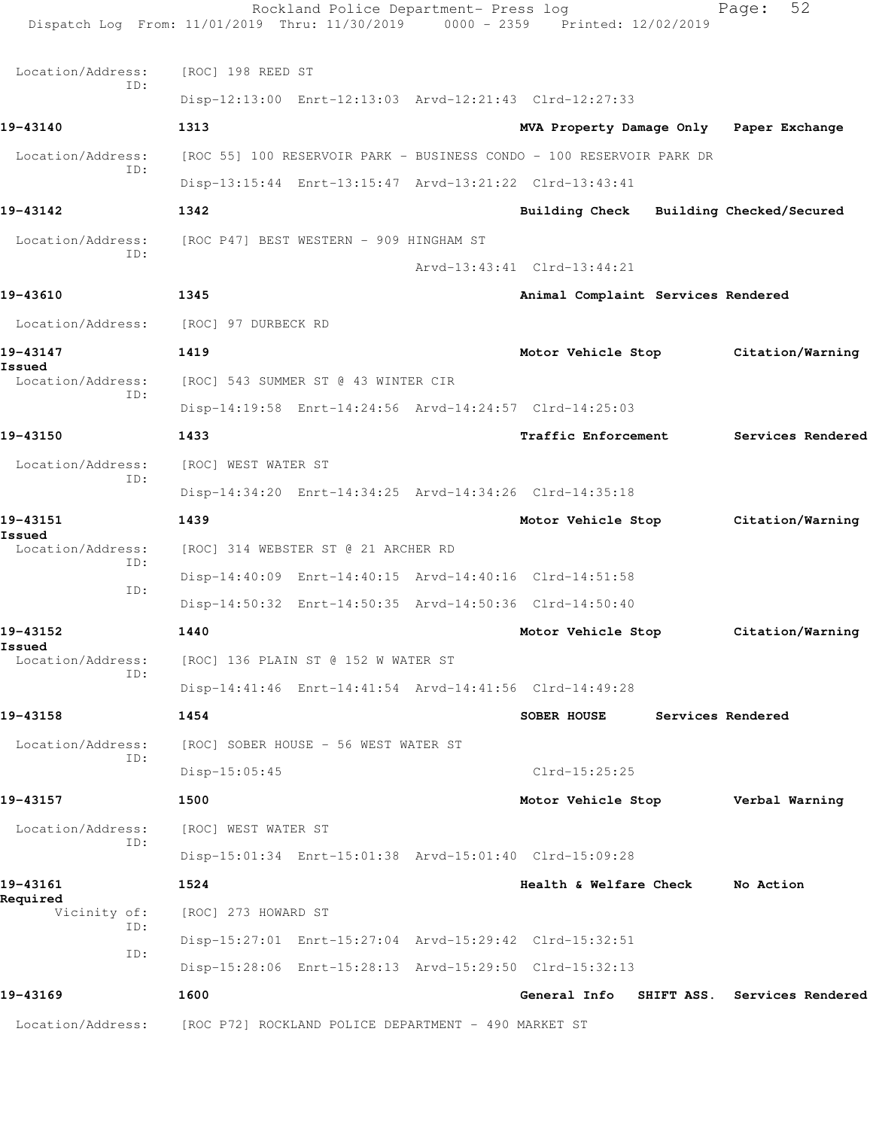Rockland Police Department- Press log Fage: 52 Dispatch Log From: 11/01/2019 Thru: 11/30/2019 0000 - 2359 Printed: 12/02/2019 Location/Address: [ROC] 198 REED ST ID: Disp-12:13:00 Enrt-12:13:03 Arvd-12:21:43 Clrd-12:27:33 **19-43140 1313 MVA Property Damage Only Paper Exchange** Location/Address: [ROC 55] 100 RESERVOIR PARK - BUSINESS CONDO - 100 RESERVOIR PARK DR ID: Disp-13:15:44 Enrt-13:15:47 Arvd-13:21:22 Clrd-13:43:41 **19-43142 1342 Building Check Building Checked/Secured** Location/Address: [ROC P47] BEST WESTERN - 909 HINGHAM ST ID: Arvd-13:43:41 Clrd-13:44:21 **19-43610 1345 Animal Complaint Services Rendered** Location/Address: [ROC] 97 DURBECK RD **19-43147 1419 Motor Vehicle Stop Citation/Warning Issued**  [ROC] 543 SUMMER ST @ 43 WINTER CIR ID: Disp-14:19:58 Enrt-14:24:56 Arvd-14:24:57 Clrd-14:25:03 **19-43150 1433 Traffic Enforcement Services Rendered** Location/Address: [ROC] WEST WATER ST ID: Disp-14:34:20 Enrt-14:34:25 Arvd-14:34:26 Clrd-14:35:18 **19-43151 1439 Motor Vehicle Stop Citation/Warning Issued**  Location/Address: [ROC] 314 WEBSTER ST @ 21 ARCHER RD ID: Disp-14:40:09 Enrt-14:40:15 Arvd-14:40:16 Clrd-14:51:58 ID: Disp-14:50:32 Enrt-14:50:35 Arvd-14:50:36 Clrd-14:50:40 **19-43152 1440 Motor Vehicle Stop Citation/Warning Issued**  Location/Address: [ROC] 136 PLAIN ST @ 152 W WATER ST ID: Disp-14:41:46 Enrt-14:41:54 Arvd-14:41:56 Clrd-14:49:28 **19-43158 1454 SOBER HOUSE Services Rendered** Location/Address: [ROC] SOBER HOUSE - 56 WEST WATER ST ID: Disp-15:05:45 Clrd-15:25:25 **19-43157 1500 Motor Vehicle Stop Verbal Warning** Location/Address: [ROC] WEST WATER ST ID: Disp-15:01:34 Enrt-15:01:38 Arvd-15:01:40 Clrd-15:09:28 **19-43161 1524 Health & Welfare Check No Action Required**  Vicinity of: [ROC] 273 HOWARD ST ID: Disp-15:27:01 Enrt-15:27:04 Arvd-15:29:42 Clrd-15:32:51 ID: Disp-15:28:06 Enrt-15:28:13 Arvd-15:29:50 Clrd-15:32:13 **19-43169 1600 General Info SHIFT ASS. Services Rendered** Location/Address: [ROC P72] ROCKLAND POLICE DEPARTMENT - 490 MARKET ST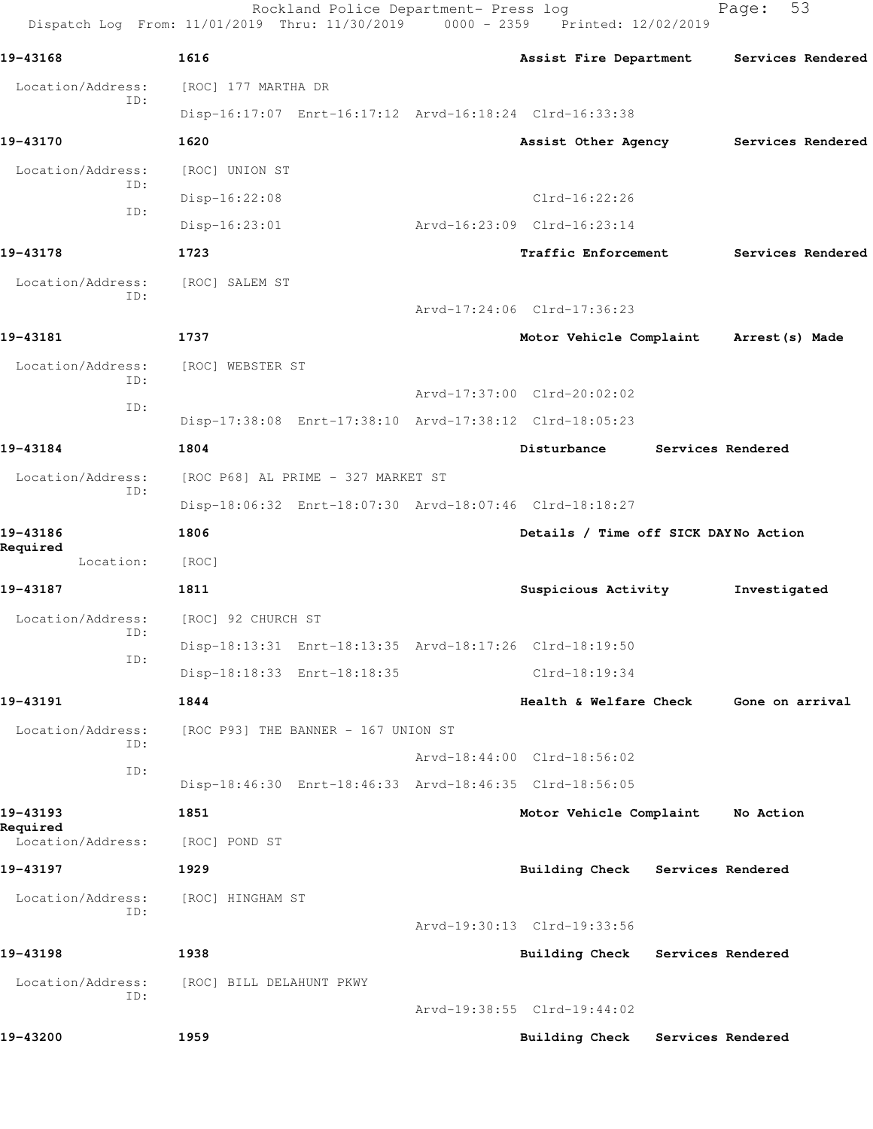Rockland Police Department- Press log Fage: 53 Dispatch Log From: 11/01/2019 Thru: 11/30/2019 0000 - 2359 Printed: 12/02/2019 **19-43168 1616 Assist Fire Department Services Rendered** Location/Address: [ROC] 177 MARTHA DR ID: Disp-16:17:07 Enrt-16:17:12 Arvd-16:18:24 Clrd-16:33:38 **19-43170 1620 Assist Other Agency Services Rendered** Location/Address: [ROC] UNION ST ID: Disp-16:22:08 Clrd-16:22:26 ID: Disp-16:23:01 Arvd-16:23:09 Clrd-16:23:14 **19-43178 1723 Traffic Enforcement Services Rendered** Location/Address: [ROC] SALEM ST ID: Arvd-17:24:06 Clrd-17:36:23 **19-43181 1737 Motor Vehicle Complaint Arrest(s) Made** Location/Address: [ROC] WEBSTER ST ID: Arvd-17:37:00 Clrd-20:02:02 ID: Disp-17:38:08 Enrt-17:38:10 Arvd-17:38:12 Clrd-18:05:23 **19-43184 1804 Disturbance Services Rendered** Location/Address: [ROC P68] AL PRIME - 327 MARKET ST ID: Disp-18:06:32 Enrt-18:07:30 Arvd-18:07:46 Clrd-18:18:27 **19-43186 1806 Details / Time off SICK DAY No Action Required**  Location: [ROC] **19-43187 1811 Suspicious Activity Investigated** Location/Address: [ROC] 92 CHURCH ST ID: Disp-18:13:31 Enrt-18:13:35 Arvd-18:17:26 Clrd-18:19:50 ID: Disp-18:18:33 Enrt-18:18:35 Clrd-18:19:34 **19-43191 1844 Health & Welfare Check Gone on arrival** Location/Address: [ROC P93] THE BANNER - 167 UNION ST ID: Arvd-18:44:00 Clrd-18:56:02 ID: Disp-18:46:30 Enrt-18:46:33 Arvd-18:46:35 Clrd-18:56:05 **19-43193 1851 Motor Vehicle Complaint No Action Required**  Location/Address: [ROC] POND ST **19-43197 1929 Building Check Services Rendered** Location/Address: [ROC] HINGHAM ST ID: Arvd-19:30:13 Clrd-19:33:56 **19-43198 1938 Building Check Services Rendered** Location/Address: [ROC] BILL DELAHUNT PKWY ID: Arvd-19:38:55 Clrd-19:44:02 **19-43200 1959 Building Check Services Rendered**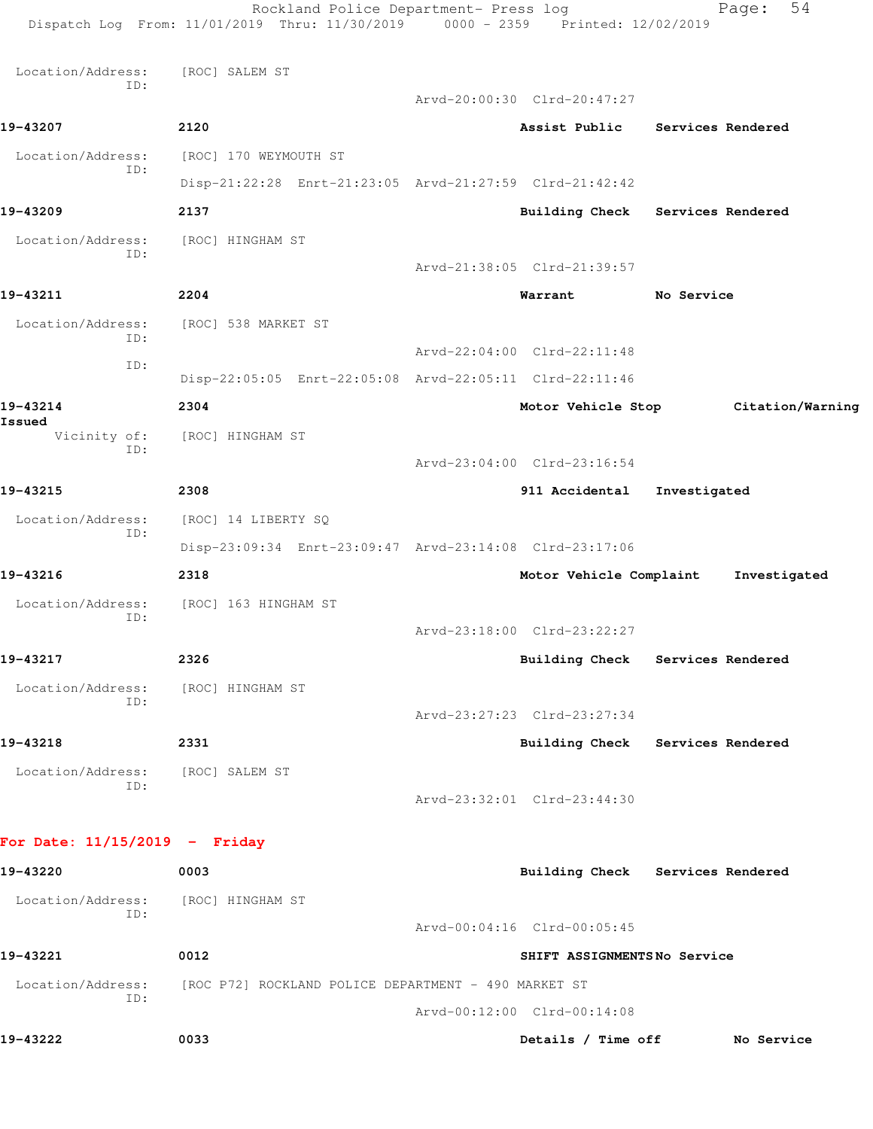|                                 | Rockland Police Department- Press log<br>Dispatch Log From: 11/01/2019 Thru: 11/30/2019 0000 - 2359 Printed: 12/02/2019 |                             | 54<br>Page:                      |
|---------------------------------|-------------------------------------------------------------------------------------------------------------------------|-----------------------------|----------------------------------|
|                                 |                                                                                                                         |                             |                                  |
| Location/Address:<br>ID:        | [ROC] SALEM ST                                                                                                          |                             |                                  |
|                                 |                                                                                                                         | Arvd-20:00:30 Clrd-20:47:27 |                                  |
| 19-43207                        | 2120                                                                                                                    |                             | Assist Public Services Rendered  |
| Location/Address:<br>ID:        | [ROC] 170 WEYMOUTH ST                                                                                                   |                             |                                  |
|                                 | Disp-21:22:28 Enrt-21:23:05 Arvd-21:27:59 Clrd-21:42:42                                                                 |                             |                                  |
| 19-43209                        | 2137                                                                                                                    |                             | Building Check Services Rendered |
| Location/Address:<br>ID:        | [ROC] HINGHAM ST                                                                                                        |                             |                                  |
|                                 |                                                                                                                         | Arvd-21:38:05 Clrd-21:39:57 |                                  |
| 19-43211                        | 2204                                                                                                                    | Warrant                     | No Service                       |
| Location/Address:<br>ID:        | [ROC] 538 MARKET ST                                                                                                     |                             |                                  |
| ID:                             |                                                                                                                         | Arvd-22:04:00 Clrd-22:11:48 |                                  |
|                                 | Disp-22:05:05 Enrt-22:05:08 Arvd-22:05:11 Clrd-22:11:46                                                                 |                             |                                  |
| 19-43214<br>Issued              | 2304                                                                                                                    | Motor Vehicle Stop          | Citation/Warning                 |
| Vicinity of:<br>ID:             | [ROC] HINGHAM ST                                                                                                        |                             |                                  |
|                                 |                                                                                                                         | Arvd-23:04:00 Clrd-23:16:54 |                                  |
| 19-43215                        | 2308                                                                                                                    | 911 Accidental              | Investigated                     |
| Location/Address:<br>ID:        | [ROC] 14 LIBERTY SQ                                                                                                     |                             |                                  |
|                                 | Disp-23:09:34 Enrt-23:09:47 Arvd-23:14:08 Clrd-23:17:06                                                                 |                             |                                  |
| 19-43216                        | 2318                                                                                                                    | Motor Vehicle Complaint     | Investigated                     |
| Location/Address:<br>ID:        | [ROC] 163 HINGHAM ST                                                                                                    |                             |                                  |
|                                 |                                                                                                                         | Arvd-23:18:00 Clrd-23:22:27 |                                  |
| 19-43217                        | 2326                                                                                                                    |                             | Building Check Services Rendered |
| Location/Address:<br>ID:        | [ROC] HINGHAM ST                                                                                                        |                             |                                  |
|                                 |                                                                                                                         | Arvd-23:27:23 Clrd-23:27:34 |                                  |
| 19-43218                        | 2331                                                                                                                    |                             | Building Check Services Rendered |
| Location/Address:<br>ID:        | [ROC] SALEM ST                                                                                                          |                             |                                  |
|                                 |                                                                                                                         | Arvd-23:32:01 Clrd-23:44:30 |                                  |
| For Date: $11/15/2019$ - Friday |                                                                                                                         |                             |                                  |
| 19-43220                        | 0003                                                                                                                    |                             | Building Check Services Rendered |
| Location/Address:               | [ROC] HINGHAM ST                                                                                                        |                             |                                  |
| ID:                             |                                                                                                                         | Arvd-00:04:16 Clrd-00:05:45 |                                  |
| 19-43221                        | 0012                                                                                                                    | SHIFT ASSIGNMENTSNo Service |                                  |
| Location/Address:               | [ROC P72] ROCKLAND POLICE DEPARTMENT - 490 MARKET ST                                                                    |                             |                                  |
| ID:                             |                                                                                                                         | Arvd-00:12:00 Clrd-00:14:08 |                                  |
| 19-43222                        | 0033                                                                                                                    | Details / Time off          | No Service                       |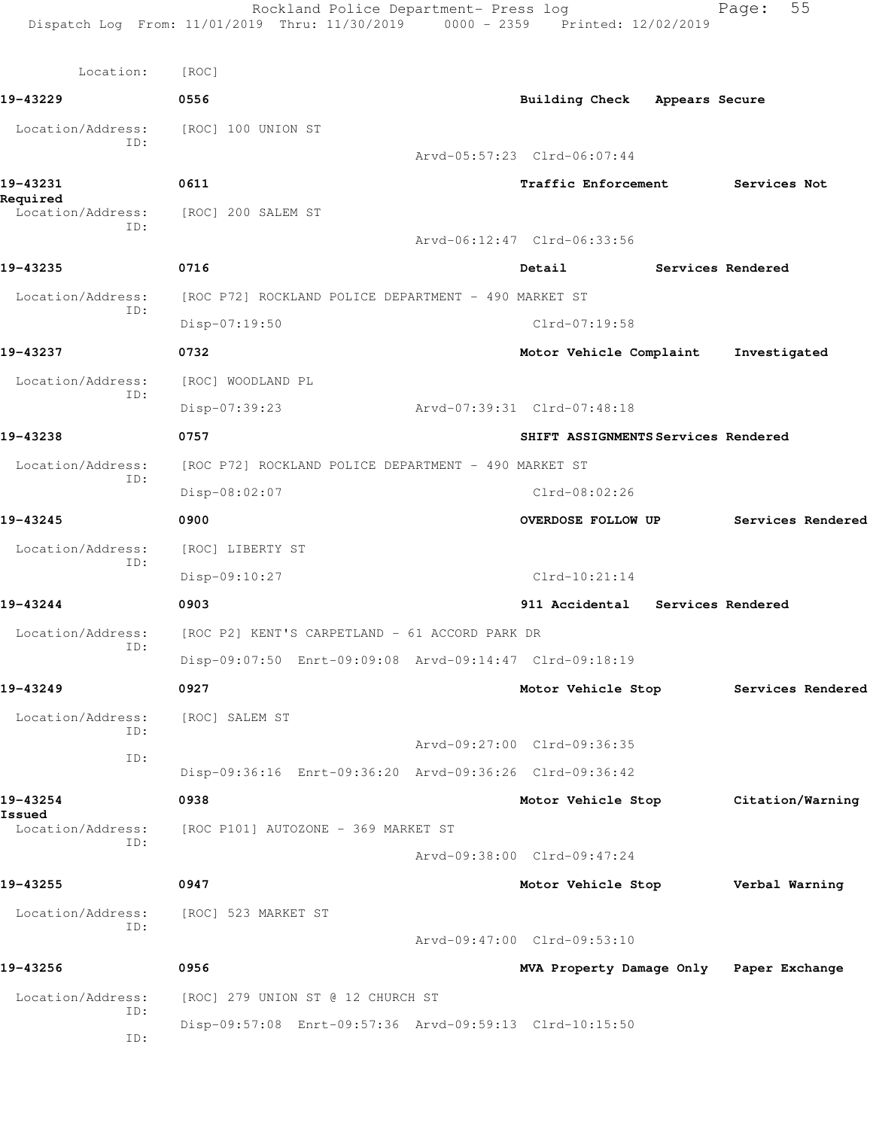**19-43229 0556 Building Check Appears Secure**

Location/Address: [ROC] 100 UNION ST ID: Arvd-05:57:23 Clrd-06:07:44 **19-43231 0611 Traffic Enforcement Services Not Required**  Location/Address: [ROC] 200 SALEM ST ID: Arvd-06:12:47 Clrd-06:33:56 **19-43235 0716 Detail Services Rendered** Location/Address: [ROC P72] ROCKLAND POLICE DEPARTMENT - 490 MARKET ST ID: Disp-07:19:50 Clrd-07:19:58 **19-43237 0732 Motor Vehicle Complaint Investigated** Location/Address: [ROC] WOODLAND PL ID: Disp-07:39:23 Arvd-07:39:31 Clrd-07:48:18 **19-43238 0757 SHIFT ASSIGNMENTS Services Rendered** Location/Address: [ROC P72] ROCKLAND POLICE DEPARTMENT - 490 MARKET ST ID: Disp-08:02:07 Clrd-08:02:26 **19-43245 0900 OVERDOSE FOLLOW UP Services Rendered** Location/Address: [ROC] LIBERTY ST ID: Disp-09:10:27 Clrd-10:21:14 **19-43244 0903 911 Accidental Services Rendered** Location/Address: [ROC P2] KENT'S CARPETLAND - 61 ACCORD PARK DR ID: Disp-09:07:50 Enrt-09:09:08 Arvd-09:14:47 Clrd-09:18:19 **19-43249 0927 Motor Vehicle Stop Services Rendered** Location/Address: [ROC] SALEM ST ID: Arvd-09:27:00 Clrd-09:36:35 ID: Disp-09:36:16 Enrt-09:36:20 Arvd-09:36:26 Clrd-09:36:42 **19-43254 0938 Motor Vehicle Stop Citation/Warning Issued**  Location/Address: [ROC P101] AUTOZONE - 369 MARKET ST ID: Arvd-09:38:00 Clrd-09:47:24 **19-43255 0947 Motor Vehicle Stop Verbal Warning** Location/Address: [ROC] 523 MARKET ST ID: Arvd-09:47:00 Clrd-09:53:10 **19-43256 0956 MVA Property Damage Only Paper Exchange** Location/Address: [ROC] 279 UNION ST @ 12 CHURCH ST ID: Disp-09:57:08 Enrt-09:57:36 Arvd-09:59:13 Clrd-10:15:50 ID: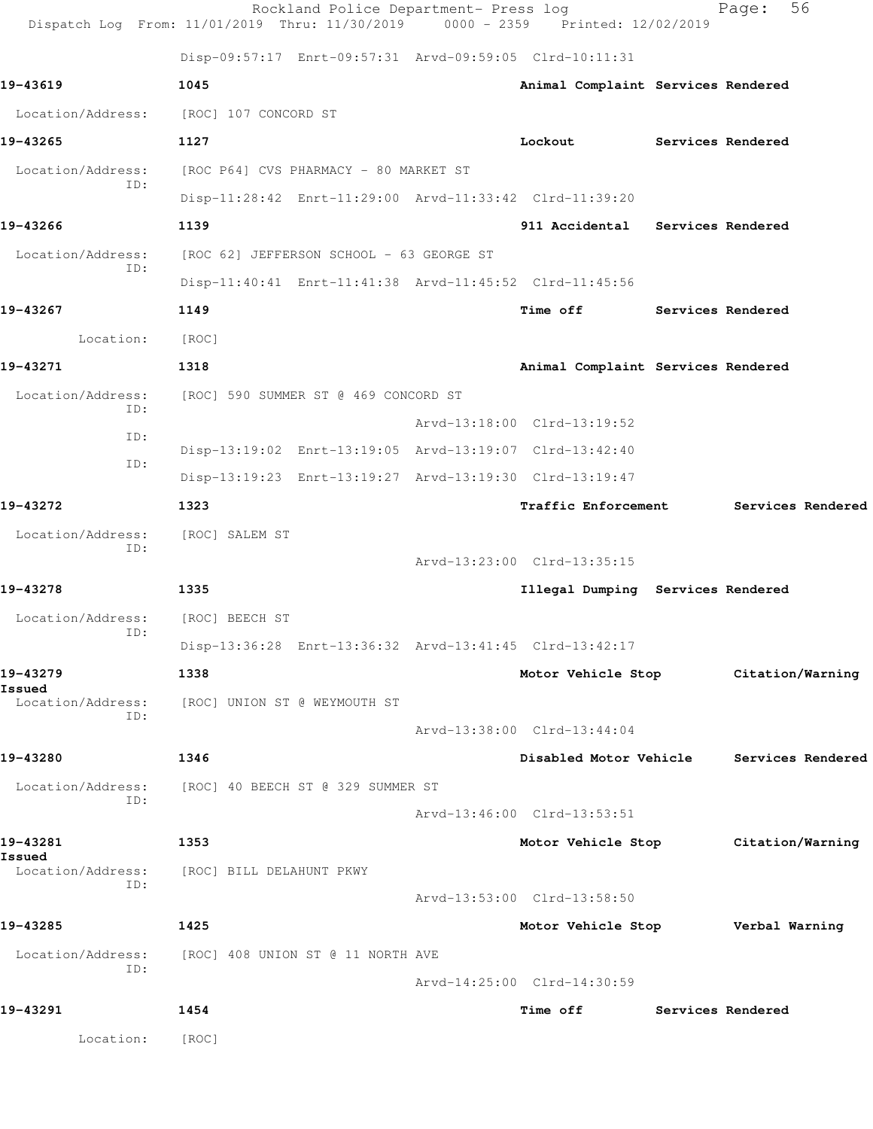|                          | Rockland Police Department- Press log<br>Dispatch Log From: 11/01/2019 Thru: 11/30/2019 0000 - 2359 Printed: 12/02/2019 |                                          | 56<br>Page:                         |
|--------------------------|-------------------------------------------------------------------------------------------------------------------------|------------------------------------------|-------------------------------------|
|                          | Disp-09:57:17 Enrt-09:57:31 Arvd-09:59:05 Clrd-10:11:31                                                                 |                                          |                                     |
| 19-43619                 | 1045                                                                                                                    | Animal Complaint Services Rendered       |                                     |
| Location/Address:        | [ROC] 107 CONCORD ST                                                                                                    |                                          |                                     |
| 19-43265                 | 1127                                                                                                                    | Lockout                                  | <b>Services Rendered</b>            |
| Location/Address:<br>ID: | [ROC P64] CVS PHARMACY - 80 MARKET ST                                                                                   |                                          |                                     |
|                          | Disp-11:28:42 Enrt-11:29:00 Arvd-11:33:42 Clrd-11:39:20                                                                 |                                          |                                     |
| 19-43266                 | 1139                                                                                                                    | 911 Accidental Services Rendered         |                                     |
| Location/Address:<br>ID: | [ROC 62] JEFFERSON SCHOOL - 63 GEORGE ST                                                                                |                                          |                                     |
|                          | Disp-11:40:41 Enrt-11:41:38 Arvd-11:45:52 Clrd-11:45:56                                                                 |                                          |                                     |
| 19-43267                 | 1149                                                                                                                    | Time off                                 | Services Rendered                   |
| Location:                | [ROC]                                                                                                                   |                                          |                                     |
| 19-43271                 | 1318                                                                                                                    | Animal Complaint Services Rendered       |                                     |
| Location/Address:<br>ID: | [ROC] 590 SUMMER ST @ 469 CONCORD ST                                                                                    |                                          |                                     |
| ID:                      |                                                                                                                         | Arvd-13:18:00 Clrd-13:19:52              |                                     |
| ID:                      | Disp-13:19:02 Enrt-13:19:05 Arvd-13:19:07 Clrd-13:42:40                                                                 |                                          |                                     |
|                          | Disp-13:19:23 Enrt-13:19:27 Arvd-13:19:30 Clrd-13:19:47                                                                 |                                          |                                     |
| 19-43272                 | 1323                                                                                                                    | Traffic Enforcement                      | Services Rendered                   |
| Location/Address:<br>ID: | [ROC] SALEM ST                                                                                                          |                                          |                                     |
|                          |                                                                                                                         | Arvd-13:23:00 Clrd-13:35:15              |                                     |
| 19-43278                 | 1335                                                                                                                    | Illegal Dumping Services Rendered        |                                     |
| Location/Address:<br>ID: | [ROC] BEECH ST                                                                                                          |                                          |                                     |
|                          | Disp-13:36:28 Enrt-13:36:32 Arvd-13:41:45 Clrd-13:42:17                                                                 |                                          |                                     |
| 19-43279<br>Issued       | 1338                                                                                                                    |                                          | Motor Vehicle Stop Citation/Warning |
| Location/Address:<br>ID: | [ROC] UNION ST @ WEYMOUTH ST                                                                                            |                                          |                                     |
|                          |                                                                                                                         | Arvd-13:38:00 Clrd-13:44:04              |                                     |
| 19-43280                 | 1346                                                                                                                    | Disabled Motor Vehicle                   | Services Rendered                   |
| ID:                      | Location/Address: [ROC] 40 BEECH ST @ 329 SUMMER ST                                                                     |                                          |                                     |
|                          |                                                                                                                         | Arvd-13:46:00 Clrd-13:53:51              |                                     |
| 19-43281<br>Issued       | 1353                                                                                                                    |                                          | Motor Vehicle Stop Citation/Warning |
| ID:                      | Location/Address: [ROC] BILL DELAHUNT PKWY                                                                              |                                          |                                     |
|                          |                                                                                                                         | Arvd-13:53:00 Clrd-13:58:50              |                                     |
| 19-43285                 | 1425                                                                                                                    | Motor Vehicle Stop <b>Werbal Warning</b> |                                     |
| ID:                      | Location/Address: [ROC] 408 UNION ST @ 11 NORTH AVE                                                                     |                                          |                                     |
|                          |                                                                                                                         | Arvd-14:25:00 Clrd-14:30:59              |                                     |
| 19-43291                 | 1454                                                                                                                    | Time off Services Rendered               |                                     |
| Location:                | [ROC]                                                                                                                   |                                          |                                     |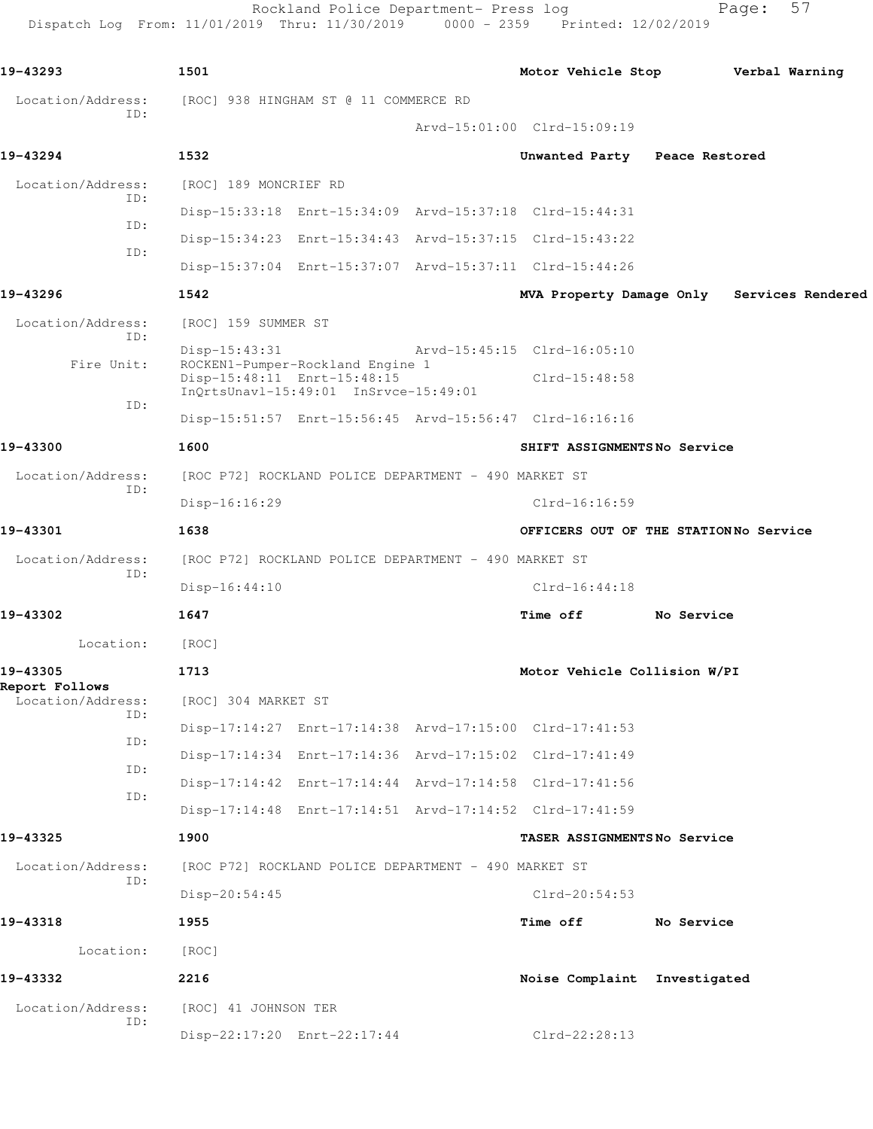Rockland Police Department- Press log Fage: 57 Dispatch Log From: 11/01/2019 Thru: 11/30/2019 0000 - 2359 Printed: 12/02/2019

**19-43293 1501 Motor Vehicle Stop Verbal Warning** Location/Address: [ROC] 938 HINGHAM ST @ 11 COMMERCE RD ID: Arvd-15:01:00 Clrd-15:09:19 **19-43294 1532 Unwanted Party Peace Restored** Location/Address: [ROC] 189 MONCRIEF RD ID: Disp-15:33:18 Enrt-15:34:09 Arvd-15:37:18 Clrd-15:44:31 ID: Disp-15:34:23 Enrt-15:34:43 Arvd-15:37:15 Clrd-15:43:22 ID: Disp-15:37:04 Enrt-15:37:07 Arvd-15:37:11 Clrd-15:44:26 **19-43296 1542 MVA Property Damage Only Services Rendered** Location/Address: [ROC] 159 SUMMER ST ID: Disp-15:43:31 Arvd-15:45:15 Clrd-16:05:10 Fire Unit: ROCKEN1-Pumper-Rockland Engine 1 Disp-15:48:11 Enrt-15:48:15 Clrd-15:48:58 InQrtsUnavl-15:49:01 InSrvce-15:49:01 ID: Disp-15:51:57 Enrt-15:56:45 Arvd-15:56:47 Clrd-16:16:16 **19-43300 1600 SHIFT ASSIGNMENTS No Service** Location/Address: [ROC P72] ROCKLAND POLICE DEPARTMENT - 490 MARKET ST ID: Disp-16:16:29 Clrd-16:16:59 **19-43301 1638 OFFICERS OUT OF THE STATION No Service** Location/Address: [ROC P72] ROCKLAND POLICE DEPARTMENT - 490 MARKET ST ID: Disp-16:44:10 Clrd-16:44:18 **19-43302 1647 Time off No Service** Location: [ROC] **19-43305 1713 Motor Vehicle Collision W/PI Report Follows**  Location/Address: [ROC] 304 MARKET ST ID: Disp-17:14:27 Enrt-17:14:38 Arvd-17:15:00 Clrd-17:41:53 ID: Disp-17:14:34 Enrt-17:14:36 Arvd-17:15:02 Clrd-17:41:49 ID: Disp-17:14:42 Enrt-17:14:44 Arvd-17:14:58 Clrd-17:41:56 ID: Disp-17:14:48 Enrt-17:14:51 Arvd-17:14:52 Clrd-17:41:59 **19-43325 1900 TASER ASSIGNMENTS No Service** Location/Address: [ROC P72] ROCKLAND POLICE DEPARTMENT - 490 MARKET ST ID: Disp-20:54:45 Clrd-20:54:53 **19-43318 1955 Time off No Service** Location: [ROC] **19-43332 2216 Noise Complaint Investigated** Location/Address: [ROC] 41 JOHNSON TER ID: Disp-22:17:20 Enrt-22:17:44 Clrd-22:28:13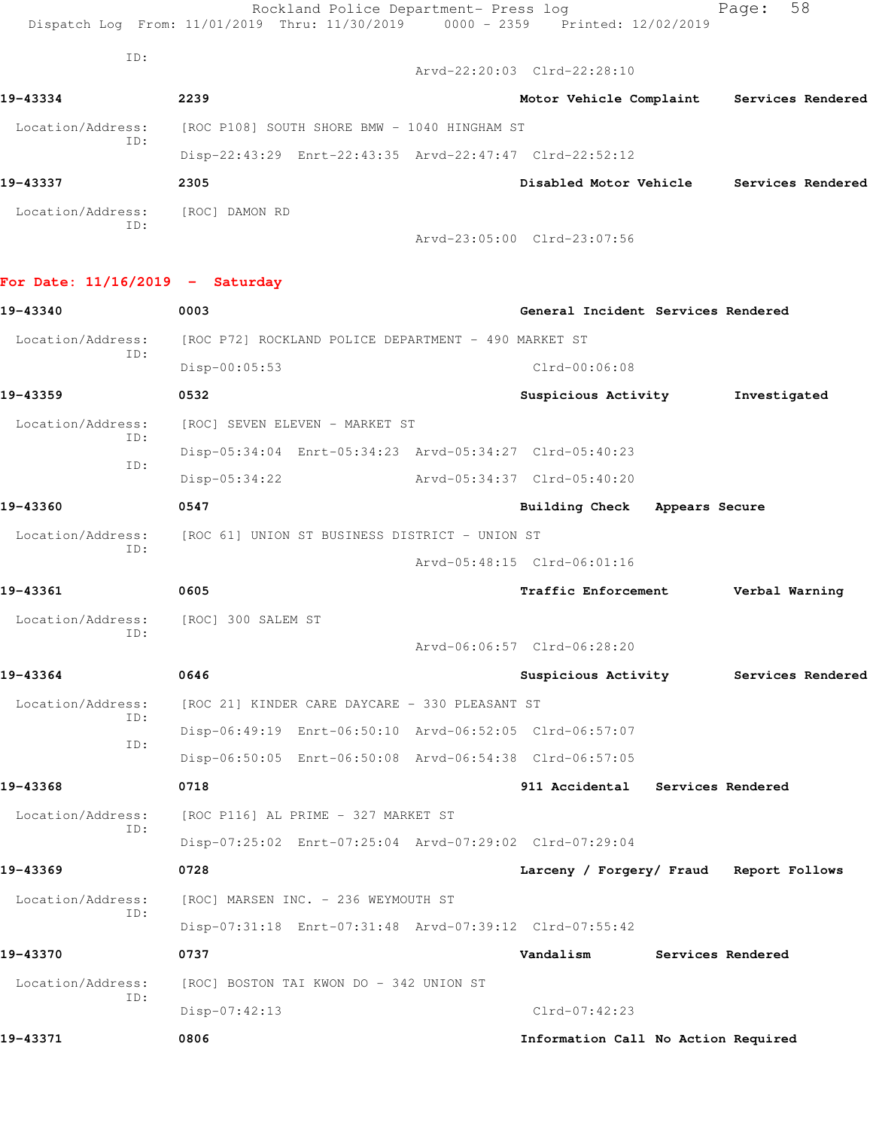|                                   | Rockland Police Department- Press log<br>Dispatch Log From: 11/01/2019 Thru: 11/30/2019 | 0000 - 2359 Printed: 12/02/2019           |                          | 58<br>Page:       |  |
|-----------------------------------|-----------------------------------------------------------------------------------------|-------------------------------------------|--------------------------|-------------------|--|
| ID:                               |                                                                                         | Arvd-22:20:03 Clrd-22:28:10               |                          |                   |  |
| 19-43334                          | 2239                                                                                    | Motor Vehicle Complaint Services Rendered |                          |                   |  |
| Location/Address:                 | [ROC P108] SOUTH SHORE BMW - 1040 HINGHAM ST                                            |                                           |                          |                   |  |
| ID:                               | Disp-22:43:29 Enrt-22:43:35 Arvd-22:47:47 Clrd-22:52:12                                 |                                           |                          |                   |  |
| 19-43337                          | 2305                                                                                    | Disabled Motor Vehicle                    |                          | Services Rendered |  |
| Location/Address:                 | [ROC] DAMON RD                                                                          |                                           |                          |                   |  |
| ID:                               |                                                                                         | Arvd-23:05:00 Clrd-23:07:56               |                          |                   |  |
| For Date: $11/16/2019$ - Saturday |                                                                                         |                                           |                          |                   |  |
| 19-43340                          | 0003                                                                                    | General Incident Services Rendered        |                          |                   |  |
| Location/Address:                 | [ROC P72] ROCKLAND POLICE DEPARTMENT - 490 MARKET ST                                    |                                           |                          |                   |  |
| ID:                               | Disp-00:05:53                                                                           | $Clrd-00:06:08$                           |                          |                   |  |
| 19-43359                          | 0532                                                                                    | Suspicious Activity                       |                          | Investigated      |  |
| Location/Address:                 | [ROC] SEVEN ELEVEN - MARKET ST                                                          |                                           |                          |                   |  |
| ID:                               | Disp-05:34:04 Enrt-05:34:23 Arvd-05:34:27 Clrd-05:40:23                                 |                                           |                          |                   |  |
| ID:                               | $Disp-05:34:22$                                                                         | Arvd-05:34:37 Clrd-05:40:20               |                          |                   |  |
| 19-43360                          | 0547                                                                                    | <b>Building Check</b>                     | Appears Secure           |                   |  |
| Location/Address:                 | [ROC 61] UNION ST BUSINESS DISTRICT - UNION ST                                          |                                           |                          |                   |  |
| ID:                               |                                                                                         | Arvd-05:48:15 Clrd-06:01:16               |                          |                   |  |
| 19-43361                          | 0605                                                                                    | <b>Traffic Enforcement</b>                |                          | Verbal Warning    |  |
|                                   | Location/Address: [ROC] 300 SALEM ST                                                    |                                           |                          |                   |  |
| ID:                               |                                                                                         | Arvd-06:06:57 Clrd-06:28:20               |                          |                   |  |
| 19-43364                          | 0646                                                                                    | Suspicious Activity                       |                          | Services Rendered |  |
| Location/Address:<br>ID:          | [ROC 21] KINDER CARE DAYCARE - 330 PLEASANT ST                                          |                                           |                          |                   |  |
| ID:                               | Disp-06:49:19 Enrt-06:50:10 Arvd-06:52:05 Clrd-06:57:07                                 |                                           |                          |                   |  |
|                                   | Disp-06:50:05 Enrt-06:50:08 Arvd-06:54:38 Clrd-06:57:05                                 |                                           |                          |                   |  |
| 19-43368                          | 0718                                                                                    | 911 Accidental                            | <b>Services Rendered</b> |                   |  |
| Location/Address:<br>ID:          | [ROC P116] AL PRIME - 327 MARKET ST                                                     |                                           |                          |                   |  |
|                                   | Disp-07:25:02 Enrt-07:25:04 Arvd-07:29:02 Clrd-07:29:04                                 |                                           |                          |                   |  |
| 19-43369                          | 0728                                                                                    | Larceny / Forgery/ Fraud Report Follows   |                          |                   |  |
| Location/Address:<br>ID:          | [ROC] MARSEN INC. - 236 WEYMOUTH ST                                                     |                                           |                          |                   |  |
|                                   | Disp-07:31:18 Enrt-07:31:48 Arvd-07:39:12 Clrd-07:55:42                                 |                                           |                          |                   |  |
| 19-43370                          | 0737                                                                                    | Vandalism                                 | Services Rendered        |                   |  |
| Location/Address:<br>ID:          | [ROC] BOSTON TAI KWON DO - 342 UNION ST                                                 |                                           |                          |                   |  |
|                                   | Disp-07:42:13                                                                           | $Clrd-07:42:23$                           |                          |                   |  |
| 19-43371                          | 0806                                                                                    | Information Call No Action Required       |                          |                   |  |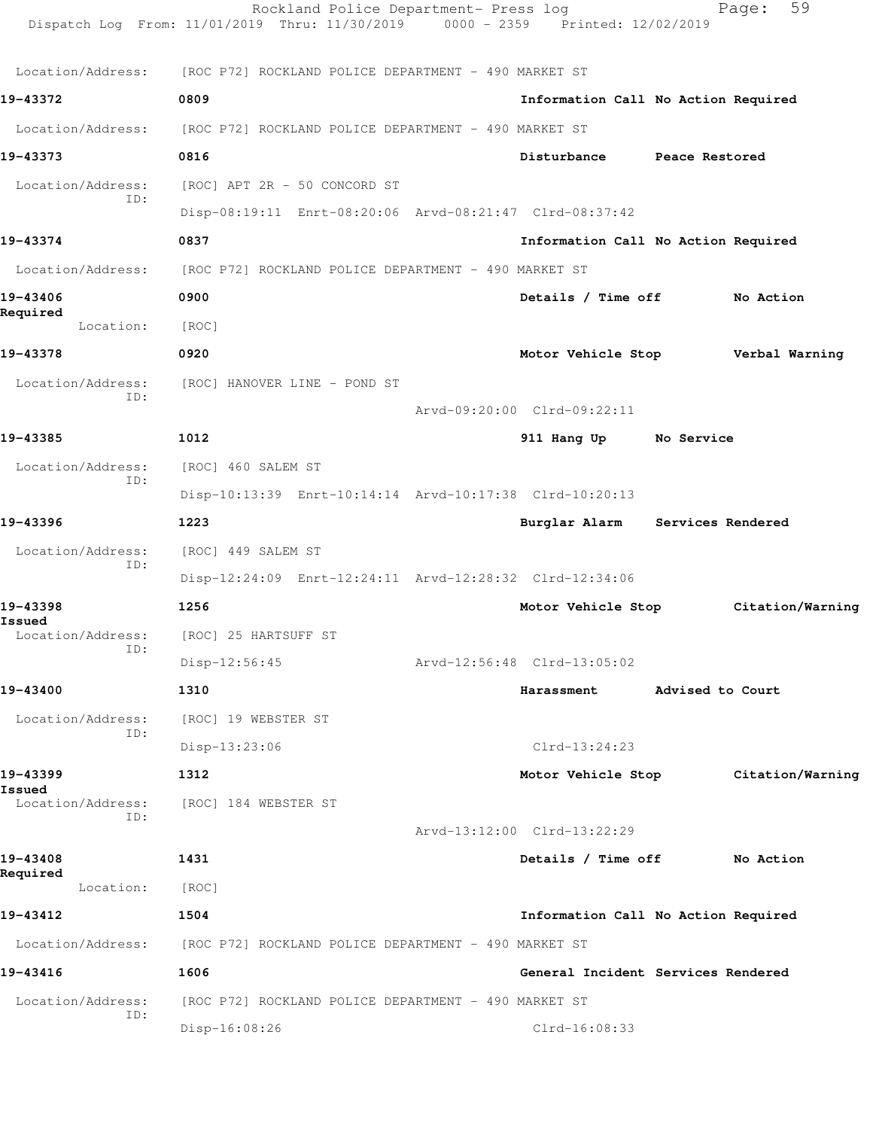|                             | Rockland Police Department- Press log<br>Dispatch Log From: 11/01/2019 Thru: 11/30/2019 0000 - 2359 Printed: 12/02/2019 |                                     |                   | 59<br>Page:      |
|-----------------------------|-------------------------------------------------------------------------------------------------------------------------|-------------------------------------|-------------------|------------------|
| Location/Address:           | [ROC P72] ROCKLAND POLICE DEPARTMENT - 490 MARKET ST                                                                    |                                     |                   |                  |
| 19-43372                    | 0809                                                                                                                    | Information Call No Action Required |                   |                  |
| Location/Address:           | [ROC P72] ROCKLAND POLICE DEPARTMENT - 490 MARKET ST                                                                    |                                     |                   |                  |
| 19-43373                    | 0816                                                                                                                    | Disturbance Peace Restored          |                   |                  |
| Location/Address:           | [ROC] APT 2R - 50 CONCORD ST                                                                                            |                                     |                   |                  |
| ID:                         | Disp-08:19:11 Enrt-08:20:06 Arvd-08:21:47 Clrd-08:37:42                                                                 |                                     |                   |                  |
| 19-43374                    | 0837                                                                                                                    | Information Call No Action Required |                   |                  |
| Location/Address:           | [ROC P72] ROCKLAND POLICE DEPARTMENT - 490 MARKET ST                                                                    |                                     |                   |                  |
| 19-43406                    | 0900                                                                                                                    | Details / Time off                  |                   | No Action        |
| Required<br>Location:       | [ROC]                                                                                                                   |                                     |                   |                  |
| 19-43378                    | 0920                                                                                                                    | Motor Vehicle Stop                  |                   | Verbal Warning   |
| Location/Address:           | [ROC] HANOVER LINE - POND ST                                                                                            |                                     |                   |                  |
| ID:                         |                                                                                                                         | Arvd-09:20:00 Clrd-09:22:11         |                   |                  |
| 19-43385                    | 1012                                                                                                                    | 911 Hang Up No Service              |                   |                  |
| Location/Address:           | [ROC] 460 SALEM ST                                                                                                      |                                     |                   |                  |
| ID:                         | Disp-10:13:39 Enrt-10:14:14 Arvd-10:17:38 Clrd-10:20:13                                                                 |                                     |                   |                  |
| 19-43396                    | 1223                                                                                                                    | Burglar Alarm                       | Services Rendered |                  |
| Location/Address:           | [ROC] 449 SALEM ST                                                                                                      |                                     |                   |                  |
| ID:                         | Disp-12:24:09 Enrt-12:24:11 Arvd-12:28:32 Clrd-12:34:06                                                                 |                                     |                   |                  |
| 19-43398                    | 1256                                                                                                                    | Motor Vehicle Stop                  |                   | Citation/Warning |
| Issued<br>Location/Address: | [ROC] 25 HARTSUFF ST                                                                                                    |                                     |                   |                  |
| ID:                         | $Disp-12:56:45$                                                                                                         | Arvd-12:56:48 Clrd-13:05:02         |                   |                  |
| 19-43400                    | 1310                                                                                                                    | Harassment                          | Advised to Court  |                  |
| Location/Address:           | [ROC] 19 WEBSTER ST                                                                                                     |                                     |                   |                  |
| ID:                         | Disp-13:23:06                                                                                                           | $Clrd-13:24:23$                     |                   |                  |
| 19-43399                    | 1312                                                                                                                    | Motor Vehicle Stop                  |                   | Citation/Warning |
| Issued<br>Location/Address: | [ROC] 184 WEBSTER ST                                                                                                    |                                     |                   |                  |
| ID:                         |                                                                                                                         | Arvd-13:12:00 Clrd-13:22:29         |                   |                  |
| 19-43408                    | 1431                                                                                                                    | Details / Time off                  |                   | No Action        |
| Required<br>Location:       | [ROC]                                                                                                                   |                                     |                   |                  |
| 19-43412                    | 1504                                                                                                                    | Information Call No Action Required |                   |                  |
| Location/Address:           | [ROC P72] ROCKLAND POLICE DEPARTMENT - 490 MARKET ST                                                                    |                                     |                   |                  |
| 19-43416                    | 1606                                                                                                                    | General Incident Services Rendered  |                   |                  |
| Location/Address:           | [ROC P72] ROCKLAND POLICE DEPARTMENT - 490 MARKET ST                                                                    |                                     |                   |                  |
| ID:                         | Disp-16:08:26                                                                                                           | Clrd-16:08:33                       |                   |                  |
|                             |                                                                                                                         |                                     |                   |                  |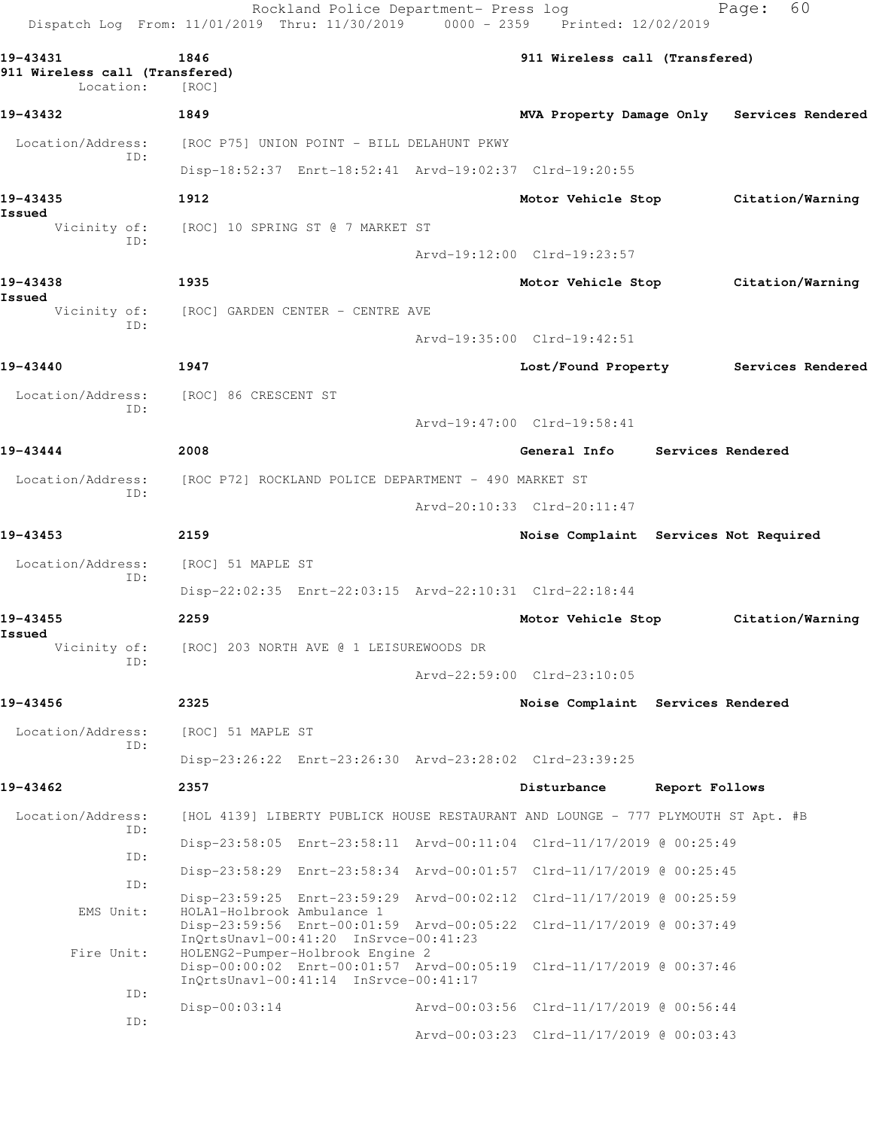| Dispatch Log From: 11/01/2019 Thru: 11/30/2019 0000 - 2359 Printed: 12/02/2019 |                                                      | Rockland Police Department- Press log                                     |                                                                                  |                | 60<br>Page:                                |
|--------------------------------------------------------------------------------|------------------------------------------------------|---------------------------------------------------------------------------|----------------------------------------------------------------------------------|----------------|--------------------------------------------|
| 19-43431<br>911 Wireless call (Transfered)<br>Location:                        | 1846<br>[ROC]                                        |                                                                           | 911 Wireless call (Transfered)                                                   |                |                                            |
| 19-43432                                                                       | 1849                                                 |                                                                           |                                                                                  |                | MVA Property Damage Only Services Rendered |
| Location/Address:                                                              | [ROC P75] UNION POINT - BILL DELAHUNT PKWY           |                                                                           |                                                                                  |                |                                            |
| ID:                                                                            |                                                      |                                                                           | Disp-18:52:37 Enrt-18:52:41 Arvd-19:02:37 Clrd-19:20:55                          |                |                                            |
| 19-43435                                                                       | 1912                                                 |                                                                           | Motor Vehicle Stop                                                               |                | Citation/Warning                           |
| Issued                                                                         | Vicinity of: [ROC] 10 SPRING ST @ 7 MARKET ST        |                                                                           |                                                                                  |                |                                            |
| ID:                                                                            |                                                      |                                                                           | Arvd-19:12:00 Clrd-19:23:57                                                      |                |                                            |
| 19-43438                                                                       | 1935                                                 |                                                                           | Motor Vehicle Stop                                                               |                | Citation/Warning                           |
| Issued<br>Vicinity of:                                                         | [ROC] GARDEN CENTER - CENTRE AVE                     |                                                                           |                                                                                  |                |                                            |
| ID:                                                                            |                                                      |                                                                           | Arvd-19:35:00 Clrd-19:42:51                                                      |                |                                            |
| 19-43440                                                                       | 1947                                                 |                                                                           |                                                                                  |                | Lost/Found Property Services Rendered      |
| Location/Address:                                                              | [ROC] 86 CRESCENT ST                                 |                                                                           |                                                                                  |                |                                            |
| ID:                                                                            |                                                      |                                                                           | Arvd-19:47:00 Clrd-19:58:41                                                      |                |                                            |
| 19-43444                                                                       | 2008                                                 |                                                                           | General Info                                                                     |                | <b>Services Rendered</b>                   |
| Location/Address:                                                              | [ROC P72] ROCKLAND POLICE DEPARTMENT - 490 MARKET ST |                                                                           |                                                                                  |                |                                            |
| ID:                                                                            |                                                      |                                                                           | Arvd-20:10:33 Clrd-20:11:47                                                      |                |                                            |
| 19-43453                                                                       | 2159                                                 |                                                                           | Noise Complaint Services Not Required                                            |                |                                            |
| Location/Address:                                                              | [ROC] 51 MAPLE ST                                    |                                                                           |                                                                                  |                |                                            |
| ID:                                                                            |                                                      |                                                                           | Disp-22:02:35 Enrt-22:03:15 Arvd-22:10:31 Clrd-22:18:44                          |                |                                            |
| 19-43455                                                                       | 2259                                                 |                                                                           | Motor Vehicle Stop                                                               |                | Citation/Warning                           |
| Issued<br>Vicinity of:                                                         |                                                      | [ROC] 203 NORTH AVE @ 1 LEISUREWOODS DR                                   |                                                                                  |                |                                            |
| ID:                                                                            |                                                      |                                                                           | Arvd-22:59:00 Clrd-23:10:05                                                      |                |                                            |
| 19-43456                                                                       | 2325                                                 |                                                                           | Noise Complaint Services Rendered                                                |                |                                            |
| Location/Address:                                                              | [ROC] 51 MAPLE ST                                    |                                                                           |                                                                                  |                |                                            |
| ID:                                                                            |                                                      |                                                                           | Disp-23:26:22 Enrt-23:26:30 Arvd-23:28:02 Clrd-23:39:25                          |                |                                            |
| 19-43462                                                                       | 2357                                                 |                                                                           | Disturbance                                                                      | Report Follows |                                            |
| Location/Address:                                                              |                                                      |                                                                           | [HOL 4139] LIBERTY PUBLICK HOUSE RESTAURANT AND LOUNGE - 777 PLYMOUTH ST Apt. #B |                |                                            |
| ID:                                                                            |                                                      |                                                                           | Disp-23:58:05 Enrt-23:58:11 Arvd-00:11:04 Clrd-11/17/2019 @ 00:25:49             |                |                                            |
| ID:<br>ID:                                                                     |                                                      |                                                                           | Disp-23:58:29 Enrt-23:58:34 Arvd-00:01:57 Clrd-11/17/2019 @ 00:25:45             |                |                                            |
| EMS Unit:                                                                      | HOLA1-Holbrook Ambulance 1                           |                                                                           | Disp-23:59:25 Enrt-23:59:29 Arvd-00:02:12 Clrd-11/17/2019 @ 00:25:59             |                |                                            |
|                                                                                |                                                      | InQrtsUnavl-00:41:20 InSrvce-00:41:23                                     | Disp-23:59:56 Enrt-00:01:59 Arvd-00:05:22 Clrd-11/17/2019 @ 00:37:49             |                |                                            |
| Fire Unit:                                                                     |                                                      | HOLENG2-Pumper-Holbrook Engine 2<br>InQrtsUnavl-00:41:14 InSrvce-00:41:17 | Disp-00:00:02 Enrt-00:01:57 Arvd-00:05:19 Clrd-11/17/2019 @ 00:37:46             |                |                                            |
| ID:                                                                            | $Disp-00:03:14$                                      |                                                                           | Arvd-00:03:56 Clrd-11/17/2019 @ 00:56:44                                         |                |                                            |
| ID:                                                                            |                                                      |                                                                           | Arvd-00:03:23 Clrd-11/17/2019 @ 00:03:43                                         |                |                                            |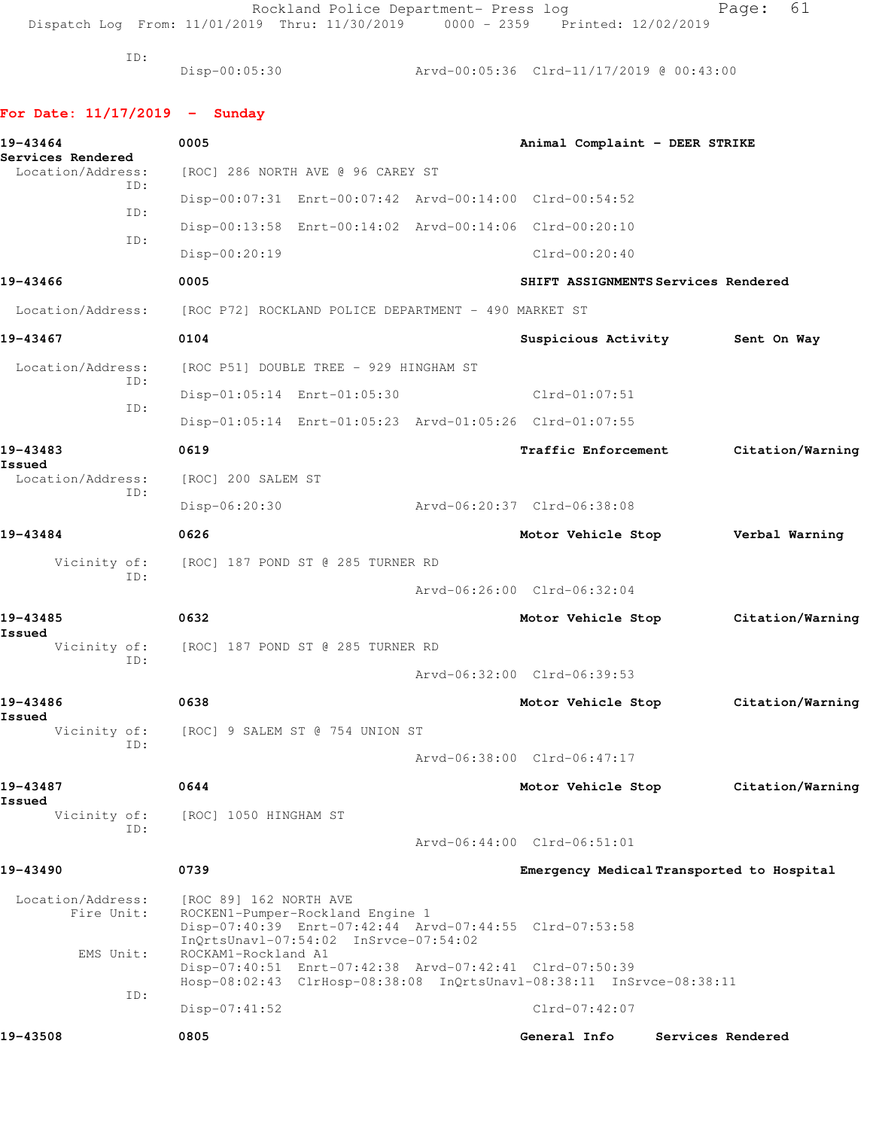Rockland Police Department- Press log entitled Page: 61

Dispatch Log From: 11/01/2019 Thru: 11/30/2019 0000 - 2359 Printed: 12/02/2019

ID:

Disp-00:05:30 Arvd-00:05:36 Clrd-11/17/2019 @ 00:43:00

## **For Date: 11/17/2019 - Sunday**

| 19-43464<br>Services Rendered   | 0005                                                                                                                                                           | Animal Complaint - DEER STRIKE |                                           |
|---------------------------------|----------------------------------------------------------------------------------------------------------------------------------------------------------------|--------------------------------|-------------------------------------------|
| Location/Address:               | [ROC] 286 NORTH AVE @ 96 CAREY ST                                                                                                                              |                                |                                           |
| ID:                             | Disp-00:07:31 Enrt-00:07:42 Arvd-00:14:00 Clrd-00:54:52                                                                                                        |                                |                                           |
| ID:                             | Disp-00:13:58 Enrt-00:14:02 Arvd-00:14:06 Clrd-00:20:10                                                                                                        |                                |                                           |
| ID:                             | Disp-00:20:19                                                                                                                                                  | $Clrd-00:20:40$                |                                           |
| 19-43466                        | 0005                                                                                                                                                           |                                | SHIFT ASSIGNMENTS Services Rendered       |
| Location/Address:               | [ROC P72] ROCKLAND POLICE DEPARTMENT - 490 MARKET ST                                                                                                           |                                |                                           |
| 19-43467                        | 0104                                                                                                                                                           |                                | Suspicious Activity Sent On Way           |
| Location/Address:               | [ROC P51] DOUBLE TREE - 929 HINGHAM ST                                                                                                                         |                                |                                           |
| ID:                             | Disp-01:05:14 Enrt-01:05:30                                                                                                                                    | Clrd-01:07:51                  |                                           |
| ID:                             | Disp-01:05:14 Enrt-01:05:23 Arvd-01:05:26 Clrd-01:07:55                                                                                                        |                                |                                           |
| 19-43483                        | 0619                                                                                                                                                           | <b>Traffic Enforcement</b>     | Citation/Warning                          |
| Issued<br>Location/Address:     | [ROC] 200 SALEM ST                                                                                                                                             |                                |                                           |
| ID:                             | $Disp-06:20:30$                                                                                                                                                | Arvd-06:20:37 Clrd-06:38:08    |                                           |
| 19-43484                        | 0626                                                                                                                                                           | Motor Vehicle Stop             | Verbal Warning                            |
|                                 | Vicinity of: [ROC] 187 POND ST @ 285 TURNER RD                                                                                                                 |                                |                                           |
| ID:                             |                                                                                                                                                                | Arvd-06:26:00 Clrd-06:32:04    |                                           |
| 19-43485                        | 0632                                                                                                                                                           | Motor Vehicle Stop             | Citation/Warning                          |
| Issued<br>Vicinity of:          | [ROC] 187 POND ST @ 285 TURNER RD                                                                                                                              |                                |                                           |
| ID:                             |                                                                                                                                                                | Arvd-06:32:00 Clrd-06:39:53    |                                           |
| 19-43486                        | 0638                                                                                                                                                           | Motor Vehicle Stop             | Citation/Warning                          |
| Issued<br>Vicinity of:          | [ROC] 9 SALEM ST @ 754 UNION ST                                                                                                                                |                                |                                           |
| ID:                             |                                                                                                                                                                | Arvd-06:38:00 Clrd-06:47:17    |                                           |
| 19-43487                        | 0644                                                                                                                                                           | Motor Vehicle Stop             | Citation/Warning                          |
| Issued<br>Vicinity of:          | [ROC] 1050 HINGHAM ST                                                                                                                                          |                                |                                           |
| ID:                             |                                                                                                                                                                | Arvd-06:44:00 Clrd-06:51:01    |                                           |
| 19-43490                        | 0739                                                                                                                                                           |                                | Emergency Medical Transported to Hospital |
| Location/Address:<br>Fire Unit: | [ROC 89] 162 NORTH AVE<br>ROCKEN1-Pumper-Rockland Engine 1<br>Disp-07:40:39 Enrt-07:42:44 Arvd-07:44:55 Clrd-07:53:58<br>InQrtsUnavl-07:54:02 InSrvce-07:54:02 |                                |                                           |
| EMS Unit:<br>ID:                | ROCKAM1-Rockland A1<br>Disp-07:40:51 Enrt-07:42:38 Arvd-07:42:41 Clrd-07:50:39<br>Hosp-08:02:43 ClrHosp-08:38:08 InQrtsUnavl-08:38:11 InSrvce-08:38:11         |                                |                                           |
|                                 | $Disp-07:41:52$                                                                                                                                                | $Clrd-07:42:07$                |                                           |
| 19-43508                        | 0805                                                                                                                                                           | General Info                   | Services Rendered                         |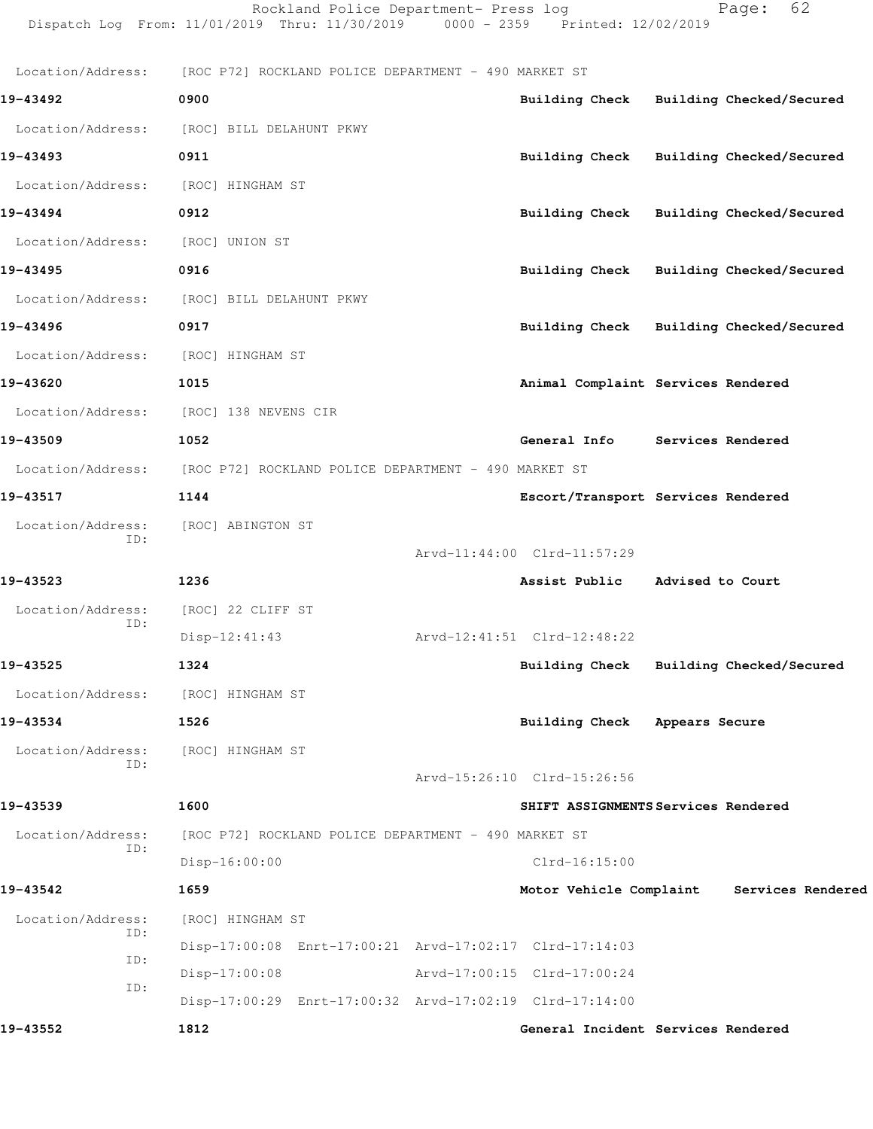|                          | Rockland Police Department- Press log<br>Dispatch Log From: 11/01/2019 Thru: 11/30/2019 0000 - 2359 Printed: 12/02/2019 |                                         | 62<br>Page:                               |
|--------------------------|-------------------------------------------------------------------------------------------------------------------------|-----------------------------------------|-------------------------------------------|
| Location/Address:        | [ROC P72] ROCKLAND POLICE DEPARTMENT - 490 MARKET ST                                                                    |                                         |                                           |
| 19-43492                 | 0900                                                                                                                    | Building Check Building Checked/Secured |                                           |
| Location/Address:        | [ROC] BILL DELAHUNT PKWY                                                                                                |                                         |                                           |
| 19-43493                 | 0911                                                                                                                    | Building Check Building Checked/Secured |                                           |
| Location/Address:        | [ROC] HINGHAM ST                                                                                                        |                                         |                                           |
| 19-43494                 | 0912                                                                                                                    | Building Check Building Checked/Secured |                                           |
| Location/Address:        | [ROC] UNION ST                                                                                                          |                                         |                                           |
| 19-43495                 | 0916                                                                                                                    | Building Check Building Checked/Secured |                                           |
| Location/Address:        | [ROC] BILL DELAHUNT PKWY                                                                                                |                                         |                                           |
| 19-43496                 | 0917                                                                                                                    | Building Check Building Checked/Secured |                                           |
| Location/Address:        | [ROC] HINGHAM ST                                                                                                        |                                         |                                           |
| 19-43620                 | 1015                                                                                                                    | Animal Complaint Services Rendered      |                                           |
| Location/Address:        | [ROC] 138 NEVENS CIR                                                                                                    |                                         |                                           |
| 19-43509                 | 1052                                                                                                                    | General Info Services Rendered          |                                           |
| Location/Address:        | [ROC P72] ROCKLAND POLICE DEPARTMENT - 490 MARKET ST                                                                    |                                         |                                           |
| 19-43517                 | 1144                                                                                                                    | Escort/Transport Services Rendered      |                                           |
| Location/Address:        | [ROC] ABINGTON ST                                                                                                       |                                         |                                           |
| ID:                      |                                                                                                                         | Arvd-11:44:00 Clrd-11:57:29             |                                           |
| 19-43523                 | 1236                                                                                                                    | Assist Public Advised to Court          |                                           |
| Location/Address:        | [ROC] 22 CLIFF ST                                                                                                       |                                         |                                           |
| ID:                      | $Disp-12:41:43$                                                                                                         | Arvd-12:41:51 Clrd-12:48:22             |                                           |
| 19-43525                 | 1324                                                                                                                    | Building Check Building Checked/Secured |                                           |
| Location/Address:        | [ROC] HINGHAM ST                                                                                                        |                                         |                                           |
| 19-43534                 | 1526                                                                                                                    | Building Check Appears Secure           |                                           |
| Location/Address:        | [ROC] HINGHAM ST                                                                                                        |                                         |                                           |
| ID:                      |                                                                                                                         | Arvd-15:26:10 Clrd-15:26:56             |                                           |
| 19-43539                 | 1600                                                                                                                    | SHIFT ASSIGNMENTS Services Rendered     |                                           |
| Location/Address:<br>ID: | [ROC P72] ROCKLAND POLICE DEPARTMENT - 490 MARKET ST                                                                    |                                         |                                           |
|                          | $Disp-16:00:00$                                                                                                         | $Clrd-16:15:00$                         |                                           |
| 19-43542                 | 1659                                                                                                                    |                                         | Motor Vehicle Complaint Services Rendered |
| Location/Address:<br>ID: | [ROC] HINGHAM ST                                                                                                        |                                         |                                           |
| ID:                      | Disp-17:00:08 Enrt-17:00:21 Arvd-17:02:17 Clrd-17:14:03                                                                 |                                         |                                           |
| ID:                      | $Disp-17:00:08$                                                                                                         | Arvd-17:00:15 Clrd-17:00:24             |                                           |
|                          | Disp-17:00:29 Enrt-17:00:32 Arvd-17:02:19 Clrd-17:14:00                                                                 |                                         |                                           |
| 19-43552                 | 1812                                                                                                                    | General Incident Services Rendered      |                                           |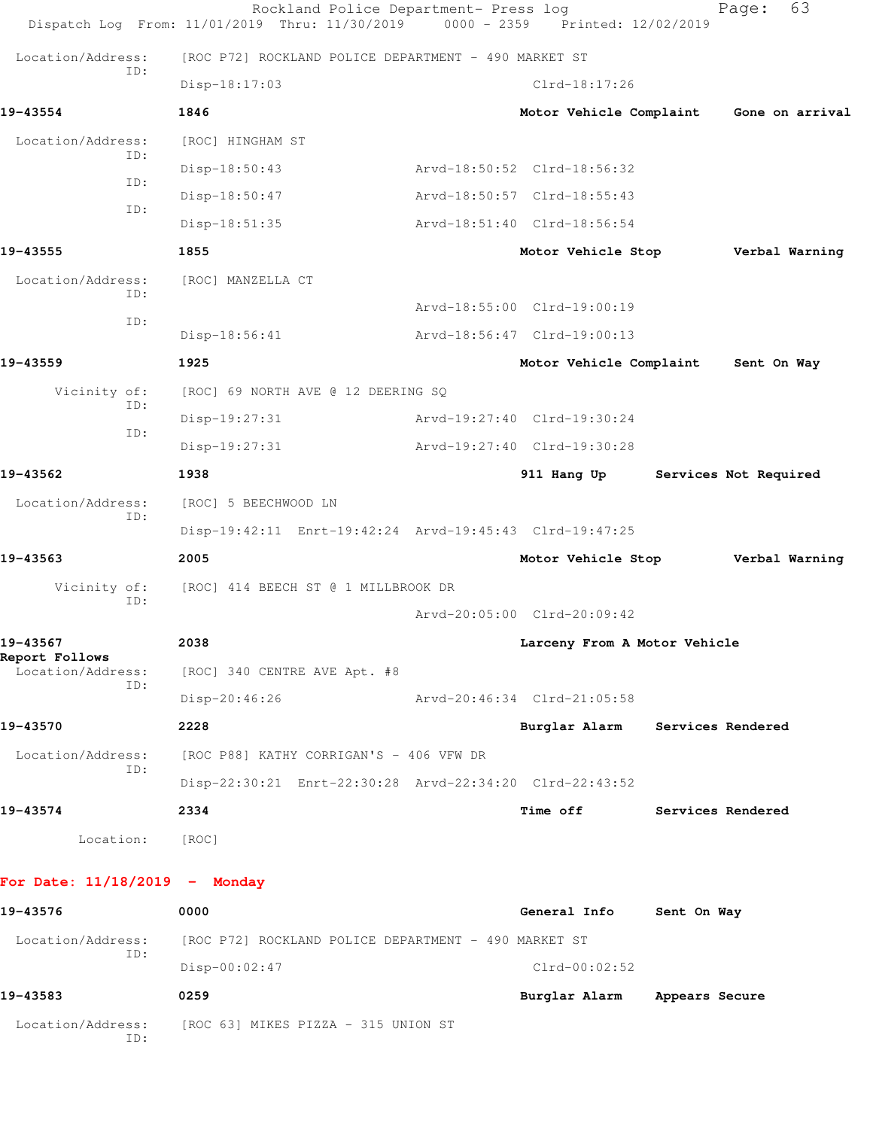|                                 | Rockland Police Department- Press log<br>Dispatch Log From: 11/01/2019 Thru: 11/30/2019 0000 - 2359 Printed: 12/02/2019 |                              |                | 63<br>Page:           |
|---------------------------------|-------------------------------------------------------------------------------------------------------------------------|------------------------------|----------------|-----------------------|
| Location/Address:               | [ROC P72] ROCKLAND POLICE DEPARTMENT - 490 MARKET ST                                                                    |                              |                |                       |
| ID:                             | Disp-18:17:03                                                                                                           | $Clrd-18:17:26$              |                |                       |
| 19-43554                        | 1846                                                                                                                    | Motor Vehicle Complaint      |                | Gone on arrival       |
| Location/Address:               | [ROC] HINGHAM ST                                                                                                        |                              |                |                       |
| ID:<br>ID:                      | $Disp-18:50:43$                                                                                                         | Arvd-18:50:52 Clrd-18:56:32  |                |                       |
| ID:                             | Disp-18:50:47                                                                                                           | Arvd-18:50:57 Clrd-18:55:43  |                |                       |
|                                 | $Disp-18:51:35$                                                                                                         | Arvd-18:51:40 Clrd-18:56:54  |                |                       |
| 19-43555                        | 1855                                                                                                                    | Motor Vehicle Stop           |                | Verbal Warning        |
| Location/Address:<br>ID:        | [ROC] MANZELLA CT                                                                                                       |                              |                |                       |
| ID:                             |                                                                                                                         | Arvd-18:55:00 Clrd-19:00:19  |                |                       |
|                                 | $Disp-18:56:41$                                                                                                         | Arvd-18:56:47 Clrd-19:00:13  |                |                       |
| 19-43559                        | 1925                                                                                                                    | Motor Vehicle Complaint      |                | Sent On Way           |
| Vicinity of:<br>ID:             | [ROC] 69 NORTH AVE @ 12 DEERING SQ                                                                                      |                              |                |                       |
| ID:                             | $Disp-19:27:31$                                                                                                         | Arvd-19:27:40 Clrd-19:30:24  |                |                       |
|                                 | Disp-19:27:31                                                                                                           | Arvd-19:27:40 Clrd-19:30:28  |                |                       |
| 19-43562                        | 1938                                                                                                                    | 911 Hang Up                  |                | Services Not Required |
| Location/Address:<br>ID:        | [ROC] 5 BEECHWOOD LN                                                                                                    |                              |                |                       |
|                                 | Disp-19:42:11 Enrt-19:42:24 Arvd-19:45:43 Clrd-19:47:25                                                                 |                              |                |                       |
| 19-43563                        | 2005                                                                                                                    | Motor Vehicle Stop           |                | Verbal Warning        |
| Vicinity of:<br>ID:             | [ROC] 414 BEECH ST @ 1 MILLBROOK DR                                                                                     |                              |                |                       |
|                                 |                                                                                                                         | Arvd-20:05:00 Clrd-20:09:42  |                |                       |
| 19-43567<br>Report Follows      | 2038                                                                                                                    | Larceny From A Motor Vehicle |                |                       |
| Location/Address:<br>ID:        | [ROC] 340 CENTRE AVE Apt. #8                                                                                            |                              |                |                       |
|                                 | $Disp-20:46:26$                                                                                                         | Arvd-20:46:34 Clrd-21:05:58  |                |                       |
| 19-43570                        | 2228                                                                                                                    | Burglar Alarm                |                | Services Rendered     |
| Location/Address:<br>ID:        | [ROC P88] KATHY CORRIGAN'S - 406 VFW DR                                                                                 |                              |                |                       |
|                                 | Disp-22:30:21 Enrt-22:30:28 Arvd-22:34:20 Clrd-22:43:52                                                                 |                              |                |                       |
| 19-43574                        | 2334                                                                                                                    | <b>Time off</b>              |                | Services Rendered     |
| Location:                       | [ROC]                                                                                                                   |                              |                |                       |
| For Date: $11/18/2019$ - Monday |                                                                                                                         |                              |                |                       |
| 19-43576                        | 0000                                                                                                                    | General Info                 | Sent On Way    |                       |
| Location/Address:<br>ID:        | [ROC P72] ROCKLAND POLICE DEPARTMENT - 490 MARKET ST                                                                    |                              |                |                       |
|                                 | Disp-00:02:47                                                                                                           | $Clrd-00:02:52$              |                |                       |
| 19-43583                        | 0259                                                                                                                    | Burglar Alarm                | Appears Secure |                       |
| Location/Address:<br>ID:        | [ROC 63] MIKES PIZZA - 315 UNION ST                                                                                     |                              |                |                       |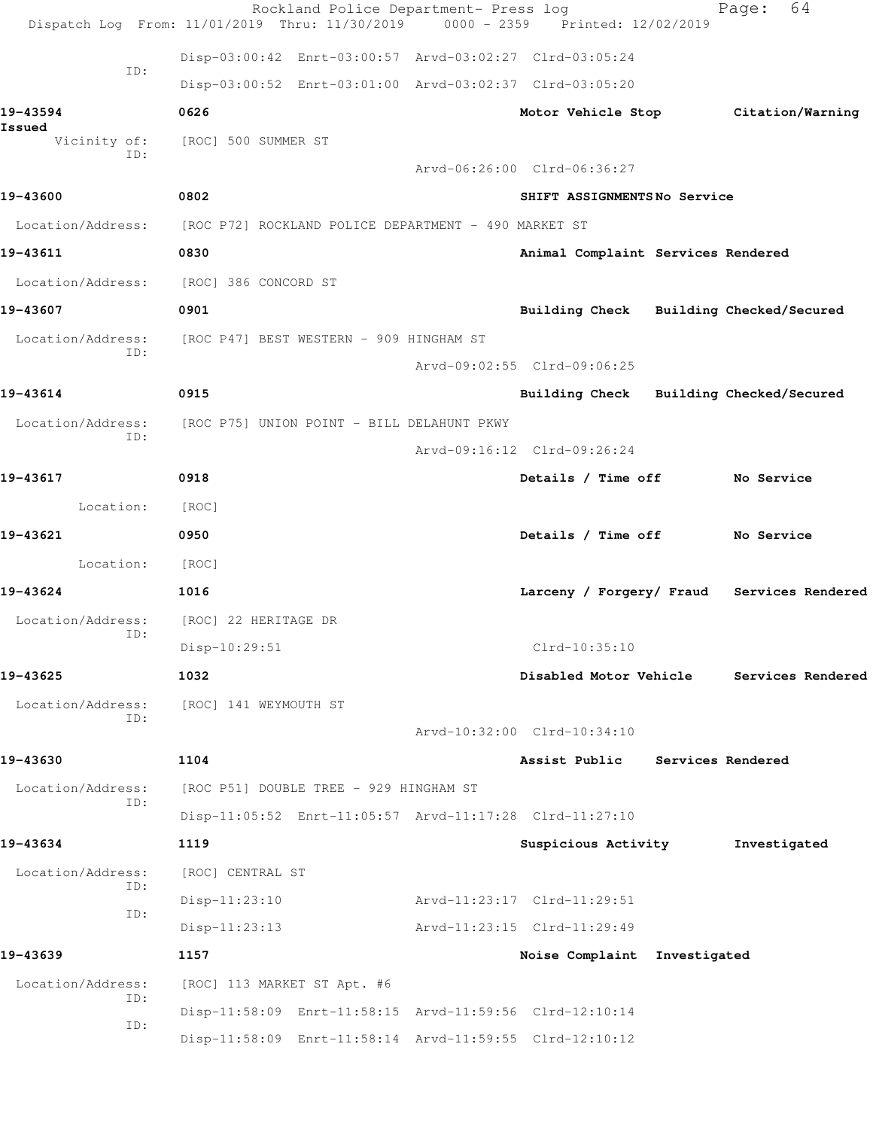|                          | Rockland Police Department- Press log<br>Dispatch Log From: 11/01/2019 Thru: 11/30/2019 0000 - 2359 Printed: 12/02/2019 |                                         |                   | 64<br>Page:                                |  |
|--------------------------|-------------------------------------------------------------------------------------------------------------------------|-----------------------------------------|-------------------|--------------------------------------------|--|
|                          | Disp-03:00:42 Enrt-03:00:57 Arvd-03:02:27 Clrd-03:05:24                                                                 |                                         |                   |                                            |  |
| ID:                      | Disp-03:00:52 Enrt-03:01:00 Arvd-03:02:37 Clrd-03:05:20                                                                 |                                         |                   |                                            |  |
| 19-43594                 | 0626                                                                                                                    |                                         |                   | Motor Vehicle Stop Citation/Warning        |  |
| Issued<br>Vicinity of:   | [ROC] 500 SUMMER ST                                                                                                     |                                         |                   |                                            |  |
| ID:                      |                                                                                                                         | Arvd-06:26:00 Clrd-06:36:27             |                   |                                            |  |
| 19-43600                 | 0802                                                                                                                    | SHIFT ASSIGNMENTSNo Service             |                   |                                            |  |
| Location/Address:        | [ROC P72] ROCKLAND POLICE DEPARTMENT - 490 MARKET ST                                                                    |                                         |                   |                                            |  |
| 19-43611                 | 0830                                                                                                                    | Animal Complaint Services Rendered      |                   |                                            |  |
| Location/Address:        | [ROC] 386 CONCORD ST                                                                                                    |                                         |                   |                                            |  |
| 19-43607                 | 0901                                                                                                                    | Building Check Building Checked/Secured |                   |                                            |  |
| Location/Address:        | [ROC P47] BEST WESTERN - 909 HINGHAM ST                                                                                 |                                         |                   |                                            |  |
| ID:                      |                                                                                                                         | Arvd-09:02:55 Clrd-09:06:25             |                   |                                            |  |
| 19-43614                 | 0915                                                                                                                    | Building Check Building Checked/Secured |                   |                                            |  |
| Location/Address:        | [ROC P75] UNION POINT - BILL DELAHUNT PKWY                                                                              |                                         |                   |                                            |  |
| ID:                      |                                                                                                                         | Arvd-09:16:12 Clrd-09:26:24             |                   |                                            |  |
| 19-43617                 | 0918                                                                                                                    | Details / Time off                      |                   | No Service                                 |  |
| Location:                | [ROC]                                                                                                                   |                                         |                   |                                            |  |
| 19-43621                 | 0950                                                                                                                    | Details / Time off                      |                   | No Service                                 |  |
| Location:                | [ROC]                                                                                                                   |                                         |                   |                                            |  |
| 19-43624                 | 1016                                                                                                                    |                                         |                   | Larceny / Forgery/ Fraud Services Rendered |  |
| Location/Address:        | [ROC] 22 HERITAGE DR                                                                                                    |                                         |                   |                                            |  |
| ID:                      | Disp-10:29:51                                                                                                           | $Clrd-10:35:10$                         |                   |                                            |  |
| 19-43625                 | 1032                                                                                                                    | Disabled Motor Vehicle                  |                   | Services Rendered                          |  |
| Location/Address:<br>ID: | [ROC] 141 WEYMOUTH ST                                                                                                   |                                         |                   |                                            |  |
|                          |                                                                                                                         | Arvd-10:32:00 Clrd-10:34:10             |                   |                                            |  |
| 19-43630                 | 1104                                                                                                                    | Assist Public                           | Services Rendered |                                            |  |
| Location/Address:<br>ID: | [ROC P51] DOUBLE TREE - 929 HINGHAM ST                                                                                  |                                         |                   |                                            |  |
|                          | Disp-11:05:52 Enrt-11:05:57 Arvd-11:17:28 Clrd-11:27:10                                                                 |                                         |                   |                                            |  |
| 19-43634                 | 1119                                                                                                                    | Suspicious Activity                     |                   | Investigated                               |  |
| Location/Address:<br>ID: | [ROC] CENTRAL ST                                                                                                        |                                         |                   |                                            |  |
| ID:                      | $Disp-11:23:10$                                                                                                         | Arvd-11:23:17 Clrd-11:29:51             |                   |                                            |  |
|                          | $Disp-11:23:13$                                                                                                         | Arvd-11:23:15 Clrd-11:29:49             |                   |                                            |  |
| 19-43639                 | 1157                                                                                                                    | Noise Complaint Investigated            |                   |                                            |  |
| Location/Address:<br>ID: | [ROC] 113 MARKET ST Apt. #6                                                                                             |                                         |                   |                                            |  |
| ID:                      | Disp-11:58:09 Enrt-11:58:15 Arvd-11:59:56 Clrd-12:10:14                                                                 |                                         |                   |                                            |  |
|                          | Disp-11:58:09 Enrt-11:58:14 Arvd-11:59:55 Clrd-12:10:12                                                                 |                                         |                   |                                            |  |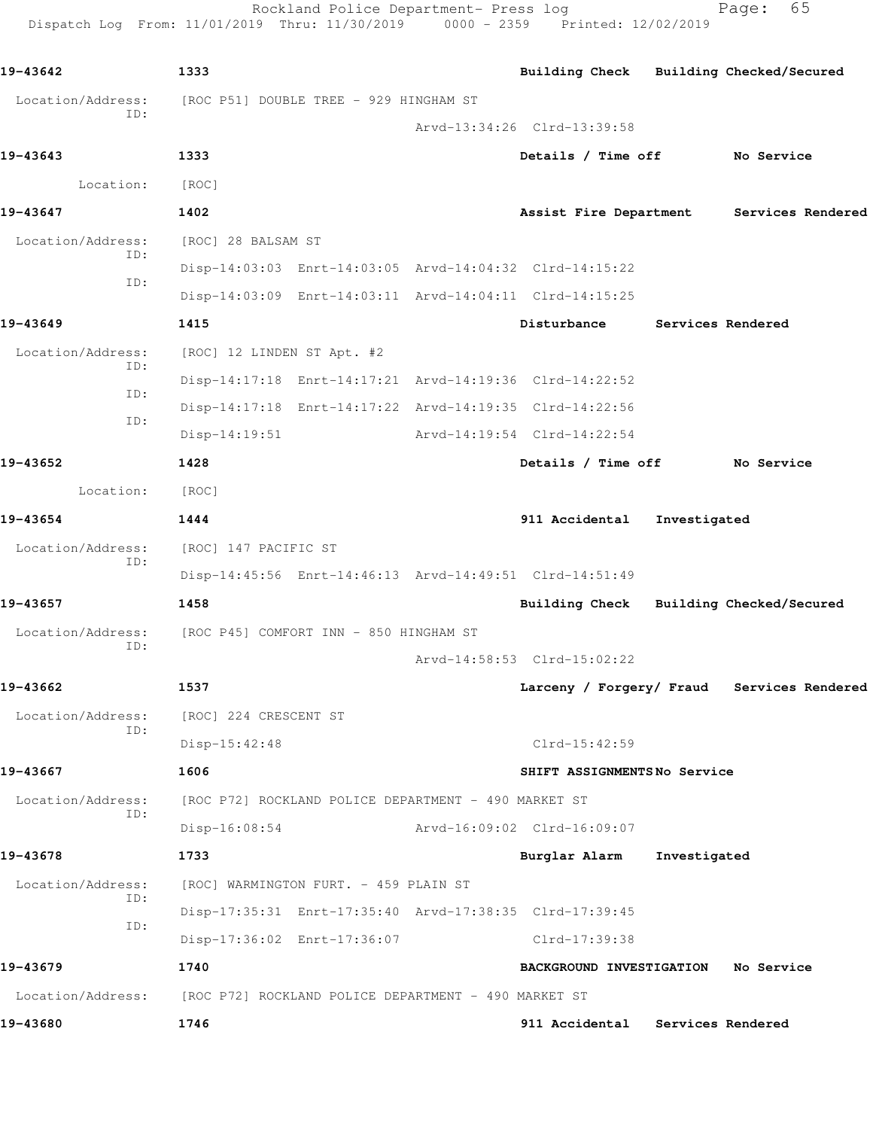Rockland Police Department- Press log Fage: 65 Dispatch Log From: 11/01/2019 Thru: 11/30/2019 0000 - 2359 Printed: 12/02/2019

**19-43642 1333 Building Check Building Checked/Secured** Location/Address: [ROC P51] DOUBLE TREE - 929 HINGHAM ST ID: Arvd-13:34:26 Clrd-13:39:58 **19-43643 1333 Details / Time off No Service** Location: [ROC] **19-43647 1402 Assist Fire Department Services Rendered** Location/Address: [ROC] 28 BALSAM ST ID: Disp-14:03:03 Enrt-14:03:05 Arvd-14:04:32 Clrd-14:15:22 ID: Disp-14:03:09 Enrt-14:03:11 Arvd-14:04:11 Clrd-14:15:25 **19-43649 1415 Disturbance Services Rendered** Location/Address: [ROC] 12 LINDEN ST Apt. #2 ID: Disp-14:17:18 Enrt-14:17:21 Arvd-14:19:36 Clrd-14:22:52 ID: Disp-14:17:18 Enrt-14:17:22 Arvd-14:19:35 Clrd-14:22:56 ID: Disp-14:19:51 Arvd-14:19:54 Clrd-14:22:54 **19-43652 1428 Details / Time off No Service** Location: [ROC] **19-43654 1444 911 Accidental Investigated** Location/Address: [ROC] 147 PACIFIC ST ID: Disp-14:45:56 Enrt-14:46:13 Arvd-14:49:51 Clrd-14:51:49 **19-43657 1458 Building Check Building Checked/Secured** Location/Address: [ROC P45] COMFORT INN - 850 HINGHAM ST ID: Arvd-14:58:53 Clrd-15:02:22 **19-43662 1537 Larceny / Forgery/ Fraud Services Rendered** Location/Address: [ROC] 224 CRESCENT ST ID: Disp-15:42:48 Clrd-15:42:59 **19-43667 1606 SHIFT ASSIGNMENTS No Service** Location/Address: [ROC P72] ROCKLAND POLICE DEPARTMENT - 490 MARKET ST ID: Disp-16:08:54 Arvd-16:09:02 Clrd-16:09:07 **19-43678 1733 Burglar Alarm Investigated** Location/Address: [ROC] WARMINGTON FURT. - 459 PLAIN ST ID: Disp-17:35:31 Enrt-17:35:40 Arvd-17:38:35 Clrd-17:39:45 ID: Disp-17:36:02 Enrt-17:36:07 Clrd-17:39:38 **19-43679 1740 BACKGROUND INVESTIGATION No Service** Location/Address: [ROC P72] ROCKLAND POLICE DEPARTMENT - 490 MARKET ST **19-43680 1746 911 Accidental Services Rendered**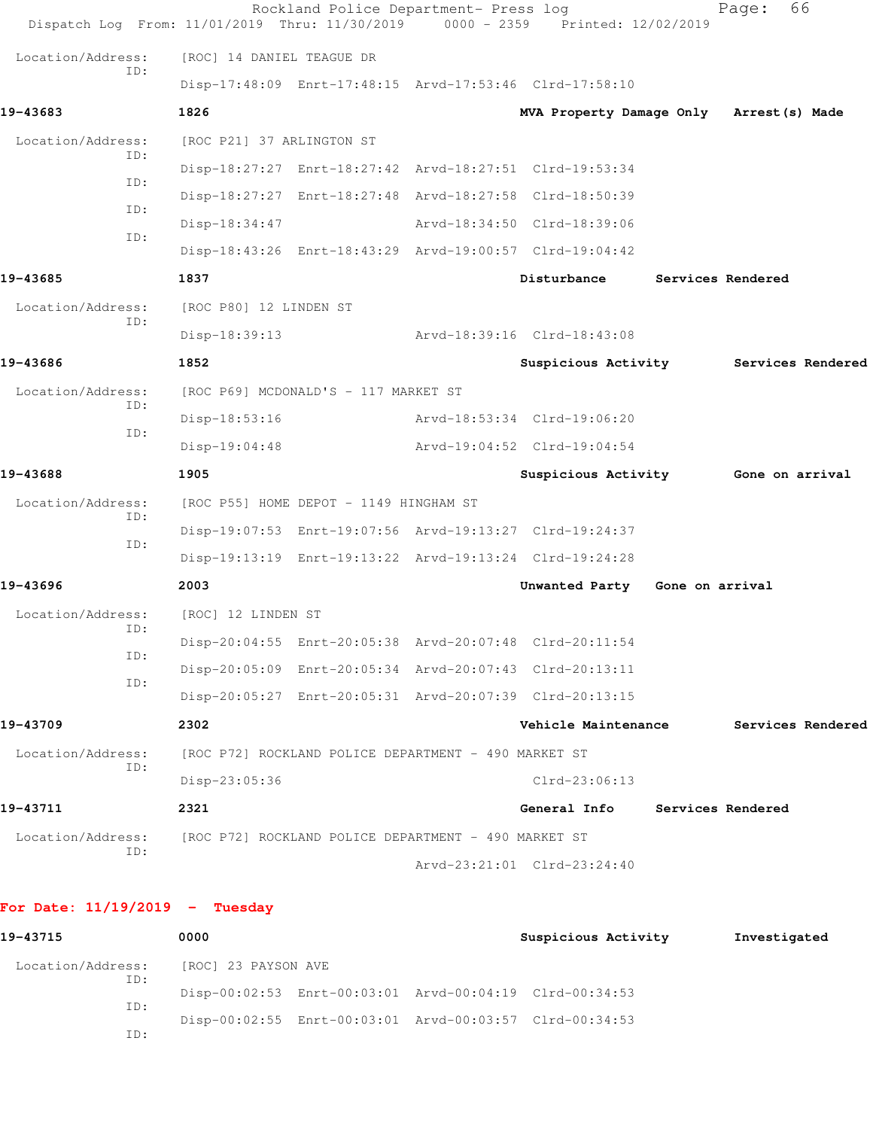| Dispatch Log From: 11/01/2019 Thru: 11/30/2019 0000 - 2359 Printed: 12/02/2019 |                                                      | Rockland Police Department- Press log                   |                                          |                   | 66<br>Page:       |  |
|--------------------------------------------------------------------------------|------------------------------------------------------|---------------------------------------------------------|------------------------------------------|-------------------|-------------------|--|
| Location/Address:                                                              | [ROC] 14 DANIEL TEAGUE DR                            |                                                         |                                          |                   |                   |  |
| ID:                                                                            |                                                      | Disp-17:48:09 Enrt-17:48:15 Arvd-17:53:46 Clrd-17:58:10 |                                          |                   |                   |  |
| 19-43683                                                                       | 1826                                                 |                                                         | MVA Property Damage Only Arrest (s) Made |                   |                   |  |
| Location/Address:                                                              | [ROC P21] 37 ARLINGTON ST                            |                                                         |                                          |                   |                   |  |
| ID:                                                                            |                                                      | Disp-18:27:27 Enrt-18:27:42 Arvd-18:27:51 Clrd-19:53:34 |                                          |                   |                   |  |
| ID:                                                                            |                                                      | Disp-18:27:27 Enrt-18:27:48 Arvd-18:27:58 Clrd-18:50:39 |                                          |                   |                   |  |
| ID:                                                                            | Disp-18:34:47                                        |                                                         | Arvd-18:34:50 Clrd-18:39:06              |                   |                   |  |
| ID:                                                                            |                                                      | Disp-18:43:26 Enrt-18:43:29 Arvd-19:00:57 Clrd-19:04:42 |                                          |                   |                   |  |
| 19-43685                                                                       | 1837                                                 |                                                         | Disturbance                              |                   | Services Rendered |  |
| Location/Address:                                                              | [ROC P80] 12 LINDEN ST                               |                                                         |                                          |                   |                   |  |
| ID:                                                                            | Disp-18:39:13                                        |                                                         | Arvd-18:39:16 Clrd-18:43:08              |                   |                   |  |
| 19-43686                                                                       | 1852                                                 |                                                         | Suspicious Activity                      |                   | Services Rendered |  |
| Location/Address:                                                              |                                                      | [ROC P69] MCDONALD'S - 117 MARKET ST                    |                                          |                   |                   |  |
| ID:<br>ID:                                                                     | $Disp-18:53:16$                                      |                                                         | Arvd-18:53:34 Clrd-19:06:20              |                   |                   |  |
|                                                                                | $Disp-19:04:48$                                      |                                                         | Arvd-19:04:52 Clrd-19:04:54              |                   |                   |  |
| 19-43688                                                                       | 1905                                                 |                                                         | Suspicious Activity Gone on arrival      |                   |                   |  |
| Location/Address:                                                              |                                                      | [ROC P55] HOME DEPOT - 1149 HINGHAM ST                  |                                          |                   |                   |  |
| ID:                                                                            |                                                      | Disp-19:07:53 Enrt-19:07:56 Arvd-19:13:27 Clrd-19:24:37 |                                          |                   |                   |  |
| ID:                                                                            |                                                      | Disp-19:13:19 Enrt-19:13:22 Arvd-19:13:24 Clrd-19:24:28 |                                          |                   |                   |  |
| 19-43696                                                                       | 2003                                                 |                                                         | Unwanted Party                           | Gone on arrival   |                   |  |
| Location/Address:                                                              | [ROC] 12 LINDEN ST                                   |                                                         |                                          |                   |                   |  |
| ID:                                                                            |                                                      | Disp-20:04:55 Enrt-20:05:38 Arvd-20:07:48 Clrd-20:11:54 |                                          |                   |                   |  |
| ID:                                                                            |                                                      | Disp-20:05:09 Enrt-20:05:34 Arvd-20:07:43 Clrd-20:13:11 |                                          |                   |                   |  |
| ID:                                                                            |                                                      | Disp-20:05:27 Enrt-20:05:31 Arvd-20:07:39 Clrd-20:13:15 |                                          |                   |                   |  |
| 19-43709                                                                       | 2302                                                 |                                                         | Vehicle Maintenance                      |                   | Services Rendered |  |
| Location/Address:                                                              |                                                      | [ROC P72] ROCKLAND POLICE DEPARTMENT - 490 MARKET ST    |                                          |                   |                   |  |
| ID:                                                                            | Disp-23:05:36                                        |                                                         | $Clrd-23:06:13$                          |                   |                   |  |
| 19-43711                                                                       | 2321                                                 |                                                         | General Info                             | Services Rendered |                   |  |
| Location/Address:                                                              | [ROC P72] ROCKLAND POLICE DEPARTMENT - 490 MARKET ST |                                                         |                                          |                   |                   |  |
| ID:                                                                            |                                                      |                                                         | Arvd-23:21:01 Clrd-23:24:40              |                   |                   |  |
| For Date: $11/19/2019$ - Tuesday                                               |                                                      |                                                         |                                          |                   |                   |  |

| 19-43715          | 0000                |                                                         | Suspicious Activity | Investigated |
|-------------------|---------------------|---------------------------------------------------------|---------------------|--------------|
| Location/Address: | [ROC] 23 PAYSON AVE |                                                         |                     |              |
| ID:               |                     | Disp-00:02:53 Enrt-00:03:01 Arvd-00:04:19 Clrd-00:34:53 |                     |              |
| ID:               |                     | Disp-00:02:55 Enrt-00:03:01 Arvd-00:03:57 Clrd-00:34:53 |                     |              |
| ID:               |                     |                                                         |                     |              |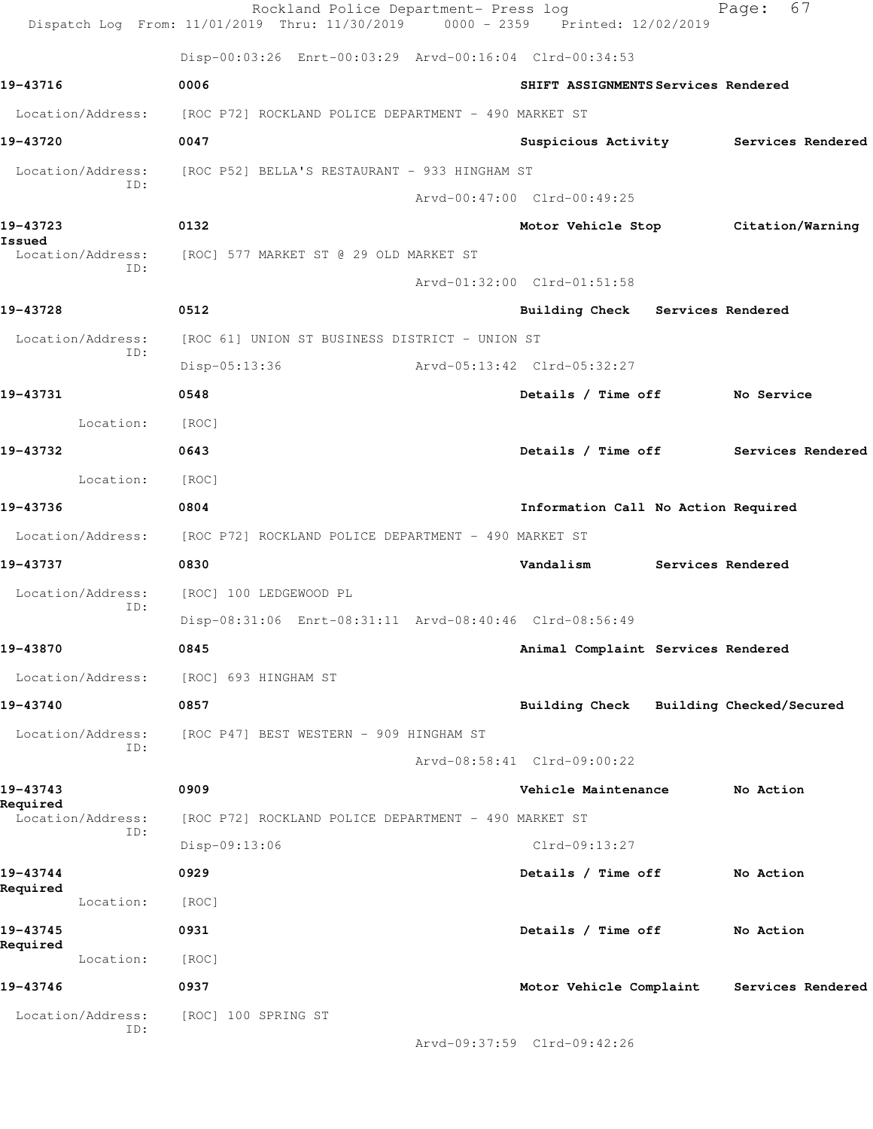|                               | Rockland Police Department- Press log<br>Dispatch Log From: 11/01/2019 Thru: 11/30/2019 0000 - 2359 Printed: 12/02/2019 |                             |                                         |                   | - 67<br>Page:     |  |
|-------------------------------|-------------------------------------------------------------------------------------------------------------------------|-----------------------------|-----------------------------------------|-------------------|-------------------|--|
|                               | Disp-00:03:26 Enrt-00:03:29 Arvd-00:16:04 Clrd-00:34:53                                                                 |                             |                                         |                   |                   |  |
| 19-43716                      | 0006                                                                                                                    |                             | SHIFT ASSIGNMENTS Services Rendered     |                   |                   |  |
| Location/Address:             | [ROC P72] ROCKLAND POLICE DEPARTMENT - 490 MARKET ST                                                                    |                             |                                         |                   |                   |  |
| 19-43720                      | 0047                                                                                                                    |                             | Suspicious Activity Services Rendered   |                   |                   |  |
| Location/Address:<br>ID:      | [ROC P52] BELLA'S RESTAURANT - 933 HINGHAM ST                                                                           |                             |                                         |                   |                   |  |
|                               |                                                                                                                         |                             | Arvd-00:47:00 Clrd-00:49:25             |                   |                   |  |
| 19-43723<br>Issued            | 0132                                                                                                                    |                             | Motor Vehicle Stop Citation/Warning     |                   |                   |  |
| Location/Address:             | [ROC] 577 MARKET ST @ 29 OLD MARKET ST                                                                                  |                             |                                         |                   |                   |  |
| ID:                           |                                                                                                                         |                             | Arvd-01:32:00 Clrd-01:51:58             |                   |                   |  |
| 19-43728                      | 0512                                                                                                                    |                             | Building Check Services Rendered        |                   |                   |  |
| Location/Address:             | [ROC 61] UNION ST BUSINESS DISTRICT - UNION ST                                                                          |                             |                                         |                   |                   |  |
| ID:                           | Disp-05:13:36                                                                                                           | Arvd-05:13:42 Clrd-05:32:27 |                                         |                   |                   |  |
| 19-43731                      | 0548                                                                                                                    |                             | Details / Time off No Service           |                   |                   |  |
| Location:                     | [ROC]                                                                                                                   |                             |                                         |                   |                   |  |
| 19-43732                      | 0643                                                                                                                    |                             | Details / Time off Services Rendered    |                   |                   |  |
| Location:                     | [ROC]                                                                                                                   |                             |                                         |                   |                   |  |
| 19-43736                      | 0804                                                                                                                    |                             | Information Call No Action Required     |                   |                   |  |
|                               | Location/Address: [ROC P72] ROCKLAND POLICE DEPARTMENT - 490 MARKET ST                                                  |                             |                                         |                   |                   |  |
| 19-43737                      | 0830                                                                                                                    |                             | Vandalism                               | Services Rendered |                   |  |
| Location/Address:             | [ROC] 100 LEDGEWOOD PL                                                                                                  |                             |                                         |                   |                   |  |
| ID:                           | Disp-08:31:06 Enrt-08:31:11 Arvd-08:40:46 Clrd-08:56:49                                                                 |                             |                                         |                   |                   |  |
| 19-43870                      | 0845                                                                                                                    |                             | Animal Complaint Services Rendered      |                   |                   |  |
| Location/Address:             | [ROC] 693 HINGHAM ST                                                                                                    |                             |                                         |                   |                   |  |
| 19-43740                      | 0857                                                                                                                    |                             | Building Check Building Checked/Secured |                   |                   |  |
| Location/Address:             | [ROC P47] BEST WESTERN - 909 HINGHAM ST                                                                                 |                             |                                         |                   |                   |  |
| ID:                           |                                                                                                                         |                             | Arvd-08:58:41 Clrd-09:00:22             |                   |                   |  |
| 19-43743                      | 0909                                                                                                                    |                             | Vehicle Maintenance                     |                   | No Action         |  |
| Required<br>Location/Address: | [ROC P72] ROCKLAND POLICE DEPARTMENT - 490 MARKET ST                                                                    |                             |                                         |                   |                   |  |
| ID:                           | Disp-09:13:06                                                                                                           | $Clrd-09:13:27$             |                                         |                   |                   |  |
| 19-43744                      | 0929                                                                                                                    |                             | Details / Time off                      |                   | No Action         |  |
| Required<br>Location:         | [ROC]                                                                                                                   |                             |                                         |                   |                   |  |
| 19-43745                      | 0931                                                                                                                    |                             | Details / Time off                      |                   | No Action         |  |
| Required<br>Location:         | [ROC]                                                                                                                   |                             |                                         |                   |                   |  |
| 19-43746                      | 0937                                                                                                                    |                             | Motor Vehicle Complaint                 |                   | Services Rendered |  |
| Location/Address:             | [ROC] 100 SPRING ST                                                                                                     |                             |                                         |                   |                   |  |
| ID:                           |                                                                                                                         |                             | Arvd-09:37:59 Clrd-09:42:26             |                   |                   |  |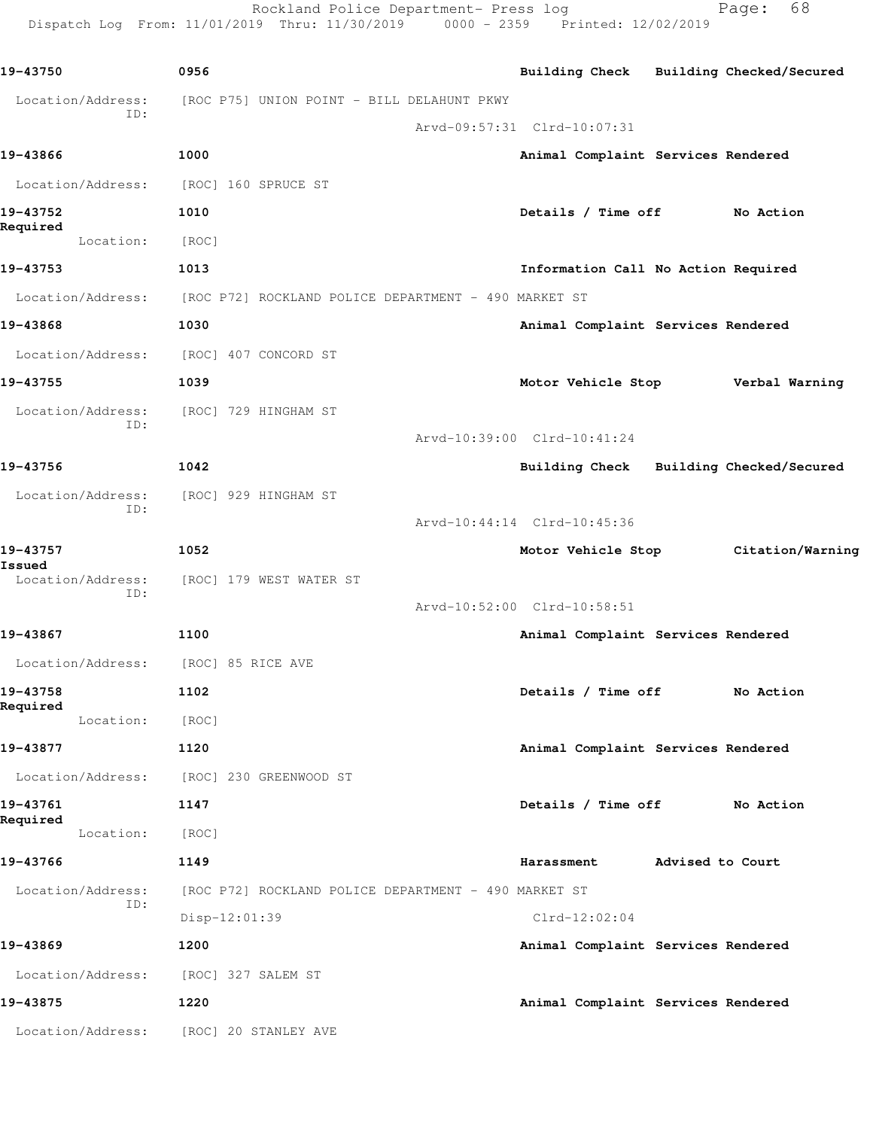Rockland Police Department- Press log entitled and Page: 68 Dispatch Log From: 11/01/2019 Thru: 11/30/2019 0000 - 2359 Printed: 12/02/2019

| 19-43750                            | 0956                                                 | Building Check Building Checked/Secured |                  |                  |
|-------------------------------------|------------------------------------------------------|-----------------------------------------|------------------|------------------|
| Location/Address:                   | [ROC P75] UNION POINT - BILL DELAHUNT PKWY           |                                         |                  |                  |
| ID:                                 |                                                      | Arvd-09:57:31 Clrd-10:07:31             |                  |                  |
| 19-43866                            | 1000                                                 | Animal Complaint Services Rendered      |                  |                  |
| Location/Address:                   | [ROC] 160 SPRUCE ST                                  |                                         |                  |                  |
| 19-43752                            | 1010                                                 | Details / Time off                      |                  | No Action        |
| Required<br>Location:               | [ROC]                                                |                                         |                  |                  |
| 19-43753                            | 1013                                                 | Information Call No Action Required     |                  |                  |
| Location/Address:                   | [ROC P72] ROCKLAND POLICE DEPARTMENT - 490 MARKET ST |                                         |                  |                  |
| 19-43868                            | 1030                                                 | Animal Complaint Services Rendered      |                  |                  |
| Location/Address:                   | [ROC] 407 CONCORD ST                                 |                                         |                  |                  |
| 19-43755                            | 1039                                                 | Motor Vehicle Stop                      |                  | Verbal Warning   |
| Location/Address:                   | [ROC] 729 HINGHAM ST                                 |                                         |                  |                  |
| ID:                                 |                                                      | Arvd-10:39:00 Clrd-10:41:24             |                  |                  |
| 19-43756                            | 1042                                                 | Building Check Building Checked/Secured |                  |                  |
| Location/Address:                   | [ROC] 929 HINGHAM ST                                 |                                         |                  |                  |
| ID:                                 |                                                      | Arvd-10:44:14 Clrd-10:45:36             |                  |                  |
| 19-43757                            | 1052                                                 | Motor Vehicle Stop                      |                  | Citation/Warning |
| Issued<br>Location/Address:         | [ROC] 179 WEST WATER ST                              |                                         |                  |                  |
| ID:                                 |                                                      | Arvd-10:52:00 Clrd-10:58:51             |                  |                  |
| 19-43867                            | 1100                                                 | Animal Complaint Services Rendered      |                  |                  |
| Location/Address: [ROC] 85 RICE AVE |                                                      |                                         |                  |                  |
| 19-43758                            | 1102                                                 | Details / Time off                      |                  | No Action        |
| Required<br>Location:               | [ROC]                                                |                                         |                  |                  |
| 19-43877                            | 1120                                                 | Animal Complaint Services Rendered      |                  |                  |
| Location/Address:                   | [ROC] 230 GREENWOOD ST                               |                                         |                  |                  |
| 19-43761                            | 1147                                                 | Details / Time off                      |                  | No Action        |
| Required<br>Location:               | [ROC]                                                |                                         |                  |                  |
| 19-43766                            | 1149                                                 | Harassment                              | Advised to Court |                  |
| Location/Address:                   | [ROC P72] ROCKLAND POLICE DEPARTMENT - 490 MARKET ST |                                         |                  |                  |
| ID:                                 | $Disp-12:01:39$                                      | $Clrd-12:02:04$                         |                  |                  |
| 19-43869                            | 1200                                                 | Animal Complaint Services Rendered      |                  |                  |
| Location/Address:                   | [ROC] 327 SALEM ST                                   |                                         |                  |                  |
| 19-43875                            | 1220                                                 | Animal Complaint Services Rendered      |                  |                  |
| Location/Address:                   | [ROC] 20 STANLEY AVE                                 |                                         |                  |                  |
|                                     |                                                      |                                         |                  |                  |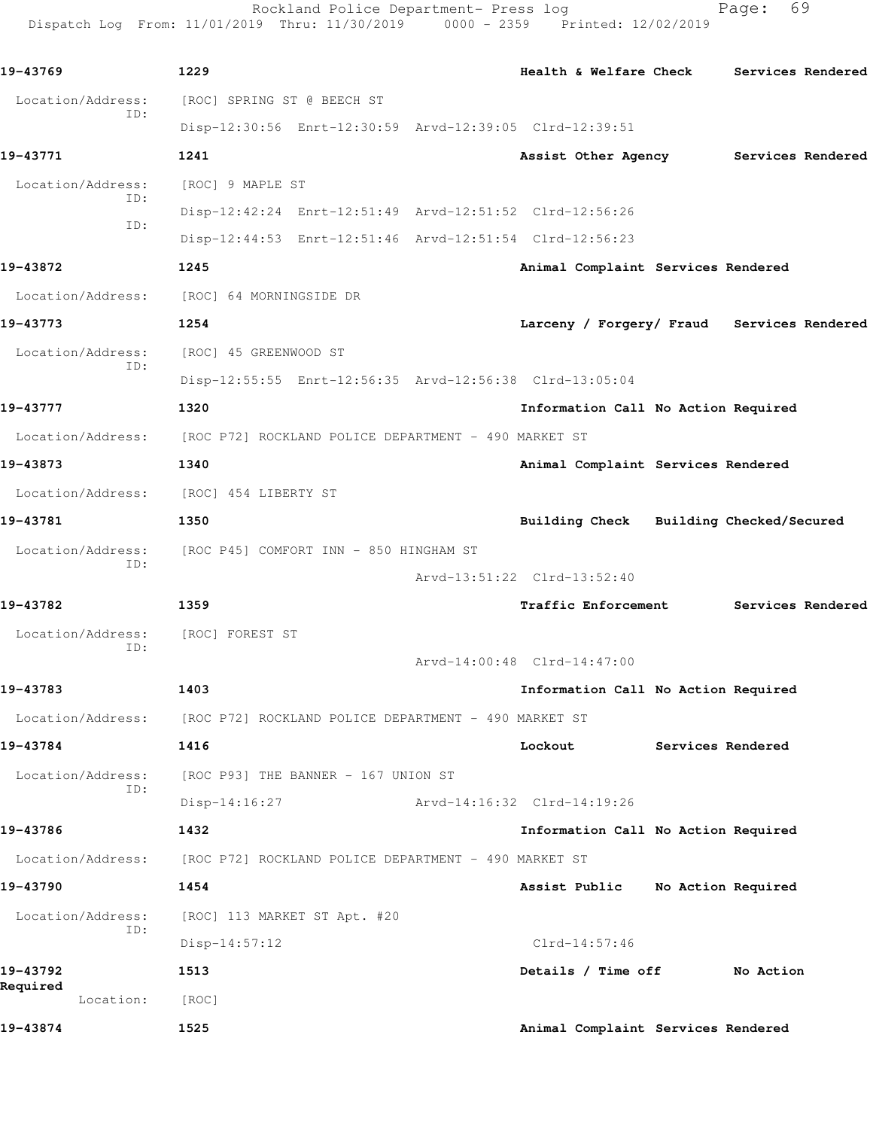Rockland Police Department- Press log entitled and Page: 69 Dispatch Log From: 11/01/2019 Thru: 11/30/2019 0000 - 2359 Printed: 12/02/2019

| 19-43769              | 1229                                                                   | Health & Welfare Check Services Rendered   |
|-----------------------|------------------------------------------------------------------------|--------------------------------------------|
| Location/Address:     | [ROC] SPRING ST @ BEECH ST                                             |                                            |
| ID:                   | Disp-12:30:56 Enrt-12:30:59 Arvd-12:39:05 Clrd-12:39:51                |                                            |
| 19-43771              | 1241                                                                   | Assist Other Agency Services Rendered      |
| Location/Address:     | [ROC] 9 MAPLE ST                                                       |                                            |
| ID:                   | Disp-12:42:24 Enrt-12:51:49 Arvd-12:51:52 Clrd-12:56:26                |                                            |
| ID:                   | Disp-12:44:53 Enrt-12:51:46 Arvd-12:51:54 Clrd-12:56:23                |                                            |
| 19-43872              | 1245                                                                   | Animal Complaint Services Rendered         |
|                       | Location/Address: [ROC] 64 MORNINGSIDE DR                              |                                            |
| 19-43773              | 1254                                                                   | Larceny / Forgery/ Fraud Services Rendered |
|                       | Location/Address: [ROC] 45 GREENWOOD ST                                |                                            |
| ID:                   | Disp-12:55:55 Enrt-12:56:35 Arvd-12:56:38 Clrd-13:05:04                |                                            |
| 19-43777              | 1320                                                                   | Information Call No Action Required        |
|                       | Location/Address: [ROC P72] ROCKLAND POLICE DEPARTMENT - 490 MARKET ST |                                            |
| 19-43873              | 1340                                                                   | Animal Complaint Services Rendered         |
|                       | Location/Address: [ROC] 454 LIBERTY ST                                 |                                            |
| 19-43781              | 1350                                                                   | Building Check Building Checked/Secured    |
| Location/Address:     | [ROC P45] COMFORT INN - 850 HINGHAM ST                                 |                                            |
| ID:                   |                                                                        | Arvd-13:51:22 Clrd-13:52:40                |
| 19-43782              | 1359                                                                   | Traffic Enforcement Services Rendered      |
| Location/Address:     | [ROC] FOREST ST                                                        |                                            |
| ID:                   |                                                                        | Arvd-14:00:48 Clrd-14:47:00                |
| 19-43783              | 1403                                                                   | Information Call No Action Required        |
|                       | Location/Address: [ROC P72] ROCKLAND POLICE DEPARTMENT - 490 MARKET ST |                                            |
| 19-43784              | 1416                                                                   | Lockout<br>Services Rendered               |
| Location/Address:     | [ROC P93] THE BANNER - 167 UNION ST                                    |                                            |
| ID:                   | Arvd-14:16:32 Clrd-14:19:26<br>$Disp-14:16:27$                         |                                            |
| 19-43786              | 1432                                                                   | Information Call No Action Required        |
| Location/Address:     | [ROC P72] ROCKLAND POLICE DEPARTMENT - 490 MARKET ST                   |                                            |
| 19-43790              | 1454                                                                   | No Action Required<br>Assist Public        |
| Location/Address:     | [ROC] 113 MARKET ST Apt. #20                                           |                                            |
| ID:                   | $Disp-14:57:12$                                                        | Clrd-14:57:46                              |
| 19-43792              | 1513                                                                   | Details / Time off No Action               |
| Required<br>Location: | [ROC]                                                                  |                                            |
| 19-43874              | 1525                                                                   | Animal Complaint Services Rendered         |
|                       |                                                                        |                                            |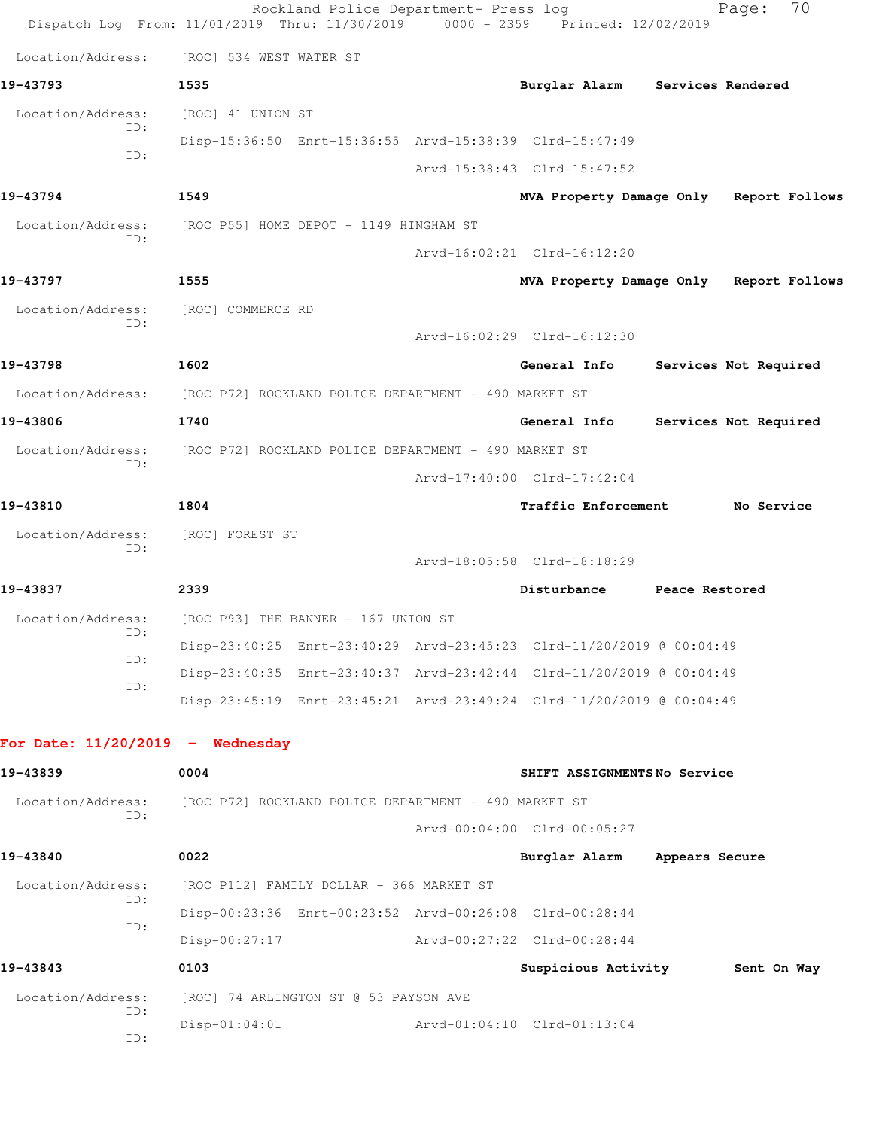|                                    | Dispatch Log From: 11/01/2019 Thru: 11/30/2019 0000 - 2359 Printed: 12/02/2019 | Rockland Police Department- Press log |                                                                      |                   | Page:                 | 70 |
|------------------------------------|--------------------------------------------------------------------------------|---------------------------------------|----------------------------------------------------------------------|-------------------|-----------------------|----|
| Location/Address:                  | [ROC] 534 WEST WATER ST                                                        |                                       |                                                                      |                   |                       |    |
| 19-43793                           | 1535                                                                           |                                       | Burglar Alarm                                                        | Services Rendered |                       |    |
| Location/Address:                  | [ROC] 41 UNION ST                                                              |                                       |                                                                      |                   |                       |    |
| ID:<br>ID:                         |                                                                                |                                       | Disp-15:36:50 Enrt-15:36:55 Arvd-15:38:39 Clrd-15:47:49              |                   |                       |    |
|                                    |                                                                                |                                       | Arvd-15:38:43 Clrd-15:47:52                                          |                   |                       |    |
| 19-43794                           | 1549                                                                           |                                       | MVA Property Damage Only Report Follows                              |                   |                       |    |
| Location/Address:<br>ID:           | [ROC P55] HOME DEPOT - 1149 HINGHAM ST                                         |                                       |                                                                      |                   |                       |    |
|                                    |                                                                                |                                       | Arvd-16:02:21 Clrd-16:12:20                                          |                   |                       |    |
| 19-43797                           | 1555                                                                           |                                       | MVA Property Damage Only Report Follows                              |                   |                       |    |
| Location/Address:<br>ID:           | [ROC] COMMERCE RD                                                              |                                       |                                                                      |                   |                       |    |
|                                    |                                                                                |                                       | Arvd-16:02:29 Clrd-16:12:30                                          |                   |                       |    |
| 19-43798                           | 1602                                                                           |                                       | General Info                                                         |                   | Services Not Required |    |
| Location/Address:                  | [ROC P72] ROCKLAND POLICE DEPARTMENT - 490 MARKET ST                           |                                       |                                                                      |                   |                       |    |
| 19-43806                           | 1740                                                                           |                                       | General Info                                                         |                   | Services Not Required |    |
| Location/Address:<br>TD:           | [ROC P72] ROCKLAND POLICE DEPARTMENT - 490 MARKET ST                           |                                       |                                                                      |                   |                       |    |
|                                    |                                                                                |                                       | Arvd-17:40:00 Clrd-17:42:04                                          |                   |                       |    |
| 19-43810                           | 1804                                                                           |                                       | Traffic Enforcement                                                  |                   | No Service            |    |
| Location/Address:<br>ID:           | [ROC] FOREST ST                                                                |                                       |                                                                      |                   |                       |    |
|                                    |                                                                                |                                       | Arvd-18:05:58 Clrd-18:18:29                                          |                   |                       |    |
| 19-43837                           | 2339                                                                           |                                       | Disturbance                                                          | Peace Restored    |                       |    |
| Location/Address:<br>ID:           | [ROC P93] THE BANNER - 167 UNION ST                                            |                                       |                                                                      |                   |                       |    |
| ID:                                |                                                                                |                                       | Disp-23:40:25 Enrt-23:40:29 Arvd-23:45:23 Clrd-11/20/2019 @ 00:04:49 |                   |                       |    |
| ID:                                |                                                                                |                                       | Disp-23:40:35 Enrt-23:40:37 Arvd-23:42:44 Clrd-11/20/2019 @ 00:04:49 |                   |                       |    |
|                                    |                                                                                |                                       | Disp-23:45:19 Enrt-23:45:21 Arvd-23:49:24 Clrd-11/20/2019 @ 00:04:49 |                   |                       |    |
| For Date: $11/20/2019$ - Wednesday |                                                                                |                                       |                                                                      |                   |                       |    |
| 19-43839                           | 0004                                                                           |                                       | SHIFT ASSIGNMENTSNo Service                                          |                   |                       |    |
| Location/Address:                  | [ROC P72] ROCKLAND POLICE DEPARTMENT - 490 MARKET ST                           |                                       |                                                                      |                   |                       |    |
| ID:                                |                                                                                |                                       | Arvd-00:04:00 Clrd-00:05:27                                          |                   |                       |    |
| 19-43840                           | 0022                                                                           |                                       | Burglar Alarm                                                        | Appears Secure    |                       |    |
| Location/Address:                  | [ROC P112] FAMILY DOLLAR - 366 MARKET ST                                       |                                       |                                                                      |                   |                       |    |
| ID:                                |                                                                                |                                       | Disp-00:23:36 Enrt-00:23:52 Arvd-00:26:08 Clrd-00:28:44              |                   |                       |    |
| ID:                                | Disp-00:27:17                                                                  |                                       | Arvd-00:27:22 Clrd-00:28:44                                          |                   |                       |    |
| 19-43843                           | 0103                                                                           |                                       | Suspicious Activity 5ent On Way                                      |                   |                       |    |
| Location/Address:                  | [ROC] 74 ARLINGTON ST @ 53 PAYSON AVE                                          |                                       |                                                                      |                   |                       |    |
| ID:<br>ID:                         | $Disp-01:04:01$                                                                |                                       | Arvd-01:04:10 Clrd-01:13:04                                          |                   |                       |    |
|                                    |                                                                                |                                       |                                                                      |                   |                       |    |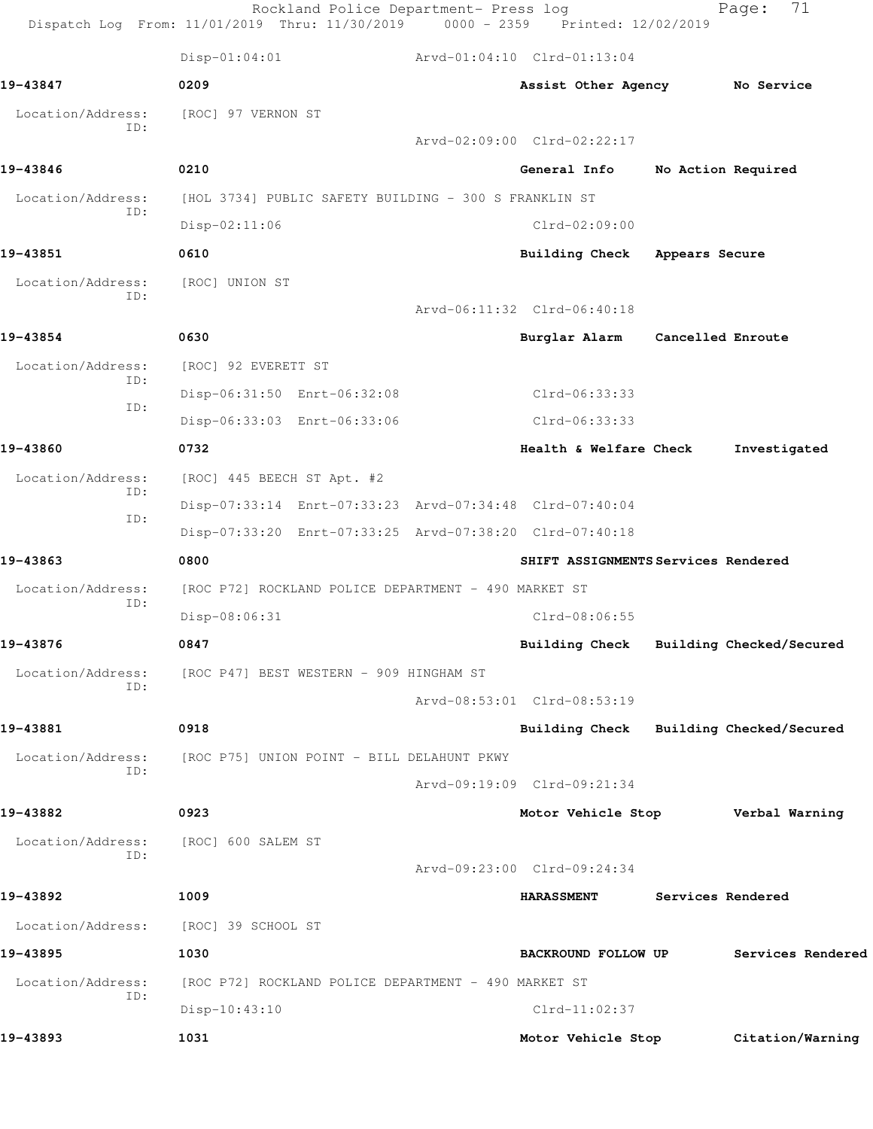|                          | Rockland Police Department- Press log<br>Dispatch Log From: 11/01/2019 Thru: 11/30/2019 0000 - 2359 Printed: 12/02/2019 |                                         |                   | 71<br>Page:              |
|--------------------------|-------------------------------------------------------------------------------------------------------------------------|-----------------------------------------|-------------------|--------------------------|
|                          | $Disp-01:04:01$                                                                                                         | Arvd-01:04:10 Clrd-01:13:04             |                   |                          |
| 19-43847                 | 0209                                                                                                                    | Assist Other Agency No Service          |                   |                          |
| Location/Address:<br>ID: | [ROC] 97 VERNON ST                                                                                                      |                                         |                   |                          |
|                          |                                                                                                                         | Arvd-02:09:00 Clrd-02:22:17             |                   |                          |
| 19-43846                 | 0210                                                                                                                    | General Info                            |                   | No Action Required       |
| Location/Address:<br>ID: | [HOL 3734] PUBLIC SAFETY BUILDING - 300 S FRANKLIN ST                                                                   |                                         |                   |                          |
|                          | $Disp-02:11:06$                                                                                                         | $Clrd-02:09:00$                         |                   |                          |
| 19-43851                 | 0610                                                                                                                    | Building Check Appears Secure           |                   |                          |
| Location/Address:<br>TD: | [ROC] UNION ST                                                                                                          |                                         |                   |                          |
|                          |                                                                                                                         | Arvd-06:11:32 Clrd-06:40:18             |                   |                          |
| 19-43854                 | 0630                                                                                                                    | Burglar Alarm Cancelled Enroute         |                   |                          |
| Location/Address:        | [ROC] 92 EVERETT ST                                                                                                     |                                         |                   |                          |
| ID:<br>ID:               | Disp-06:31:50 Enrt-06:32:08                                                                                             | Clrd-06:33:33                           |                   |                          |
|                          | Disp-06:33:03 Enrt-06:33:06                                                                                             | Clrd-06:33:33                           |                   |                          |
| 19-43860                 | 0732                                                                                                                    | Health & Welfare Check                  |                   | Investigated             |
| Location/Address:        | [ROC] 445 BEECH ST Apt. #2                                                                                              |                                         |                   |                          |
| ID:                      | Disp-07:33:14 Enrt-07:33:23 Arvd-07:34:48 Clrd-07:40:04                                                                 |                                         |                   |                          |
| ID:                      | Disp-07:33:20 Enrt-07:33:25 Arvd-07:38:20 Clrd-07:40:18                                                                 |                                         |                   |                          |
| 19-43863                 | 0800                                                                                                                    | SHIFT ASSIGNMENTS Services Rendered     |                   |                          |
| Location/Address:<br>ID: | [ROC P72] ROCKLAND POLICE DEPARTMENT - 490 MARKET ST                                                                    |                                         |                   |                          |
|                          | Disp-08:06:31                                                                                                           | $Clrd-08:06:55$                         |                   |                          |
| 19-43876                 | 0847                                                                                                                    | Building Check Building Checked/Secured |                   |                          |
| Location/Address:<br>ID: | [ROC P47] BEST WESTERN - 909 HINGHAM ST                                                                                 |                                         |                   |                          |
|                          |                                                                                                                         | Arvd-08:53:01 Clrd-08:53:19             |                   |                          |
| 19-43881                 | 0918                                                                                                                    | Building Check                          |                   | Building Checked/Secured |
| Location/Address:<br>ID: | [ROC P75] UNION POINT - BILL DELAHUNT PKWY                                                                              |                                         |                   |                          |
|                          |                                                                                                                         | Arvd-09:19:09 Clrd-09:21:34             |                   |                          |
| 19-43882                 | 0923                                                                                                                    | Motor Vehicle Stop Verbal Warning       |                   |                          |
| Location/Address:<br>ID: | [ROC] 600 SALEM ST                                                                                                      |                                         |                   |                          |
|                          |                                                                                                                         | Arvd-09:23:00 Clrd-09:24:34             |                   |                          |
| 19-43892                 | 1009                                                                                                                    | <b>HARASSMENT</b>                       | Services Rendered |                          |
| Location/Address:        | [ROC] 39 SCHOOL ST                                                                                                      |                                         |                   |                          |
| 19-43895                 | 1030                                                                                                                    | BACKROUND FOLLOW UP                     |                   | Services Rendered        |
| Location/Address:<br>ID: | [ROC P72] ROCKLAND POLICE DEPARTMENT - 490 MARKET ST                                                                    |                                         |                   |                          |
|                          | $Disp-10:43:10$                                                                                                         | $Clrd-11:02:37$                         |                   |                          |
| 19-43893                 | 1031                                                                                                                    | Motor Vehicle Stop                      |                   | Citation/Warning         |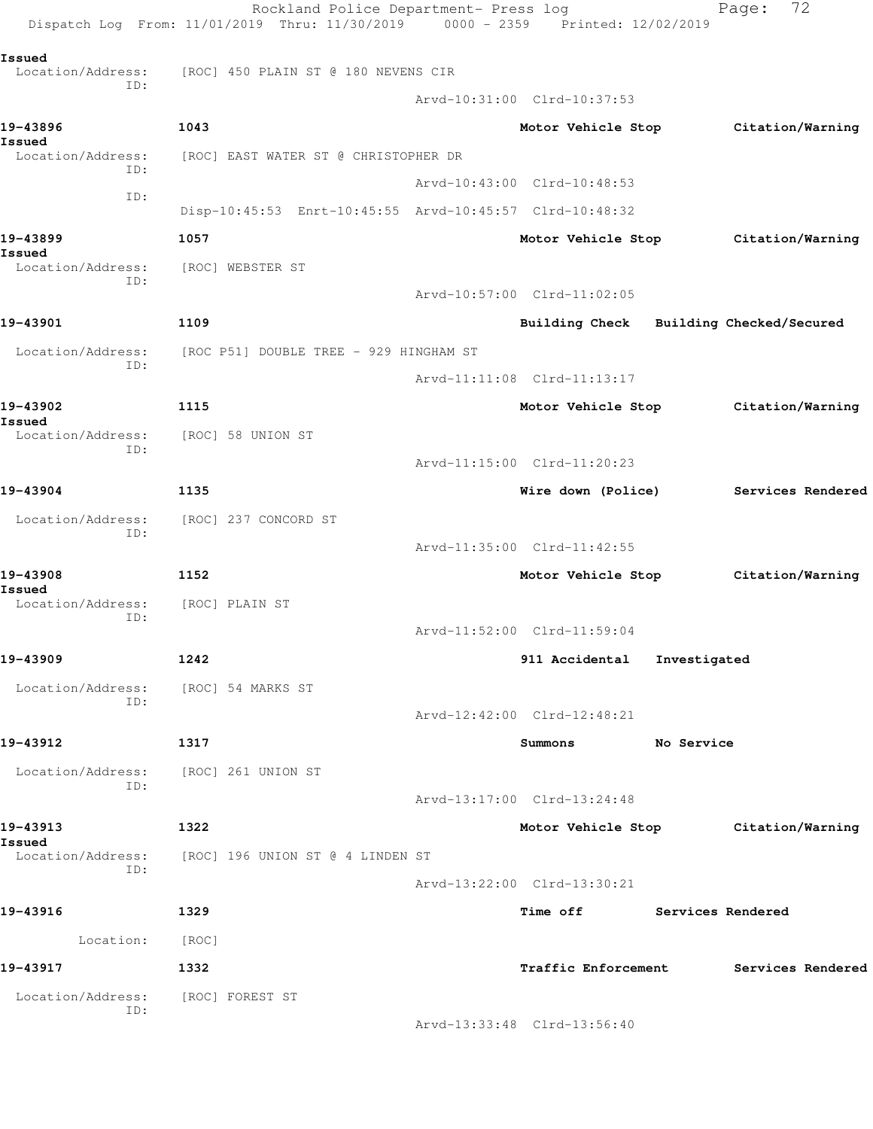|                             | Rockland Police Department- Press log<br>Dispatch Log From: 11/01/2019 Thru: 11/30/2019 0000 - 2359 Printed: 12/02/2019 |                             |            | 72<br>Page:                             |
|-----------------------------|-------------------------------------------------------------------------------------------------------------------------|-----------------------------|------------|-----------------------------------------|
| Issued                      | [ROC] 450 PLAIN ST @ 180 NEVENS CIR                                                                                     |                             |            |                                         |
| Location/Address:<br>TD:    |                                                                                                                         | Arvd-10:31:00 Clrd-10:37:53 |            |                                         |
| 19-43896                    | 1043                                                                                                                    | Motor Vehicle Stop          |            | Citation/Warning                        |
| Issued<br>Location/Address: | [ROC] EAST WATER ST @ CHRISTOPHER DR                                                                                    |                             |            |                                         |
| ID:                         |                                                                                                                         | Arvd-10:43:00 Clrd-10:48:53 |            |                                         |
| ID:                         | Disp-10:45:53 Enrt-10:45:55 Arvd-10:45:57 Clrd-10:48:32                                                                 |                             |            |                                         |
| 19-43899                    | 1057                                                                                                                    |                             |            |                                         |
| Issued                      |                                                                                                                         | Motor Vehicle Stop          |            | Citation/Warning                        |
| Location/Address:<br>ID:    | [ROC] WEBSTER ST                                                                                                        |                             |            |                                         |
|                             |                                                                                                                         | Arvd-10:57:00 Clrd-11:02:05 |            |                                         |
| 19-43901                    | 1109                                                                                                                    |                             |            | Building Check Building Checked/Secured |
| Location/Address:<br>ID:    | [ROC P51] DOUBLE TREE - 929 HINGHAM ST                                                                                  |                             |            |                                         |
|                             |                                                                                                                         | Arvd-11:11:08 Clrd-11:13:17 |            |                                         |
| 19-43902<br>Issued          | 1115                                                                                                                    |                             |            | Motor Vehicle Stop Citation/Warning     |
| Location/Address:<br>ID:    | [ROC] 58 UNION ST                                                                                                       |                             |            |                                         |
|                             |                                                                                                                         | Arvd-11:15:00 Clrd-11:20:23 |            |                                         |
| 19-43904                    | 1135                                                                                                                    | Wire down (Police)          |            | Services Rendered                       |
| Location/Address:<br>ID:    | [ROC] 237 CONCORD ST                                                                                                    |                             |            |                                         |
|                             |                                                                                                                         | Arvd-11:35:00 Clrd-11:42:55 |            |                                         |
| 19-43908                    | 1152                                                                                                                    |                             |            | Motor Vehicle Stop Citation/Warning     |
| Issued<br>Location/Address: | [ROC] PLAIN ST                                                                                                          |                             |            |                                         |
| ID:                         |                                                                                                                         | Arvd-11:52:00 Clrd-11:59:04 |            |                                         |
| 19-43909                    | 1242                                                                                                                    | 911 Accidental Investigated |            |                                         |
| Location/Address:           | [ROC] 54 MARKS ST                                                                                                       |                             |            |                                         |
| ID:                         |                                                                                                                         | Arvd-12:42:00 Clrd-12:48:21 |            |                                         |
| 19-43912                    | 1317                                                                                                                    | Summons                     | No Service |                                         |
| Location/Address:           | [ROC] 261 UNION ST                                                                                                      |                             |            |                                         |
| ID:                         |                                                                                                                         | Arvd-13:17:00 Clrd-13:24:48 |            |                                         |
| 19-43913                    | 1322                                                                                                                    |                             |            | Motor Vehicle Stop Citation/Warning     |
| Issued<br>Location/Address: | [ROC] 196 UNION ST @ 4 LINDEN ST                                                                                        |                             |            |                                         |
| ID:                         |                                                                                                                         | Arvd-13:22:00 Clrd-13:30:21 |            |                                         |
| 19-43916                    | 1329                                                                                                                    | Time off Services Rendered  |            |                                         |
| Location:                   | [ROC]                                                                                                                   |                             |            |                                         |
| 19-43917                    | 1332                                                                                                                    | <b>Traffic Enforcement</b>  |            | Services Rendered                       |
| Location/Address:           | [ROC] FOREST ST                                                                                                         |                             |            |                                         |
| ID:                         |                                                                                                                         | Arvd-13:33:48 Clrd-13:56:40 |            |                                         |
|                             |                                                                                                                         |                             |            |                                         |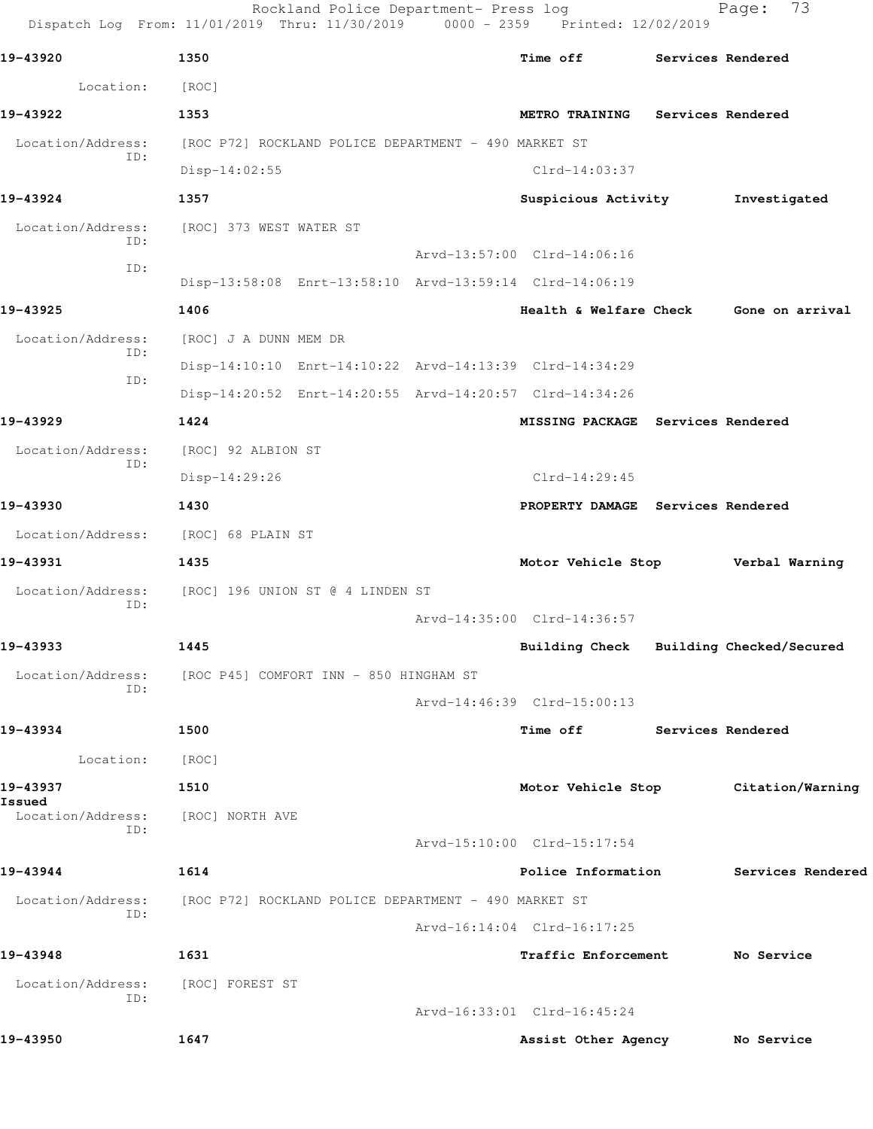|                             | Rockland Police Department- Press log<br>Dispatch Log From: 11/01/2019 Thru: 11/30/2019 0000 - 2359 Printed: 12/02/2019 |                                         |                          | 73<br>Page:       |
|-----------------------------|-------------------------------------------------------------------------------------------------------------------------|-----------------------------------------|--------------------------|-------------------|
| 19-43920                    | 1350                                                                                                                    | Time off                                |                          | Services Rendered |
| Location:                   | [ROC]                                                                                                                   |                                         |                          |                   |
| 19-43922                    | 1353                                                                                                                    | <b>METRO TRAINING</b>                   | <b>Services Rendered</b> |                   |
| Location/Address:<br>ID:    | [ROC P72] ROCKLAND POLICE DEPARTMENT - 490 MARKET ST                                                                    |                                         |                          |                   |
|                             | $Disp-14:02:55$                                                                                                         | $Clrd-14:03:37$                         |                          |                   |
| 19-43924                    | 1357                                                                                                                    | Suspicious Activity                     |                          | Investigated      |
| Location/Address:<br>ID:    | [ROC] 373 WEST WATER ST                                                                                                 |                                         |                          |                   |
| ID:                         |                                                                                                                         | Arvd-13:57:00 Clrd-14:06:16             |                          |                   |
|                             | Disp-13:58:08 Enrt-13:58:10 Arvd-13:59:14 Clrd-14:06:19                                                                 |                                         |                          |                   |
| 19-43925                    | 1406                                                                                                                    | Health & Welfare Check                  |                          | Gone on arrival   |
| Location/Address:<br>ID:    | [ROC] J A DUNN MEM DR                                                                                                   |                                         |                          |                   |
| ID:                         | Disp-14:10:10 Enrt-14:10:22 Arvd-14:13:39 Clrd-14:34:29                                                                 |                                         |                          |                   |
|                             | Disp-14:20:52 Enrt-14:20:55 Arvd-14:20:57 Clrd-14:34:26                                                                 |                                         |                          |                   |
| 19-43929                    | 1424                                                                                                                    | MISSING PACKAGE Services Rendered       |                          |                   |
| Location/Address:           | [ROC] 92 ALBION ST                                                                                                      |                                         |                          |                   |
| ID:                         | Disp-14:29:26                                                                                                           | $Clrd-14:29:45$                         |                          |                   |
| 19-43930                    | 1430                                                                                                                    | PROPERTY DAMAGE Services Rendered       |                          |                   |
| Location/Address:           | [ROC] 68 PLAIN ST                                                                                                       |                                         |                          |                   |
| 19-43931                    | 1435                                                                                                                    | Motor Vehicle Stop                      |                          | Verbal Warning    |
| Location/Address:           | [ROC] 196 UNION ST @ 4 LINDEN ST                                                                                        |                                         |                          |                   |
| ID:                         |                                                                                                                         | Arvd-14:35:00 Clrd-14:36:57             |                          |                   |
| 19-43933                    | 1445                                                                                                                    | Building Check Building Checked/Secured |                          |                   |
| Location/Address:           | [ROC P45] COMFORT INN - 850 HINGHAM ST                                                                                  |                                         |                          |                   |
| ID:                         |                                                                                                                         | Arvd-14:46:39 Clrd-15:00:13             |                          |                   |
| 19-43934                    | 1500                                                                                                                    | Time off                                | <b>Services Rendered</b> |                   |
| Location:                   | [ROC]                                                                                                                   |                                         |                          |                   |
| 19-43937                    | 1510                                                                                                                    | Motor Vehicle Stop                      |                          | Citation/Warning  |
| Issued<br>Location/Address: | [ROC] NORTH AVE                                                                                                         |                                         |                          |                   |
| ID:                         |                                                                                                                         | Arvd-15:10:00 Clrd-15:17:54             |                          |                   |
| 19-43944                    | 1614                                                                                                                    | Police Information                      |                          | Services Rendered |
| Location/Address:           | [ROC P72] ROCKLAND POLICE DEPARTMENT - 490 MARKET ST                                                                    |                                         |                          |                   |
| ID:                         |                                                                                                                         | Arvd-16:14:04 Clrd-16:17:25             |                          |                   |
| 19-43948                    | 1631                                                                                                                    | Traffic Enforcement                     |                          | No Service        |
| Location/Address:           | [ROC] FOREST ST                                                                                                         |                                         |                          |                   |
| ID:                         |                                                                                                                         | Arvd-16:33:01 Clrd-16:45:24             |                          |                   |
| 19-43950                    | 1647                                                                                                                    | Assist Other Agency                     |                          | No Service        |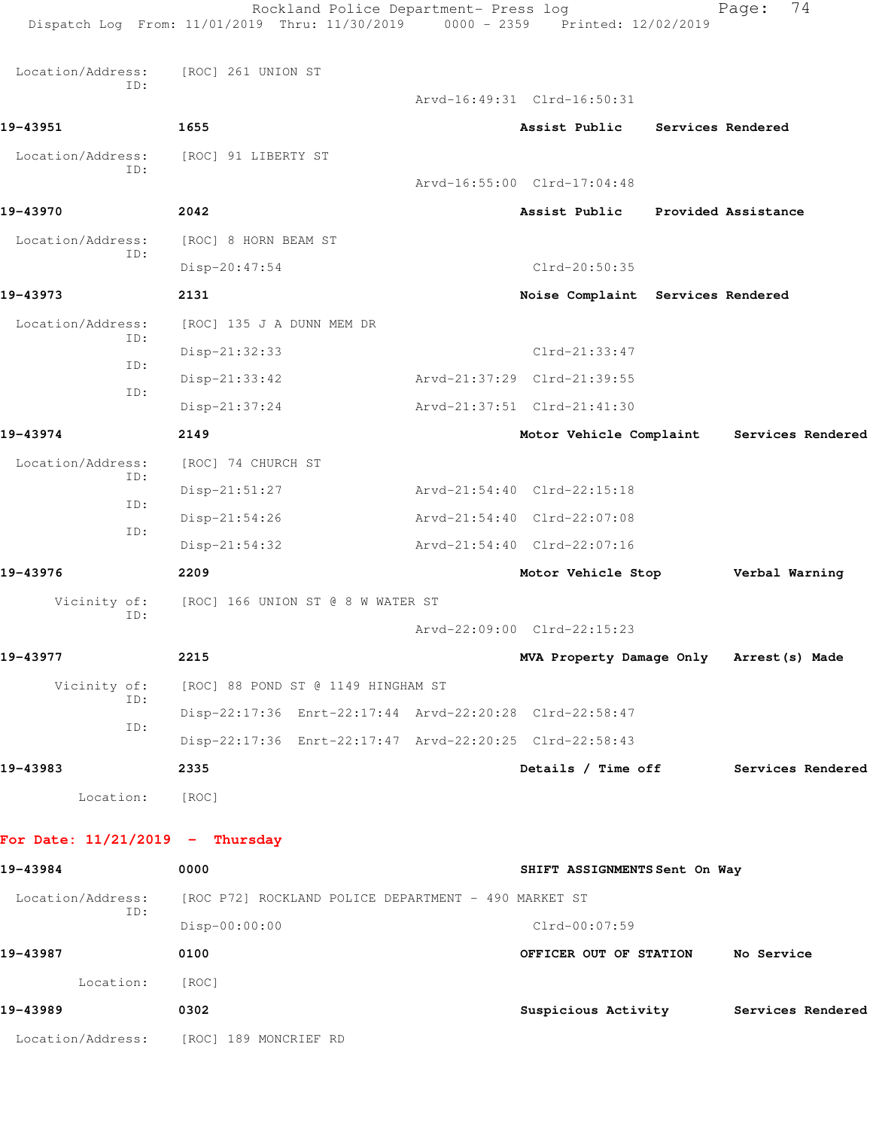|                                   | Rockland Police Department- Press log<br>Dispatch Log From: 11/01/2019 Thru: 11/30/2019 | 0000 - 2359 Printed: 12/02/2019          | 74<br>Page:       |
|-----------------------------------|-----------------------------------------------------------------------------------------|------------------------------------------|-------------------|
| Location/Address:                 | [ROC] 261 UNION ST                                                                      |                                          |                   |
| ID:                               |                                                                                         | Arvd-16:49:31 Clrd-16:50:31              |                   |
| 19-43951                          | 1655                                                                                    | Assist Public                            | Services Rendered |
| Location/Address:                 | [ROC] 91 LIBERTY ST                                                                     |                                          |                   |
| ID:                               |                                                                                         | Arvd-16:55:00 Clrd-17:04:48              |                   |
| 19-43970                          | 2042                                                                                    | Assist Public Provided Assistance        |                   |
| Location/Address:                 | [ROC] 8 HORN BEAM ST                                                                    |                                          |                   |
| ID:                               | Disp-20:47:54                                                                           | Clrd-20:50:35                            |                   |
| 19-43973                          | 2131                                                                                    | Noise Complaint Services Rendered        |                   |
| Location/Address:                 | [ROC] 135 J A DUNN MEM DR                                                               |                                          |                   |
| ID:                               | Disp-21:32:33                                                                           | $Clrd-21:33:47$                          |                   |
| ID:                               | $Disp-21:33:42$                                                                         | Arvd-21:37:29 Clrd-21:39:55              |                   |
| ID:                               | Disp-21:37:24                                                                           | Arvd-21:37:51 Clrd-21:41:30              |                   |
| 19-43974                          | 2149                                                                                    | Motor Vehicle Complaint                  | Services Rendered |
| Location/Address:                 | [ROC] 74 CHURCH ST                                                                      |                                          |                   |
| ID:                               | Disp-21:51:27                                                                           | Arvd-21:54:40 Clrd-22:15:18              |                   |
| ID:                               | Disp-21:54:26                                                                           | Arvd-21:54:40 Clrd-22:07:08              |                   |
| ID:                               | $Disp-21:54:32$                                                                         | Arvd-21:54:40 Clrd-22:07:16              |                   |
| 19-43976                          | 2209                                                                                    | Motor Vehicle Stop                       | Verbal Warning    |
| Vicinity of:                      | [ROC] 166 UNION ST @ 8 W WATER ST                                                       |                                          |                   |
| ID:                               |                                                                                         | Arvd-22:09:00 Clrd-22:15:23              |                   |
| 19-43977                          | 2215                                                                                    | MVA Property Damage Only Arrest (s) Made |                   |
| Vicinity of:                      | [ROC] 88 POND ST @ 1149 HINGHAM ST                                                      |                                          |                   |
| ID:                               | Disp-22:17:36 Enrt-22:17:44 Arvd-22:20:28 Clrd-22:58:47                                 |                                          |                   |
| ID:                               | Disp-22:17:36 Enrt-22:17:47 Arvd-22:20:25 Clrd-22:58:43                                 |                                          |                   |
| 19-43983                          | 2335                                                                                    | Details / Time off                       | Services Rendered |
| Location: [ROC]                   |                                                                                         |                                          |                   |
| For Date: $11/21/2019$ - Thursday |                                                                                         |                                          |                   |
| 19-43984                          | 0000                                                                                    | SHIFT ASSIGNMENTS Sent On Way            |                   |
| Location/Address:                 | [ROC P72] ROCKLAND POLICE DEPARTMENT - 490 MARKET ST                                    |                                          |                   |
| ID:                               | Disp-00:00:00                                                                           | Clrd-00:07:59                            |                   |
| 19-43987                          | 0100                                                                                    | OFFICER OUT OF STATION No Service        |                   |
| Location:                         | [ROC]                                                                                   |                                          |                   |
| 19-43989                          | 0302                                                                                    | Suspicious Activity                      | Services Rendered |
|                                   | Location/Address: [ROC] 189 MONCRIEF RD                                                 |                                          |                   |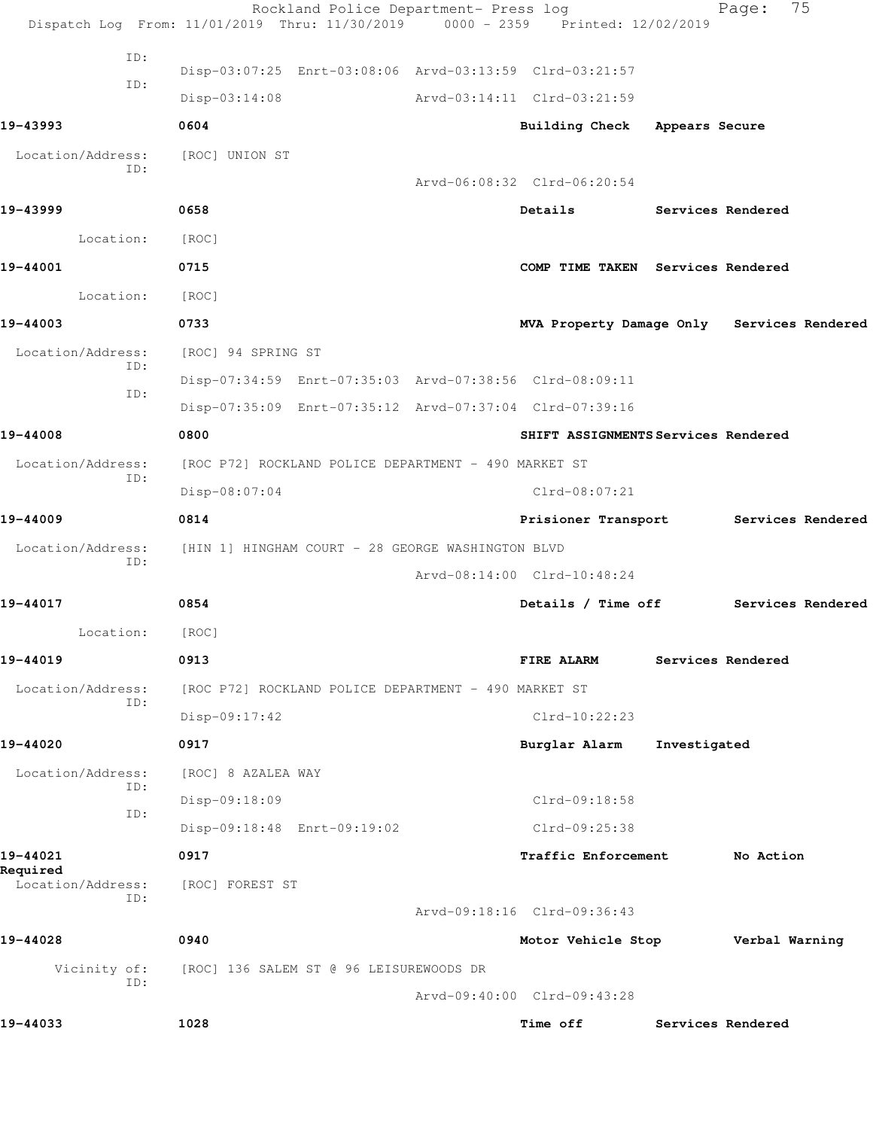|                          | Rockland Police Department- Press log<br>Dispatch Log From: 11/01/2019 Thru: 11/30/2019 0000 - 2359 Printed: 12/02/2019 |                                            |                          | 75<br>Page:       |  |
|--------------------------|-------------------------------------------------------------------------------------------------------------------------|--------------------------------------------|--------------------------|-------------------|--|
| ID:                      |                                                                                                                         |                                            |                          |                   |  |
| ID:                      | Disp-03:07:25 Enrt-03:08:06 Arvd-03:13:59 Clrd-03:21:57                                                                 |                                            |                          |                   |  |
|                          | $Disp-03:14:08$                                                                                                         | Arvd-03:14:11 Clrd-03:21:59                |                          |                   |  |
| 19-43993                 | 0604                                                                                                                    | Building Check Appears Secure              |                          |                   |  |
| Location/Address:<br>ID: | [ROC] UNION ST                                                                                                          |                                            |                          |                   |  |
|                          |                                                                                                                         | Arvd-06:08:32 Clrd-06:20:54                |                          |                   |  |
| 19-43999                 | 0658                                                                                                                    | Details                                    | <b>Services Rendered</b> |                   |  |
| Location:                | [ROC]                                                                                                                   |                                            |                          |                   |  |
| 19-44001                 | 0715                                                                                                                    | COMP TIME TAKEN Services Rendered          |                          |                   |  |
| Location:                | [ROC]                                                                                                                   |                                            |                          |                   |  |
| 19-44003                 | 0733                                                                                                                    | MVA Property Damage Only Services Rendered |                          |                   |  |
| Location/Address:        | [ROC] 94 SPRING ST                                                                                                      |                                            |                          |                   |  |
| ID:                      | Disp-07:34:59 Enrt-07:35:03 Arvd-07:38:56 Clrd-08:09:11                                                                 |                                            |                          |                   |  |
| ID:                      | Disp-07:35:09 Enrt-07:35:12 Arvd-07:37:04 Clrd-07:39:16                                                                 |                                            |                          |                   |  |
| 19-44008                 | 0800                                                                                                                    | SHIFT ASSIGNMENTS Services Rendered        |                          |                   |  |
| Location/Address:        | [ROC P72] ROCKLAND POLICE DEPARTMENT - 490 MARKET ST                                                                    |                                            |                          |                   |  |
| ID:                      | $Disp-08:07:04$                                                                                                         | $Clrd-08:07:21$                            |                          |                   |  |
| 19-44009                 | 0814                                                                                                                    | Prisioner Transport                        |                          | Services Rendered |  |
| Location/Address:<br>ID: | [HIN 1] HINGHAM COURT - 28 GEORGE WASHINGTON BLVD                                                                       |                                            |                          |                   |  |
|                          |                                                                                                                         | Arvd-08:14:00 Clrd-10:48:24                |                          |                   |  |
| 19-44017                 | 0854                                                                                                                    | Details / Time off                         |                          | Services Rendered |  |
| Location:                | [ROC]                                                                                                                   |                                            |                          |                   |  |
| 19-44019                 | 0913                                                                                                                    | FIRE ALARM                                 |                          | Services Rendered |  |
| Location/Address:<br>ID: | [ROC P72] ROCKLAND POLICE DEPARTMENT - 490 MARKET ST                                                                    |                                            |                          |                   |  |
|                          | $Disp-09:17:42$                                                                                                         | $Clrd-10:22:23$                            |                          |                   |  |
| 19-44020                 | 0917                                                                                                                    | Burglar Alarm                              | Investigated             |                   |  |
| Location/Address:<br>ID: | [ROC] 8 AZALEA WAY                                                                                                      |                                            |                          |                   |  |
| ID:                      | Disp-09:18:09                                                                                                           | Clrd-09:18:58                              |                          |                   |  |
|                          | Disp-09:18:48 Enrt-09:19:02                                                                                             | Clrd-09:25:38                              |                          |                   |  |
| 19-44021<br>Required     | 0917                                                                                                                    | Traffic Enforcement                        |                          | No Action         |  |
| Location/Address:<br>ID: | [ROC] FOREST ST                                                                                                         |                                            |                          |                   |  |
|                          |                                                                                                                         | Arvd-09:18:16 Clrd-09:36:43                |                          |                   |  |
| 19-44028                 | 0940                                                                                                                    | Motor Vehicle Stop                         |                          | Verbal Warning    |  |
| Vicinity of:<br>ID:      | [ROC] 136 SALEM ST @ 96 LEISUREWOODS DR                                                                                 |                                            |                          |                   |  |
|                          |                                                                                                                         | Arvd-09:40:00 Clrd-09:43:28                |                          |                   |  |
| 19-44033                 | 1028                                                                                                                    | Time off                                   |                          | Services Rendered |  |
|                          |                                                                                                                         |                                            |                          |                   |  |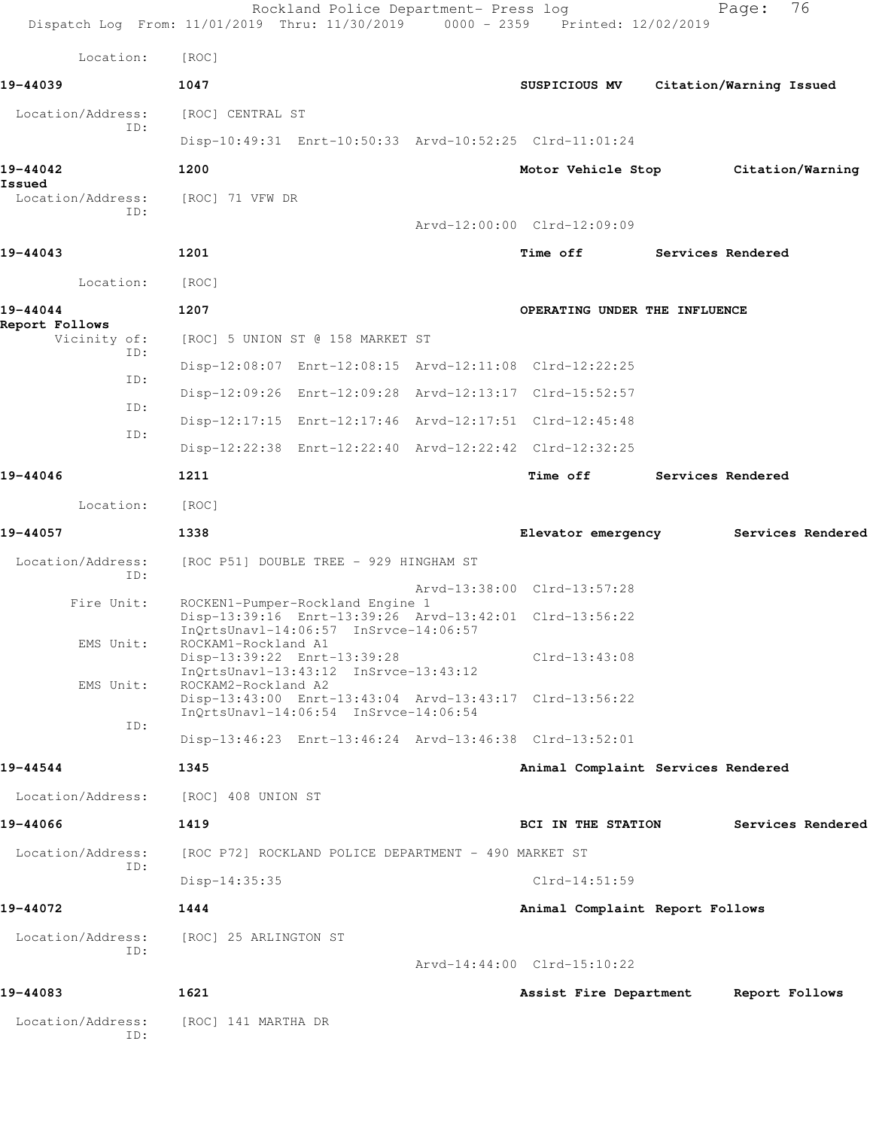|                                       | Rockland Police Department- Press log<br>Dispatch Log From: 11/01/2019 Thru: 11/30/2019 0000 - 2359 Printed: 12/02/2019 |                             |                    |                                    | 76<br>Page:                         |
|---------------------------------------|-------------------------------------------------------------------------------------------------------------------------|-----------------------------|--------------------|------------------------------------|-------------------------------------|
| Location:                             | [ROC]                                                                                                                   |                             |                    |                                    |                                     |
| 19-44039                              | 1047                                                                                                                    |                             | SUSPICIOUS MV      |                                    | Citation/Warning Issued             |
| Location/Address:                     | [ROC] CENTRAL ST                                                                                                        |                             |                    |                                    |                                     |
| ID:                                   | Disp-10:49:31 Enrt-10:50:33 Arvd-10:52:25 Clrd-11:01:24                                                                 |                             |                    |                                    |                                     |
| 19-44042<br>Issued                    | 1200                                                                                                                    |                             |                    |                                    | Motor Vehicle Stop Citation/Warning |
| Location/Address:<br>TD:              | [ROC] 71 VFW DR                                                                                                         |                             |                    |                                    |                                     |
|                                       |                                                                                                                         | Arvd-12:00:00 Clrd-12:09:09 |                    |                                    |                                     |
| 19-44043                              | 1201                                                                                                                    |                             | <b>Time off</b>    |                                    | Services Rendered                   |
| Location:                             | [ROC]                                                                                                                   |                             |                    |                                    |                                     |
| 19-44044                              | 1207                                                                                                                    |                             |                    | OPERATING UNDER THE INFLUENCE      |                                     |
| Report Follows<br>Vicinity of:<br>ID: | [ROC] 5 UNION ST @ 158 MARKET ST                                                                                        |                             |                    |                                    |                                     |
| ID:                                   | Disp-12:08:07 Enrt-12:08:15 Arvd-12:11:08 Clrd-12:22:25                                                                 |                             |                    |                                    |                                     |
| ID:                                   | Disp-12:09:26 Enrt-12:09:28 Arvd-12:13:17 Clrd-15:52:57                                                                 |                             |                    |                                    |                                     |
| ID:                                   | Disp-12:17:15 Enrt-12:17:46 Arvd-12:17:51 Clrd-12:45:48                                                                 |                             |                    |                                    |                                     |
|                                       | Disp-12:22:38 Enrt-12:22:40 Arvd-12:22:42 Clrd-12:32:25                                                                 |                             |                    |                                    |                                     |
| 19-44046                              | 1211                                                                                                                    |                             | <b>Time off</b>    |                                    | <b>Services Rendered</b>            |
| Location:                             | [ROC]                                                                                                                   |                             |                    |                                    |                                     |
| 19-44057                              | 1338                                                                                                                    |                             |                    | Elevator emergency                 | Services Rendered                   |
| Location/Address:<br>ID:              | [ROC P51] DOUBLE TREE - 929 HINGHAM ST                                                                                  |                             |                    |                                    |                                     |
| Fire Unit:                            | ROCKEN1-Pumper-Rockland Engine 1                                                                                        | Arvd-13:38:00 Clrd-13:57:28 |                    |                                    |                                     |
|                                       | Disp-13:39:16 Enrt-13:39:26 Arvd-13:42:01 Clrd-13:56:22<br>InQrtsUnavl-14:06:57 InSrvce-14:06:57                        |                             |                    |                                    |                                     |
| EMS Unit:                             | ROCKAM1-Rockland A1<br>Disp-13:39:22 Enrt-13:39:28                                                                      |                             | $Clrd-13:43:08$    |                                    |                                     |
| EMS Unit:                             | InQrtsUnavl-13:43:12 InSrvce-13:43:12<br>ROCKAM2-Rockland A2                                                            |                             |                    |                                    |                                     |
|                                       | Disp-13:43:00 Enrt-13:43:04 Arvd-13:43:17 Clrd-13:56:22<br>InQrtsUnavl-14:06:54 InSrvce-14:06:54                        |                             |                    |                                    |                                     |
| ID:                                   | Disp-13:46:23 Enrt-13:46:24 Arvd-13:46:38 Clrd-13:52:01                                                                 |                             |                    |                                    |                                     |
| 19-44544                              | 1345                                                                                                                    |                             |                    | Animal Complaint Services Rendered |                                     |
| Location/Address:                     | [ROC] 408 UNION ST                                                                                                      |                             |                    |                                    |                                     |
| 19-44066                              | 1419                                                                                                                    |                             | BCI IN THE STATION |                                    | Services Rendered                   |
| Location/Address:                     | [ROC P72] ROCKLAND POLICE DEPARTMENT - 490 MARKET ST                                                                    |                             |                    |                                    |                                     |
| ID:                                   | $Disp-14:35:35$                                                                                                         |                             | $Clrd-14:51:59$    |                                    |                                     |
| 19-44072                              | 1444                                                                                                                    |                             |                    | Animal Complaint Report Follows    |                                     |
| Location/Address:                     | [ROC] 25 ARLINGTON ST                                                                                                   |                             |                    |                                    |                                     |
| ID:                                   |                                                                                                                         | Arvd-14:44:00 Clrd-15:10:22 |                    |                                    |                                     |
| 19-44083                              | 1621                                                                                                                    |                             |                    | Assist Fire Department             | Report Follows                      |
| Location/Address:<br>ID:              | [ROC] 141 MARTHA DR                                                                                                     |                             |                    |                                    |                                     |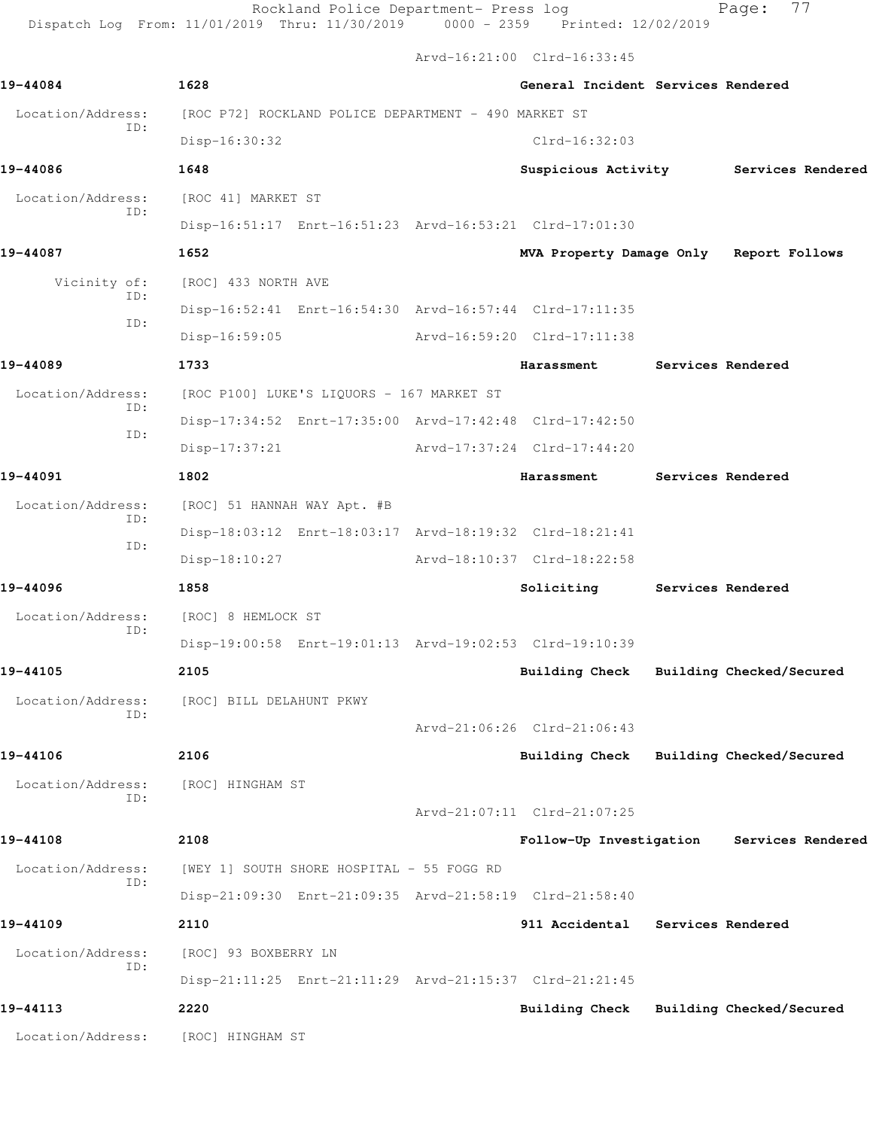Rockland Police Department- Press log entitled Page: 77 Dispatch Log From: 11/01/2019 Thru: 11/30/2019 0000 - 2359 Printed: 12/02/2019

Arvd-16:21:00 Clrd-16:33:45

| 19-44084          | 1628                                                    | General Incident Services Rendered      |                   |                                       |
|-------------------|---------------------------------------------------------|-----------------------------------------|-------------------|---------------------------------------|
| Location/Address: | [ROC P72] ROCKLAND POLICE DEPARTMENT - 490 MARKET ST    |                                         |                   |                                       |
| ID:               | Disp-16:30:32                                           | $Clrd-16:32:03$                         |                   |                                       |
| 19-44086          | 1648                                                    |                                         |                   | Suspicious Activity Services Rendered |
| Location/Address: | [ROC 41] MARKET ST                                      |                                         |                   |                                       |
| ID:               | Disp-16:51:17 Enrt-16:51:23 Arvd-16:53:21 Clrd-17:01:30 |                                         |                   |                                       |
| 19-44087          | 1652                                                    | MVA Property Damage Only Report Follows |                   |                                       |
| Vicinity of:      | [ROC] 433 NORTH AVE                                     |                                         |                   |                                       |
| ID:               | Disp-16:52:41 Enrt-16:54:30 Arvd-16:57:44 Clrd-17:11:35 |                                         |                   |                                       |
| ID:               | Disp-16:59:05                                           | Arvd-16:59:20 Clrd-17:11:38             |                   |                                       |
| 19-44089          | 1733                                                    | <b>Harassment</b>                       |                   | Services Rendered                     |
| Location/Address: | [ROC P100] LUKE'S LIQUORS - 167 MARKET ST               |                                         |                   |                                       |
| ID:               | Disp-17:34:52 Enrt-17:35:00 Arvd-17:42:48 Clrd-17:42:50 |                                         |                   |                                       |
| ID:               | Disp-17:37:21                                           | Arvd-17:37:24 Clrd-17:44:20             |                   |                                       |
| 19-44091          | 1802                                                    | Harassment                              | Services Rendered |                                       |
| Location/Address: | [ROC] 51 HANNAH WAY Apt. #B                             |                                         |                   |                                       |
| ID:               | Disp-18:03:12 Enrt-18:03:17 Arvd-18:19:32 Clrd-18:21:41 |                                         |                   |                                       |
| ID:               | Disp-18:10:27                                           | Arvd-18:10:37 Clrd-18:22:58             |                   |                                       |
| 19-44096          | 1858                                                    | Soliciting                              | Services Rendered |                                       |
| Location/Address: | [ROC] 8 HEMLOCK ST                                      |                                         |                   |                                       |
| ID:               | Disp-19:00:58 Enrt-19:01:13 Arvd-19:02:53 Clrd-19:10:39 |                                         |                   |                                       |
| 19-44105          | 2105                                                    | Building Check                          |                   | Building Checked/Secured              |
|                   | Location/Address: [ROC] BILL DELAHUNT PKWY              |                                         |                   |                                       |
| ID:               |                                                         | Arvd-21:06:26 Clrd-21:06:43             |                   |                                       |
| 19-44106          | 2106                                                    | Building Check Building Checked/Secured |                   |                                       |
| Location/Address: | [ROC] HINGHAM ST                                        |                                         |                   |                                       |
| ID:               |                                                         | Arvd-21:07:11 Clrd-21:07:25             |                   |                                       |
| 19-44108          | 2108                                                    | Follow-Up Investigation                 |                   | Services Rendered                     |
| Location/Address: | [WEY 1] SOUTH SHORE HOSPITAL - 55 FOGG RD               |                                         |                   |                                       |
| ID:               | Disp-21:09:30 Enrt-21:09:35 Arvd-21:58:19 Clrd-21:58:40 |                                         |                   |                                       |
| 19-44109          | 2110                                                    | 911 Accidental Services Rendered        |                   |                                       |
| Location/Address: | [ROC] 93 BOXBERRY LN                                    |                                         |                   |                                       |
| ID:               | Disp-21:11:25 Enrt-21:11:29 Arvd-21:15:37 Clrd-21:21:45 |                                         |                   |                                       |
| 19-44113          | 2220                                                    | Building Check Building Checked/Secured |                   |                                       |
| Location/Address: | [ROC] HINGHAM ST                                        |                                         |                   |                                       |
|                   |                                                         |                                         |                   |                                       |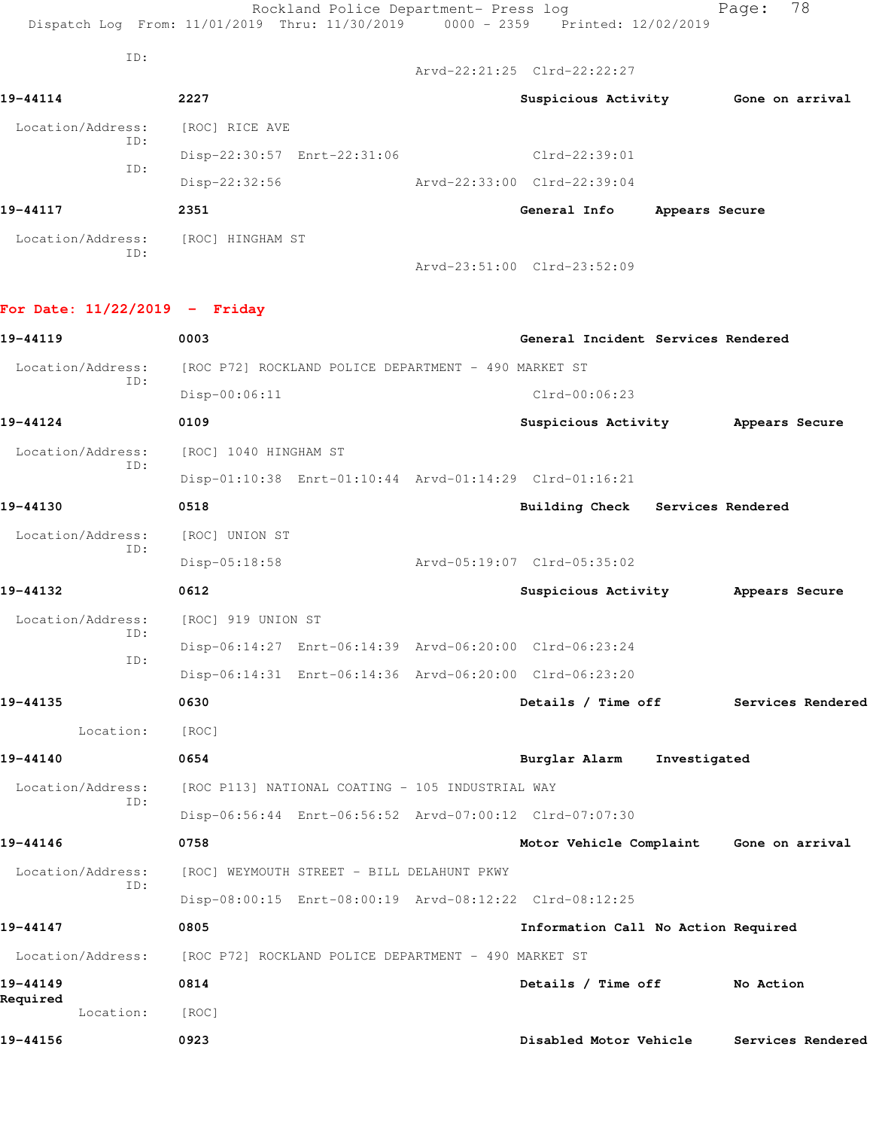|                   |                     | Rockland Police Department- Press log                                          |                                           |                | Page: | 78              |
|-------------------|---------------------|--------------------------------------------------------------------------------|-------------------------------------------|----------------|-------|-----------------|
|                   |                     | Dispatch Log From: 11/01/2019 Thru: 11/30/2019 0000 - 2359 Printed: 12/02/2019 |                                           |                |       |                 |
| ID:               |                     |                                                                                | $Arvd - 22:21:25 \text{ Clrd} - 22:22:27$ |                |       |                 |
| 19-44114          | 2227                |                                                                                | Suspicious Activity                       |                |       | Gone on arrival |
| Location/Address: | [ROC] RICE AVE      |                                                                                |                                           |                |       |                 |
| ID:               |                     | Disp-22:30:57 Enrt-22:31:06                                                    | $Clrd-22:39:01$                           |                |       |                 |
| ID:               | $Disp-22:32:56$     |                                                                                | Arvd-22:33:00 Clrd-22:39:04               |                |       |                 |
| 19-44117          | 2351                |                                                                                | General Info                              | Appears Secure |       |                 |
| Location/Address: | [ROC]<br>HINGHAM ST |                                                                                |                                           |                |       |                 |
| ID:               |                     |                                                                                | Arvd-23:51:00 Clrd-23:52:09               |                |       |                 |

## **For Date: 11/22/2019 - Friday**

| 19-44119              | 0003                                                    | General Incident Services Rendered      |                   |
|-----------------------|---------------------------------------------------------|-----------------------------------------|-------------------|
| Location/Address:     | [ROC P72] ROCKLAND POLICE DEPARTMENT - 490 MARKET ST    |                                         |                   |
| ID:                   | $Disp-00:06:11$                                         | $Clrd-00:06:23$                         |                   |
| 19-44124              | 0109                                                    | Suspicious Activity                     | Appears Secure    |
| Location/Address:     | [ROC] 1040 HINGHAM ST                                   |                                         |                   |
| TD:                   | Disp-01:10:38 Enrt-01:10:44 Arvd-01:14:29 Clrd-01:16:21 |                                         |                   |
| 19-44130              | 0518                                                    | Services Rendered<br>Building Check     |                   |
| Location/Address:     | [ROC] UNION ST                                          |                                         |                   |
| TD:                   | $Disp-05:18:58$                                         | Arvd-05:19:07 Clrd-05:35:02             |                   |
| 19-44132              | 0612                                                    | Suspicious Activity                     | Appears Secure    |
| Location/Address:     | [ROC] 919 UNION ST                                      |                                         |                   |
| ID:                   | Disp-06:14:27 Enrt-06:14:39 Arvd-06:20:00 Clrd-06:23:24 |                                         |                   |
| ID:                   | Disp-06:14:31 Enrt-06:14:36 Arvd-06:20:00 Clrd-06:23:20 |                                         |                   |
| 19-44135              | 0630                                                    | Details / Time off                      | Services Rendered |
| Location:             | [ROC]                                                   |                                         |                   |
| 19-44140              | 0654                                                    | Burglar Alarm<br>Investigated           |                   |
| Location/Address:     | [ROC P113] NATIONAL COATING - 105 INDUSTRIAL WAY        |                                         |                   |
| TD:                   | Disp-06:56:44 Enrt-06:56:52 Arvd-07:00:12 Clrd-07:07:30 |                                         |                   |
| 19-44146              | 0758                                                    | Motor Vehicle Complaint Gone on arrival |                   |
| Location/Address:     | [ROC] WEYMOUTH STREET - BILL DELAHUNT PKWY              |                                         |                   |
| ID:                   | Disp-08:00:15 Enrt-08:00:19 Arvd-08:12:22 Clrd-08:12:25 |                                         |                   |
| 19-44147              | 0805                                                    | Information Call No Action Required     |                   |
| Location/Address:     | [ROC P72] ROCKLAND POLICE DEPARTMENT - 490 MARKET ST    |                                         |                   |
| 19-44149              | 0814                                                    | Details / Time off                      | No Action         |
| Required<br>Location: | [ROC]                                                   |                                         |                   |
| 19-44156              | 0923                                                    | Disabled Motor Vehicle                  | Services Rendered |
|                       |                                                         |                                         |                   |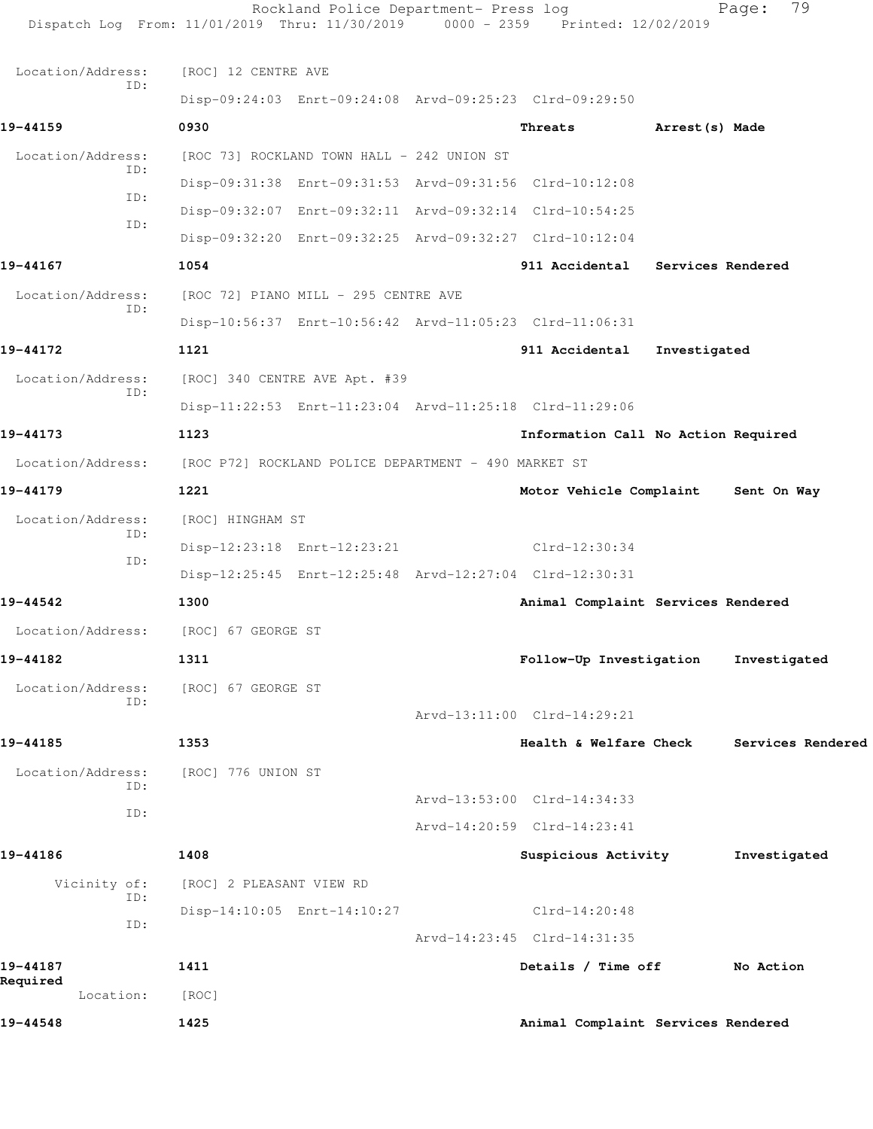| 19-44548                          | 1425                                                                                                                    | Animal Complaint Services Rendered  |                |                   |
|-----------------------------------|-------------------------------------------------------------------------------------------------------------------------|-------------------------------------|----------------|-------------------|
| 19-44187<br>Required<br>Location: | 1411<br>[ROC]                                                                                                           | Details / Time off                  |                | No Action         |
|                                   |                                                                                                                         | Arvd-14:23:45 Clrd-14:31:35         |                |                   |
| ID:                               | Disp-14:10:05 Enrt-14:10:27                                                                                             | $Clrd-14:20:48$                     |                |                   |
| Vicinity of:<br>ID:               | [ROC] 2 PLEASANT VIEW RD                                                                                                |                                     |                |                   |
| 19-44186                          | 1408                                                                                                                    | Suspicious Activity                 |                | Investigated      |
|                                   |                                                                                                                         | Arvd-14:20:59 Clrd-14:23:41         |                |                   |
| ID:                               |                                                                                                                         | Arvd-13:53:00 Clrd-14:34:33         |                |                   |
| Location/Address:<br>ID:          | [ROC] 776 UNION ST                                                                                                      |                                     |                |                   |
| 19-44185                          | 1353                                                                                                                    | Health & Welfare Check              |                | Services Rendered |
|                                   |                                                                                                                         | Arvd-13:11:00 Clrd-14:29:21         |                |                   |
| Location/Address:<br>ID:          | [ROC] 67 GEORGE ST                                                                                                      |                                     |                |                   |
| 19-44182                          | 1311                                                                                                                    | Follow-Up Investigation             |                | Investigated      |
| Location/Address:                 | [ROC] 67 GEORGE ST                                                                                                      |                                     |                |                   |
| 19-44542                          | 1300                                                                                                                    | Animal Complaint Services Rendered  |                |                   |
| ID:                               | Disp-12:25:45 Enrt-12:25:48 Arvd-12:27:04 Clrd-12:30:31                                                                 |                                     |                |                   |
| ID:                               | Disp-12:23:18 Enrt-12:23:21                                                                                             | $Clrd-12:30:34$                     |                |                   |
| Location/Address:                 | [ROC] HINGHAM ST                                                                                                        |                                     |                |                   |
| 19-44179                          | 1221                                                                                                                    | Motor Vehicle Complaint             |                | Sent On Way       |
|                                   | Location/Address: [ROC P72] ROCKLAND POLICE DEPARTMENT - 490 MARKET ST                                                  |                                     |                |                   |
| 19-44173                          | 1123                                                                                                                    | Information Call No Action Required |                |                   |
| ID:                               | Disp-11:22:53 Enrt-11:23:04 Arvd-11:25:18 Clrd-11:29:06                                                                 |                                     |                |                   |
| Location/Address:                 | [ROC] 340 CENTRE AVE Apt. #39                                                                                           |                                     |                |                   |
| 19-44172                          | 1121                                                                                                                    | 911 Accidental                      | Investigated   |                   |
| ID:                               | Disp-10:56:37 Enrt-10:56:42 Arvd-11:05:23 Clrd-11:06:31                                                                 |                                     |                |                   |
| Location/Address:                 | [ROC 72] PIANO MILL - 295 CENTRE AVE                                                                                    |                                     |                |                   |
| 19-44167                          | 1054                                                                                                                    | 911 Accidental Services Rendered    |                |                   |
| TD:                               | Disp-09:32:20 Enrt-09:32:25 Arvd-09:32:27 Clrd-10:12:04                                                                 |                                     |                |                   |
| ID:                               | Disp-09:32:07 Enrt-09:32:11 Arvd-09:32:14 Clrd-10:54:25                                                                 |                                     |                |                   |
| ID:                               | Disp-09:31:38 Enrt-09:31:53 Arvd-09:31:56 Clrd-10:12:08                                                                 |                                     |                |                   |
| Location/Address:                 | [ROC 73] ROCKLAND TOWN HALL - 242 UNION ST                                                                              |                                     |                |                   |
| 19-44159                          | 0930                                                                                                                    | Threats                             | Arrest(s) Made |                   |
| ID:                               | Disp-09:24:03 Enrt-09:24:08 Arvd-09:25:23 Clrd-09:29:50                                                                 |                                     |                |                   |
| Location/Address:                 | [ROC] 12 CENTRE AVE                                                                                                     |                                     |                |                   |
|                                   | Rockland Police Department- Press log<br>Dispatch Log From: 11/01/2019 Thru: 11/30/2019 0000 - 2359 Printed: 12/02/2019 |                                     |                | 79<br>Page:       |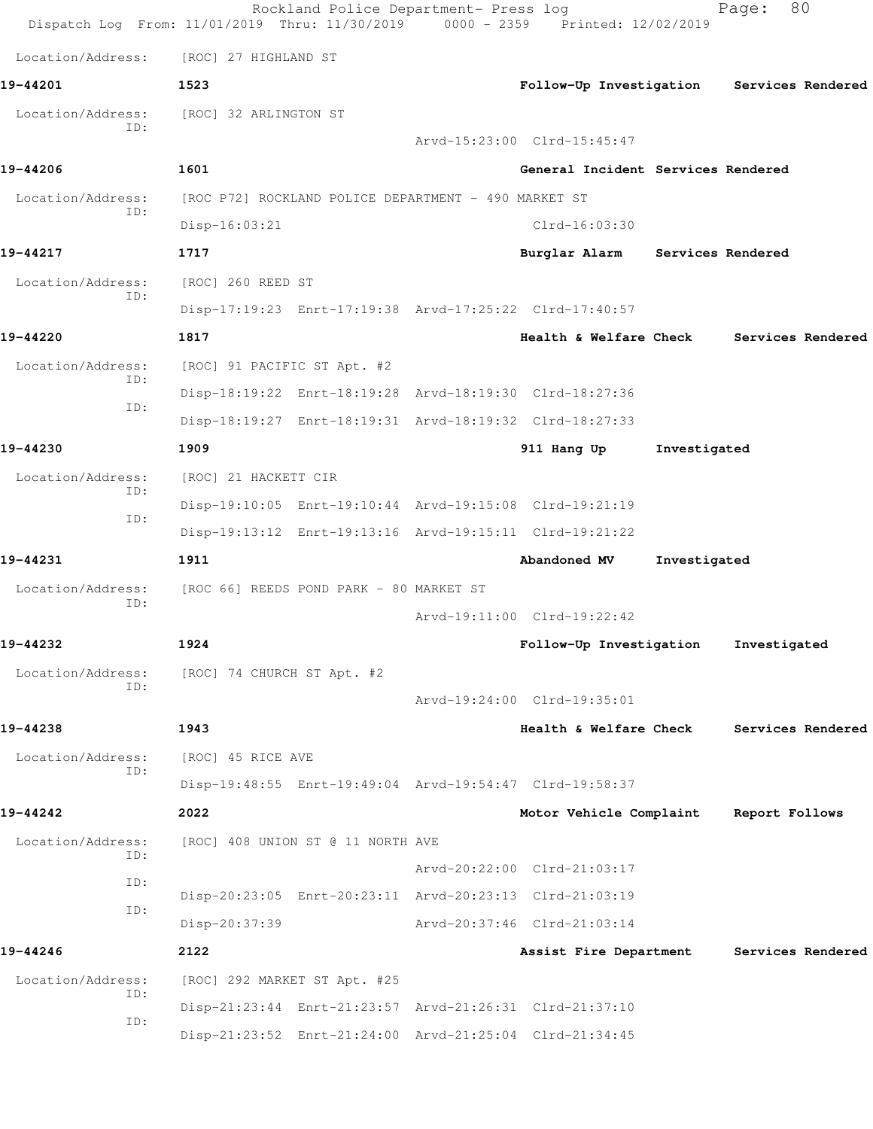| Dispatch Log From: 11/01/2019 Thru: 11/30/2019 0000 - 2359 Printed: 12/02/2019 |                                                      | Rockland Police Department- Press log |                                                         |              | 80<br>Page:                               |
|--------------------------------------------------------------------------------|------------------------------------------------------|---------------------------------------|---------------------------------------------------------|--------------|-------------------------------------------|
| Location/Address:                                                              | [ROC] 27 HIGHLAND ST                                 |                                       |                                                         |              |                                           |
| 19-44201                                                                       | 1523                                                 |                                       |                                                         |              | Follow-Up Investigation Services Rendered |
| Location/Address:                                                              | [ROC] 32 ARLINGTON ST                                |                                       |                                                         |              |                                           |
| ID:                                                                            |                                                      |                                       | Arvd-15:23:00 Clrd-15:45:47                             |              |                                           |
| 19-44206                                                                       | 1601                                                 |                                       | General Incident Services Rendered                      |              |                                           |
| Location/Address:                                                              | [ROC P72] ROCKLAND POLICE DEPARTMENT - 490 MARKET ST |                                       |                                                         |              |                                           |
| ID:                                                                            | $Disp-16:03:21$                                      |                                       | Clrd-16:03:30                                           |              |                                           |
| 19-44217                                                                       | 1717                                                 |                                       | Burglar Alarm Services Rendered                         |              |                                           |
| Location/Address:                                                              | [ROC] 260 REED ST                                    |                                       |                                                         |              |                                           |
| ID:                                                                            |                                                      |                                       | Disp-17:19:23 Enrt-17:19:38 Arvd-17:25:22 Clrd-17:40:57 |              |                                           |
| 19-44220                                                                       | 1817                                                 |                                       | Health & Welfare Check                                  |              | Services Rendered                         |
| Location/Address:                                                              | [ROC] 91 PACIFIC ST Apt. #2                          |                                       |                                                         |              |                                           |
| ID:<br>ID:                                                                     |                                                      |                                       | Disp-18:19:22 Enrt-18:19:28 Arvd-18:19:30 Clrd-18:27:36 |              |                                           |
|                                                                                |                                                      |                                       | Disp-18:19:27 Enrt-18:19:31 Arvd-18:19:32 Clrd-18:27:33 |              |                                           |
| 19-44230                                                                       | 1909                                                 |                                       | 911 Hang Up                                             | Investigated |                                           |
| Location/Address:                                                              | [ROC] 21 HACKETT CIR                                 |                                       |                                                         |              |                                           |
| ID:<br>ID:                                                                     |                                                      |                                       | Disp-19:10:05 Enrt-19:10:44 Arvd-19:15:08 Clrd-19:21:19 |              |                                           |
|                                                                                |                                                      |                                       | Disp-19:13:12 Enrt-19:13:16 Arvd-19:15:11 Clrd-19:21:22 |              |                                           |
| 19-44231                                                                       | 1911                                                 |                                       | Abandoned MV                                            | Investigated |                                           |
| Location/Address:<br>ID:                                                       | [ROC 66] REEDS POND PARK - 80 MARKET ST              |                                       |                                                         |              |                                           |
|                                                                                |                                                      |                                       | Arvd-19:11:00 Clrd-19:22:42                             |              |                                           |
| 19-44232                                                                       | 1924                                                 |                                       | Follow-Up Investigation                                 |              | Investigated                              |
| Location/Address:<br>ID:                                                       | [ROC] 74 CHURCH ST Apt. #2                           |                                       |                                                         |              |                                           |
|                                                                                |                                                      |                                       | Arvd-19:24:00 Clrd-19:35:01                             |              |                                           |
| 19-44238                                                                       | 1943                                                 |                                       | Health & Welfare Check                                  |              | Services Rendered                         |
| Location/Address:<br>ID:                                                       | [ROC] 45 RICE AVE                                    |                                       |                                                         |              |                                           |
|                                                                                |                                                      |                                       | Disp-19:48:55 Enrt-19:49:04 Arvd-19:54:47 Clrd-19:58:37 |              |                                           |
| 19-44242                                                                       | 2022                                                 |                                       | Motor Vehicle Complaint                                 |              | Report Follows                            |
| Location/Address:<br>ID:                                                       |                                                      | [ROC] 408 UNION ST @ 11 NORTH AVE     |                                                         |              |                                           |
| ID:                                                                            |                                                      |                                       | Arvd-20:22:00 Clrd-21:03:17                             |              |                                           |
| ID:                                                                            |                                                      |                                       | Disp-20:23:05 Enrt-20:23:11 Arvd-20:23:13 Clrd-21:03:19 |              |                                           |
|                                                                                | Disp-20:37:39                                        |                                       | Arvd-20:37:46 Clrd-21:03:14                             |              |                                           |
| 19-44246                                                                       | 2122                                                 |                                       | Assist Fire Department                                  |              | Services Rendered                         |
| Location/Address:<br>ID:                                                       | [ROC] 292 MARKET ST Apt. #25                         |                                       |                                                         |              |                                           |
| ID:                                                                            |                                                      |                                       | Disp-21:23:44 Enrt-21:23:57 Arvd-21:26:31 Clrd-21:37:10 |              |                                           |
|                                                                                |                                                      |                                       | Disp-21:23:52 Enrt-21:24:00 Arvd-21:25:04 Clrd-21:34:45 |              |                                           |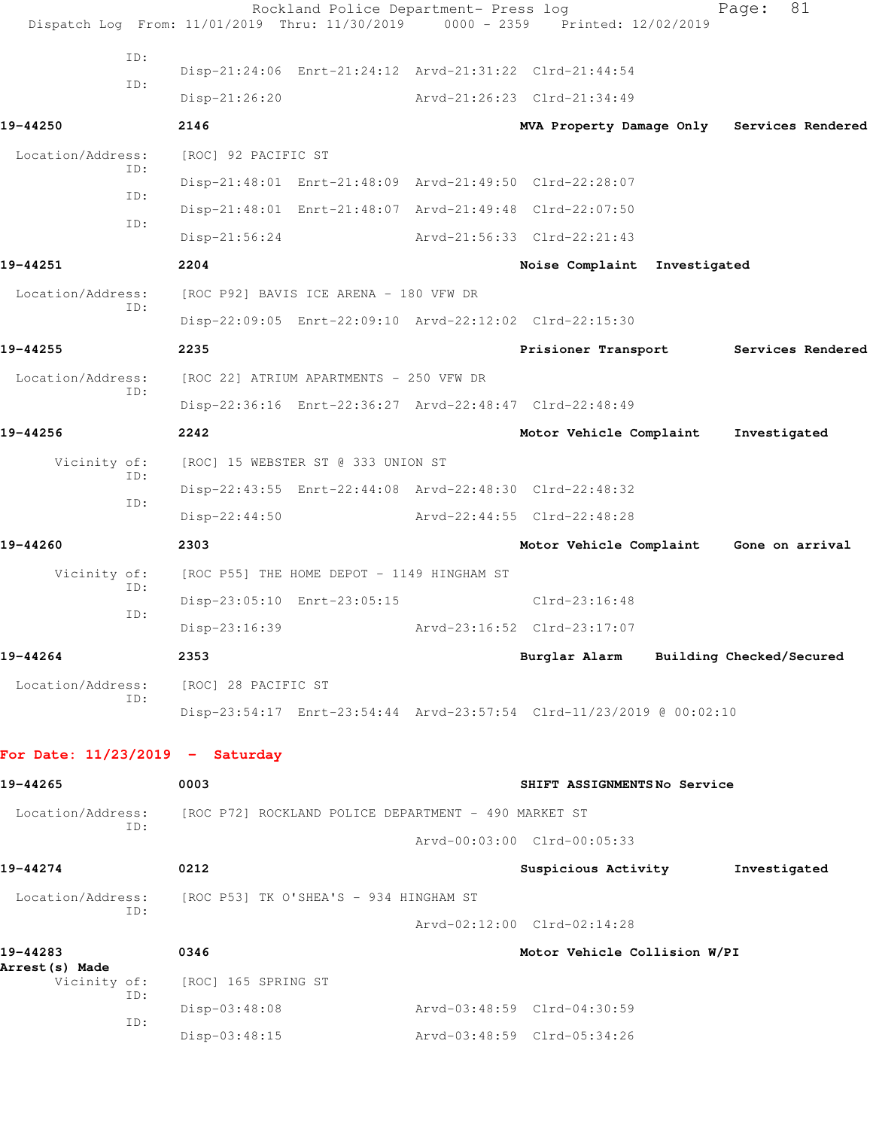| Dispatch Log From: 11/01/2019 Thru: 11/30/2019 0000 - 2359 Printed: 12/02/2019 |                                                      | Rockland Police Department- Press log                   |                                                                      | 81<br>Page:                                |
|--------------------------------------------------------------------------------|------------------------------------------------------|---------------------------------------------------------|----------------------------------------------------------------------|--------------------------------------------|
| ID:                                                                            |                                                      |                                                         |                                                                      |                                            |
| ID:                                                                            |                                                      | Disp-21:24:06 Enrt-21:24:12 Arvd-21:31:22 Clrd-21:44:54 |                                                                      |                                            |
|                                                                                | $Disp-21:26:20$                                      |                                                         | Arvd-21:26:23 Clrd-21:34:49                                          |                                            |
| 19-44250                                                                       | 2146                                                 |                                                         |                                                                      | MVA Property Damage Only Services Rendered |
| Location/Address:<br>ID:                                                       | [ROC] 92 PACIFIC ST                                  |                                                         |                                                                      |                                            |
| ID:                                                                            |                                                      | Disp-21:48:01 Enrt-21:48:09 Arvd-21:49:50 Clrd-22:28:07 |                                                                      |                                            |
| ID:                                                                            |                                                      | Disp-21:48:01 Enrt-21:48:07 Arvd-21:49:48 Clrd-22:07:50 |                                                                      |                                            |
|                                                                                | $Disp-21:56:24$                                      |                                                         | Arvd-21:56:33 Clrd-22:21:43                                          |                                            |
| 19-44251                                                                       | 2204                                                 |                                                         | Noise Complaint Investigated                                         |                                            |
| Location/Address:                                                              | [ROC P92] BAVIS ICE ARENA - 180 VFW DR               |                                                         |                                                                      |                                            |
| ID:                                                                            |                                                      | Disp-22:09:05 Enrt-22:09:10 Arvd-22:12:02 Clrd-22:15:30 |                                                                      |                                            |
| 19-44255                                                                       | 2235                                                 |                                                         |                                                                      | Prisioner Transport Services Rendered      |
| Location/Address:                                                              | [ROC 22] ATRIUM APARTMENTS - 250 VFW DR              |                                                         |                                                                      |                                            |
| ID:                                                                            |                                                      | Disp-22:36:16 Enrt-22:36:27 Arvd-22:48:47 Clrd-22:48:49 |                                                                      |                                            |
| 19-44256                                                                       | 2242                                                 |                                                         | Motor Vehicle Complaint                                              | Investigated                               |
| Vicinity of:                                                                   | [ROC] 15 WEBSTER ST @ 333 UNION ST                   |                                                         |                                                                      |                                            |
| ID:                                                                            |                                                      | Disp-22:43:55 Enrt-22:44:08 Arvd-22:48:30 Clrd-22:48:32 |                                                                      |                                            |
| ID:                                                                            | $Disp-22:44:50$                                      |                                                         | Arvd-22:44:55 Clrd-22:48:28                                          |                                            |
| 19-44260                                                                       | 2303                                                 |                                                         | Motor Vehicle Complaint                                              | Gone on arrival                            |
| Vicinity of:                                                                   |                                                      | [ROC P55] THE HOME DEPOT - 1149 HINGHAM ST              |                                                                      |                                            |
| ID:                                                                            |                                                      | Disp-23:05:10 Enrt-23:05:15                             | $Clrd-23:16:48$                                                      |                                            |
| ID:                                                                            | Disp-23:16:39                                        |                                                         | Arvd-23:16:52 Clrd-23:17:07                                          |                                            |
| 19-44264                                                                       | 2353                                                 |                                                         |                                                                      | Burglar Alarm Building Checked/Secured     |
| Location/Address:                                                              | [ROC] 28 PACIFIC ST                                  |                                                         |                                                                      |                                            |
| ID:                                                                            |                                                      |                                                         | Disp-23:54:17 Enrt-23:54:44 Arvd-23:57:54 Clrd-11/23/2019 @ 00:02:10 |                                            |
|                                                                                |                                                      |                                                         |                                                                      |                                            |
| For Date: $11/23/2019$ - Saturday                                              |                                                      |                                                         |                                                                      |                                            |
| 19-44265                                                                       | 0003                                                 |                                                         | SHIFT ASSIGNMENTSNo Service                                          |                                            |
| Location/Address:<br>ID:                                                       | [ROC P72] ROCKLAND POLICE DEPARTMENT - 490 MARKET ST |                                                         |                                                                      |                                            |
|                                                                                |                                                      |                                                         | Arvd-00:03:00 Clrd-00:05:33                                          |                                            |
| 19-44274                                                                       | 0212                                                 |                                                         | Suspicious Activity                                                  | Investigated                               |
| Location/Address:<br>ID:                                                       | [ROC P53] TK O'SHEA'S - 934 HINGHAM ST               |                                                         |                                                                      |                                            |
|                                                                                |                                                      |                                                         | Arvd-02:12:00 Clrd-02:14:28                                          |                                            |
| 19-44283<br><b>Arrest(s) Made</b>                                              | 0346                                                 |                                                         | Motor Vehicle Collision W/PI                                         |                                            |
| Vicinity of:<br>ID:                                                            | [ROC] 165 SPRING ST                                  |                                                         |                                                                      |                                            |
| ID:                                                                            | $Disp-03:48:08$                                      |                                                         | Arvd-03:48:59 Clrd-04:30:59                                          |                                            |
|                                                                                | $Disp-03:48:15$                                      |                                                         | Arvd-03:48:59 Clrd-05:34:26                                          |                                            |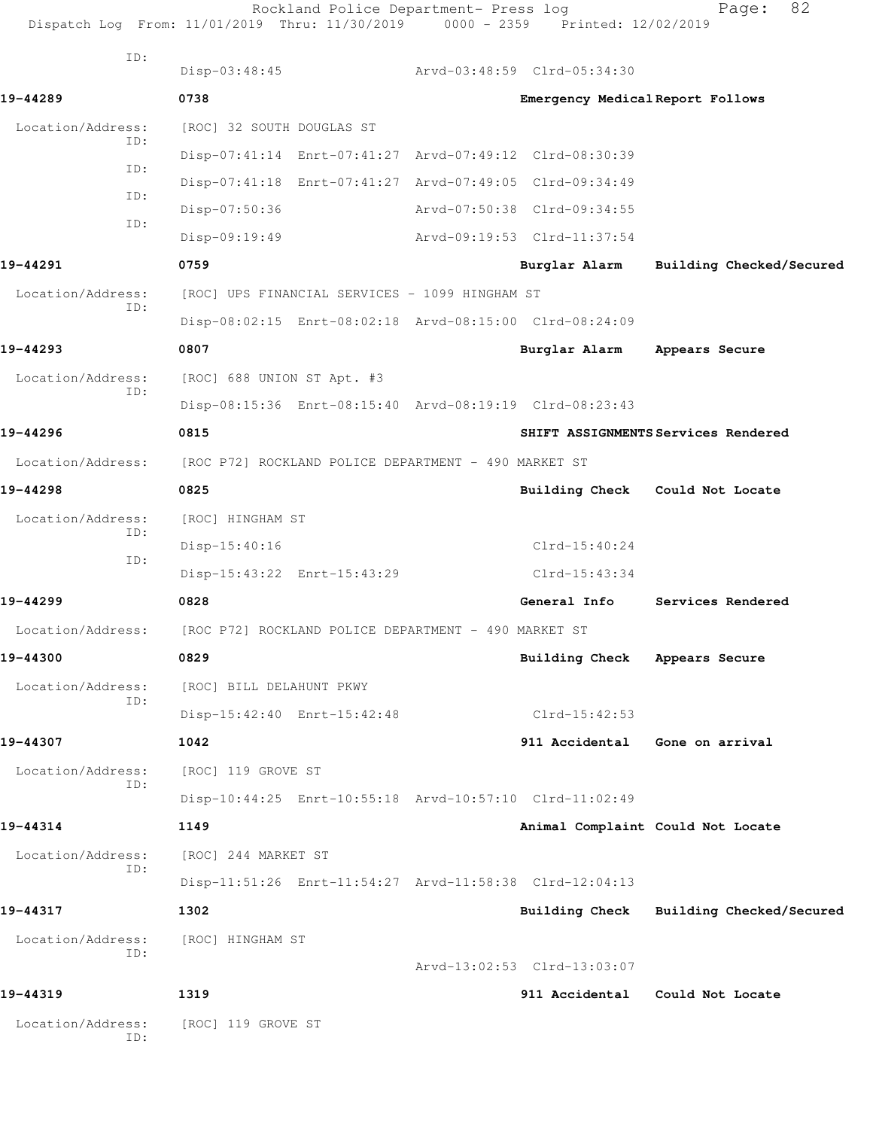| Dispatch Log From: 11/01/2019 Thru: 11/30/2019 0000 - 2359 Printed: 12/02/2019 |                             | Rockland Police Department- Press log                |                                                         | 82<br>Page:                         |
|--------------------------------------------------------------------------------|-----------------------------|------------------------------------------------------|---------------------------------------------------------|-------------------------------------|
| ID:                                                                            | $Disp-03:48:45$             |                                                      | Arvd-03:48:59 Clrd-05:34:30                             |                                     |
| 19-44289                                                                       | 0738                        |                                                      | Emergency Medical Report Follows                        |                                     |
| Location/Address:                                                              | [ROC] 32 SOUTH DOUGLAS ST   |                                                      |                                                         |                                     |
| ID:                                                                            |                             |                                                      | Disp-07:41:14 Enrt-07:41:27 Arvd-07:49:12 Clrd-08:30:39 |                                     |
| ID:                                                                            |                             |                                                      | Disp-07:41:18 Enrt-07:41:27 Arvd-07:49:05 Clrd-09:34:49 |                                     |
| ID:                                                                            | $Disp-07:50:36$             |                                                      | Arvd-07:50:38 Clrd-09:34:55                             |                                     |
| ID:                                                                            | Disp-09:19:49               |                                                      | Arvd-09:19:53 Clrd-11:37:54                             |                                     |
| 19-44291                                                                       | 0759                        |                                                      | Burglar Alarm                                           | Building Checked/Secured            |
| Location/Address:                                                              |                             | [ROC] UPS FINANCIAL SERVICES - 1099 HINGHAM ST       |                                                         |                                     |
| ID:                                                                            |                             |                                                      | Disp-08:02:15 Enrt-08:02:18 Arvd-08:15:00 Clrd-08:24:09 |                                     |
| 19-44293                                                                       | 0807                        |                                                      | Burglar Alarm                                           | Appears Secure                      |
| Location/Address:                                                              | [ROC] 688 UNION ST Apt. #3  |                                                      |                                                         |                                     |
| ID:                                                                            |                             |                                                      | Disp-08:15:36 Enrt-08:15:40 Arvd-08:19:19 Clrd-08:23:43 |                                     |
| 19-44296                                                                       | 0815                        |                                                      |                                                         | SHIFT ASSIGNMENTS Services Rendered |
| Location/Address:                                                              |                             | [ROC P72] ROCKLAND POLICE DEPARTMENT - 490 MARKET ST |                                                         |                                     |
| 19-44298                                                                       | 0825                        |                                                      | <b>Building Check</b>                                   | Could Not Locate                    |
| Location/Address:                                                              | [ROC] HINGHAM ST            |                                                      |                                                         |                                     |
| ID:<br>ID:                                                                     | Disp-15:40:16               |                                                      | $Clrd-15:40:24$                                         |                                     |
|                                                                                | Disp-15:43:22 Enrt-15:43:29 |                                                      | $Clrd-15:43:34$                                         |                                     |
| 19-44299                                                                       | 0828                        |                                                      | General Info                                            | Services Rendered                   |
| Location/Address:                                                              |                             | [ROC P72] ROCKLAND POLICE DEPARTMENT - 490 MARKET ST |                                                         |                                     |
| 19-44300                                                                       | 0829                        |                                                      | Building Check Appears Secure                           |                                     |
| Location/Address:<br>ID:                                                       | [ROC] BILL DELAHUNT PKWY    |                                                      |                                                         |                                     |
|                                                                                | Disp-15:42:40 Enrt-15:42:48 |                                                      | Clrd-15:42:53                                           |                                     |
| 19-44307                                                                       | 1042                        |                                                      | 911 Accidental                                          | Gone on arrival                     |
| Location/Address:<br>ID:                                                       | [ROC] 119 GROVE ST          |                                                      |                                                         |                                     |
|                                                                                |                             |                                                      | Disp-10:44:25 Enrt-10:55:18 Arvd-10:57:10 Clrd-11:02:49 |                                     |
| 19-44314                                                                       | 1149                        |                                                      |                                                         | Animal Complaint Could Not Locate   |
| Location/Address:<br>ID:                                                       | [ROC] 244 MARKET ST         |                                                      |                                                         |                                     |
|                                                                                |                             |                                                      | Disp-11:51:26 Enrt-11:54:27 Arvd-11:58:38 Clrd-12:04:13 |                                     |
| 19-44317                                                                       | 1302                        |                                                      | Building Check                                          | Building Checked/Secured            |
| Location/Address:<br>ID:                                                       | [ROC] HINGHAM ST            |                                                      |                                                         |                                     |
|                                                                                |                             |                                                      | Arvd-13:02:53 Clrd-13:03:07                             |                                     |
| 19-44319                                                                       | 1319                        |                                                      | 911 Accidental                                          | Could Not Locate                    |
| Location/Address:<br>ID:                                                       | [ROC] 119 GROVE ST          |                                                      |                                                         |                                     |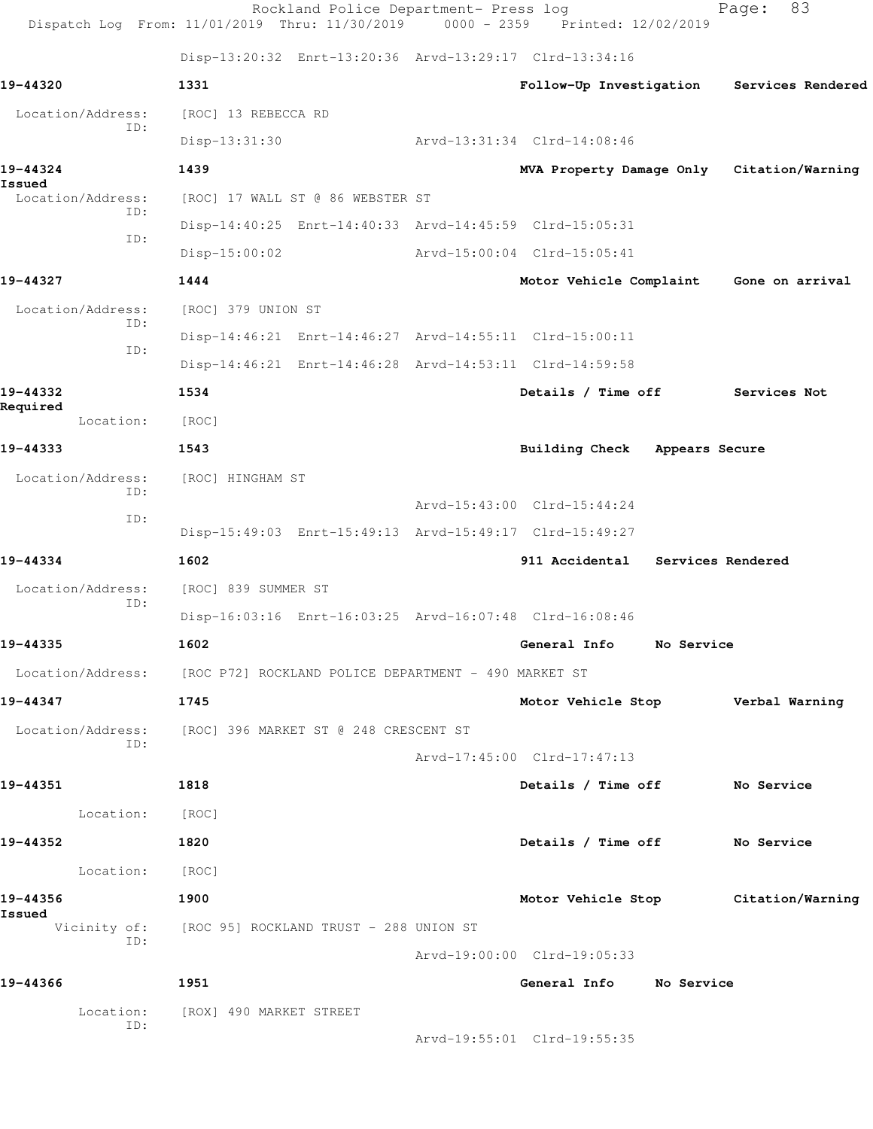|                                    | Rockland Police Department- Press log<br>Dispatch Log From: 11/01/2019 Thru: 11/30/2019 0000 - 2359 Printed: 12/02/2019 |                                           | 83<br>Page:       |
|------------------------------------|-------------------------------------------------------------------------------------------------------------------------|-------------------------------------------|-------------------|
|                                    | Disp-13:20:32 Enrt-13:20:36 Arvd-13:29:17 Clrd-13:34:16                                                                 |                                           |                   |
| 19-44320                           | 1331                                                                                                                    | Follow-Up Investigation                   | Services Rendered |
| Location/Address:                  | [ROC] 13 REBECCA RD                                                                                                     |                                           |                   |
| ID:                                | $Disp-13:31:30$                                                                                                         | Arvd-13:31:34 Clrd-14:08:46               |                   |
| 19-44324                           | 1439                                                                                                                    | MVA Property Damage Only Citation/Warning |                   |
| Issued<br>Location/Address:<br>TD: | [ROC] 17 WALL ST @ 86 WEBSTER ST                                                                                        |                                           |                   |
| ID:                                | Disp-14:40:25 Enrt-14:40:33 Arvd-14:45:59 Clrd-15:05:31                                                                 |                                           |                   |
|                                    | $Disp-15:00:02$                                                                                                         | Arvd-15:00:04 Clrd-15:05:41               |                   |
| 19-44327                           | 1444                                                                                                                    | Motor Vehicle Complaint Gone on arrival   |                   |
| Location/Address:<br>ID:           | [ROC] 379 UNION ST                                                                                                      |                                           |                   |
| ID:                                | Disp-14:46:21 Enrt-14:46:27 Arvd-14:55:11 Clrd-15:00:11                                                                 |                                           |                   |
|                                    | Disp-14:46:21 Enrt-14:46:28 Arvd-14:53:11 Clrd-14:59:58                                                                 |                                           |                   |
| 19-44332<br>Required               | 1534                                                                                                                    | Details / Time off                        | Services Not      |
| Location:                          | [ROC]                                                                                                                   |                                           |                   |
| 19-44333                           | 1543                                                                                                                    | <b>Building Check</b>                     | Appears Secure    |
| Location/Address:<br>ID:           | [ROC] HINGHAM ST                                                                                                        |                                           |                   |
| ID:                                |                                                                                                                         | Arvd-15:43:00 Clrd-15:44:24               |                   |
|                                    | Disp-15:49:03 Enrt-15:49:13 Arvd-15:49:17 Clrd-15:49:27                                                                 |                                           |                   |
| 19-44334                           | 1602                                                                                                                    | 911 Accidental Services Rendered          |                   |
| Location/Address:<br>ID:           | [ROC] 839 SUMMER ST                                                                                                     |                                           |                   |
|                                    | Disp-16:03:16 Enrt-16:03:25 Arvd-16:07:48 Clrd-16:08:46                                                                 |                                           |                   |
| 19-44335                           | 1602                                                                                                                    | General Info<br><b>No Service</b>         |                   |
|                                    | Location/Address: [ROC P72] ROCKLAND POLICE DEPARTMENT - 490 MARKET ST                                                  |                                           |                   |
| 19-44347                           | 1745                                                                                                                    | Motor Vehicle Stop Verbal Warning         |                   |
| ID:                                | Location/Address: [ROC] 396 MARKET ST @ 248 CRESCENT ST                                                                 |                                           |                   |
|                                    |                                                                                                                         | Arvd-17:45:00 Clrd-17:47:13               |                   |
| 19-44351                           | 1818                                                                                                                    | Details / Time off No Service             |                   |
| Location: [ROC]                    |                                                                                                                         |                                           |                   |
| 19-44352                           | 1820                                                                                                                    | Details / Time off No Service             |                   |
| Location: [ROC]                    |                                                                                                                         |                                           |                   |
| 19-44356<br>Issued                 | 1900                                                                                                                    | Motor Vehicle Stop Citation/Warning       |                   |
| ID:                                | Vicinity of: [ROC 95] ROCKLAND TRUST - 288 UNION ST                                                                     |                                           |                   |
|                                    |                                                                                                                         | Arvd-19:00:00 Clrd-19:05:33               |                   |
| 19-44366                           | 1951                                                                                                                    | General Info No Service                   |                   |
| Location:<br>ID:                   | [ROX] 490 MARKET STREET                                                                                                 |                                           |                   |
|                                    |                                                                                                                         | Arvd-19:55:01 Clrd-19:55:35               |                   |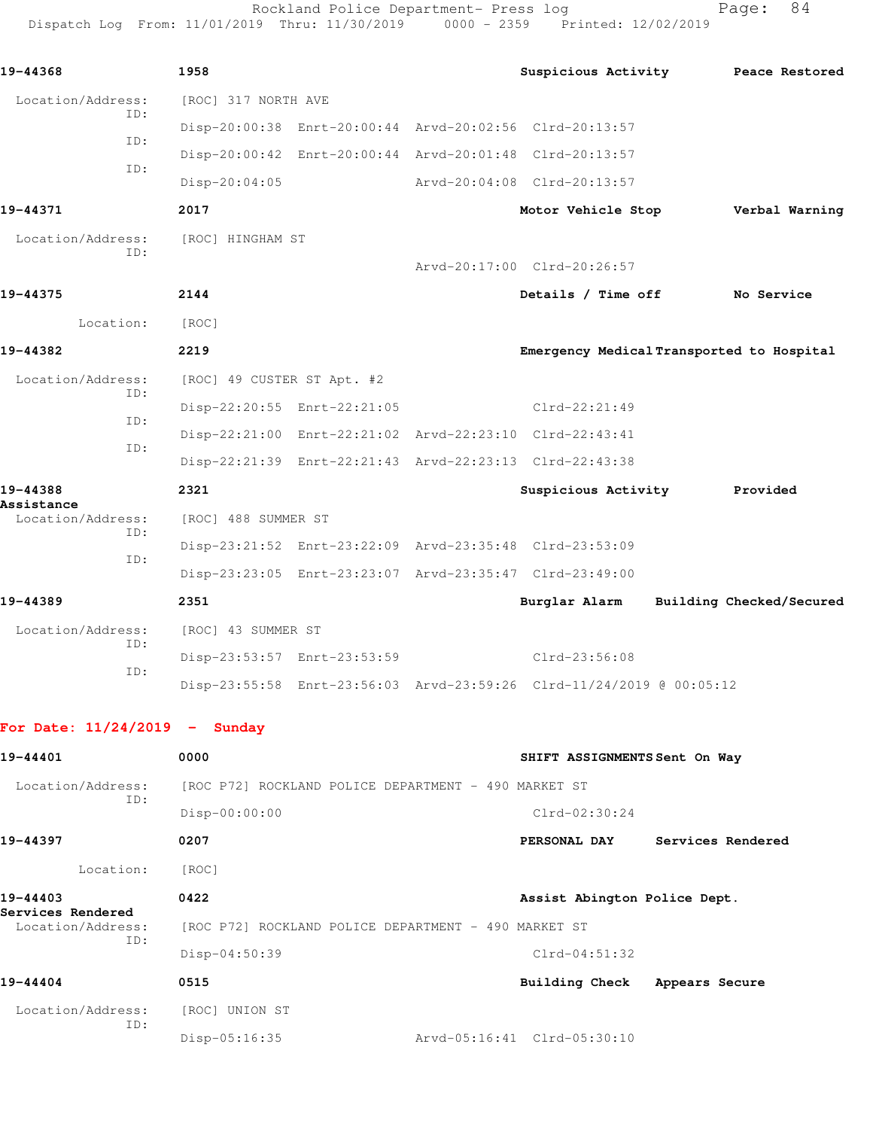Rockland Police Department- Press log entitled and Page: 84 Dispatch Log From: 11/01/2019 Thru: 11/30/2019 0000 - 2359 Printed: 12/02/2019

| 19-44368                        | 1958                       |                                                         | Suspicious Activity                                                  | Peace Restored |
|---------------------------------|----------------------------|---------------------------------------------------------|----------------------------------------------------------------------|----------------|
| Location/Address:<br>ID:        | [ROC] 317 NORTH AVE        |                                                         |                                                                      |                |
| ID:                             |                            | Disp-20:00:38 Enrt-20:00:44 Arvd-20:02:56 Clrd-20:13:57 |                                                                      |                |
|                                 |                            | Disp-20:00:42 Enrt-20:00:44 Arvd-20:01:48 Clrd-20:13:57 |                                                                      |                |
| ID:                             | $Disp-20:04:05$            |                                                         | Arvd-20:04:08 Clrd-20:13:57                                          |                |
| 19-44371                        | 2017                       |                                                         | Motor Vehicle Stop                                                   | Verbal Warning |
| Location/Address:               | [ROC] HINGHAM ST           |                                                         |                                                                      |                |
| ID:                             |                            |                                                         | Arvd-20:17:00 Clrd-20:26:57                                          |                |
| 19-44375                        | 2144                       |                                                         | Details / Time off                                                   | No Service     |
| Location:                       | [ROC]                      |                                                         |                                                                      |                |
| 19-44382                        | 2219                       |                                                         | Emergency Medical Transported to Hospital                            |                |
| Location/Address:               | [ROC] 49 CUSTER ST Apt. #2 |                                                         |                                                                      |                |
| ID:                             |                            | Disp-22:20:55 Enrt-22:21:05                             | Clrd-22:21:49                                                        |                |
| ID:                             |                            | Disp-22:21:00 Enrt-22:21:02 Arvd-22:23:10 Clrd-22:43:41 |                                                                      |                |
| ID:                             |                            | Disp-22:21:39 Enrt-22:21:43 Arvd-22:23:13 Clrd-22:43:38 |                                                                      |                |
| 19-44388                        | 2321                       |                                                         | Suspicious Activity                                                  | Provided       |
| Assistance<br>Location/Address: | [ROC] 488 SUMMER ST        |                                                         |                                                                      |                |
| TD:                             |                            | Disp-23:21:52 Enrt-23:22:09 Arvd-23:35:48 Clrd-23:53:09 |                                                                      |                |
| ID:                             |                            | Disp-23:23:05 Enrt-23:23:07 Arvd-23:35:47 Clrd-23:49:00 |                                                                      |                |
| 19-44389                        | 2351                       |                                                         | Burglar Alarm Building Checked/Secured                               |                |
| Location/Address:               | [ROC] 43 SUMMER ST         |                                                         |                                                                      |                |
| TD:                             |                            | Disp-23:53:57 Enrt-23:53:59                             | Clrd-23:56:08                                                        |                |
| ID:                             |                            |                                                         | Disp-23:55:58 Enrt-23:56:03 Arvd-23:59:26 Clrd-11/24/2019 @ 00:05:12 |                |
|                                 |                            |                                                         |                                                                      |                |
| For Date: $11/24/2019$ - Sunday |                            |                                                         |                                                                      |                |
| 19-44401                        | 0000                       |                                                         | SHIFT ASSIGNMENTS Sent On Way                                        |                |

| 19-44401                               | 0000                                                 | SHIFT ASSIGNMENTS Sent On Way           |
|----------------------------------------|------------------------------------------------------|-----------------------------------------|
| Location/Address:                      | [ROC P72] ROCKLAND POLICE DEPARTMENT - 490 MARKET ST |                                         |
| ID:                                    | $Disp-00:00:00$                                      | $Clrd-02:30:24$                         |
| 19-44397                               | 0207                                                 | PERSONAL DAY<br>Services Rendered       |
| Location:                              | [ROC]                                                |                                         |
| 19-44403                               | 0422                                                 | Assist Abington Police Dept.            |
| Services Rendered<br>Location/Address: | [ROC P72] ROCKLAND POLICE DEPARTMENT - 490 MARKET ST |                                         |
| ID:                                    | $Disp-04:50:39$                                      | $Clrd-04:51:32$                         |
| 19-44404                               | 0515                                                 | <b>Building Check</b><br>Appears Secure |
| Location/Address:                      | [ROC]<br>UNION ST                                    |                                         |
| ID:                                    | Disp-05:16:35                                        | Arvd-05:16:41 Clrd-05:30:10             |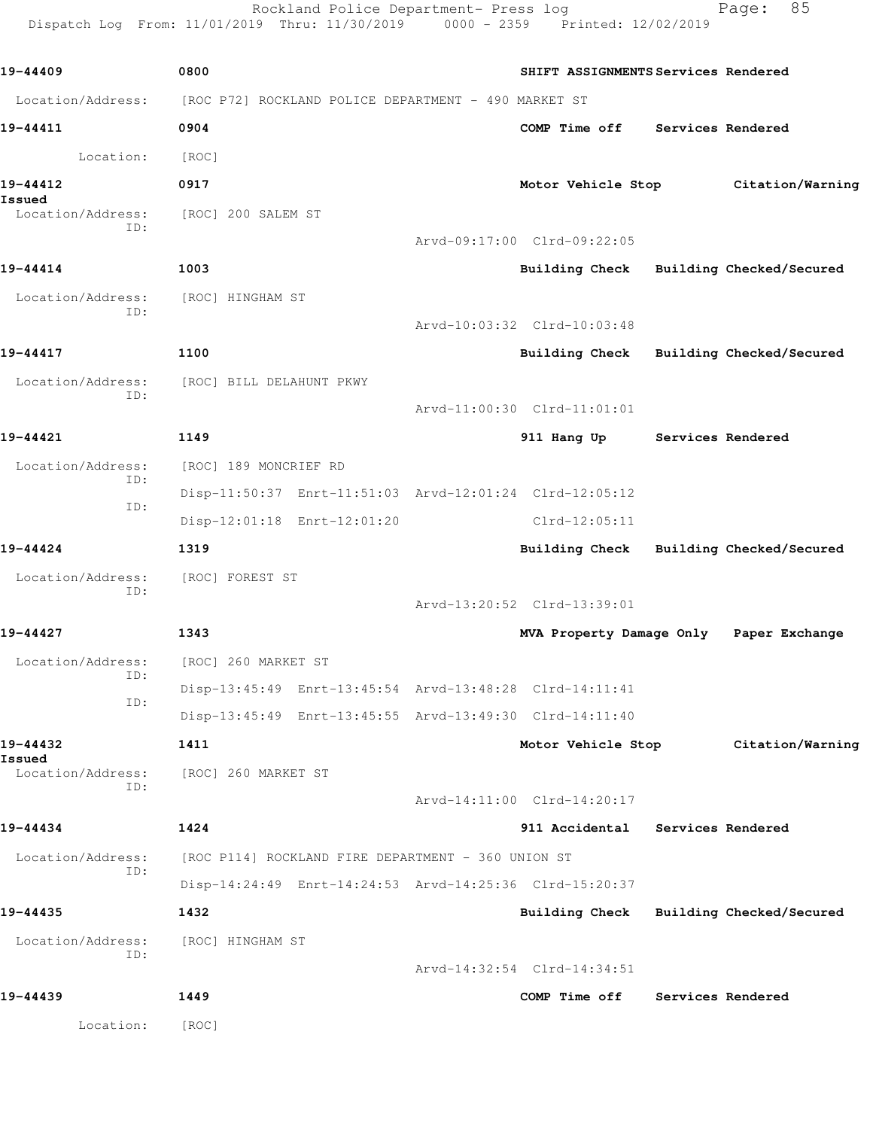Rockland Police Department- Press log Fage: 85 Dispatch Log From: 11/01/2019 Thru: 11/30/2019 0000 - 2359 Printed: 12/02/2019

**19-44409 0800 SHIFT ASSIGNMENTS Services Rendered** Location/Address: [ROC P72] ROCKLAND POLICE DEPARTMENT - 490 MARKET ST **19-44411 0904 COMP Time off Services Rendered** Location: [ROC] **19-44412 0917 Motor Vehicle Stop Citation/Warning Issued**  Location/Address: [ROC] 200 SALEM ST ID: Arvd-09:17:00 Clrd-09:22:05 **19-44414 1003 Building Check Building Checked/Secured** Location/Address: [ROC] HINGHAM ST ID: Arvd-10:03:32 Clrd-10:03:48 **19-44417 1100 Building Check Building Checked/Secured** Location/Address: [ROC] BILL DELAHUNT PKWY ID: Arvd-11:00:30 Clrd-11:01:01 **19-44421 1149 911 Hang Up Services Rendered** Location/Address: [ROC] 189 MONCRIEF RD ID: Disp-11:50:37 Enrt-11:51:03 Arvd-12:01:24 Clrd-12:05:12 ID: Disp-12:01:18 Enrt-12:01:20 Clrd-12:05:11 **19-44424 1319 Building Check Building Checked/Secured** Location/Address: [ROC] FOREST ST ID: Arvd-13:20:52 Clrd-13:39:01 **19-44427 1343 MVA Property Damage Only Paper Exchange** Location/Address: [ROC] 260 MARKET ST ID: Disp-13:45:49 Enrt-13:45:54 Arvd-13:48:28 Clrd-14:11:41 ID: Disp-13:45:49 Enrt-13:45:55 Arvd-13:49:30 Clrd-14:11:40 **19-44432 1411 Motor Vehicle Stop Citation/Warning Issued**  Location/Address: [ROC] 260 MARKET ST ID: Arvd-14:11:00 Clrd-14:20:17 **19-44434 1424 911 Accidental Services Rendered** Location/Address: [ROC P114] ROCKLAND FIRE DEPARTMENT - 360 UNION ST ID: Disp-14:24:49 Enrt-14:24:53 Arvd-14:25:36 Clrd-15:20:37 **19-44435 1432 Building Check Building Checked/Secured** Location/Address: [ROC] HINGHAM ST ID: Arvd-14:32:54 Clrd-14:34:51 **19-44439 1449 COMP Time off Services Rendered** Location: [ROC]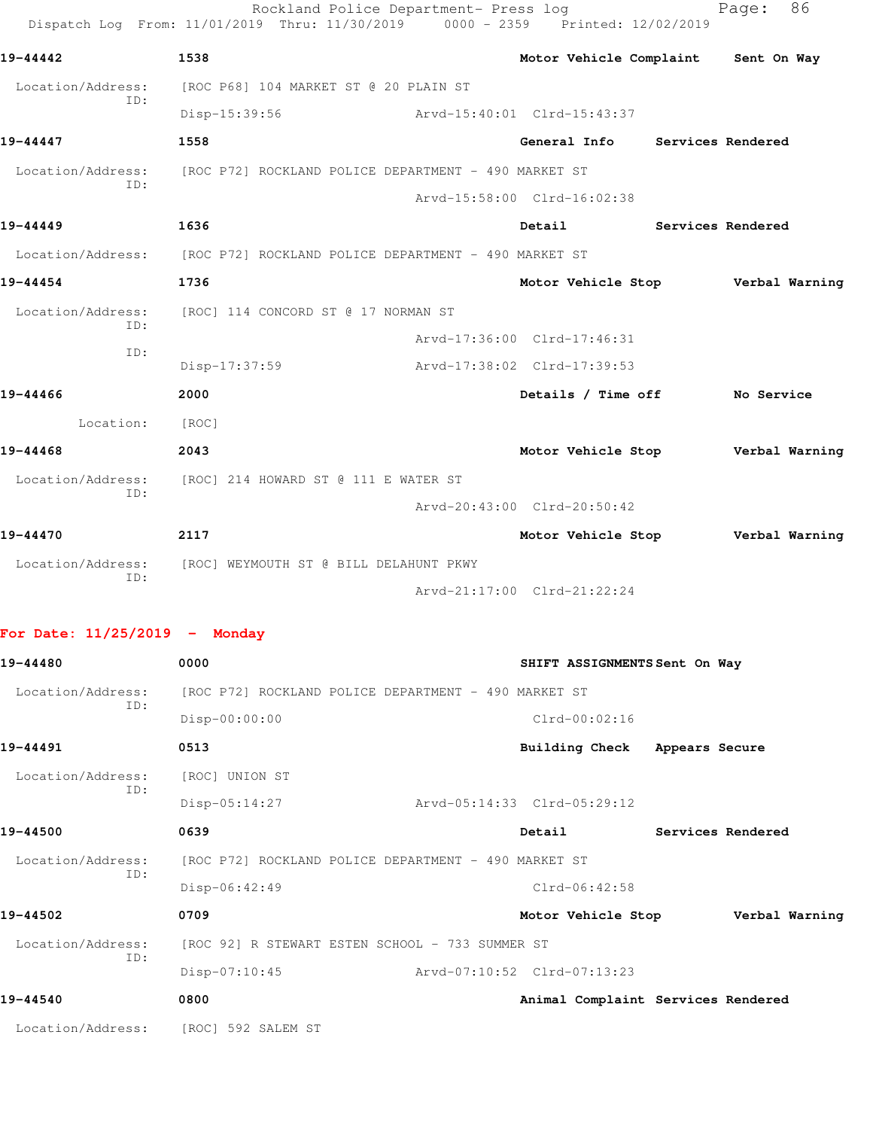|                                                       | 1538                                                 | Motor Vehicle Complaint           |                | Sent On Way       |
|-------------------------------------------------------|------------------------------------------------------|-----------------------------------|----------------|-------------------|
| Location/Address:                                     | [ROC P68] 104 MARKET ST @ 20 PLAIN ST                |                                   |                |                   |
| ID:                                                   | Disp-15:39:56                                        | Arvd-15:40:01 Clrd-15:43:37       |                |                   |
| 19-44447                                              | 1558                                                 | General Info                      |                | Services Rendered |
| Location/Address:<br>ID:                              | [ROC P72] ROCKLAND POLICE DEPARTMENT - 490 MARKET ST |                                   |                |                   |
|                                                       |                                                      | Arvd-15:58:00 Clrd-16:02:38       |                |                   |
| 19-44449                                              | 1636                                                 | Detail                            |                | Services Rendered |
| Location/Address:                                     | [ROC P72] ROCKLAND POLICE DEPARTMENT - 490 MARKET ST |                                   |                |                   |
| 19-44454                                              | 1736                                                 | Motor Vehicle Stop                |                | Verbal Warning    |
| Location/Address:<br>ID:                              | [ROC] 114 CONCORD ST @ 17 NORMAN ST                  |                                   |                |                   |
| ID:                                                   |                                                      | Arvd-17:36:00 Clrd-17:46:31       |                |                   |
|                                                       | $Disp-17:37:59$                                      | Arvd-17:38:02 Clrd-17:39:53       |                |                   |
| 19-44466                                              | 2000                                                 | Details / Time off                |                | No Service        |
| Location:                                             | [ROC]                                                |                                   |                |                   |
| 19-44468                                              | 2043                                                 | Motor Vehicle Stop                |                | Verbal Warning    |
| Location/Address:<br>ID:                              | [ROC] 214 HOWARD ST @ 111 E WATER ST                 |                                   |                |                   |
|                                                       |                                                      | Arvd-20:43:00 Clrd-20:50:42       |                |                   |
| 19-44470                                              | 2117                                                 | Motor Vehicle Stop                |                | Verbal Warning    |
| Location/Address:<br>ID:                              | [ROC] WEYMOUTH ST @ BILL DELAHUNT PKWY               |                                   |                |                   |
|                                                       |                                                      | Arvd-21:17:00 Clrd-21:22:24       |                |                   |
| For Date: $11/25/2019$ - Monday                       |                                                      |                                   |                |                   |
|                                                       | 0000                                                 | SHIFT ASSIGNMENTS Sent On Way     |                |                   |
| 19-44480                                              |                                                      |                                   |                |                   |
| Location/Address:                                     | [ROC P72] ROCKLAND POLICE DEPARTMENT - 490 MARKET ST |                                   |                |                   |
| ID:                                                   | Disp-00:00:00                                        | $Clrd-00:02:16$                   |                |                   |
|                                                       | 0513                                                 | <b>Building Check</b>             | Appears Secure |                   |
| Location/Address:                                     | [ROC] UNION ST                                       |                                   |                |                   |
| ID:                                                   | $Disp-05:14:27$                                      | Arvd-05:14:33 Clrd-05:29:12       |                |                   |
|                                                       | 0639                                                 | Detail                            |                | Services Rendered |
| Location/Address:                                     | [ROC P72] ROCKLAND POLICE DEPARTMENT - 490 MARKET ST |                                   |                |                   |
| ID:                                                   | Disp-06:42:49                                        | $C1rd-06:42:58$                   |                |                   |
|                                                       | 0709                                                 | Motor Vehicle Stop Verbal Warning |                |                   |
| 19-44491<br>19-44500<br>19-44502<br>Location/Address: | [ROC 92] R STEWART ESTEN SCHOOL - 733 SUMMER ST      |                                   |                |                   |
| ID:                                                   | $Disp-07:10:45$                                      | Arvd-07:10:52 Clrd-07:13:23       |                |                   |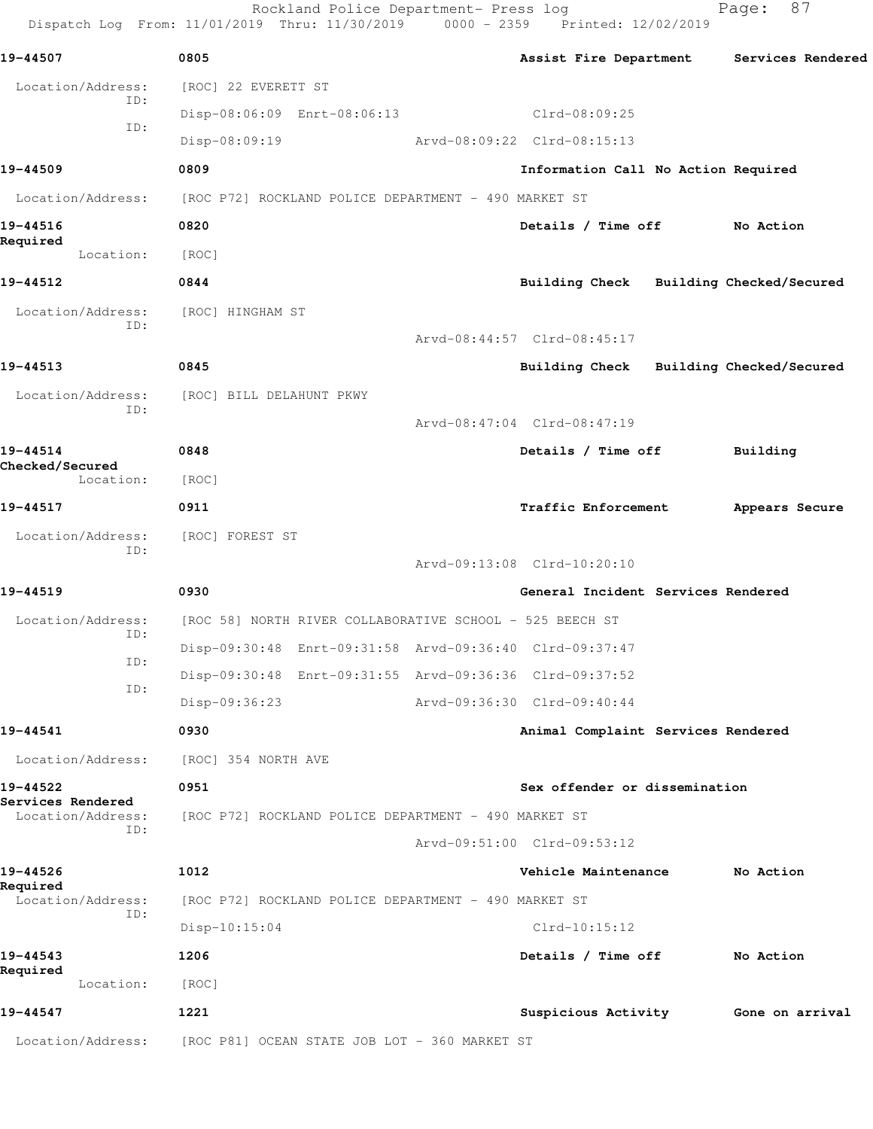Rockland Police Department- Press log Fage: 87 Dispatch Log From: 11/01/2019 Thru: 11/30/2019 0000 - 2359 Printed: 12/02/2019 **19-44507 0805 Assist Fire Department Services Rendered** Location/Address: [ROC] 22 EVERETT ST ID: Disp-08:06:09 Enrt-08:06:13 Clrd-08:09:25 ID: Disp-08:09:19 Arvd-08:09:22 Clrd-08:15:13 **19-44509 0809 Information Call No Action Required** Location/Address: [ROC P72] ROCKLAND POLICE DEPARTMENT - 490 MARKET ST **19-44516 0820 Details / Time off No Action Required**  Location: [ROC] **19-44512 0844 Building Check Building Checked/Secured** Location/Address: [ROC] HINGHAM ST ID: Arvd-08:44:57 Clrd-08:45:17 **19-44513 0845 Building Check Building Checked/Secured** Location/Address: [ROC] BILL DELAHUNT PKWY ID: Arvd-08:47:04 Clrd-08:47:19 **19-44514 0848 Details / Time off Building Checked/Secured**  Location: [ROC] **19-44517 0911 Traffic Enforcement Appears Secure** Location/Address: [ROC] FOREST ST ID: Arvd-09:13:08 Clrd-10:20:10 **19-44519 0930 General Incident Services Rendered** Location/Address: [ROC 58] NORTH RIVER COLLABORATIVE SCHOOL - 525 BEECH ST ID: Disp-09:30:48 Enrt-09:31:58 Arvd-09:36:40 Clrd-09:37:47 ID: Disp-09:30:48 Enrt-09:31:55 Arvd-09:36:36 Clrd-09:37:52 ID: Disp-09:36:23 Arvd-09:36:30 Clrd-09:40:44 **19-44541 0930 Animal Complaint Services Rendered** Location/Address: [ROC] 354 NORTH AVE **19-44522 0951 Sex offender or dissemination Services Rendered**  Location/Address: [ROC P72] ROCKLAND POLICE DEPARTMENT - 490 MARKET ST ID: Arvd-09:51:00 Clrd-09:53:12 **19-44526 1012 Vehicle Maintenance No Action Required**  Location/Address: [ROC P72] ROCKLAND POLICE DEPARTMENT - 490 MARKET ST ID: Disp-10:15:04 Clrd-10:15:12 **19-44543 1206 Details / Time off No Action Required**  Location: [ROC] **19-44547 1221 Suspicious Activity Gone on arrival** Location/Address: [ROC P81] OCEAN STATE JOB LOT - 360 MARKET ST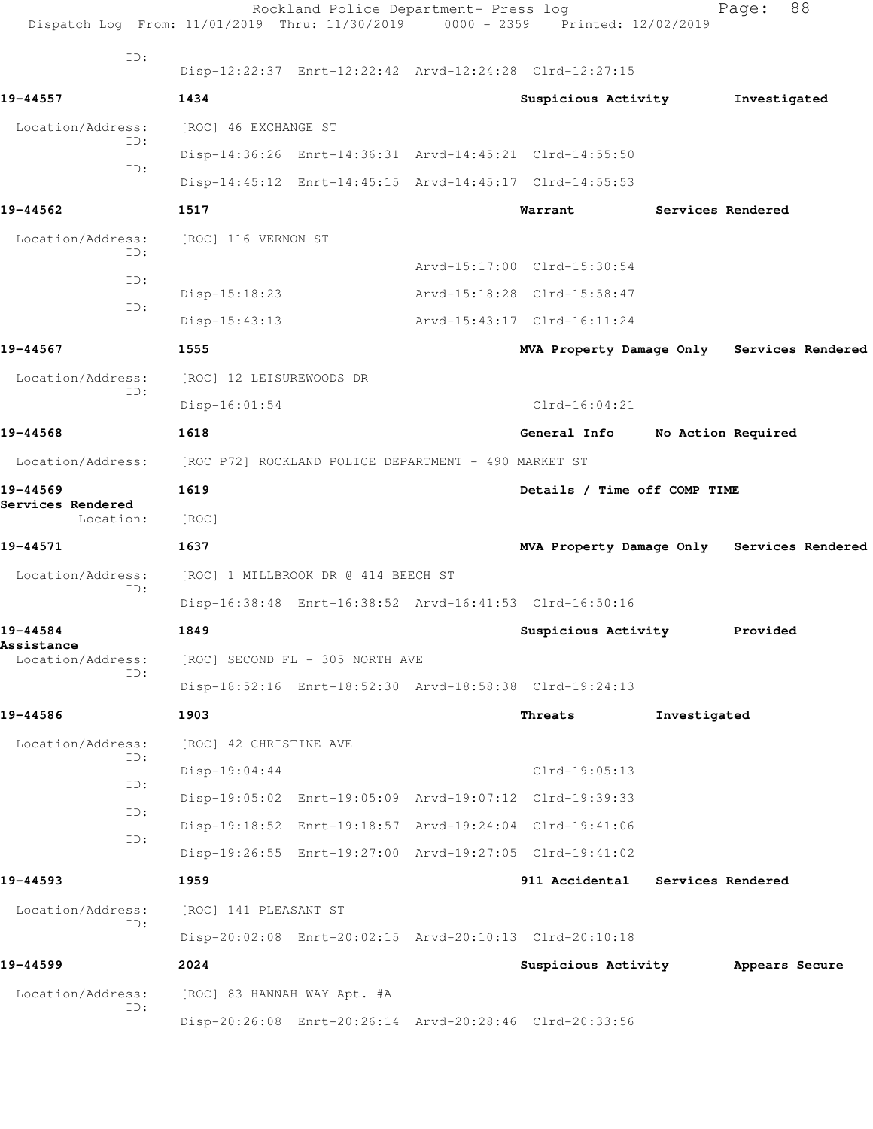| Dispatch Log From: 11/01/2019 Thru: 11/30/2019 |                                                      | Rockland Police Department- Press log | 0000 - 2359 Printed: 12/02/2019                         |                    | Page:          | 88 |
|------------------------------------------------|------------------------------------------------------|---------------------------------------|---------------------------------------------------------|--------------------|----------------|----|
| ID:                                            |                                                      |                                       | Disp-12:22:37 Enrt-12:22:42 Arvd-12:24:28 Clrd-12:27:15 |                    |                |    |
| 19-44557                                       | 1434                                                 |                                       | Suspicious Activity                                     |                    | Investigated   |    |
| Location/Address:                              | [ROC] 46 EXCHANGE ST                                 |                                       |                                                         |                    |                |    |
| ID:                                            |                                                      |                                       | Disp-14:36:26 Enrt-14:36:31 Arvd-14:45:21 Clrd-14:55:50 |                    |                |    |
| ID:                                            |                                                      |                                       | Disp-14:45:12 Enrt-14:45:15 Arvd-14:45:17 Clrd-14:55:53 |                    |                |    |
| 19-44562                                       | 1517                                                 |                                       | Warrant                                                 | Services Rendered  |                |    |
| Location/Address:                              | [ROC] 116 VERNON ST                                  |                                       |                                                         |                    |                |    |
| ID:                                            |                                                      |                                       | Arvd-15:17:00 Clrd-15:30:54                             |                    |                |    |
| ID:                                            | $Disp-15:18:23$                                      |                                       | Arvd-15:18:28 Clrd-15:58:47                             |                    |                |    |
| ID:                                            | $Disp-15:43:13$                                      |                                       | Arvd-15:43:17 Clrd-16:11:24                             |                    |                |    |
| 19-44567                                       | 1555                                                 |                                       | MVA Property Damage Only Services Rendered              |                    |                |    |
| Location/Address:                              | [ROC] 12 LEISUREWOODS DR                             |                                       |                                                         |                    |                |    |
| ID:                                            | $Disp-16:01:54$                                      |                                       | $Clrd-16:04:21$                                         |                    |                |    |
| 19-44568                                       | 1618                                                 |                                       | General Info                                            | No Action Required |                |    |
| Location/Address:                              | [ROC P72] ROCKLAND POLICE DEPARTMENT - 490 MARKET ST |                                       |                                                         |                    |                |    |
| 19-44569                                       | 1619                                                 |                                       | Details / Time off COMP TIME                            |                    |                |    |
| Services Rendered<br>Location:                 | [ROC]                                                |                                       |                                                         |                    |                |    |
| 19-44571                                       | 1637                                                 |                                       | MVA Property Damage Only Services Rendered              |                    |                |    |
| Location/Address:                              |                                                      | [ROC] 1 MILLBROOK DR @ 414 BEECH ST   |                                                         |                    |                |    |
| ID:                                            |                                                      |                                       | Disp-16:38:48 Enrt-16:38:52 Arvd-16:41:53 Clrd-16:50:16 |                    |                |    |
| 19-44584                                       | 1849                                                 |                                       | Suspicious Activity                                     |                    | Provided       |    |
| Assistance<br>Location/Address:                |                                                      | [ROC] SECOND FL - 305 NORTH AVE       |                                                         |                    |                |    |
| ID:                                            |                                                      |                                       | Disp-18:52:16 Enrt-18:52:30 Arvd-18:58:38 Clrd-19:24:13 |                    |                |    |
| 19-44586                                       | 1903                                                 |                                       | Threats                                                 | Investigated       |                |    |
| Location/Address:                              | [ROC] 42 CHRISTINE AVE                               |                                       |                                                         |                    |                |    |
| ID:<br>ID:                                     | $Disp-19:04:44$                                      |                                       | $Clrd-19:05:13$                                         |                    |                |    |
| ID:                                            |                                                      |                                       | Disp-19:05:02 Enrt-19:05:09 Arvd-19:07:12 Clrd-19:39:33 |                    |                |    |
| ID:                                            |                                                      |                                       | Disp-19:18:52 Enrt-19:18:57 Arvd-19:24:04 Clrd-19:41:06 |                    |                |    |
|                                                |                                                      |                                       | Disp-19:26:55 Enrt-19:27:00 Arvd-19:27:05 Clrd-19:41:02 |                    |                |    |
| 19-44593                                       | 1959                                                 |                                       | 911 Accidental                                          | Services Rendered  |                |    |
| Location/Address:<br>ID:                       | [ROC] 141 PLEASANT ST                                |                                       |                                                         |                    |                |    |
|                                                |                                                      |                                       | Disp-20:02:08 Enrt-20:02:15 Arvd-20:10:13 Clrd-20:10:18 |                    |                |    |
| 19-44599                                       | 2024                                                 |                                       | Suspicious Activity                                     |                    | Appears Secure |    |
| Location/Address:<br>ID:                       | [ROC] 83 HANNAH WAY Apt. #A                          |                                       |                                                         |                    |                |    |
|                                                |                                                      |                                       | Disp-20:26:08 Enrt-20:26:14 Arvd-20:28:46 Clrd-20:33:56 |                    |                |    |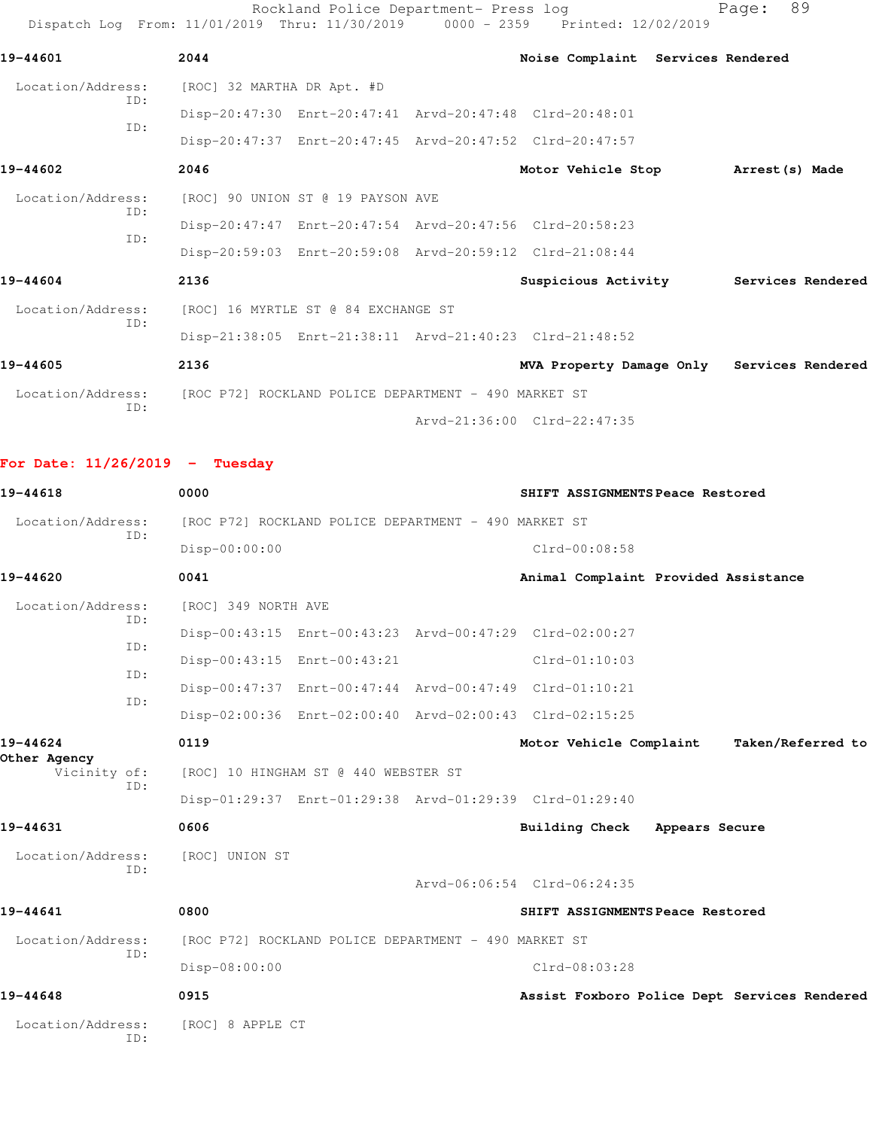Rockland Police Department- Press log Page: 89 Dispatch Log From: 11/01/2019 Thru: 11/30/2019 0000 - 2359 Printed: 12/02/2019 **19-44601 2044 Noise Complaint Services Rendered** Location/Address: [ROC] 32 MARTHA DR Apt. #D ID: Disp-20:47:30 Enrt-20:47:41 Arvd-20:47:48 Clrd-20:48:01 ID: Disp-20:47:37 Enrt-20:47:45 Arvd-20:47:52 Clrd-20:47:57 **19-44602 2046 Motor Vehicle Stop Arrest(s) Made** Location/Address: [ROC] 90 UNION ST @ 19 PAYSON AVE ID: Disp-20:47:47 Enrt-20:47:54 Arvd-20:47:56 Clrd-20:58:23 ID: Disp-20:59:03 Enrt-20:59:08 Arvd-20:59:12 Clrd-21:08:44 **19-44604 2136 Suspicious Activity Services Rendered** Location/Address: [ROC] 16 MYRTLE ST @ 84 EXCHANGE ST ID: Disp-21:38:05 Enrt-21:38:11 Arvd-21:40:23 Clrd-21:48:52 **19-44605 2136 MVA Property Damage Only Services Rendered** Location/Address: [ROC P72] ROCKLAND POLICE DEPARTMENT - 490 MARKET ST ID: Arvd-21:36:00 Clrd-22:47:35

**For Date: 11/26/2019 - Tuesday**

| 19-44618                                 | 0000                                                    | SHIFT ASSIGNMENTS Peace Restored             |
|------------------------------------------|---------------------------------------------------------|----------------------------------------------|
| Location/Address:                        | [ROC P72] ROCKLAND POLICE DEPARTMENT - 490 MARKET ST    |                                              |
| TD:                                      | Disp-00:00:00                                           | $Clrd-00:08:58$                              |
| 19-44620                                 | 0041                                                    | Animal Complaint Provided Assistance         |
| Location/Address:                        | [ROC] 349 NORTH AVE                                     |                                              |
| ID:                                      | Disp-00:43:15 Enrt-00:43:23 Arvd-00:47:29 Clrd-02:00:27 |                                              |
| TD:                                      | Disp-00:43:15 Enrt-00:43:21                             | $Clrd-01:10:03$                              |
| TD:                                      | Disp-00:47:37 Enrt-00:47:44 Arvd-00:47:49 Clrd-01:10:21 |                                              |
| ID:                                      | Disp-02:00:36 Enrt-02:00:40 Arvd-02:00:43 Clrd-02:15:25 |                                              |
| 19-44624<br>Other Agency<br>Vicinity of: | 0119                                                    | Motor Vehicle Complaint<br>Taken/Referred to |
|                                          | [ROC] 10 HINGHAM ST @ 440 WEBSTER ST                    |                                              |
| ID:                                      | Disp-01:29:37 Enrt-01:29:38 Arvd-01:29:39 Clrd-01:29:40 |                                              |
| 19-44631                                 | 0606                                                    | <b>Building Check</b><br>Appears Secure      |
| Location/Address:                        | [ROC] UNION ST                                          |                                              |
| TD:                                      |                                                         | Arvd-06:06:54 Clrd-06:24:35                  |
| 19-44641                                 | 0800                                                    | SHIFT ASSIGNMENTS Peace Restored             |
| Location/Address:                        | [ROC P72] ROCKLAND POLICE DEPARTMENT - 490 MARKET ST    |                                              |
| TD:                                      | Disp-08:00:00                                           | $Clrd-08:03:28$                              |
| 19-44648                                 | 0915                                                    | Assist Foxboro Police Dept Services Rendered |
| Location/Address:<br>TD:                 | [ROC] 8 APPLE CT                                        |                                              |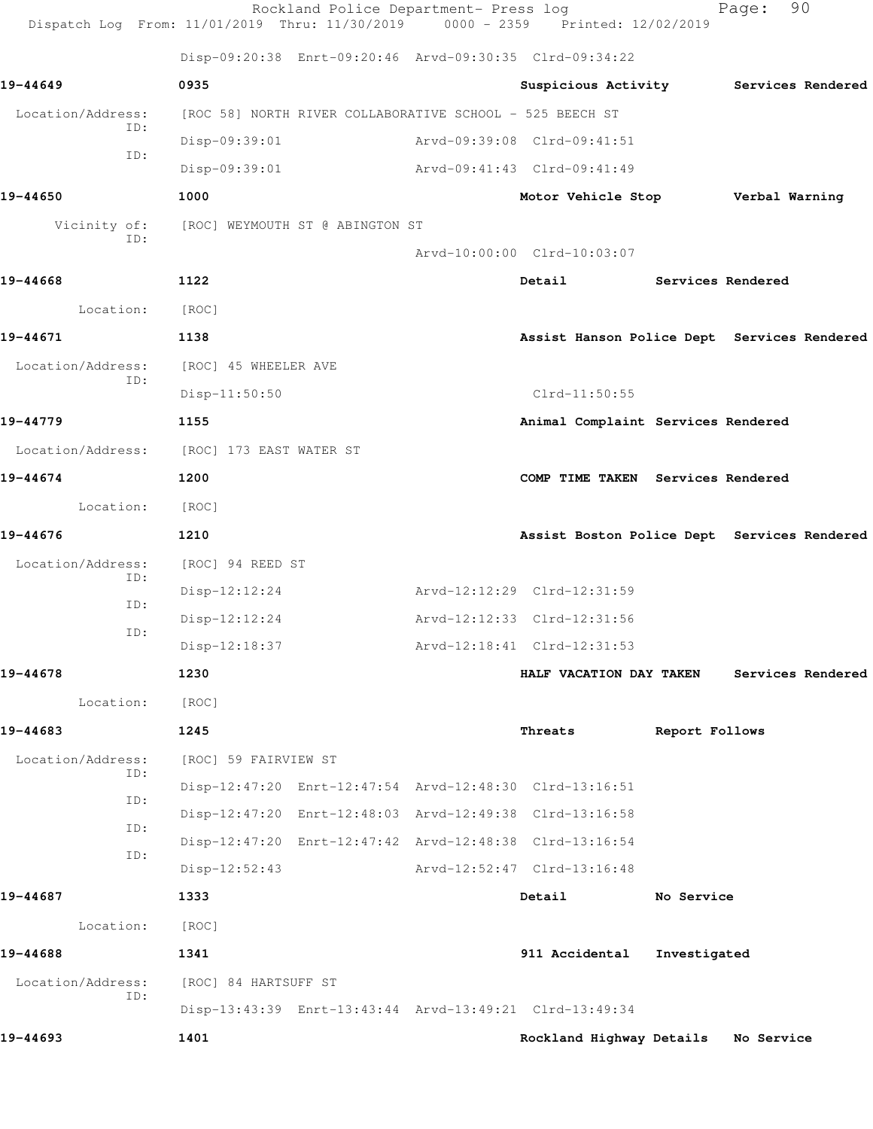|                          | Dispatch Log From: 11/01/2019 Thru: 11/30/2019 0000 - 2359 Printed: 12/02/2019 | Rockland Police Department- Press log |                                             |                   | Page:          | 90                |
|--------------------------|--------------------------------------------------------------------------------|---------------------------------------|---------------------------------------------|-------------------|----------------|-------------------|
|                          | Disp-09:20:38 Enrt-09:20:46 Arvd-09:30:35 Clrd-09:34:22                        |                                       |                                             |                   |                |                   |
| 19-44649                 | 0935                                                                           |                                       | Suspicious Activity                         |                   |                | Services Rendered |
| Location/Address:        | [ROC 58] NORTH RIVER COLLABORATIVE SCHOOL - 525 BEECH ST                       |                                       |                                             |                   |                |                   |
| ID:                      | Disp-09:39:01                                                                  | Arvd-09:39:08 Clrd-09:41:51           |                                             |                   |                |                   |
| ID:                      | Disp-09:39:01                                                                  |                                       | Arvd-09:41:43 Clrd-09:41:49                 |                   |                |                   |
| 19-44650                 | 1000                                                                           |                                       | Motor Vehicle Stop                          |                   | Verbal Warning |                   |
| Vicinity of:             | [ROC] WEYMOUTH ST @ ABINGTON ST                                                |                                       |                                             |                   |                |                   |
| ID:                      |                                                                                |                                       | Arvd-10:00:00 Clrd-10:03:07                 |                   |                |                   |
| 19-44668                 | 1122                                                                           |                                       | Detail                                      | Services Rendered |                |                   |
| Location:                | [ROC]                                                                          |                                       |                                             |                   |                |                   |
| 19-44671                 | 1138                                                                           |                                       | Assist Hanson Police Dept Services Rendered |                   |                |                   |
| Location/Address:        | [ROC] 45 WHEELER AVE                                                           |                                       |                                             |                   |                |                   |
| ID:                      | Disp-11:50:50                                                                  |                                       | $Clrd-11:50:55$                             |                   |                |                   |
| 19-44779                 | 1155                                                                           |                                       | Animal Complaint Services Rendered          |                   |                |                   |
|                          | Location/Address: [ROC] 173 EAST WATER ST                                      |                                       |                                             |                   |                |                   |
| 19-44674                 | 1200                                                                           |                                       | COMP TIME TAKEN Services Rendered           |                   |                |                   |
| Location:                | [ROC]                                                                          |                                       |                                             |                   |                |                   |
| 19-44676                 | 1210                                                                           |                                       | Assist Boston Police Dept Services Rendered |                   |                |                   |
| Location/Address:        | [ROC] 94 REED ST                                                               |                                       |                                             |                   |                |                   |
| ID:                      | $Disp-12:12:24$                                                                |                                       | Arvd-12:12:29 Clrd-12:31:59                 |                   |                |                   |
| ID:<br>ID:               | $Disp-12:12:24$                                                                |                                       | Arvd-12:12:33 Clrd-12:31:56                 |                   |                |                   |
|                          | Disp-12:18:37                                                                  |                                       | Arvd-12:18:41 Clrd-12:31:53                 |                   |                |                   |
| 19-44678                 | 1230                                                                           |                                       | HALF VACATION DAY TAKEN                     |                   |                | Services Rendered |
| Location:                | [ROC]                                                                          |                                       |                                             |                   |                |                   |
| 19-44683                 | 1245                                                                           |                                       | Threats                                     | Report Follows    |                |                   |
| Location/Address:<br>ID: | [ROC] 59 FAIRVIEW ST                                                           |                                       |                                             |                   |                |                   |
| ID:                      | Disp-12:47:20 Enrt-12:47:54 Arvd-12:48:30 Clrd-13:16:51                        |                                       |                                             |                   |                |                   |
| ID:                      | Disp-12:47:20 Enrt-12:48:03 Arvd-12:49:38 Clrd-13:16:58                        |                                       |                                             |                   |                |                   |
| ID:                      | Disp-12:47:20 Enrt-12:47:42 Arvd-12:48:38 Clrd-13:16:54                        |                                       |                                             |                   |                |                   |
|                          | $Disp-12:52:43$                                                                |                                       | Arvd-12:52:47 Clrd-13:16:48                 |                   |                |                   |
| 19-44687                 | 1333                                                                           |                                       | Detail                                      | No Service        |                |                   |
| Location:                | [ROC]                                                                          |                                       |                                             |                   |                |                   |
| 19-44688                 | 1341                                                                           |                                       | 911 Accidental                              | Investigated      |                |                   |
| Location/Address:<br>ID: | [ROC] 84 HARTSUFF ST                                                           |                                       |                                             |                   |                |                   |
|                          | Disp-13:43:39 Enrt-13:43:44 Arvd-13:49:21 Clrd-13:49:34                        |                                       |                                             |                   |                |                   |
| 19-44693                 | 1401                                                                           |                                       | Rockland Highway Details No Service         |                   |                |                   |
|                          |                                                                                |                                       |                                             |                   |                |                   |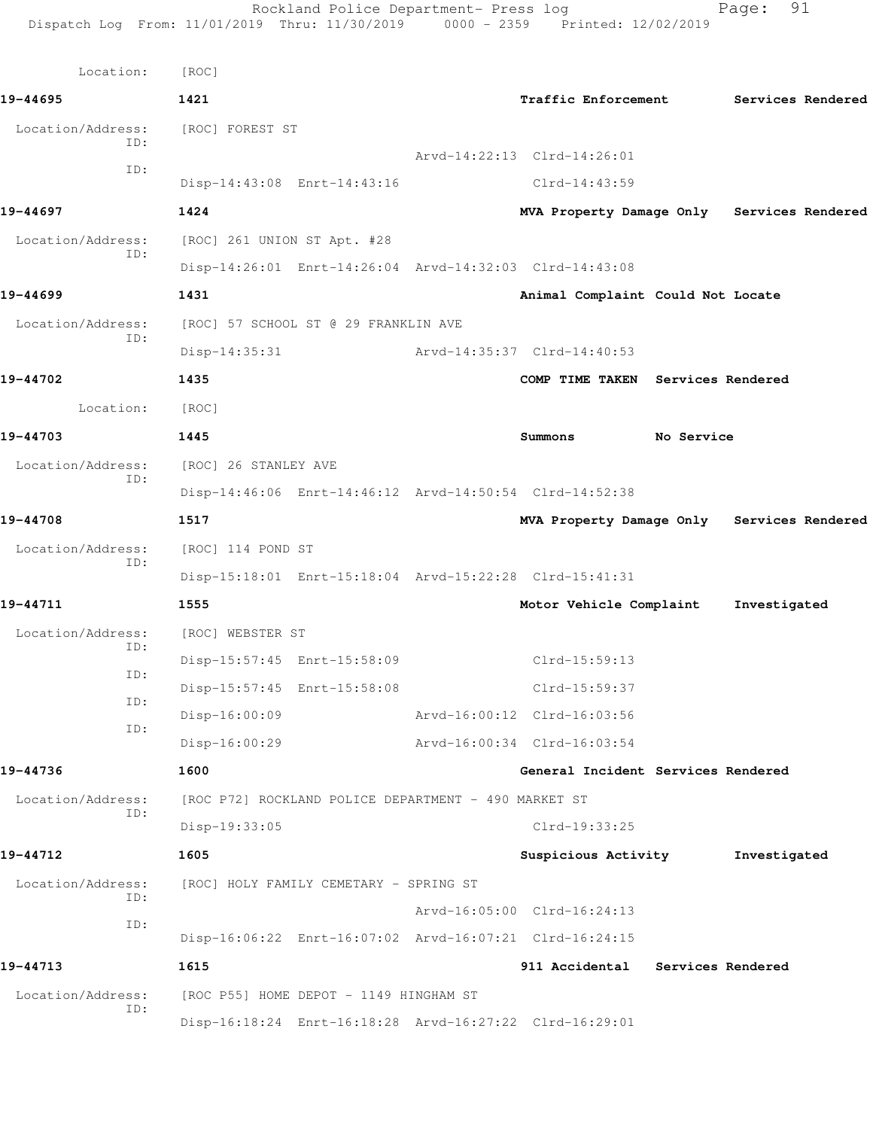| Location:                | [ROC]                       |                                                         |                                                         |            |                   |  |
|--------------------------|-----------------------------|---------------------------------------------------------|---------------------------------------------------------|------------|-------------------|--|
| 19-44695                 | 1421                        |                                                         | Traffic Enforcement                                     |            | Services Rendered |  |
| Location/Address:        | [ROC] FOREST ST             |                                                         |                                                         |            |                   |  |
| TD:                      |                             |                                                         | Arvd-14:22:13 Clrd-14:26:01                             |            |                   |  |
| ID:                      |                             | Disp-14:43:08 Enrt-14:43:16                             | $Clrd-14:43:59$                                         |            |                   |  |
| 19-44697                 | 1424                        |                                                         | MVA Property Damage Only Services Rendered              |            |                   |  |
| Location/Address:<br>ID: | [ROC] 261 UNION ST Apt. #28 |                                                         |                                                         |            |                   |  |
|                          |                             | Disp-14:26:01 Enrt-14:26:04 Arvd-14:32:03 Clrd-14:43:08 |                                                         |            |                   |  |
| 19-44699                 | 1431                        |                                                         | Animal Complaint Could Not Locate                       |            |                   |  |
| Location/Address:        |                             | [ROC] 57 SCHOOL ST @ 29 FRANKLIN AVE                    |                                                         |            |                   |  |
| ID:                      | $Disp-14:35:31$             |                                                         | Arvd-14:35:37 Clrd-14:40:53                             |            |                   |  |
| 19-44702                 | 1435                        |                                                         | COMP TIME TAKEN Services Rendered                       |            |                   |  |
| Location:                | [ROC]                       |                                                         |                                                         |            |                   |  |
| 19-44703                 | 1445                        |                                                         | Summons                                                 | No Service |                   |  |
| Location/Address:        | [ROC] 26 STANLEY AVE        |                                                         |                                                         |            |                   |  |
| ID:                      |                             | Disp-14:46:06 Enrt-14:46:12 Arvd-14:50:54 Clrd-14:52:38 |                                                         |            |                   |  |
| 19-44708                 | 1517                        |                                                         | MVA Property Damage Only Services Rendered              |            |                   |  |
| Location/Address:        | [ROC] 114 POND ST           |                                                         |                                                         |            |                   |  |
| ID:                      |                             |                                                         | Disp-15:18:01 Enrt-15:18:04 Arvd-15:22:28 Clrd-15:41:31 |            |                   |  |
| 19-44711                 | 1555                        |                                                         | Motor Vehicle Complaint                                 |            | Investigated      |  |
| Location/Address:        | [ROC] WEBSTER ST            |                                                         |                                                         |            |                   |  |
| ID:                      |                             | Disp-15:57:45 Enrt-15:58:09                             | Clrd-15:59:13                                           |            |                   |  |
| ID:                      |                             | Disp-15:57:45 Enrt-15:58:08                             | Clrd-15:59:37                                           |            |                   |  |
| ID:<br>ID:               | Disp-16:00:09               |                                                         | Arvd-16:00:12 Clrd-16:03:56                             |            |                   |  |
|                          | $Disp-16:00:29$             |                                                         | Arvd-16:00:34 Clrd-16:03:54                             |            |                   |  |
| 19-44736                 | 1600                        |                                                         | General Incident Services Rendered                      |            |                   |  |
| Location/Address:        |                             | [ROC P72] ROCKLAND POLICE DEPARTMENT - 490 MARKET ST    |                                                         |            |                   |  |
| ID:                      | Disp-19:33:05               |                                                         | Clrd-19:33:25                                           |            |                   |  |
| 19-44712                 | 1605                        |                                                         | Suspicious Activity                                     |            | Investigated      |  |
| Location/Address:        |                             | [ROC] HOLY FAMILY CEMETARY - SPRING ST                  |                                                         |            |                   |  |
| ID:                      |                             |                                                         | Arvd-16:05:00 Clrd-16:24:13                             |            |                   |  |
| ID:                      |                             | Disp-16:06:22 Enrt-16:07:02 Arvd-16:07:21 Clrd-16:24:15 |                                                         |            |                   |  |
| 19-44713                 | 1615                        |                                                         | 911 Accidental                                          |            | Services Rendered |  |
| Location/Address:        |                             | [ROC P55] HOME DEPOT - 1149 HINGHAM ST                  |                                                         |            |                   |  |
| ID:                      |                             | Disp-16:18:24 Enrt-16:18:28 Arvd-16:27:22 Clrd-16:29:01 |                                                         |            |                   |  |
|                          |                             |                                                         |                                                         |            |                   |  |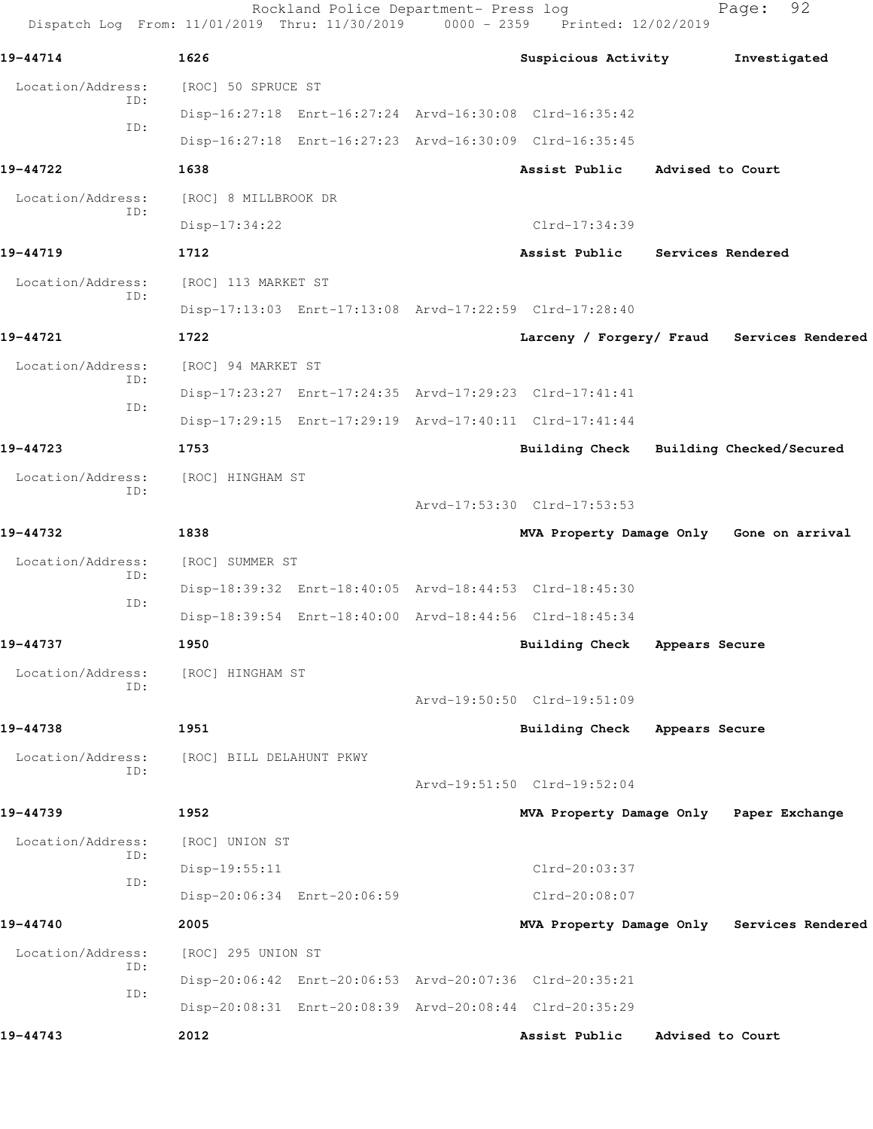Rockland Police Department- Press log Fage: 92 Dispatch Log From: 11/01/2019 Thru: 11/30/2019 0000 - 2359 Printed: 12/02/2019 **19-44714 1626 Suspicious Activity Investigated** Location/Address: [ROC] 50 SPRUCE ST ID: Disp-16:27:18 Enrt-16:27:24 Arvd-16:30:08 Clrd-16:35:42 ID: Disp-16:27:18 Enrt-16:27:23 Arvd-16:30:09 Clrd-16:35:45 **19-44722 1638 Assist Public Advised to Court** Location/Address: [ROC] 8 MILLBROOK DR ID: Disp-17:34:22 Clrd-17:34:39 **19-44719 1712 Assist Public Services Rendered** Location/Address: [ROC] 113 MARKET ST ID: Disp-17:13:03 Enrt-17:13:08 Arvd-17:22:59 Clrd-17:28:40 **19-44721 1722 Larceny / Forgery/ Fraud Services Rendered** Location/Address: [ROC] 94 MARKET ST ID: Disp-17:23:27 Enrt-17:24:35 Arvd-17:29:23 Clrd-17:41:41 ID: Disp-17:29:15 Enrt-17:29:19 Arvd-17:40:11 Clrd-17:41:44 **19-44723 1753 Building Check Building Checked/Secured** Location/Address: [ROC] HINGHAM ST ID: Arvd-17:53:30 Clrd-17:53:53 **19-44732 1838 MVA Property Damage Only Gone on arrival** Location/Address: [ROC] SUMMER ST ID: Disp-18:39:32 Enrt-18:40:05 Arvd-18:44:53 Clrd-18:45:30 ID: Disp-18:39:54 Enrt-18:40:00 Arvd-18:44:56 Clrd-18:45:34 **19-44737 1950 Building Check Appears Secure** Location/Address: [ROC] HINGHAM ST ID: Arvd-19:50:50 Clrd-19:51:09 **19-44738 1951 Building Check Appears Secure** Location/Address: [ROC] BILL DELAHUNT PKWY ID: Arvd-19:51:50 Clrd-19:52:04 **19-44739 1952 MVA Property Damage Only Paper Exchange** Location/Address: [ROC] UNION ST ID: Disp-19:55:11 Clrd-20:03:37 ID: Disp-20:06:34 Enrt-20:06:59 Clrd-20:08:07 **19-44740 2005 MVA Property Damage Only Services Rendered** Location/Address: [ROC] 295 UNION ST ID: Disp-20:06:42 Enrt-20:06:53 Arvd-20:07:36 Clrd-20:35:21 ID: Disp-20:08:31 Enrt-20:08:39 Arvd-20:08:44 Clrd-20:35:29 **19-44743 2012 Assist Public Advised to Court**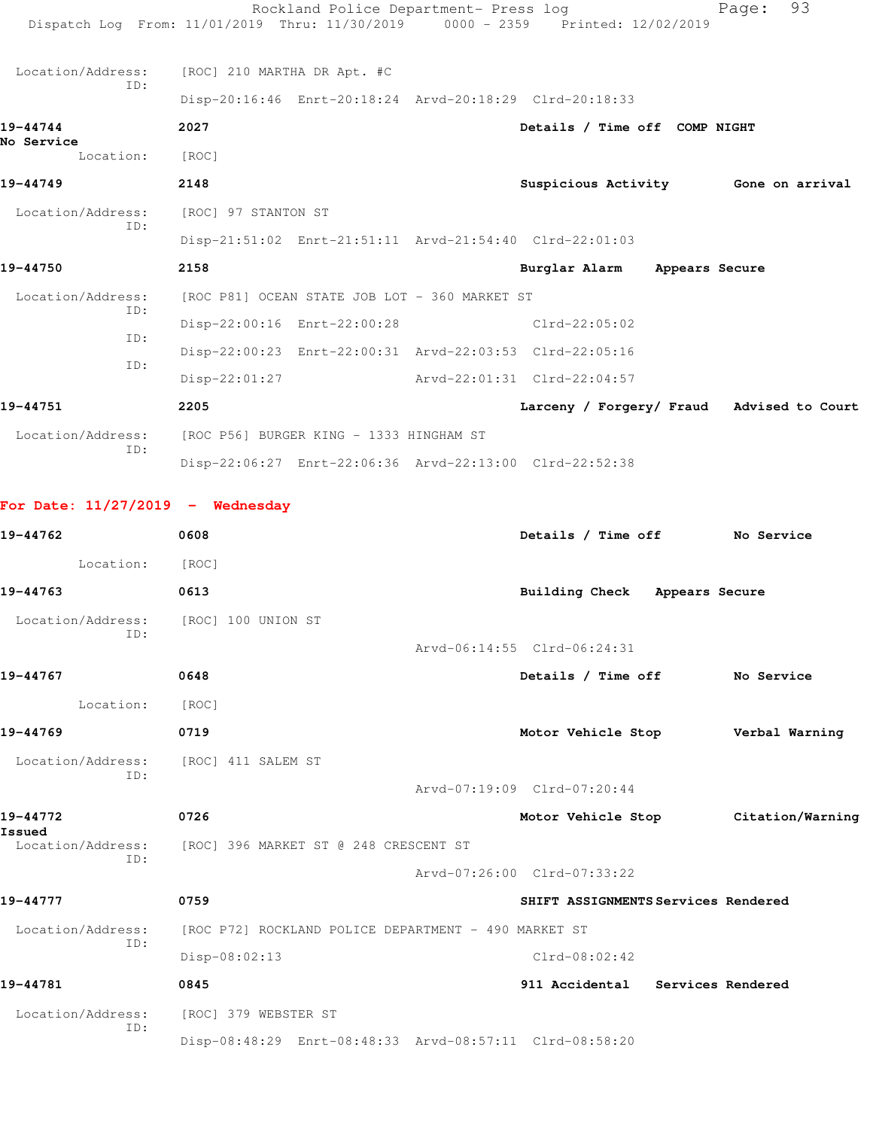|                                    |                                               | Rockland Police Department- Press log<br>Dispatch Log From: 11/01/2019 Thru: 11/30/2019 0000 - 2359 Printed: 12/02/2019 | 93<br>Page:                               |
|------------------------------------|-----------------------------------------------|-------------------------------------------------------------------------------------------------------------------------|-------------------------------------------|
| Location/Address:                  | [ROC] 210 MARTHA DR Apt. #C                   |                                                                                                                         |                                           |
| TD:                                |                                               | Disp-20:16:46 Enrt-20:18:24 Arvd-20:18:29 Clrd-20:18:33                                                                 |                                           |
| 19-44744                           | 2027                                          | Details / Time off COMP NIGHT                                                                                           |                                           |
| No Service<br>Location:            | [ROC]                                         |                                                                                                                         |                                           |
| 19-44749                           | 2148                                          | Suspicious Activity 6one on arrival                                                                                     |                                           |
| Location/Address:                  | [ROC] 97 STANTON ST                           |                                                                                                                         |                                           |
| ID:                                |                                               | Disp-21:51:02 Enrt-21:51:11 Arvd-21:54:40 Clrd-22:01:03                                                                 |                                           |
| 19-44750                           | 2158                                          | Burglar Alarm Appears Secure                                                                                            |                                           |
| Location/Address:                  | [ROC P81] OCEAN STATE JOB LOT - 360 MARKET ST |                                                                                                                         |                                           |
| ID:                                | Disp-22:00:16 Enrt-22:00:28                   | $Clrd-22:05:02$                                                                                                         |                                           |
| TD:                                |                                               | Disp-22:00:23 Enrt-22:00:31 Arvd-22:03:53 Clrd-22:05:16                                                                 |                                           |
| ID:                                | $Disp-22:01:27$                               | Arvd-22:01:31 Clrd-22:04:57                                                                                             |                                           |
| 19-44751                           | 2205                                          |                                                                                                                         | Larceny / Forgery/ Fraud Advised to Court |
| Location/Address:                  | [ROC P56] BURGER KING - 1333 HINGHAM ST       |                                                                                                                         |                                           |
| TD:                                |                                               | Disp-22:06:27 Enrt-22:06:36 Arvd-22:13:00 Clrd-22:52:38                                                                 |                                           |
| For Date: $11/27/2019$ - Wednesday |                                               |                                                                                                                         |                                           |

| 19-44762                 | 0608                                                                   | Details / Time off                  | No Service                          |
|--------------------------|------------------------------------------------------------------------|-------------------------------------|-------------------------------------|
| Location:                | [ROC]                                                                  |                                     |                                     |
| 19-44763                 | 0613                                                                   | Building Check Appears Secure       |                                     |
| Location/Address:<br>ID: | [ROC] 100 UNION ST                                                     |                                     |                                     |
|                          |                                                                        | Arvd-06:14:55 Clrd-06:24:31         |                                     |
| 19-44767                 | 0648                                                                   | Details / Time off No Service       |                                     |
| Location:                | [ROC]                                                                  |                                     |                                     |
| 19-44769                 | 0719                                                                   | Motor Vehicle Stop Verbal Warning   |                                     |
| Location/Address:<br>ID: | [ROC] 411 SALEM ST                                                     |                                     |                                     |
|                          |                                                                        | Arvd-07:19:09 Clrd-07:20:44         |                                     |
| 19-44772<br>Issued       | 0726                                                                   |                                     | Motor Vehicle Stop Citation/Warning |
| Location/Address:<br>TD: | [ROC] 396 MARKET ST @ 248 CRESCENT ST                                  |                                     |                                     |
|                          |                                                                        | Arvd-07:26:00 Clrd-07:33:22         |                                     |
| 19-44777                 | 0759                                                                   | SHIFT ASSIGNMENTS Services Rendered |                                     |
|                          | Location/Address: [ROC P72] ROCKLAND POLICE DEPARTMENT - 490 MARKET ST |                                     |                                     |
| TD:                      | Disp-08:02:13                                                          | $Clrd-08:02:42$                     |                                     |
| 19-44781                 | 0845                                                                   | 911 Accidental Services Rendered    |                                     |
| Location/Address:        | [ROC] 379 WEBSTER ST                                                   |                                     |                                     |
| ID:                      | Disp-08:48:29 Enrt-08:48:33 Arvd-08:57:11 Clrd-08:58:20                |                                     |                                     |
|                          |                                                                        |                                     |                                     |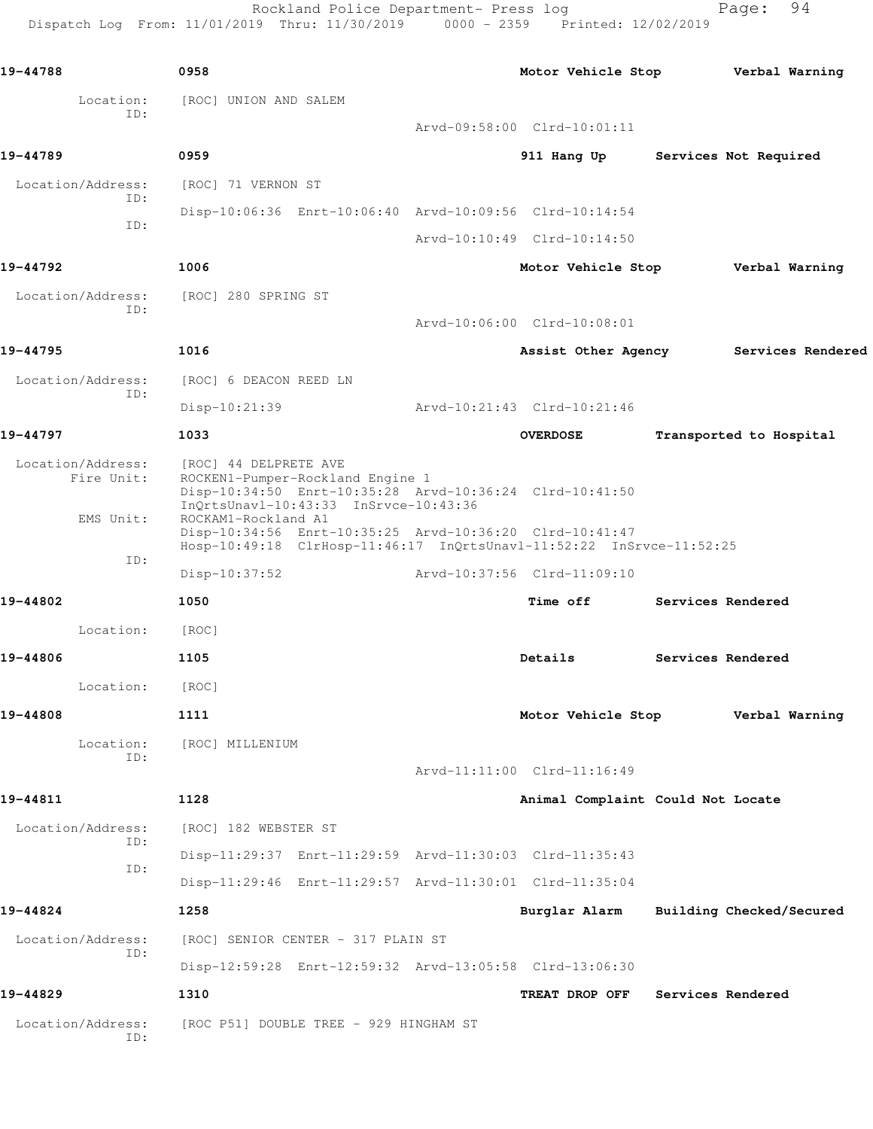Rockland Police Department- Press log Fage: 94 Dispatch Log From: 11/01/2019 Thru: 11/30/2019 0000 - 2359 Printed: 12/02/2019

**19-44788 0958 Motor Vehicle Stop Verbal Warning** Location: [ROC] UNION AND SALEM ID: Arvd-09:58:00 Clrd-10:01:11 **19-44789 0959 911 Hang Up Services Not Required** Location/Address: [ROC] 71 VERNON ST ID: Disp-10:06:36 Enrt-10:06:40 Arvd-10:09:56 Clrd-10:14:54 ID: Arvd-10:10:49 Clrd-10:14:50 **19-44792 1006 Motor Vehicle Stop Verbal Warning** Location/Address: [ROC] 280 SPRING ST ID: Arvd-10:06:00 Clrd-10:08:01 **19-44795 1016 Assist Other Agency Services Rendered** Location/Address: [ROC] 6 DEACON REED LN ID: Disp-10:21:39 Arvd-10:21:43 Clrd-10:21:46 **19-44797 1033 OVERDOSE Transported to Hospital** Location/Address: [ROC] 44 DELPRETE AVE Fire Unit: ROCKEN1-Pumper-Rockland Engine 1 Disp-10:34:50 Enrt-10:35:28 Arvd-10:36:24 Clrd-10:41:50 InQrtsUnavl-10:43:33 InSrvce-10:43:36 EMS Unit: ROCKAM1-Rockland A1 Disp-10:34:56 Enrt-10:35:25 Arvd-10:36:20 Clrd-10:41:47 Hosp-10:49:18 ClrHosp-11:46:17 InQrtsUnavl-11:52:22 InSrvce-11:52:25 ID: Disp-10:37:52 Arvd-10:37:56 Clrd-11:09:10 **19-44802 1050 Time off Services Rendered** Location: [ROC] **19-44806 1105 Details Services Rendered** Location: [ROC] **19-44808 1111 Motor Vehicle Stop Verbal Warning** Location: [ROC] MILLENIUM ID: Arvd-11:11:00 Clrd-11:16:49 **19-44811 1128 Animal Complaint Could Not Locate** Location/Address: [ROC] 182 WEBSTER ST ID: Disp-11:29:37 Enrt-11:29:59 Arvd-11:30:03 Clrd-11:35:43 ID: Disp-11:29:46 Enrt-11:29:57 Arvd-11:30:01 Clrd-11:35:04 **19-44824 1258 Burglar Alarm Building Checked/Secured** Location/Address: [ROC] SENIOR CENTER - 317 PLAIN ST ID: Disp-12:59:28 Enrt-12:59:32 Arvd-13:05:58 Clrd-13:06:30 **19-44829 1310 TREAT DROP OFF Services Rendered** Location/Address: [ROC P51] DOUBLE TREE - 929 HINGHAM ST ID: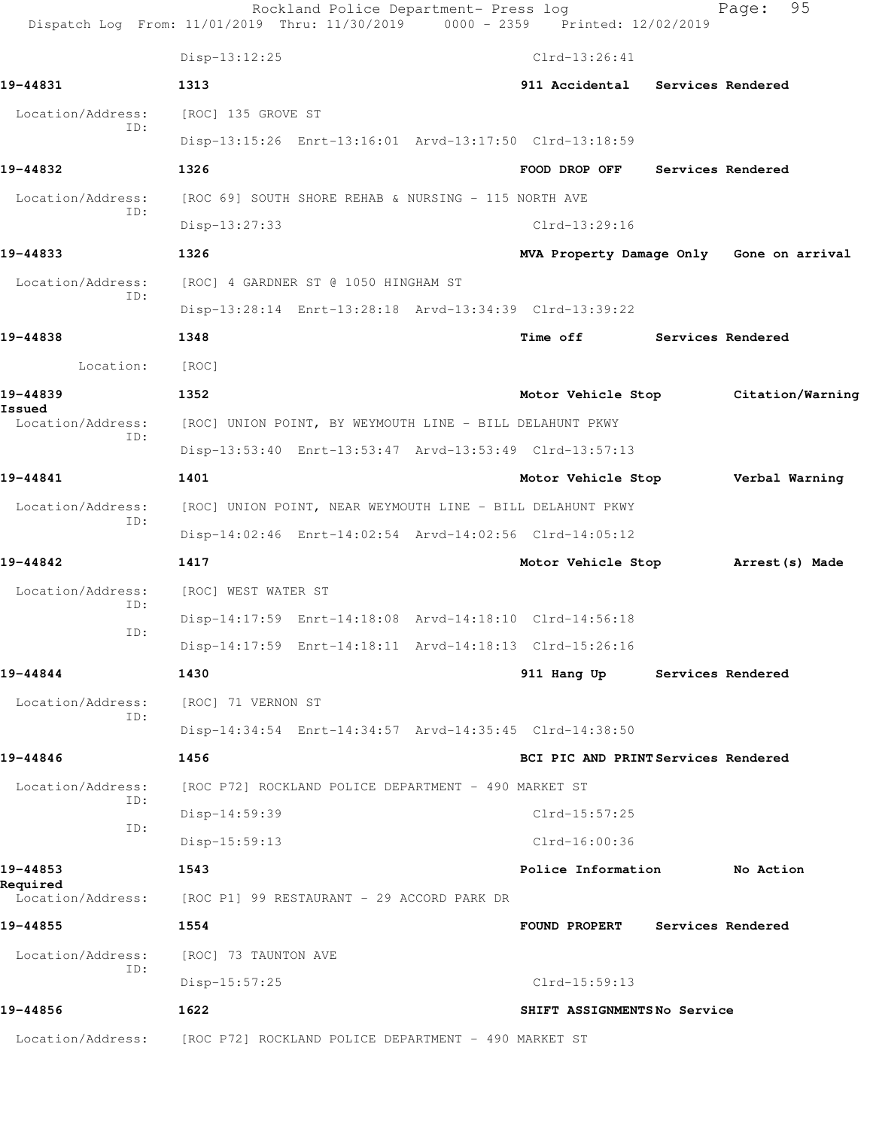|                          | Dispatch Log From: 11/01/2019 Thru: 11/30/2019 0000 - 2359 Printed: 12/02/2019 | Rockland Police Department- Press log |                                          |                   | 95<br>Page: |  |
|--------------------------|--------------------------------------------------------------------------------|---------------------------------------|------------------------------------------|-------------------|-------------|--|
|                          | Disp-13:12:25                                                                  |                                       | $Clrd-13:26:41$                          |                   |             |  |
| 19-44831                 | 1313                                                                           |                                       | 911 Accidental Services Rendered         |                   |             |  |
| Location/Address:        | [ROC] 135 GROVE ST                                                             |                                       |                                          |                   |             |  |
| ID:                      | Disp-13:15:26 Enrt-13:16:01 Arvd-13:17:50 Clrd-13:18:59                        |                                       |                                          |                   |             |  |
| 19-44832                 | 1326                                                                           |                                       | FOOD DROP OFF                            | Services Rendered |             |  |
| Location/Address:<br>ID: | [ROC 69] SOUTH SHORE REHAB & NURSING - 115 NORTH AVE                           |                                       |                                          |                   |             |  |
|                          | $Disp-13:27:33$                                                                |                                       | Clrd-13:29:16                            |                   |             |  |
| 19-44833                 | 1326                                                                           |                                       | MVA Property Damage Only Gone on arrival |                   |             |  |
| Location/Address:<br>ID: | [ROC] 4 GARDNER ST @ 1050 HINGHAM ST                                           |                                       |                                          |                   |             |  |
|                          | Disp-13:28:14 Enrt-13:28:18 Arvd-13:34:39 Clrd-13:39:22                        |                                       |                                          |                   |             |  |
| 19-44838                 | 1348                                                                           |                                       | <b>Time off</b>                          | Services Rendered |             |  |
| Location:                | [ROC]                                                                          |                                       |                                          |                   |             |  |
| 19-44839<br>Issued       | 1352                                                                           |                                       | Motor Vehicle Stop Citation/Warning      |                   |             |  |
| Location/Address:<br>ID: | [ROC] UNION POINT, BY WEYMOUTH LINE - BILL DELAHUNT PKWY                       |                                       |                                          |                   |             |  |
|                          | Disp-13:53:40 Enrt-13:53:47 Arvd-13:53:49 Clrd-13:57:13                        |                                       |                                          |                   |             |  |
| 19-44841                 | 1401                                                                           |                                       | Motor Vehicle Stop Verbal Warning        |                   |             |  |
| Location/Address:<br>ID: | [ROC] UNION POINT, NEAR WEYMOUTH LINE - BILL DELAHUNT PKWY                     |                                       |                                          |                   |             |  |
|                          | Disp-14:02:46 Enrt-14:02:54 Arvd-14:02:56 Clrd-14:05:12                        |                                       |                                          |                   |             |  |
| 19-44842                 | 1417                                                                           |                                       | Motor Vehicle Stop Marrest (s) Made      |                   |             |  |
| Location/Address:<br>ID: | [ROC] WEST WATER ST                                                            |                                       |                                          |                   |             |  |
| ID:                      | Disp-14:17:59 Enrt-14:18:08 Arvd-14:18:10 Clrd-14:56:18                        |                                       |                                          |                   |             |  |
|                          | Disp-14:17:59 Enrt-14:18:11 Arvd-14:18:13 Clrd-15:26:16                        |                                       |                                          |                   |             |  |
| 19-44844                 | 1430                                                                           |                                       | 911 Hang Up                              | Services Rendered |             |  |
| Location/Address:<br>ID: | [ROC] 71 VERNON ST                                                             |                                       |                                          |                   |             |  |
|                          | Disp-14:34:54 Enrt-14:34:57 Arvd-14:35:45 Clrd-14:38:50                        |                                       |                                          |                   |             |  |
| 19-44846                 | 1456                                                                           |                                       | BCI PIC AND PRINT Services Rendered      |                   |             |  |
| Location/Address:<br>ID: | [ROC P72] ROCKLAND POLICE DEPARTMENT - 490 MARKET ST                           |                                       |                                          |                   |             |  |
| ID:                      | Disp-14:59:39                                                                  |                                       | Clrd-15:57:25                            |                   |             |  |
|                          | $Disp-15:59:13$                                                                |                                       | $Clrd-16:00:36$                          |                   |             |  |
| 19-44853<br>Required     | 1543                                                                           |                                       | Police Information                       |                   | No Action   |  |
| Location/Address:        | [ROC P1] 99 RESTAURANT - 29 ACCORD PARK DR                                     |                                       |                                          |                   |             |  |
| 19-44855                 | 1554                                                                           |                                       | FOUND PROPERT                            | Services Rendered |             |  |
| Location/Address:<br>ID: | [ROC] 73 TAUNTON AVE                                                           |                                       |                                          |                   |             |  |
|                          | $Disp-15:57:25$                                                                |                                       | $Clrd-15:59:13$                          |                   |             |  |
| 19-44856                 | 1622                                                                           |                                       | SHIFT ASSIGNMENTSNo Service              |                   |             |  |
| Location/Address:        | [ROC P72] ROCKLAND POLICE DEPARTMENT - 490 MARKET ST                           |                                       |                                          |                   |             |  |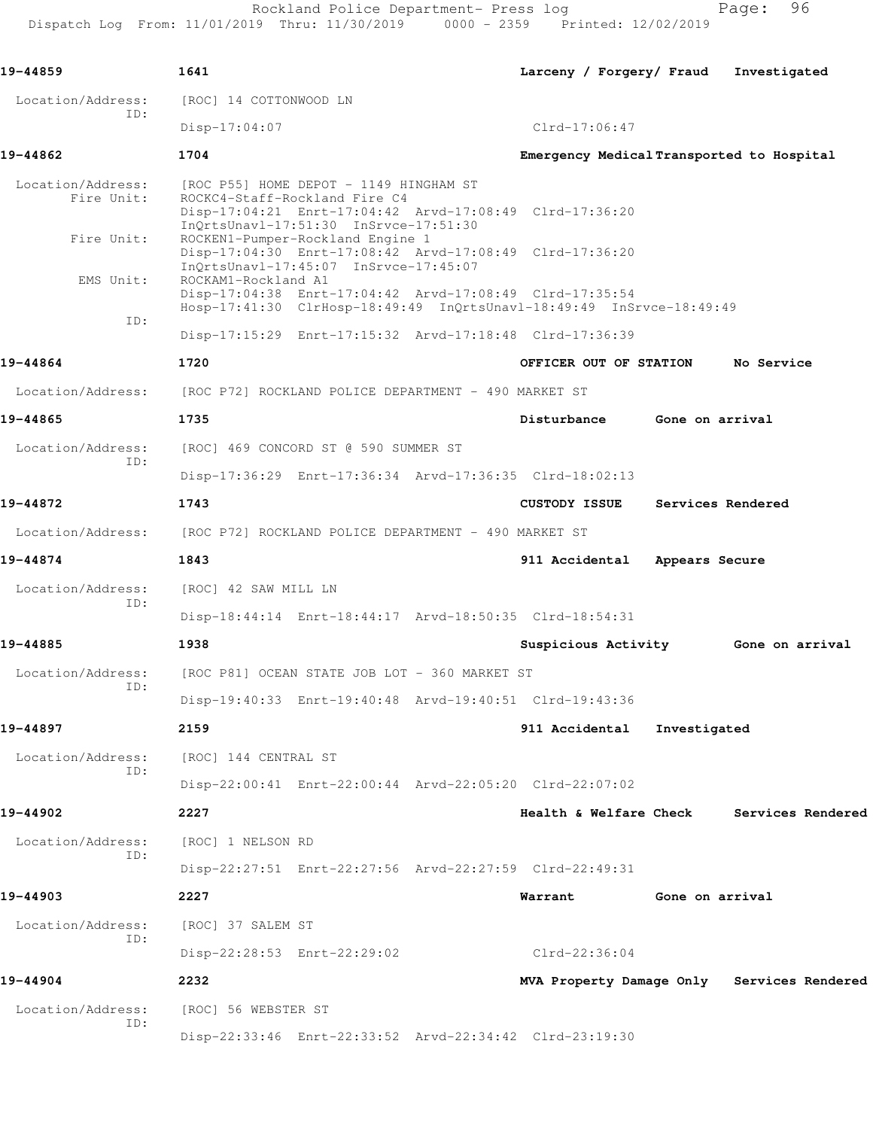Rockland Police Department- Press log entitled and Page: 96 Dispatch Log From: 11/01/2019 Thru: 11/30/2019 0000 - 2359 Printed: 12/02/2019

| 19-44859                                                               | 1641                   |                                                                                                                  | Larceny / Forgery/ Fraud                                                                                                        |                 | Investigated                               |
|------------------------------------------------------------------------|------------------------|------------------------------------------------------------------------------------------------------------------|---------------------------------------------------------------------------------------------------------------------------------|-----------------|--------------------------------------------|
| Location/Address:                                                      | [ROC] 14 COTTONWOOD LN |                                                                                                                  |                                                                                                                                 |                 |                                            |
| ID:                                                                    | $Disp-17:04:07$        |                                                                                                                  | $Clrd-17:06:47$                                                                                                                 |                 |                                            |
| 19-44862                                                               | 1704                   |                                                                                                                  |                                                                                                                                 |                 | Emergency Medical Transported to Hospital  |
| Location/Address:<br>Fire Unit:                                        |                        | [ROC P55] HOME DEPOT - 1149 HINGHAM ST<br>ROCKC4-Staff-Rockland Fire C4<br>InQrtsUnavl-17:51:30 InSrvce-17:51:30 | Disp-17:04:21 Enrt-17:04:42 Arvd-17:08:49 Clrd-17:36:20                                                                         |                 |                                            |
| Fire Unit:                                                             |                        | ROCKEN1-Pumper-Rockland Engine 1<br>InQrtsUnavl-17:45:07 InSrvce-17:45:07                                        | Disp-17:04:30 Enrt-17:08:42 Arvd-17:08:49 Clrd-17:36:20                                                                         |                 |                                            |
| EMS Unit:<br>ID:                                                       | ROCKAM1-Rockland A1    |                                                                                                                  | Disp-17:04:38 Enrt-17:04:42 Arvd-17:08:49 Clrd-17:35:54<br>Hosp-17:41:30 ClrHosp-18:49:49 InQrtsUnavl-18:49:49 InSrvce-18:49:49 |                 |                                            |
|                                                                        |                        |                                                                                                                  | Disp-17:15:29 Enrt-17:15:32 Arvd-17:18:48 Clrd-17:36:39                                                                         |                 |                                            |
| 19-44864                                                               | 1720                   |                                                                                                                  | OFFICER OUT OF STATION                                                                                                          |                 | No Service                                 |
| Location/Address:                                                      |                        | [ROC P72] ROCKLAND POLICE DEPARTMENT - 490 MARKET ST                                                             |                                                                                                                                 |                 |                                            |
| 19-44865                                                               | 1735                   |                                                                                                                  | Disturbance                                                                                                                     | Gone on arrival |                                            |
| Location/Address:                                                      |                        | [ROC] 469 CONCORD ST @ 590 SUMMER ST                                                                             |                                                                                                                                 |                 |                                            |
| ID:                                                                    |                        |                                                                                                                  | Disp-17:36:29 Enrt-17:36:34 Arvd-17:36:35 Clrd-18:02:13                                                                         |                 |                                            |
| 19-44872                                                               | 1743                   |                                                                                                                  | <b>CUSTODY ISSUE</b>                                                                                                            |                 | Services Rendered                          |
| Location/Address: [ROC P72] ROCKLAND POLICE DEPARTMENT - 490 MARKET ST |                        |                                                                                                                  |                                                                                                                                 |                 |                                            |
| 19-44874                                                               | 1843                   |                                                                                                                  | 911 Accidental Appears Secure                                                                                                   |                 |                                            |
| Location/Address:                                                      | [ROC] 42 SAW MILL LN   |                                                                                                                  |                                                                                                                                 |                 |                                            |
| ID:                                                                    |                        |                                                                                                                  | Disp-18:44:14 Enrt-18:44:17 Arvd-18:50:35 Clrd-18:54:31                                                                         |                 |                                            |
| 19-44885                                                               | 1938                   |                                                                                                                  | Suspicious Activity                                                                                                             |                 | Gone on arrival                            |
| Location/Address:<br>ID:                                               |                        | [ROC P81] OCEAN STATE JOB LOT - 360 MARKET ST                                                                    |                                                                                                                                 |                 |                                            |
|                                                                        |                        |                                                                                                                  | Disp-19:40:33 Enrt-19:40:48 Arvd-19:40:51 Clrd-19:43:36                                                                         |                 |                                            |
| 19-44897                                                               | 2159                   |                                                                                                                  | 911 Accidental                                                                                                                  | Investigated    |                                            |
| Location/Address:<br>ID:                                               | [ROC] 144 CENTRAL ST   |                                                                                                                  |                                                                                                                                 |                 |                                            |
|                                                                        |                        |                                                                                                                  | Disp-22:00:41 Enrt-22:00:44 Arvd-22:05:20 Clrd-22:07:02                                                                         |                 |                                            |
| 19-44902                                                               | 2227                   |                                                                                                                  | Health & Welfare Check                                                                                                          |                 | Services Rendered                          |
| Location/Address:<br>ID:                                               | [ROC] 1 NELSON RD      |                                                                                                                  |                                                                                                                                 |                 |                                            |
|                                                                        |                        |                                                                                                                  | Disp-22:27:51 Enrt-22:27:56 Arvd-22:27:59 Clrd-22:49:31                                                                         |                 |                                            |
| 19-44903                                                               | 2227                   |                                                                                                                  | Warrant                                                                                                                         | Gone on arrival |                                            |
| Location/Address:<br>ID:                                               | [ROC] 37 SALEM ST      |                                                                                                                  |                                                                                                                                 |                 |                                            |
|                                                                        |                        | Disp-22:28:53 Enrt-22:29:02                                                                                      | $Clrd-22:36:04$                                                                                                                 |                 |                                            |
| 19-44904                                                               | 2232                   |                                                                                                                  |                                                                                                                                 |                 | MVA Property Damage Only Services Rendered |
| Location/Address:<br>ID:                                               | [ROC] 56 WEBSTER ST    |                                                                                                                  |                                                                                                                                 |                 |                                            |
|                                                                        |                        |                                                                                                                  | Disp-22:33:46 Enrt-22:33:52 Arvd-22:34:42 Clrd-23:19:30                                                                         |                 |                                            |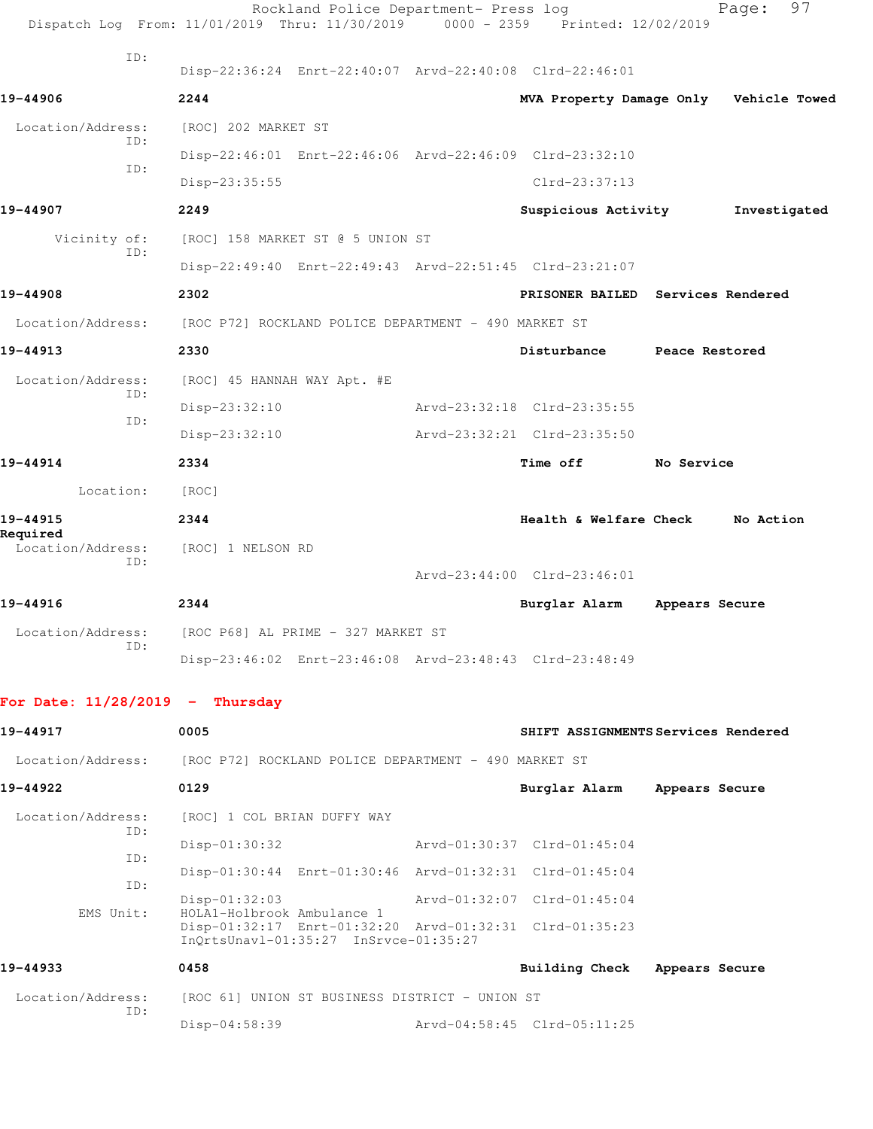|                                                      |     |                                               | Rockland Police Department- Press log                                                            | Dispatch Log From: 11/01/2019 Thru: 11/30/2019 0000 - 2359 Printed: 12/02/2019 |                | 97<br>Page:  |
|------------------------------------------------------|-----|-----------------------------------------------|--------------------------------------------------------------------------------------------------|--------------------------------------------------------------------------------|----------------|--------------|
|                                                      | ID: |                                               | Disp-22:36:24 Enrt-22:40:07 Arvd-22:40:08 Clrd-22:46:01                                          |                                                                                |                |              |
| 19-44906                                             |     | 2244                                          |                                                                                                  | MVA Property Damage Only Vehicle Towed                                         |                |              |
| Location/Address:                                    |     | [ROC] 202 MARKET ST                           |                                                                                                  |                                                                                |                |              |
|                                                      | ID: |                                               | Disp-22:46:01 Enrt-22:46:06 Arvd-22:46:09 Clrd-23:32:10                                          |                                                                                |                |              |
|                                                      | ID: | Disp-23:35:55                                 |                                                                                                  | Clrd-23:37:13                                                                  |                |              |
| 19-44907                                             |     | 2249                                          |                                                                                                  | Suspicious Activity                                                            |                | Investigated |
| Vicinity of:                                         |     |                                               | [ROC] 158 MARKET ST @ 5 UNION ST                                                                 |                                                                                |                |              |
|                                                      | ID: |                                               |                                                                                                  | Disp-22:49:40 Enrt-22:49:43 Arvd-22:51:45 Clrd-23:21:07                        |                |              |
| 19-44908                                             |     | 2302                                          |                                                                                                  | PRISONER BAILED Services Rendered                                              |                |              |
| Location/Address:                                    |     |                                               | [ROC P72] ROCKLAND POLICE DEPARTMENT - 490 MARKET ST                                             |                                                                                |                |              |
| 19-44913                                             |     | 2330                                          |                                                                                                  | Disturbance Peace Restored                                                     |                |              |
| Location/Address:                                    |     | [ROC] 45 HANNAH WAY Apt. #E                   |                                                                                                  |                                                                                |                |              |
|                                                      | ID: | $Disp-23:32:10$                               |                                                                                                  | Arvd-23:32:18 Clrd-23:35:55                                                    |                |              |
|                                                      | ID: | Disp-23:32:10                                 |                                                                                                  | Arvd-23:32:21 Clrd-23:35:50                                                    |                |              |
| 19-44914                                             |     | 2334                                          |                                                                                                  | Time off No Service                                                            |                |              |
| Location:                                            |     | [ROC]                                         |                                                                                                  |                                                                                |                |              |
| 19-44915                                             |     | 2344                                          |                                                                                                  | Health & Welfare Check No Action                                               |                |              |
| Required<br>Location/Address:                        |     | [ROC] 1 NELSON RD                             |                                                                                                  |                                                                                |                |              |
|                                                      | ID: |                                               |                                                                                                  | Arvd-23:44:00 Clrd-23:46:01                                                    |                |              |
| 19-44916                                             |     | 2344                                          |                                                                                                  | Burglar Alarm                                                                  | Appears Secure |              |
| Location/Address: [ROC P68] AL PRIME - 327 MARKET ST |     |                                               |                                                                                                  |                                                                                |                |              |
|                                                      | ID: |                                               |                                                                                                  | Disp-23:46:02 Enrt-23:46:08 Arvd-23:48:43 Clrd-23:48:49                        |                |              |
| For Date: $11/28/2019$ - Thursday                    |     |                                               |                                                                                                  |                                                                                |                |              |
| 19-44917                                             |     | 0005                                          |                                                                                                  | SHIFT ASSIGNMENTS Services Rendered                                            |                |              |
| Location/Address:                                    |     |                                               | [ROC P72] ROCKLAND POLICE DEPARTMENT - 490 MARKET ST                                             |                                                                                |                |              |
| 19-44922                                             |     | 0129                                          |                                                                                                  | Burglar Alarm Appears Secure                                                   |                |              |
| Location/Address:                                    | ID: | [ROC] 1 COL BRIAN DUFFY WAY                   |                                                                                                  |                                                                                |                |              |
|                                                      | ID: | Disp-01:30:32                                 |                                                                                                  | Arvd-01:30:37 Clrd-01:45:04                                                    |                |              |
|                                                      | ID: |                                               | Disp-01:30:44 Enrt-01:30:46 Arvd-01:32:31 Clrd-01:45:04                                          |                                                                                |                |              |
| EMS Unit:                                            |     | $Disp-01:32:03$<br>HOLA1-Holbrook Ambulance 1 |                                                                                                  | Arvd-01:32:07 Clrd-01:45:04                                                    |                |              |
|                                                      |     |                                               | Disp-01:32:17 Enrt-01:32:20 Arvd-01:32:31 Clrd-01:35:23<br>InQrtsUnavl-01:35:27 InSrvce-01:35:27 |                                                                                |                |              |
| 19-44933                                             |     | 0458                                          |                                                                                                  | Building Check Appears Secure                                                  |                |              |
| Location/Address:                                    | ID: |                                               | [ROC 61] UNION ST BUSINESS DISTRICT - UNION ST                                                   |                                                                                |                |              |
|                                                      |     | Disp-04:58:39                                 |                                                                                                  | Arvd-04:58:45 Clrd-05:11:25                                                    |                |              |
|                                                      |     |                                               |                                                                                                  |                                                                                |                |              |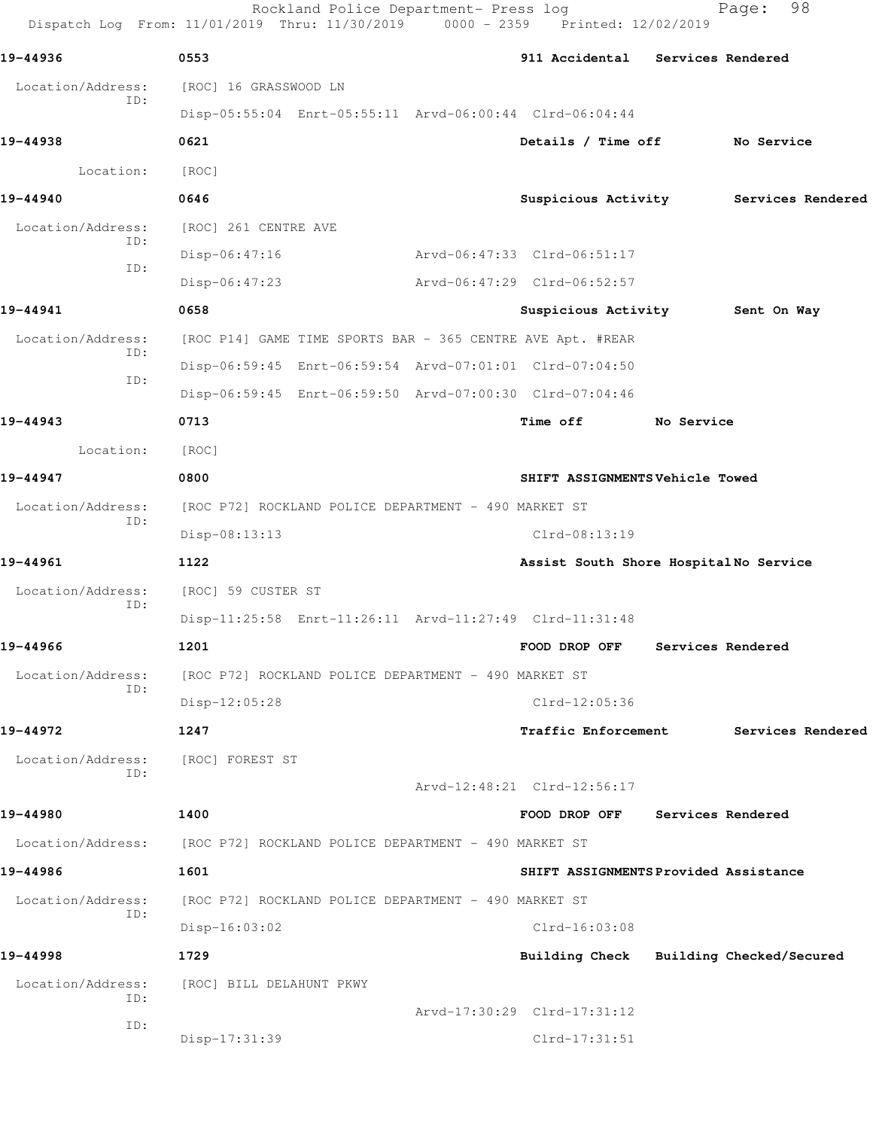Rockland Police Department- Press log Fage: 98 Dispatch Log From: 11/01/2019 Thru: 11/30/2019 0000 - 2359 Printed: 12/02/2019 **19-44936 0553 911 Accidental Services Rendered** Location/Address: [ROC] 16 GRASSWOOD LN ID: Disp-05:55:04 Enrt-05:55:11 Arvd-06:00:44 Clrd-06:04:44 **19-44938 0621 Details / Time off No Service** Location: [ROC] **19-44940 0646 Suspicious Activity Services Rendered** Location/Address: [ROC] 261 CENTRE AVE ID: Disp-06:47:16 Arvd-06:47:33 Clrd-06:51:17 ID: Disp-06:47:23 Arvd-06:47:29 Clrd-06:52:57 **19-44941 0658 Suspicious Activity Sent On Way** Location/Address: [ROC P14] GAME TIME SPORTS BAR - 365 CENTRE AVE Apt. #REAR ID: Disp-06:59:45 Enrt-06:59:54 Arvd-07:01:01 Clrd-07:04:50 ID: Disp-06:59:45 Enrt-06:59:50 Arvd-07:00:30 Clrd-07:04:46 **19-44943 0713 Time off No Service** Location: [ROC] **19-44947 0800 SHIFT ASSIGNMENTS Vehicle Towed** Location/Address: [ROC P72] ROCKLAND POLICE DEPARTMENT - 490 MARKET ST ID: Disp-08:13:13 Clrd-08:13:19 **19-44961 1122 Assist South Shore Hospital No Service** Location/Address: [ROC] 59 CUSTER ST ID: Disp-11:25:58 Enrt-11:26:11 Arvd-11:27:49 Clrd-11:31:48 **19-44966 1201 FOOD DROP OFF Services Rendered** Location/Address: [ROC P72] ROCKLAND POLICE DEPARTMENT - 490 MARKET ST ID: Disp-12:05:28 Clrd-12:05:36 **19-44972 1247 Traffic Enforcement Services Rendered** Location/Address: [ROC] FOREST ST ID: Arvd-12:48:21 Clrd-12:56:17 **19-44980 1400 FOOD DROP OFF Services Rendered** Location/Address: [ROC P72] ROCKLAND POLICE DEPARTMENT - 490 MARKET ST **19-44986 1601 SHIFT ASSIGNMENTS Provided Assistance** Location/Address: [ROC P72] ROCKLAND POLICE DEPARTMENT - 490 MARKET ST ID: Disp-16:03:02 Clrd-16:03:08 **19-44998 1729 Building Check Building Checked/Secured** Location/Address: [ROC] BILL DELAHUNT PKWY ID: Arvd-17:30:29 Clrd-17:31:12 ID: Disp-17:31:39 Clrd-17:31:51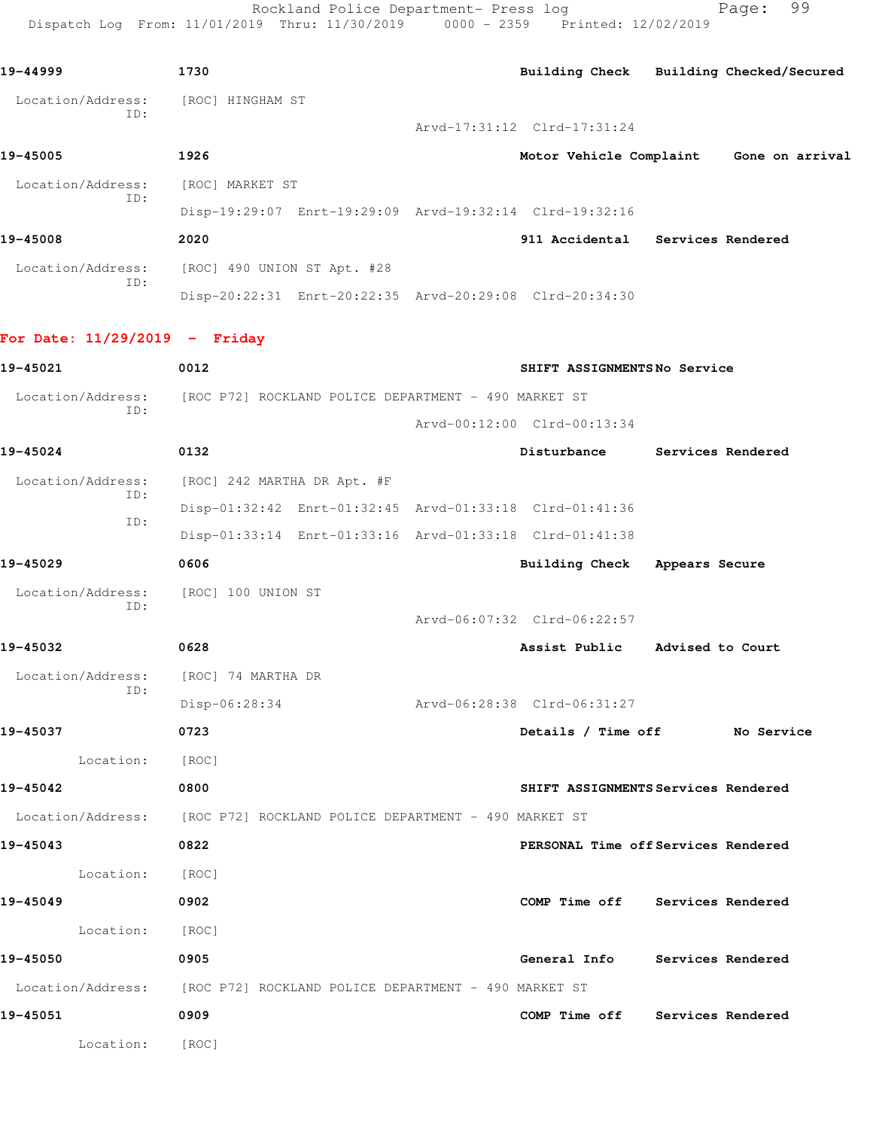Rockland Police Department- Press log Fage: 99 Dispatch Log From: 11/01/2019 Thru: 11/30/2019 0000 - 2359 Printed: 12/02/2019

**19-44999 1730 Building Check Building Checked/Secured** Location/Address: [ROC] HINGHAM ST ID: Arvd-17:31:12 Clrd-17:31:24 **19-45005 1926 Motor Vehicle Complaint Gone on arrival** Location/Address: [ROC] MARKET ST ID: Disp-19:29:07 Enrt-19:29:09 Arvd-19:32:14 Clrd-19:32:16 **19-45008 2020 911 Accidental Services Rendered** Location/Address: [ROC] 490 UNION ST Apt. #28 ID: Disp-20:22:31 Enrt-20:22:35 Arvd-20:29:08 Clrd-20:34:30 **For Date: 11/29/2019 - Friday 19-45021 0012 SHIFT ASSIGNMENTS No Service** Location/Address: [ROC P72] ROCKLAND POLICE DEPARTMENT - 490 MARKET ST ID: Arvd-00:12:00 Clrd-00:13:34 **19-45024 0132 Disturbance Services Rendered** Location/Address: [ROC] 242 MARTHA DR Apt. #F ID: Disp-01:32:42 Enrt-01:32:45 Arvd-01:33:18 Clrd-01:41:36 ID: Disp-01:33:14 Enrt-01:33:16 Arvd-01:33:18 Clrd-01:41:38 **19-45029 0606 Building Check Appears Secure** Location/Address: [ROC] 100 UNION ST ID: Arvd-06:07:32 Clrd-06:22:57 **19-45032 0628 Assist Public Advised to Court** Location/Address: [ROC] 74 MARTHA DR ID: Disp-06:28:34 Arvd-06:28:38 Clrd-06:31:27 **19-45037 0723 Details / Time off No Service** Location: [ROC] **19-45042 0800 SHIFT ASSIGNMENTS Services Rendered** Location/Address: [ROC P72] ROCKLAND POLICE DEPARTMENT - 490 MARKET ST **19-45043 0822 PERSONAL Time off Services Rendered** Location: [ROC] **19-45049 0902 COMP Time off Services Rendered** Location: [ROC] **19-45050 0905 General Info Services Rendered** Location/Address: [ROC P72] ROCKLAND POLICE DEPARTMENT - 490 MARKET ST **19-45051 0909 COMP Time off Services Rendered** Location: [ROC]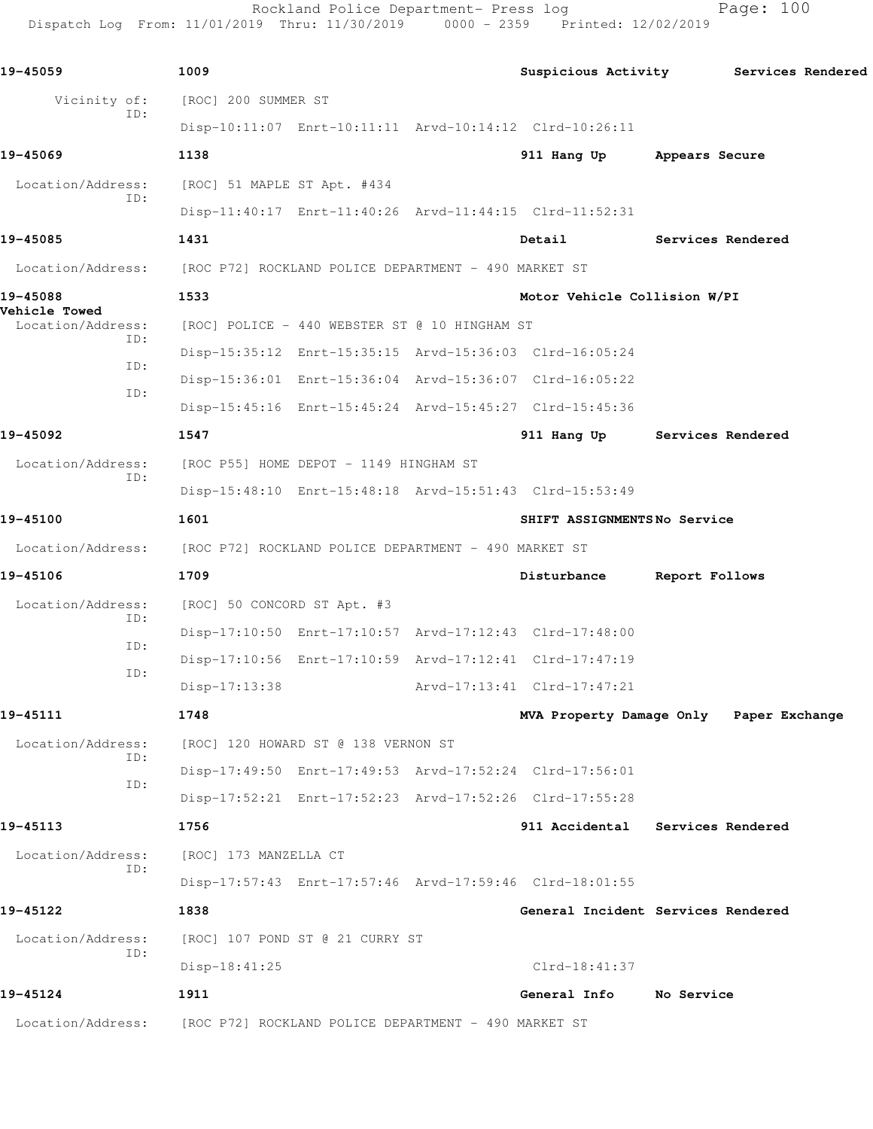Rockland Police Department- Press log Page: 100 Dispatch Log From: 11/01/2019 Thru: 11/30/2019 0000 - 2359 Printed: 12/02/2019

**19-45059 1009 Suspicious Activity Services Rendered** Vicinity of: [ROC] 200 SUMMER ST ID: Disp-10:11:07 Enrt-10:11:11 Arvd-10:14:12 Clrd-10:26:11 **19-45069 1138 911 Hang Up Appears Secure** Location/Address: [ROC] 51 MAPLE ST Apt. #434 ID: Disp-11:40:17 Enrt-11:40:26 Arvd-11:44:15 Clrd-11:52:31 **19-45085 1431 Detail Services Rendered** Location/Address: [ROC P72] ROCKLAND POLICE DEPARTMENT - 490 MARKET ST **19-45088 1533 Motor Vehicle Collision W/PI Vehicle Towed**  Location/Address: [ROC] POLICE - 440 WEBSTER ST @ 10 HINGHAM ST ID: Disp-15:35:12 Enrt-15:35:15 Arvd-15:36:03 Clrd-16:05:24 ID: Disp-15:36:01 Enrt-15:36:04 Arvd-15:36:07 Clrd-16:05:22 ID: Disp-15:45:16 Enrt-15:45:24 Arvd-15:45:27 Clrd-15:45:36 **19-45092 1547 911 Hang Up Services Rendered** Location/Address: [ROC P55] HOME DEPOT - 1149 HINGHAM ST ID: Disp-15:48:10 Enrt-15:48:18 Arvd-15:51:43 Clrd-15:53:49 **19-45100 1601 SHIFT ASSIGNMENTS No Service** Location/Address: [ROC P72] ROCKLAND POLICE DEPARTMENT - 490 MARKET ST **19-45106 1709 Disturbance Report Follows** Location/Address: [ROC] 50 CONCORD ST Apt. #3 ID: Disp-17:10:50 Enrt-17:10:57 Arvd-17:12:43 Clrd-17:48:00 ID: Disp-17:10:56 Enrt-17:10:59 Arvd-17:12:41 Clrd-17:47:19 ID: Disp-17:13:38 Arvd-17:13:41 Clrd-17:47:21 **19-45111 1748 MVA Property Damage Only Paper Exchange** Location/Address: [ROC] 120 HOWARD ST @ 138 VERNON ST ID: Disp-17:49:50 Enrt-17:49:53 Arvd-17:52:24 Clrd-17:56:01 ID: Disp-17:52:21 Enrt-17:52:23 Arvd-17:52:26 Clrd-17:55:28 **19-45113 1756 911 Accidental Services Rendered** Location/Address: [ROC] 173 MANZELLA CT ID: Disp-17:57:43 Enrt-17:57:46 Arvd-17:59:46 Clrd-18:01:55 **19-45122 1838 General Incident Services Rendered** Location/Address: [ROC] 107 POND ST @ 21 CURRY ST ID: Disp-18:41:25 Clrd-18:41:37 **19-45124 1911 General Info No Service** Location/Address: [ROC P72] ROCKLAND POLICE DEPARTMENT - 490 MARKET ST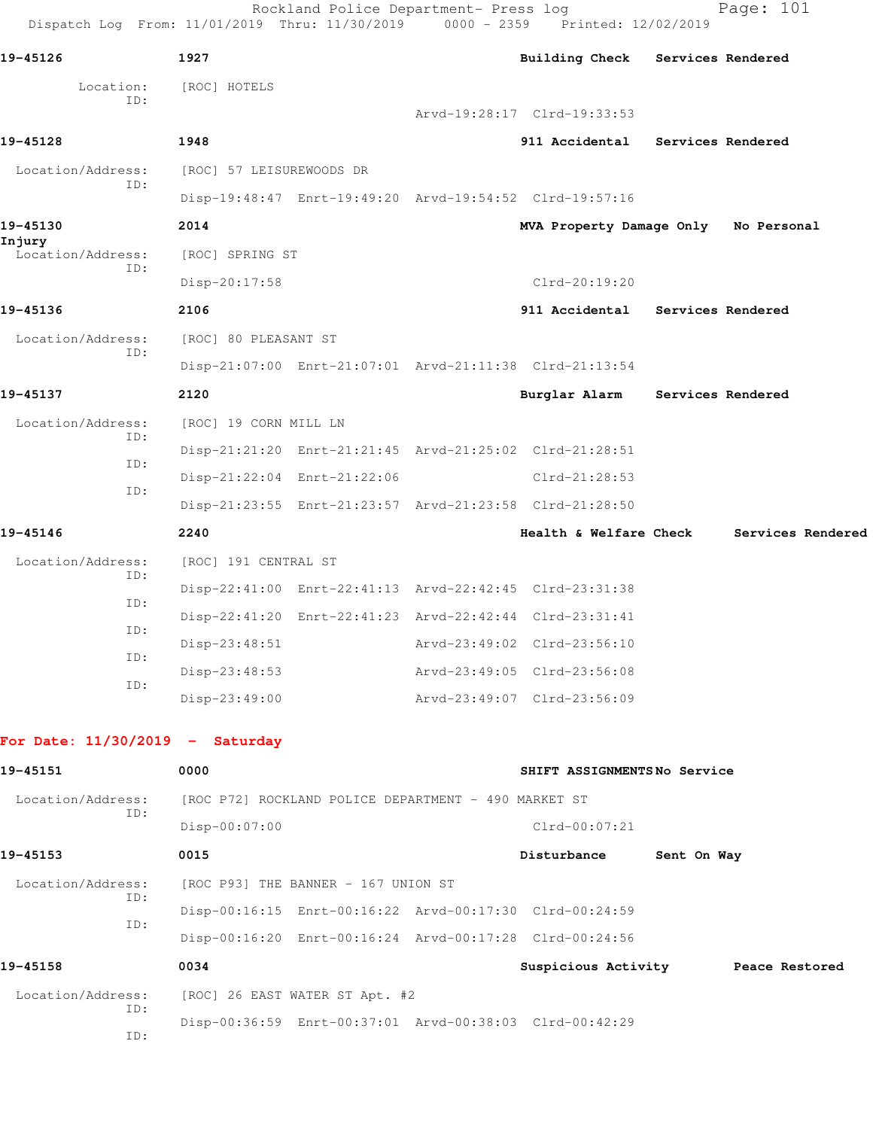| Dispatch Log From: 11/01/2019 Thru: 11/30/2019 0000 - 2359 Printed: 12/02/2019 |                                                      | Rockland Police Department- Press log |  |                                                         |             | Page: 101         |  |
|--------------------------------------------------------------------------------|------------------------------------------------------|---------------------------------------|--|---------------------------------------------------------|-------------|-------------------|--|
| 19-45126                                                                       | 1927                                                 |                                       |  | Building Check Services Rendered                        |             |                   |  |
| Location:<br>ID:                                                               | [ROC] HOTELS                                         |                                       |  |                                                         |             |                   |  |
|                                                                                |                                                      |                                       |  | Arvd-19:28:17 Clrd-19:33:53                             |             |                   |  |
| 19-45128                                                                       | 1948                                                 |                                       |  | 911 Accidental Services Rendered                        |             |                   |  |
| Location/Address:<br>ID:                                                       | [ROC] 57 LEISUREWOODS DR                             |                                       |  |                                                         |             |                   |  |
|                                                                                |                                                      |                                       |  | Disp-19:48:47 Enrt-19:49:20 Arvd-19:54:52 Clrd-19:57:16 |             |                   |  |
| 19-45130<br>Injury<br>Location/Address:                                        | 2014                                                 |                                       |  | MVA Property Damage Only No Personal                    |             |                   |  |
|                                                                                | [ROC] SPRING ST                                      |                                       |  |                                                         |             |                   |  |
| ID:                                                                            | Disp-20:17:58                                        |                                       |  | $Clrd-20:19:20$                                         |             |                   |  |
| 19-45136                                                                       | 2106                                                 |                                       |  | 911 Accidental Services Rendered                        |             |                   |  |
| Location/Address:<br>ID:                                                       | [ROC] 80 PLEASANT ST                                 |                                       |  |                                                         |             |                   |  |
|                                                                                |                                                      |                                       |  | Disp-21:07:00 Enrt-21:07:01 Arvd-21:11:38 Clrd-21:13:54 |             |                   |  |
| 19-45137                                                                       | 2120                                                 |                                       |  | Burglar Alarm Services Rendered                         |             |                   |  |
| Location/Address:<br>ID:                                                       | [ROC] 19 CORN MILL LN                                |                                       |  |                                                         |             |                   |  |
| ID:                                                                            |                                                      |                                       |  | Disp-21:21:20 Enrt-21:21:45 Arvd-21:25:02 Clrd-21:28:51 |             |                   |  |
| ID:                                                                            | Disp-21:22:04 Enrt-21:22:06                          |                                       |  | Clrd-21:28:53                                           |             |                   |  |
|                                                                                |                                                      |                                       |  | Disp-21:23:55 Enrt-21:23:57 Arvd-21:23:58 Clrd-21:28:50 |             |                   |  |
| 19-45146                                                                       | 2240                                                 |                                       |  | Health & Welfare Check                                  |             | Services Rendered |  |
| Location/Address:<br>ID:                                                       | [ROC] 191 CENTRAL ST                                 |                                       |  |                                                         |             |                   |  |
| ID:                                                                            |                                                      |                                       |  | Disp-22:41:00 Enrt-22:41:13 Arvd-22:42:45 Clrd-23:31:38 |             |                   |  |
| ID:                                                                            |                                                      |                                       |  | Disp-22:41:20 Enrt-22:41:23 Arvd-22:42:44 Clrd-23:31:41 |             |                   |  |
| ID:                                                                            | Disp-23:48:51                                        |                                       |  | Arvd-23:49:02 Clrd-23:56:10                             |             |                   |  |
| ID:                                                                            | $Disp-23:48:53$                                      |                                       |  | Arvd-23:49:05 Clrd-23:56:08                             |             |                   |  |
|                                                                                | $Disp-23:49:00$                                      |                                       |  | Arvd-23:49:07 Clrd-23:56:09                             |             |                   |  |
| For Date: $11/30/2019$ - Saturday                                              |                                                      |                                       |  |                                                         |             |                   |  |
| 19-45151                                                                       | 0000                                                 |                                       |  | SHIFT ASSIGNMENTSNo Service                             |             |                   |  |
| Location/Address:                                                              | [ROC P72] ROCKLAND POLICE DEPARTMENT - 490 MARKET ST |                                       |  |                                                         |             |                   |  |
| ID:                                                                            | Disp-00:07:00                                        |                                       |  | $Clrd-00:07:21$                                         |             |                   |  |
| 19-45153                                                                       | 0015                                                 |                                       |  | Disturbance                                             | Sent On Way |                   |  |
| Location/Address:                                                              | [ROC P93] THE BANNER - 167 UNION ST                  |                                       |  |                                                         |             |                   |  |
| ID:<br>ID:                                                                     |                                                      |                                       |  | Disp-00:16:15 Enrt-00:16:22 Arvd-00:17:30 Clrd-00:24:59 |             |                   |  |
|                                                                                |                                                      |                                       |  | Disp-00:16:20 Enrt-00:16:24 Arvd-00:17:28 Clrd-00:24:56 |             |                   |  |
| 19-45158                                                                       | 0034                                                 |                                       |  | Suspicious Activity Peace Restored                      |             |                   |  |
| Location/Address:<br>ID:                                                       | [ROC] 26 EAST WATER ST Apt. #2                       |                                       |  |                                                         |             |                   |  |
| ID:                                                                            |                                                      |                                       |  | Disp-00:36:59 Enrt-00:37:01 Arvd-00:38:03 Clrd-00:42:29 |             |                   |  |
|                                                                                |                                                      |                                       |  |                                                         |             |                   |  |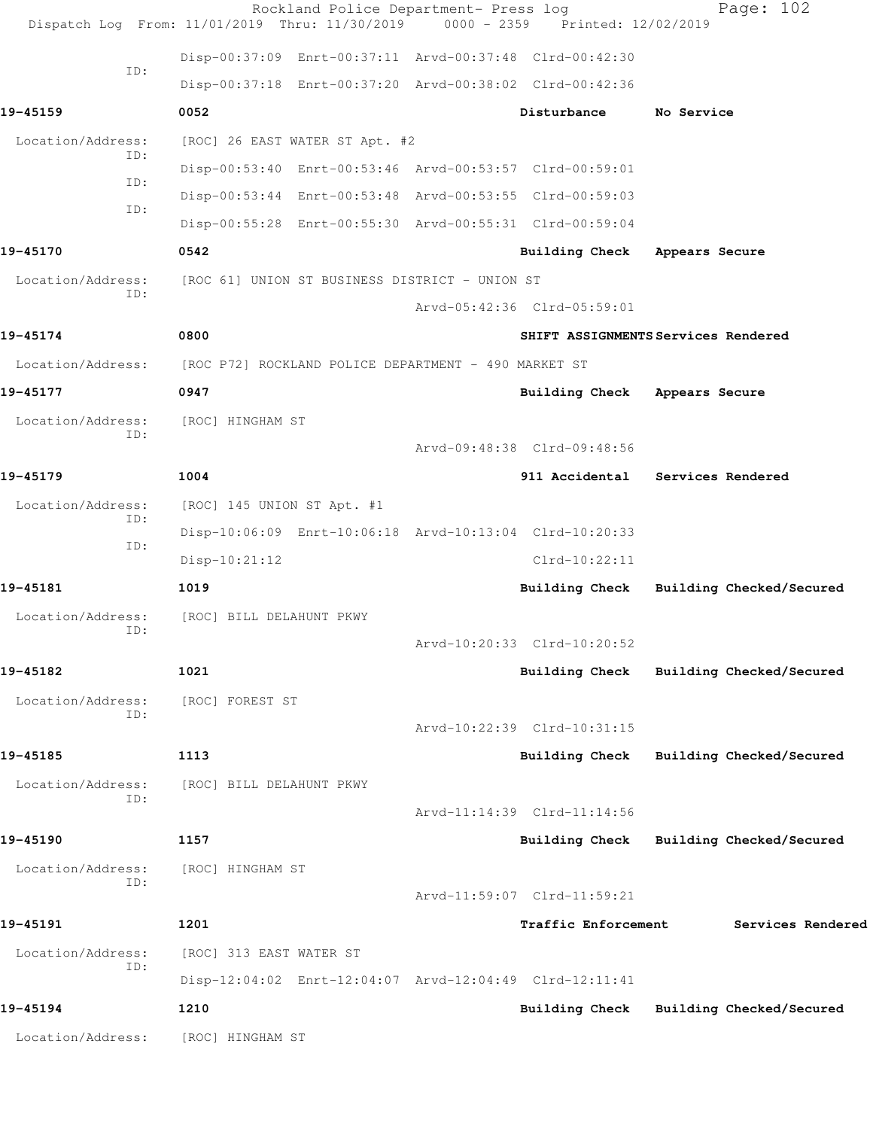|                          | Rockland Police Department- Press log<br>Dispatch Log From: 11/01/2019 Thru: 11/30/2019 0000 - 2359 Printed: 12/02/2019 |                                         |                   | Page: 102                |
|--------------------------|-------------------------------------------------------------------------------------------------------------------------|-----------------------------------------|-------------------|--------------------------|
|                          | Disp-00:37:09 Enrt-00:37:11 Arvd-00:37:48 Clrd-00:42:30                                                                 |                                         |                   |                          |
| ID:                      | Disp-00:37:18 Enrt-00:37:20 Arvd-00:38:02 Clrd-00:42:36                                                                 |                                         |                   |                          |
| 19-45159                 | 0052                                                                                                                    | Disturbance                             | No Service        |                          |
| Location/Address:        | [ROC] 26 EAST WATER ST Apt. #2                                                                                          |                                         |                   |                          |
| ID:<br>ID:               | Disp-00:53:40 Enrt-00:53:46 Arvd-00:53:57 Clrd-00:59:01                                                                 |                                         |                   |                          |
| ID:                      | Disp-00:53:44 Enrt-00:53:48 Arvd-00:53:55 Clrd-00:59:03                                                                 |                                         |                   |                          |
|                          | Disp-00:55:28 Enrt-00:55:30 Arvd-00:55:31 Clrd-00:59:04                                                                 |                                         |                   |                          |
| 19-45170                 | 0542                                                                                                                    | Building Check Appears Secure           |                   |                          |
| Location/Address:        | [ROC 61] UNION ST BUSINESS DISTRICT - UNION ST                                                                          |                                         |                   |                          |
| ID:                      |                                                                                                                         | Arvd-05:42:36 Clrd-05:59:01             |                   |                          |
| 19-45174                 | 0800                                                                                                                    | SHIFT ASSIGNMENTS Services Rendered     |                   |                          |
|                          | Location/Address: [ROC P72] ROCKLAND POLICE DEPARTMENT - 490 MARKET ST                                                  |                                         |                   |                          |
| 19-45177                 | 0947                                                                                                                    | Building Check Appears Secure           |                   |                          |
| Location/Address:<br>ID: | [ROC] HINGHAM ST                                                                                                        |                                         |                   |                          |
|                          |                                                                                                                         | Arvd-09:48:38 Clrd-09:48:56             |                   |                          |
| 19-45179                 | 1004                                                                                                                    | 911 Accidental Services Rendered        |                   |                          |
| Location/Address:<br>ID: | [ROC] 145 UNION ST Apt. #1                                                                                              |                                         |                   |                          |
| ID:                      | Disp-10:06:09 Enrt-10:06:18 Arvd-10:13:04 Clrd-10:20:33                                                                 |                                         |                   |                          |
|                          | $Disp-10:21:12$                                                                                                         | $Clrd-10:22:11$                         |                   |                          |
| 19-45181                 | 1019                                                                                                                    | <b>Building Check</b>                   |                   | Building Checked/Secured |
| Location/Address:<br>ID: | [ROC] BILL DELAHUNT PKWY                                                                                                |                                         |                   |                          |
|                          |                                                                                                                         | Arvd-10:20:33 Clrd-10:20:52             |                   |                          |
| 19-45182                 | 1021                                                                                                                    | <b>Building Check</b>                   |                   | Building Checked/Secured |
| Location/Address:<br>ID: | [ROC] FOREST ST                                                                                                         |                                         |                   |                          |
|                          |                                                                                                                         | Arvd-10:22:39 Clrd-10:31:15             |                   |                          |
| 19-45185                 | 1113                                                                                                                    | Building Check                          |                   | Building Checked/Secured |
| Location/Address:<br>ID: | [ROC] BILL DELAHUNT PKWY                                                                                                |                                         |                   |                          |
|                          |                                                                                                                         | Arvd-11:14:39 Clrd-11:14:56             |                   |                          |
| 19-45190                 | 1157                                                                                                                    | Building Check Building Checked/Secured |                   |                          |
| Location/Address:<br>ID: | [ROC] HINGHAM ST                                                                                                        |                                         |                   |                          |
|                          |                                                                                                                         | Arvd-11:59:07 Clrd-11:59:21             |                   |                          |
| 19-45191                 | 1201                                                                                                                    | Traffic Enforcement                     | Services Rendered |                          |
| Location/Address:<br>ID: | [ROC] 313 EAST WATER ST                                                                                                 |                                         |                   |                          |
|                          | Disp-12:04:02 Enrt-12:04:07 Arvd-12:04:49 Clrd-12:11:41                                                                 |                                         |                   |                          |
| 19-45194                 | 1210                                                                                                                    | Building Check                          |                   | Building Checked/Secured |
| Location/Address:        | [ROC] HINGHAM ST                                                                                                        |                                         |                   |                          |
|                          |                                                                                                                         |                                         |                   |                          |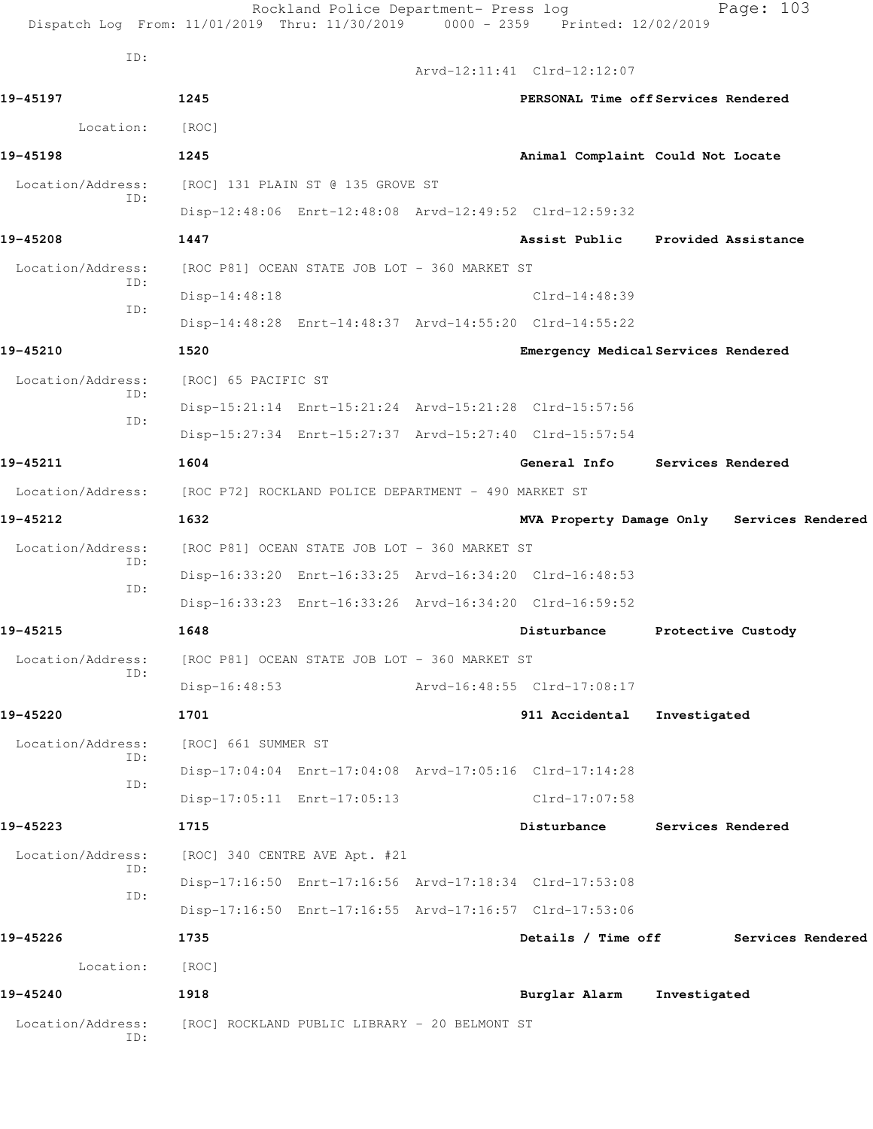|                          | Rockland Police Department- Press log<br>Dispatch Log From: 11/01/2019 Thru: 11/30/2019 0000 - 2359 Printed: 12/02/2019 |  |                             | Page: 103                                  |  |
|--------------------------|-------------------------------------------------------------------------------------------------------------------------|--|-----------------------------|--------------------------------------------|--|
| ID:                      |                                                                                                                         |  | Arvd-12:11:41 Clrd-12:12:07 |                                            |  |
| 19-45197                 | 1245                                                                                                                    |  |                             | PERSONAL Time off Services Rendered        |  |
| Location:                | [ROC]                                                                                                                   |  |                             |                                            |  |
| 19-45198                 | 1245                                                                                                                    |  |                             | Animal Complaint Could Not Locate          |  |
| Location/Address:        | [ROC] 131 PLAIN ST @ 135 GROVE ST                                                                                       |  |                             |                                            |  |
| ID:                      | Disp-12:48:06 Enrt-12:48:08 Arvd-12:49:52 Clrd-12:59:32                                                                 |  |                             |                                            |  |
| 19-45208                 | 1447                                                                                                                    |  | Assist Public               | Provided Assistance                        |  |
| Location/Address:        | [ROC P81] OCEAN STATE JOB LOT - 360 MARKET ST                                                                           |  |                             |                                            |  |
| ID:                      | Disp-14:48:18                                                                                                           |  | $Clrd-14:48:39$             |                                            |  |
| ID:                      | Disp-14:48:28 Enrt-14:48:37 Arvd-14:55:20 Clrd-14:55:22                                                                 |  |                             |                                            |  |
| 19-45210                 | 1520                                                                                                                    |  |                             | Emergency Medical Services Rendered        |  |
| Location/Address:        | [ROC] 65 PACIFIC ST                                                                                                     |  |                             |                                            |  |
| ID:                      | Disp-15:21:14 Enrt-15:21:24 Arvd-15:21:28 Clrd-15:57:56                                                                 |  |                             |                                            |  |
| ID:                      | Disp-15:27:34 Enrt-15:27:37 Arvd-15:27:40 Clrd-15:57:54                                                                 |  |                             |                                            |  |
| 19-45211                 | 1604                                                                                                                    |  | General Info                | Services Rendered                          |  |
|                          | Location/Address: [ROC P72] ROCKLAND POLICE DEPARTMENT - 490 MARKET ST                                                  |  |                             |                                            |  |
| 19-45212                 | 1632                                                                                                                    |  |                             | MVA Property Damage Only Services Rendered |  |
| Location/Address:        | [ROC P81] OCEAN STATE JOB LOT - 360 MARKET ST                                                                           |  |                             |                                            |  |
| ID:                      | Disp-16:33:20 Enrt-16:33:25 Arvd-16:34:20 Clrd-16:48:53                                                                 |  |                             |                                            |  |
| ID:                      | Disp-16:33:23 Enrt-16:33:26 Arvd-16:34:20 Clrd-16:59:52                                                                 |  |                             |                                            |  |
| 19-45215                 | 1648                                                                                                                    |  | Disturbance                 | Protective Custody                         |  |
| Location/Address:        | [ROC P81] OCEAN STATE JOB LOT - 360 MARKET ST                                                                           |  |                             |                                            |  |
| ID:                      | Disp-16:48:53                                                                                                           |  | Arvd-16:48:55 Clrd-17:08:17 |                                            |  |
| 19-45220                 | 1701                                                                                                                    |  | 911 Accidental              | Investigated                               |  |
| Location/Address:        | [ROC] 661 SUMMER ST                                                                                                     |  |                             |                                            |  |
| ID:                      | Disp-17:04:04 Enrt-17:04:08 Arvd-17:05:16 Clrd-17:14:28                                                                 |  |                             |                                            |  |
| ID:                      | Disp-17:05:11 Enrt-17:05:13                                                                                             |  | Clrd-17:07:58               |                                            |  |
| 19-45223                 | 1715                                                                                                                    |  | Disturbance                 | Services Rendered                          |  |
| Location/Address:        | [ROC] 340 CENTRE AVE Apt. #21                                                                                           |  |                             |                                            |  |
| ID:                      | Disp-17:16:50 Enrt-17:16:56 Arvd-17:18:34 Clrd-17:53:08                                                                 |  |                             |                                            |  |
| ID:                      | Disp-17:16:50 Enrt-17:16:55 Arvd-17:16:57 Clrd-17:53:06                                                                 |  |                             |                                            |  |
| 19-45226                 | 1735                                                                                                                    |  | Details / Time off          | Services Rendered                          |  |
| Location:                | [ROC]                                                                                                                   |  |                             |                                            |  |
| 19-45240                 | 1918                                                                                                                    |  | Burglar Alarm               | Investigated                               |  |
| Location/Address:<br>ID: | [ROC] ROCKLAND PUBLIC LIBRARY - 20 BELMONT ST                                                                           |  |                             |                                            |  |